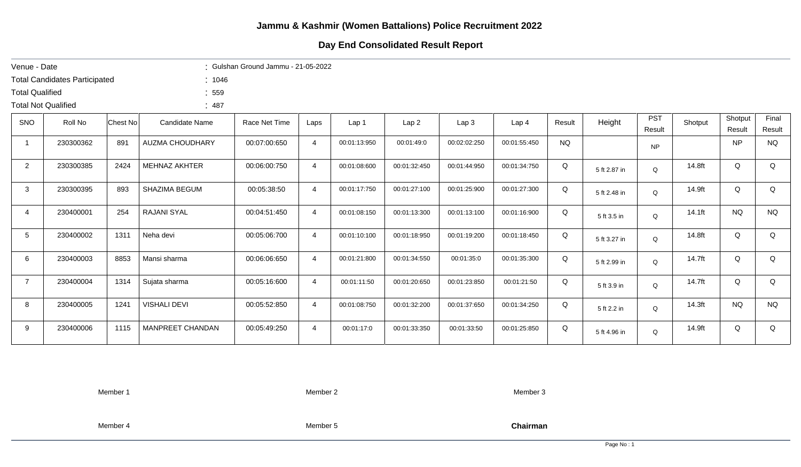## Day End Consolidated Result Report

| Venue - Date               |                                      |          |                        | : Gulshan Ground Jammu - 21-05-2022 |                |              |              |              |                  |           |              |                      |         |                   |                 |
|----------------------------|--------------------------------------|----------|------------------------|-------------------------------------|----------------|--------------|--------------|--------------|------------------|-----------|--------------|----------------------|---------|-------------------|-----------------|
|                            | <b>Total Candidates Participated</b> |          | : 1046                 |                                     |                |              |              |              |                  |           |              |                      |         |                   |                 |
| <b>Total Qualified</b>     |                                      |          | : 559                  |                                     |                |              |              |              |                  |           |              |                      |         |                   |                 |
| <b>Total Not Qualified</b> |                                      |          | :487                   |                                     |                |              |              |              |                  |           |              |                      |         |                   |                 |
| <b>SNO</b>                 | Roll No                              | Chest No | <b>Candidate Name</b>  | Race Net Time                       | Laps           | Lap 1        | Lap2         | Lap3         | Lap <sub>4</sub> | Result    | Height       | <b>PST</b><br>Result | Shotput | Shotput<br>Result | Final<br>Result |
| $\mathbf{1}$               | 230300362                            | 891      | <b>AUZMA CHOUDHARY</b> | 00:07:00:650                        | 4              | 00:01:13:950 | 00:01:49:0   | 00:02:02:250 | 00:01:55:450     | <b>NQ</b> |              | <b>NP</b>            |         | <b>NP</b>         | <b>NQ</b>       |
| $\overline{2}$             | 230300385                            | 2424     | <b>MEHNAZ AKHTER</b>   | 00:06:00:750                        | 4              | 00:01:08:600 | 00:01:32:450 | 00:01:44:950 | 00:01:34:750     | Q         | 5 ft 2.87 in | $\Omega$             | 14.8ft  | Q                 | Q               |
| 3                          | 230300395                            | 893      | SHAZIMA BEGUM          | 00:05:38:50                         | 4              | 00:01:17:750 | 00:01:27:100 | 00:01:25:900 | 00:01:27:300     | Q         | 5 ft 2.48 in | Q                    | 14.9ft  | Q                 | Q               |
| 4                          | 230400001                            | 254      | RAJANI SYAL            | 00:04:51:450                        | 4              | 00:01:08:150 | 00:01:13:300 | 00:01:13:100 | 00:01:16:900     | Q         | 5 ft 3.5 in  | Q                    | 14.1ft  | <b>NQ</b>         | <b>NQ</b>       |
| $5\phantom{.0}$            | 230400002                            | 1311     | Neha devi              | 00:05:06:700                        | $\overline{4}$ | 00:01:10:100 | 00:01:18:950 | 00:01:19:200 | 00:01:18:450     | Q         | 5 ft 3.27 in | $\Omega$             | 14.8ft  | Q                 | Q               |
| 6                          | 230400003                            | 8853     | Mansi sharma           | 00:06:06:650                        | $\overline{4}$ | 00:01:21:800 | 00:01:34:550 | 00:01:35:0   | 00:01:35:300     | Q         | 5 ft 2.99 in | Q                    | 14.7ft  | Q                 | Q               |
| $\overline{7}$             | 230400004                            | 1314     | Sujata sharma          | 00:05:16:600                        | $\overline{4}$ | 00:01:11:50  | 00:01:20:650 | 00:01:23:850 | 00:01:21:50      | Q         | 5 ft 3.9 in  | Q                    | 14.7ft  | Q                 | Q               |
| 8                          | 230400005                            | 1241     | <b>VISHALI DEVI</b>    | 00:05:52:850                        | $\overline{4}$ | 00:01:08:750 | 00:01:32:200 | 00:01:37:650 | 00:01:34:250     | Q         | 5 ft 2.2 in  | Q                    | 14.3ft  | <b>NQ</b>         | <b>NQ</b>       |
| 9                          | 230400006                            | 1115     | MANPREET CHANDAN       | 00:05:49:250                        | 4              | 00:01:17:0   | 00:01:33:350 | 00:01:33:50  | 00:01:25:850     | Q         | 5 ft 4.96 in | Q                    | 14.9ft  | Q                 | Q               |
|                            |                                      |          |                        |                                     |                |              |              |              |                  |           |              |                      |         |                   |                 |

Member 1

Member 2

Member 3

Member 4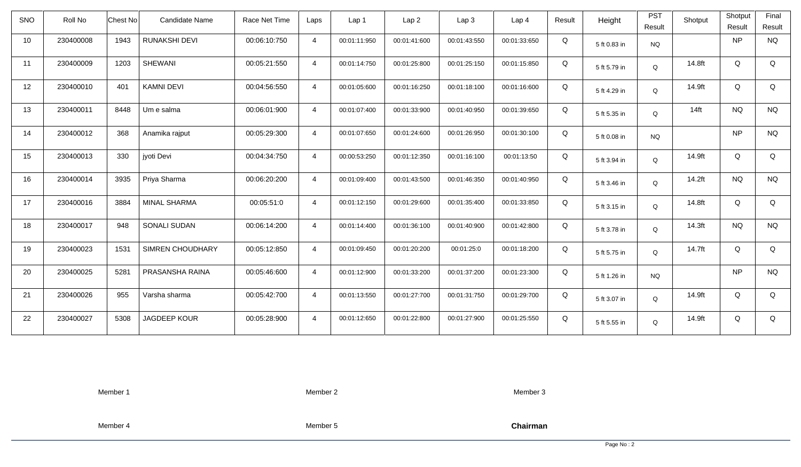| <b>SNO</b> | Roll No   | Candidate Name<br>Chest No  | Race Net Time | Laps           | Lap <sub>1</sub> | Lap2         | Lap 3        | Lap <sub>4</sub> | Result | Height       | <b>PST</b> | Shotput | Shotput   | Final     |
|------------|-----------|-----------------------------|---------------|----------------|------------------|--------------|--------------|------------------|--------|--------------|------------|---------|-----------|-----------|
|            |           |                             |               |                |                  |              |              |                  |        |              | Result     |         | Result    | Result    |
| 10         | 230400008 | 1943<br>RUNAKSHI DEVI       | 00:06:10:750  | $\overline{4}$ | 00:01:11:950     | 00:01:41:600 | 00:01:43:550 | 00:01:33:650     | Q      | 5 ft 0.83 in | <b>NQ</b>  |         | NP        | <b>NQ</b> |
| 11         | 230400009 | <b>SHEWANI</b><br>1203      | 00:05:21:550  | $\overline{4}$ | 00:01:14:750     | 00:01:25:800 | 00:01:25:150 | 00:01:15:850     | Q      | 5 ft 5.79 in | Q          | 14.8ft  | Q         | Q         |
| 12         | 230400010 | <b>KAMNI DEVI</b><br>401    | 00:04:56:550  | $\overline{4}$ | 00:01:05:600     | 00:01:16:250 | 00:01:18:100 | 00:01:16:600     | Q      | 5 ft 4.29 in | Q          | 14.9ft  | Q         | Q         |
| 13         | 230400011 | 8448<br>Um e salma          | 00:06:01:900  | $\overline{4}$ | 00:01:07:400     | 00:01:33:900 | 00:01:40:950 | 00:01:39:650     | Q      | 5 ft 5.35 in | Q          | $14$ ft | <b>NQ</b> | <b>NQ</b> |
| 14         | 230400012 | 368<br>Anamika rajput       | 00:05:29:300  | $\overline{4}$ | 00:01:07:650     | 00:01:24:600 | 00:01:26:950 | 00:01:30:100     | Q      | 5 ft 0.08 in | <b>NQ</b>  |         | <b>NP</b> | <b>NQ</b> |
| 15         | 230400013 | 330<br>jyoti Devi           | 00:04:34:750  | $\overline{4}$ | 00:00:53:250     | 00:01:12:350 | 00:01:16:100 | 00:01:13:50      | Q      | 5 ft 3.94 in | Q          | 14.9ft  | Q         | Q         |
| 16         | 230400014 | 3935<br>Priya Sharma        | 00:06:20:200  | $\overline{4}$ | 00:01:09:400     | 00:01:43:500 | 00:01:46:350 | 00:01:40:950     | Q      | 5 ft 3.46 in | Q          | 14.2ft  | <b>NQ</b> | <b>NQ</b> |
| 17         | 230400016 | 3884<br>MINAL SHARMA        | 00:05:51:0    | $\overline{4}$ | 00:01:12:150     | 00:01:29:600 | 00:01:35:400 | 00:01:33:850     | Q      | 5 ft 3.15 in | Q          | 14.8ft  | Q         | Q         |
| 18         | 230400017 | 948<br>SONALI SUDAN         | 00:06:14:200  | $\overline{4}$ | 00:01:14:400     | 00:01:36:100 | 00:01:40:900 | 00:01:42:800     | Q      | 5 ft 3.78 in | Q          | 14.3ft  | <b>NQ</b> | <b>NQ</b> |
| 19         | 230400023 | 1531<br>SIMREN CHOUDHARY    | 00:05:12:850  | $\overline{4}$ | 00:01:09:450     | 00:01:20:200 | 00:01:25:0   | 00:01:18:200     | Q      | 5 ft 5.75 in | Q          | 14.7ft  | Q         | Q         |
| 20         | 230400025 | 5281<br>PRASANSHA RAINA     | 00:05:46:600  | $\overline{4}$ | 00:01:12:900     | 00:01:33:200 | 00:01:37:200 | 00:01:23:300     | Q      | 5 ft 1.26 in | <b>NQ</b>  |         | NP        | <b>NQ</b> |
| 21         | 230400026 | 955<br>Varsha sharma        | 00:05:42:700  | $\overline{4}$ | 00:01:13:550     | 00:01:27:700 | 00:01:31:750 | 00:01:29:700     | Q      | 5 ft 3.07 in | Q          | 14.9ft  | Q         | Q         |
| 22         | 230400027 | 5308<br><b>JAGDEEP KOUR</b> | 00:05:28:900  | $\overline{4}$ | 00:01:12:650     | 00:01:22:800 | 00:01:27:900 | 00:01:25:550     | Q      | 5 ft 5.55 in | Q          | 14.9ft  | Q         | Q         |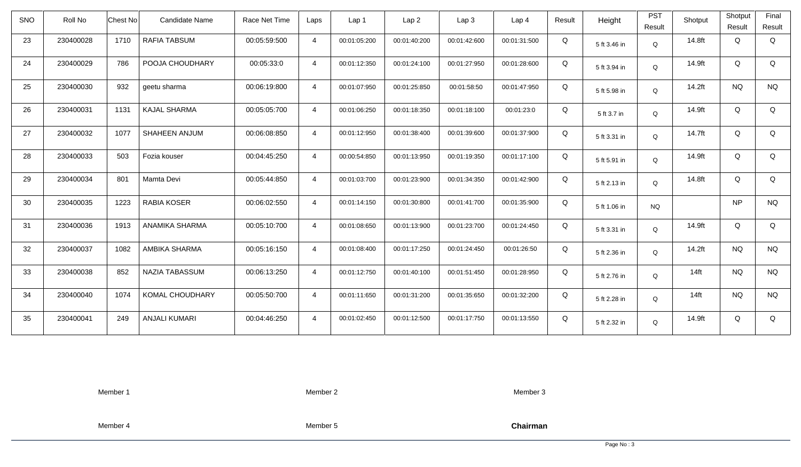| SNO | Roll No   | Chest No | <b>Candidate Name</b> | Race Net Time | Laps           | Lap 1        | Lap <sub>2</sub> | Lap <sub>3</sub> | Lap <sub>4</sub> | Result | Height       | <b>PST</b><br>Result | Shotput | Shotput<br>Result | Final<br>Result |
|-----|-----------|----------|-----------------------|---------------|----------------|--------------|------------------|------------------|------------------|--------|--------------|----------------------|---------|-------------------|-----------------|
| 23  | 230400028 | 1710     | RAFIA TABSUM          | 00:05:59:500  | $\overline{4}$ | 00:01:05:200 | 00:01:40:200     | 00:01:42:600     | 00:01:31:500     | Q      | 5 ft 3.46 in | $\mathsf Q$          | 14.8ft  | Q                 | Q               |
| 24  | 230400029 | 786      | POOJA CHOUDHARY       | 00:05:33:0    | $\overline{4}$ | 00:01:12:350 | 00:01:24:100     | 00:01:27:950     | 00:01:28:600     | Q      | 5 ft 3.94 in | Q                    | 14.9ft  | Q                 | Q               |
| 25  | 230400030 | 932      | geetu sharma          | 00:06:19:800  | $\overline{4}$ | 00:01:07:950 | 00:01:25:850     | 00:01:58:50      | 00:01:47:950     | Q      | 5 ft 5.98 in | Q                    | 14.2ft  | <b>NQ</b>         | <b>NQ</b>       |
| 26  | 230400031 | 1131     | <b>KAJAL SHARMA</b>   | 00:05:05:700  | $\overline{4}$ | 00:01:06:250 | 00:01:18:350     | 00:01:18:100     | 00:01:23:0       | Q      | 5 ft 3.7 in  | Q                    | 14.9ft  | Q                 | Q               |
| 27  | 230400032 | 1077     | SHAHEEN ANJUM         | 00:06:08:850  | $\overline{4}$ | 00:01:12:950 | 00:01:38:400     | 00:01:39:600     | 00:01:37:900     | Q      | 5 ft 3.31 in | Q                    | 14.7ft  | Q                 | Q               |
| 28  | 230400033 | 503      | Fozia kouser          | 00:04:45:250  | $\overline{4}$ | 00:00:54:850 | 00:01:13:950     | 00:01:19:350     | 00:01:17:100     | Q      | 5 ft 5.91 in | Q                    | 14.9ft  | Q                 | Q               |
| 29  | 230400034 | 801      | Mamta Devi            | 00:05:44:850  | $\overline{4}$ | 00:01:03:700 | 00:01:23:900     | 00:01:34:350     | 00:01:42:900     | Q      | 5 ft 2.13 in | Q                    | 14.8ft  | Q                 | Q               |
| 30  | 230400035 | 1223     | <b>RABIA KOSER</b>    | 00:06:02:550  | $\overline{4}$ | 00:01:14:150 | 00:01:30:800     | 00:01:41:700     | 00:01:35:900     | Q      | 5 ft 1.06 in | <b>NQ</b>            |         | <b>NP</b>         | <b>NQ</b>       |
| 31  | 230400036 | 1913     | ANAMIKA SHARMA        | 00:05:10:700  | $\overline{4}$ | 00:01:08:650 | 00:01:13:900     | 00:01:23:700     | 00:01:24:450     | Q      | 5 ft 3.31 in | Q                    | 14.9ft  | Q                 | Q               |
| 32  | 230400037 | 1082     | AMBIKA SHARMA         | 00:05:16:150  | $\overline{4}$ | 00:01:08:400 | 00:01:17:250     | 00:01:24:450     | 00:01:26:50      | Q      | 5 ft 2.36 in | Q                    | 14.2ft  | <b>NQ</b>         | <b>NQ</b>       |
| 33  | 230400038 | 852      | NAZIA TABASSUM        | 00:06:13:250  | $\overline{4}$ | 00:01:12:750 | 00:01:40:100     | 00:01:51:450     | 00:01:28:950     | Q      | 5 ft 2.76 in | Q                    | $14$ ft | <b>NQ</b>         | <b>NQ</b>       |
| 34  | 230400040 | 1074     | KOMAL CHOUDHARY       | 00:05:50:700  | $\overline{4}$ | 00:01:11:650 | 00:01:31:200     | 00:01:35:650     | 00:01:32:200     | Q      | 5 ft 2.28 in | Q                    | $14$ ft | <b>NQ</b>         | <b>NQ</b>       |
| 35  | 230400041 | 249      | <b>ANJALI KUMARI</b>  | 00:04:46:250  | $\overline{4}$ | 00:01:02:450 | 00:01:12:500     | 00:01:17:750     | 00:01:13:550     | Q      | 5 ft 2.32 in | Q                    | 14.9ft  | Q                 | Q               |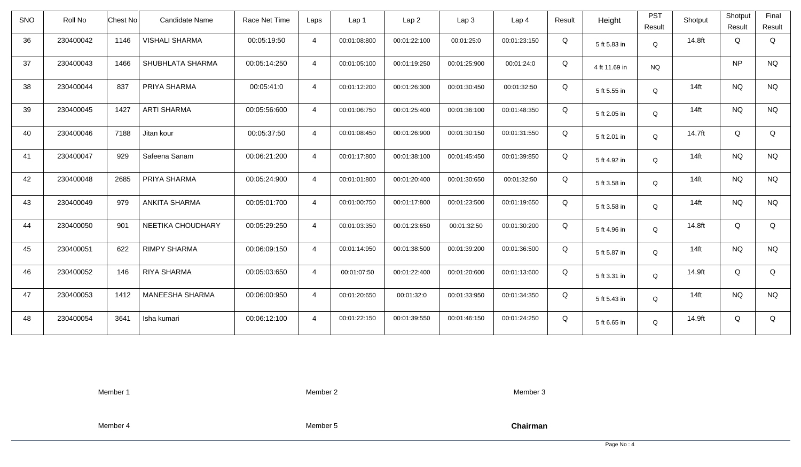| <b>SNO</b> | Roll No   | <b>Chest No</b> | Candidate Name        | Race Net Time | Laps           | Lap 1        | Lap <sub>2</sub> | Lap3         | Lap <sub>4</sub> | Result | Height        | <b>PST</b><br>Result | Shotput | Shotput<br>Result | Final<br>Result |
|------------|-----------|-----------------|-----------------------|---------------|----------------|--------------|------------------|--------------|------------------|--------|---------------|----------------------|---------|-------------------|-----------------|
| 36         | 230400042 | 1146            | <b>VISHALI SHARMA</b> | 00:05:19:50   | $\overline{4}$ | 00:01:08:800 | 00:01:22:100     | 00:01:25:0   | 00:01:23:150     | Q      | 5 ft 5.83 in  | $\mathsf Q$          | 14.8ft  | Q                 | Q               |
| 37         | 230400043 | 1466            | SHUBHLATA SHARMA      | 00:05:14:250  | $\overline{4}$ | 00:01:05:100 | 00:01:19:250     | 00:01:25:900 | 00:01:24:0       | Q      | 4 ft 11.69 in | <b>NQ</b>            |         | <b>NP</b>         | <b>NQ</b>       |
| 38         | 230400044 | 837             | PRIYA SHARMA          | 00:05:41:0    | $\overline{4}$ | 00:01:12:200 | 00:01:26:300     | 00:01:30:450 | 00:01:32:50      | Q      | 5 ft 5.55 in  | Q                    | $14$ ft | <b>NQ</b>         | <b>NQ</b>       |
| 39         | 230400045 | 1427            | <b>ARTI SHARMA</b>    | 00:05:56:600  | $\overline{4}$ | 00:01:06:750 | 00:01:25:400     | 00:01:36:100 | 00:01:48:350     | Q      | 5 ft 2.05 in  | Q                    | $14$ ft | <b>NQ</b>         | <b>NQ</b>       |
| 40         | 230400046 | 7188            | Jitan kour            | 00:05:37:50   | $\overline{4}$ | 00:01:08:450 | 00:01:26:900     | 00:01:30:150 | 00:01:31:550     | Q      | 5 ft 2.01 in  | Q                    | 14.7ft  | Q                 | Q               |
| 41         | 230400047 | 929             | Safeena Sanam         | 00:06:21:200  | $\overline{4}$ | 00:01:17:800 | 00:01:38:100     | 00:01:45:450 | 00:01:39:850     | Q      | 5 ft 4.92 in  | Q                    | $14$ ft | <b>NQ</b>         | <b>NQ</b>       |
| 42         | 230400048 | 2685            | PRIYA SHARMA          | 00:05:24:900  | $\overline{4}$ | 00:01:01:800 | 00:01:20:400     | 00:01:30:650 | 00:01:32:50      | Q      | 5 ft 3.58 in  | Q                    | $14$ ft | <b>NQ</b>         | <b>NQ</b>       |
| 43         | 230400049 | 979             | <b>ANKITA SHARMA</b>  | 00:05:01:700  | $\overline{4}$ | 00:01:00:750 | 00:01:17:800     | 00:01:23:500 | 00:01:19:650     | Q      | 5 ft 3.58 in  | Q                    | $14$ ft | <b>NQ</b>         | <b>NQ</b>       |
| 44         | 230400050 | 901             | NEETIKA CHOUDHARY     | 00:05:29:250  | $\overline{4}$ | 00:01:03:350 | 00:01:23:650     | 00:01:32:50  | 00:01:30:200     | Q      | 5 ft 4.96 in  | Q                    | 14.8ft  | Q                 | Q               |
| 45         | 230400051 | 622             | <b>RIMPY SHARMA</b>   | 00:06:09:150  | $\overline{4}$ | 00:01:14:950 | 00:01:38:500     | 00:01:39:200 | 00:01:36:500     | Q      | 5 ft 5.87 in  | Q                    | $14$ ft | <b>NQ</b>         | <b>NQ</b>       |
| 46         | 230400052 | 146             | <b>RIYA SHARMA</b>    | 00:05:03:650  | $\overline{4}$ | 00:01:07:50  | 00:01:22:400     | 00:01:20:600 | 00:01:13:600     | Q      | 5 ft 3.31 in  | Q                    | 14.9ft  | Q                 | Q               |
| 47         | 230400053 | 1412            | MANEESHA SHARMA       | 00:06:00:950  | $\overline{4}$ | 00:01:20:650 | 00:01:32:0       | 00:01:33:950 | 00:01:34:350     | Q      | 5 ft 5.43 in  | Q                    | $14$ ft | <b>NQ</b>         | <b>NQ</b>       |
| 48         | 230400054 | 3641            | Isha kumari           | 00:06:12:100  | $\overline{4}$ | 00:01:22:150 | 00:01:39:550     | 00:01:46:150 | 00:01:24:250     | Q      | 5 ft 6.65 in  | Q                    | 14.9ft  | Q                 | Q               |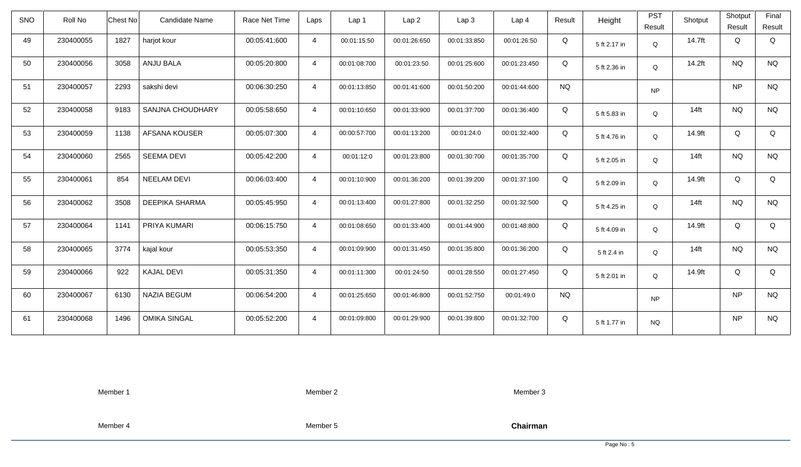| SNO | Roll No   | Chest No | Candidate Name        | Race Net Time | Laps           | Lap <sub>1</sub> | Lap <sub>2</sub> | Lap <sub>3</sub> | Lap <sub>4</sub> | Result    | Height       | <b>PST</b><br>Result | Shotput | Shotput<br>Result | Final<br>Result |
|-----|-----------|----------|-----------------------|---------------|----------------|------------------|------------------|------------------|------------------|-----------|--------------|----------------------|---------|-------------------|-----------------|
| 49  | 230400055 | 1827     | harjot kour           | 00:05:41:600  | $\overline{4}$ | 00:01:15:50      | 00:01:26:650     | 00:01:33:850     | 00:01:26:50      | Q         | 5 ft 2.17 in | Q                    | 14.7ft  | Q                 | Q               |
| 50  | 230400056 | 3058     | ANJU BALA             | 00:05:20:800  | $\overline{4}$ | 00:01:08:700     | 00:01:23:50      | 00:01:25:600     | 00:01:23:450     | Q         | 5 ft 2.36 in | Q                    | 14.2ft  | <b>NQ</b>         | <b>NQ</b>       |
| 51  | 230400057 | 2293     | sakshi devi           | 00:06:30:250  | $\overline{4}$ | 00:01:13:850     | 00:01:41:600     | 00:01:50:200     | 00:01:44:600     | <b>NQ</b> |              | <b>NP</b>            |         | <b>NP</b>         | <b>NQ</b>       |
| 52  | 230400058 | 9183     | SANJNA CHOUDHARY      | 00:05:58:650  | $\overline{4}$ | 00:01:10:650     | 00:01:33:900     | 00:01:37:700     | 00:01:36:400     | Q         | 5 ft 5.83 in | Q                    | $14$ ft | <b>NQ</b>         | <b>NQ</b>       |
| 53  | 230400059 | 1138     | AFSANA KOUSER         | 00:05:07:300  | $\overline{4}$ | 00:00:57:700     | 00:01:13:200     | 00:01:24:0       | 00:01:32:400     | Q         | 5 ft 4.76 in | Q                    | 14.9ft  | Q                 | Q               |
| 54  | 230400060 | 2565     | <b>SEEMA DEVI</b>     | 00:05:42:200  | $\overline{4}$ | 00:01:12:0       | 00:01:23:800     | 00:01:30:700     | 00:01:35:700     | Q         | 5 ft 2.05 in | Q                    | $14$ ft | <b>NQ</b>         | <b>NQ</b>       |
| 55  | 230400061 | 854      | <b>NEELAM DEVI</b>    | 00:06:03:400  | $\overline{4}$ | 00:01:10:900     | 00:01:36:200     | 00:01:39:200     | 00:01:37:100     | Q         | 5 ft 2.09 in | Q                    | 14.9ft  | Q                 | Q               |
| 56  | 230400062 | 3508     | <b>DEEPIKA SHARMA</b> | 00:05:45:950  | $\overline{4}$ | 00:01:13:400     | 00:01:27:800     | 00:01:32:250     | 00:01:32:500     | Q         | 5 ft 4.25 in | Q                    | $14$ ft | <b>NQ</b>         | <b>NQ</b>       |
| 57  | 230400064 | 1141     | PRIYA KUMARI          | 00:06:15:750  | $\overline{4}$ | 00:01:08:650     | 00:01:33:400     | 00:01:44:900     | 00:01:48:800     | Q         | 5 ft 4.09 in | Q                    | 14.9ft  | Q                 | Q               |
| 58  | 230400065 | 3774     | kajal kour            | 00:05:53:350  | $\overline{4}$ | 00:01:09:900     | 00:01:31:450     | 00:01:35:800     | 00:01:36:200     | Q         | 5 ft 2.4 in  | Q                    | $14$ ft | <b>NQ</b>         | <b>NQ</b>       |
| 59  | 230400066 | 922      | <b>KAJAL DEVI</b>     | 00:05:31:350  | $\overline{4}$ | 00:01:11:300     | 00:01:24:50      | 00:01:28:550     | 00:01:27:450     | Q         | 5 ft 2.01 in | Q                    | 14.9ft  | Q                 | Q               |
| 60  | 230400067 | 6130     | <b>NAZIA BEGUM</b>    | 00:06:54:200  | $\overline{4}$ | 00:01:25:650     | 00:01:46:800     | 00:01:52:750     | 00:01:49:0       | <b>NQ</b> |              | <b>NP</b>            |         | <b>NP</b>         | <b>NQ</b>       |
| 61  | 230400068 | 1496     | <b>OMIKA SINGAL</b>   | 00:05:52:200  | $\overline{4}$ | 00:01:09:800     | 00:01:29:900     | 00:01:39:800     | 00:01:32:700     | Q         | 5 ft 1.77 in | <b>NQ</b>            |         | <b>NP</b>         | <b>NQ</b>       |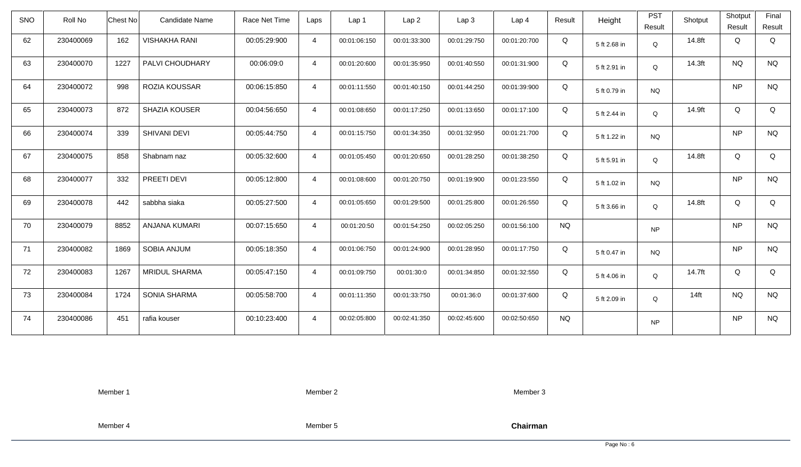| SNO | Roll No   | Chest No | Candidate Name       | Race Net Time | Laps           | Lap 1        | Lap <sub>2</sub> | Lap <sub>3</sub> | Lap <sub>4</sub> | Result    | Height       | <b>PST</b><br>Result | Shotput | Shotput<br>Result | Final<br>Result |
|-----|-----------|----------|----------------------|---------------|----------------|--------------|------------------|------------------|------------------|-----------|--------------|----------------------|---------|-------------------|-----------------|
| 62  | 230400069 | 162      | <b>VISHAKHA RANI</b> | 00:05:29:900  | $\overline{4}$ | 00:01:06:150 | 00:01:33:300     | 00:01:29:750     | 00:01:20:700     | Q         | 5 ft 2.68 in | Q                    | 14.8ft  | Q                 | Q               |
| 63  | 230400070 | 1227     | PALVI CHOUDHARY      | 00:06:09:0    | $\overline{4}$ | 00:01:20:600 | 00:01:35:950     | 00:01:40:550     | 00:01:31:900     | Q         | 5 ft 2.91 in | Q                    | 14.3ft  | <b>NQ</b>         | <b>NQ</b>       |
| 64  | 230400072 | 998      | ROZIA KOUSSAR        | 00:06:15:850  | $\overline{4}$ | 00:01:11:550 | 00:01:40:150     | 00:01:44:250     | 00:01:39:900     | Q         | 5 ft 0.79 in | <b>NQ</b>            |         | <b>NP</b>         | <b>NQ</b>       |
| 65  | 230400073 | 872      | SHAZIA KOUSER        | 00:04:56:650  | $\overline{4}$ | 00:01:08:650 | 00:01:17:250     | 00:01:13:650     | 00:01:17:100     | Q         | 5 ft 2.44 in | Q                    | 14.9ft  | Q                 | Q               |
| 66  | 230400074 | 339      | SHIVANI DEVI         | 00:05:44:750  | $\overline{4}$ | 00:01:15:750 | 00:01:34:350     | 00:01:32:950     | 00:01:21:700     | Q         | 5 ft 1.22 in | <b>NQ</b>            |         | <b>NP</b>         | <b>NQ</b>       |
| 67  | 230400075 | 858      | Shabnam naz          | 00:05:32:600  | $\overline{4}$ | 00:01:05:450 | 00:01:20:650     | 00:01:28:250     | 00:01:38:250     | Q         | 5 ft 5.91 in | Q                    | 14.8ft  | Q                 | Q               |
| 68  | 230400077 | 332      | PREETI DEVI          | 00:05:12:800  | $\overline{4}$ | 00:01:08:600 | 00:01:20:750     | 00:01:19:900     | 00:01:23:550     | Q         | 5 ft 1.02 in | <b>NQ</b>            |         | <b>NP</b>         | $\rm N\rm Q$    |
| 69  | 230400078 | 442      | sabbha siaka         | 00:05:27:500  | $\overline{4}$ | 00:01:05:650 | 00:01:29:500     | 00:01:25:800     | 00:01:26:550     | Q         | 5 ft 3.66 in | Q                    | 14.8ft  | Q                 | Q               |
| 70  | 230400079 | 8852     | <b>ANJANA KUMARI</b> | 00:07:15:650  | $\overline{4}$ | 00:01:20:50  | 00:01:54:250     | 00:02:05:250     | 00:01:56:100     | <b>NQ</b> |              | <b>NP</b>            |         | <b>NP</b>         | <b>NQ</b>       |
| 71  | 230400082 | 1869     | <b>SOBIA ANJUM</b>   | 00:05:18:350  | $\overline{4}$ | 00:01:06:750 | 00:01:24:900     | 00:01:28:950     | 00:01:17:750     | Q         | 5 ft 0.47 in | <b>NQ</b>            |         | <b>NP</b>         | <b>NQ</b>       |
| 72  | 230400083 | 1267     | <b>MRIDUL SHARMA</b> | 00:05:47:150  | $\overline{4}$ | 00:01:09:750 | 00:01:30:0       | 00:01:34:850     | 00:01:32:550     | Q         | 5 ft 4.06 in | Q                    | 14.7ft  | Q                 | Q               |
| 73  | 230400084 | 1724     | <b>SONIA SHARMA</b>  | 00:05:58:700  | $\overline{4}$ | 00:01:11:350 | 00:01:33:750     | 00:01:36:0       | 00:01:37:600     | Q         | 5 ft 2.09 in | Q                    | $14$ ft | <b>NQ</b>         | <b>NQ</b>       |
| 74  | 230400086 | 451      | rafia kouser         | 00:10:23:400  | $\overline{4}$ | 00:02:05:800 | 00:02:41:350     | 00:02:45:600     | 00:02:50:650     | <b>NQ</b> |              | <b>NP</b>            |         | <b>NP</b>         | <b>NQ</b>       |

Member 2

Member 3

Member 4

Member 5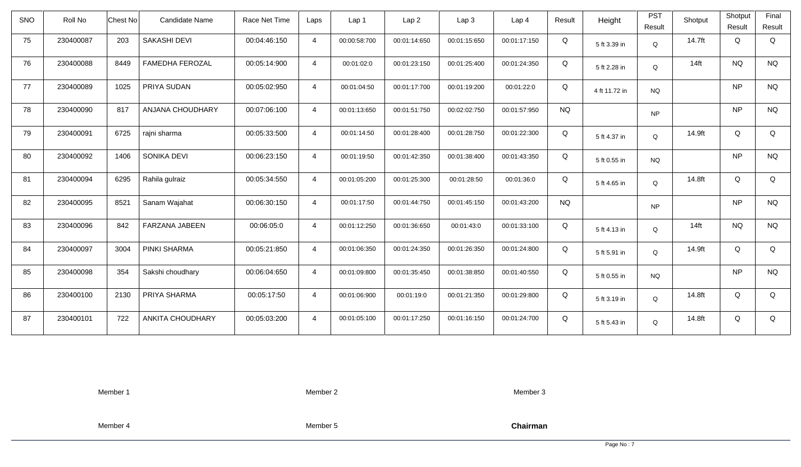| <b>SNO</b> | Roll No   | Candidate Name<br>Chest No     | Race Net Time | Laps           | Lap 1        | Lap2         | Lap 3        | Lap <sub>4</sub> | Result    | Height        | <b>PST</b><br>Result | Shotput          | Shotput<br>Result | Final<br>Result |
|------------|-----------|--------------------------------|---------------|----------------|--------------|--------------|--------------|------------------|-----------|---------------|----------------------|------------------|-------------------|-----------------|
| 75         | 230400087 | 203<br>SAKASHI DEVI            | 00:04:46:150  | $\overline{4}$ | 00:00:58:700 | 00:01:14:650 | 00:01:15:650 | 00:01:17:150     | Q         |               |                      | 14.7ft           | Q                 | Q               |
|            |           |                                |               |                |              |              |              |                  |           | 5 ft 3.39 in  | Q                    |                  |                   |                 |
| 76         | 230400088 | 8449<br><b>FAMEDHA FEROZAL</b> | 00:05:14:900  | $\overline{4}$ | 00:01:02:0   | 00:01:23:150 | 00:01:25:400 | 00:01:24:350     | Q         | 5 ft 2.28 in  | Q                    | 14 <sub>ft</sub> | <b>NQ</b>         | <b>NQ</b>       |
| 77         | 230400089 | PRIYA SUDAN<br>1025            | 00:05:02:950  | $\overline{4}$ | 00:01:04:50  | 00:01:17:700 | 00:01:19:200 | 00:01:22:0       | Q         | 4 ft 11.72 in | <b>NQ</b>            |                  | <b>NP</b>         | <b>NQ</b>       |
| 78         | 230400090 | 817<br>ANJANA CHOUDHARY        | 00:07:06:100  | $\overline{4}$ | 00:01:13:650 | 00:01:51:750 | 00:02:02:750 | 00:01:57:950     | <b>NQ</b> |               | <b>NP</b>            |                  | <b>NP</b>         | <b>NQ</b>       |
| 79         | 230400091 | 6725<br>rajni sharma           | 00:05:33:500  | $\overline{4}$ | 00:01:14:50  | 00:01:28:400 | 00:01:28:750 | 00:01:22:300     | Q         | 5 ft 4.37 in  | Q                    | 14.9ft           | Q                 | Q               |
| 80         | 230400092 | 1406<br>SONIKA DEVI            | 00:06:23:150  | $\overline{4}$ | 00:01:19:50  | 00:01:42:350 | 00:01:38:400 | 00:01:43:350     | Q         | 5 ft 0.55 in  | <b>NQ</b>            |                  | <b>NP</b>         | <b>NQ</b>       |
| 81         | 230400094 | 6295<br>Rahila gulraiz         | 00:05:34:550  | $\overline{4}$ | 00:01:05:200 | 00:01:25:300 | 00:01:28:50  | 00:01:36:0       | Q         | 5 ft 4.65 in  | Q                    | 14.8ft           | Q                 | Q               |
| 82         | 230400095 | 8521<br>Sanam Wajahat          | 00:06:30:150  | $\overline{4}$ | 00:01:17:50  | 00:01:44:750 | 00:01:45:150 | 00:01:43:200     | <b>NQ</b> |               | <b>NP</b>            |                  | <b>NP</b>         | <b>NQ</b>       |
| 83         | 230400096 | 842<br><b>FARZANA JABEEN</b>   | 00:06:05:0    | $\overline{4}$ | 00:01:12:250 | 00:01:36:650 | 00:01:43:0   | 00:01:33:100     | Q         | 5 ft 4.13 in  | Q                    | $14$ ft          | <b>NQ</b>         | <b>NQ</b>       |
| 84         | 230400097 | 3004<br>PINKI SHARMA           | 00:05:21:850  | $\overline{4}$ | 00:01:06:350 | 00:01:24:350 | 00:01:26:350 | 00:01:24:800     | Q         | 5 ft 5.91 in  | Q                    | 14.9ft           | Q                 | Q               |
| 85         | 230400098 | 354<br>Sakshi choudhary        | 00:06:04:650  | $\overline{4}$ | 00:01:09:800 | 00:01:35:450 | 00:01:38:850 | 00:01:40:550     | Q         | 5 ft 0.55 in  | <b>NQ</b>            |                  | <b>NP</b>         | <b>NQ</b>       |
| 86         | 230400100 | 2130<br>PRIYA SHARMA           | 00:05:17:50   | $\overline{4}$ | 00:01:06:900 | 00:01:19:0   | 00:01:21:350 | 00:01:29:800     | Q         | 5 ft 3.19 in  | Q                    | 14.8ft           | Q                 | Q               |
| 87         | 230400101 | 722<br><b>ANKITA CHOUDHARY</b> | 00:05:03:200  | $\overline{4}$ | 00:01:05:100 | 00:01:17:250 | 00:01:16:150 | 00:01:24:700     | Q         | 5 ft 5.43 in  | Q                    | 14.8ft           | Q                 | Q               |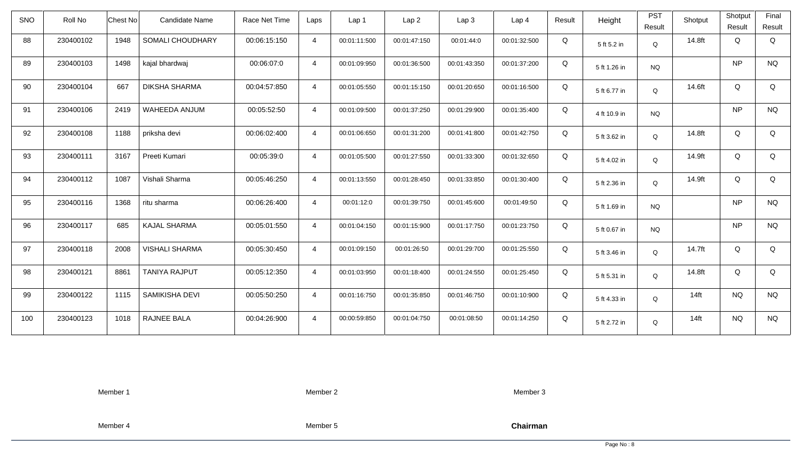| <b>SNO</b> | Roll No   | <b>Chest No</b> | Candidate Name        | Race Net Time | Laps           | Lap 1        | Lap <sub>2</sub> | Lap <sub>3</sub> | Lap <sub>4</sub> | Result | Height       | <b>PST</b><br>Result | Shotput | Shotput<br>Result | Final<br>Result |
|------------|-----------|-----------------|-----------------------|---------------|----------------|--------------|------------------|------------------|------------------|--------|--------------|----------------------|---------|-------------------|-----------------|
| 88         | 230400102 | 1948            | SOMALI CHOUDHARY      | 00:06:15:150  | $\overline{4}$ | 00:01:11:500 | 00:01:47:150     | 00:01:44:0       | 00:01:32:500     | Q      | 5 ft 5.2 in  | Q                    | 14.8ft  | Q                 | Q               |
| 89         | 230400103 | 1498            | kajal bhardwaj        | 00:06:07:0    | $\overline{4}$ | 00:01:09:950 | 00:01:36:500     | 00:01:43:350     | 00:01:37:200     | Q      | 5 ft 1.26 in | <b>NQ</b>            |         | <b>NP</b>         | <b>NQ</b>       |
| 90         | 230400104 | 667             | <b>DIKSHA SHARMA</b>  | 00:04:57:850  | $\overline{4}$ | 00:01:05:550 | 00:01:15:150     | 00:01:20:650     | 00:01:16:500     | Q      | 5 ft 6.77 in | Q                    | 14.6ft  | Q                 | Q               |
| 91         | 230400106 | 2419            | WAHEEDA ANJUM         | 00:05:52:50   | $\overline{4}$ | 00:01:09:500 | 00:01:37:250     | 00:01:29:900     | 00:01:35:400     | Q      | 4 ft 10.9 in | <b>NQ</b>            |         | <b>NP</b>         | <b>NQ</b>       |
| 92         | 230400108 | 1188            | priksha devi          | 00:06:02:400  | $\overline{4}$ | 00:01:06:650 | 00:01:31:200     | 00:01:41:800     | 00:01:42:750     | Q      | 5 ft 3.62 in | Q                    | 14.8ft  | Q                 | Q               |
| 93         | 230400111 | 3167            | Preeti Kumari         | 00:05:39:0    | $\overline{4}$ | 00:01:05:500 | 00:01:27:550     | 00:01:33:300     | 00:01:32:650     | Q      | 5 ft 4.02 in | Q                    | 14.9ft  | Q                 | Q               |
| 94         | 230400112 | 1087            | Vishali Sharma        | 00:05:46:250  | $\overline{4}$ | 00:01:13:550 | 00:01:28:450     | 00:01:33:850     | 00:01:30:400     | Q      | 5 ft 2.36 in | Q                    | 14.9ft  | Q                 | Q               |
| 95         | 230400116 | 1368            | ritu sharma           | 00:06:26:400  | 4              | 00:01:12:0   | 00:01:39:750     | 00:01:45:600     | 00:01:49:50      | Q      | 5 ft 1.69 in | <b>NQ</b>            |         | <b>NP</b>         | <b>NQ</b>       |
| 96         | 230400117 | 685             | <b>KAJAL SHARMA</b>   | 00:05:01:550  | $\overline{4}$ | 00:01:04:150 | 00:01:15:900     | 00:01:17:750     | 00:01:23:750     | Q      | 5 ft 0.67 in | <b>NQ</b>            |         | <b>NP</b>         | <b>NQ</b>       |
| 97         | 230400118 | 2008            | <b>VISHALI SHARMA</b> | 00:05:30:450  | $\overline{4}$ | 00:01:09:150 | 00:01:26:50      | 00:01:29:700     | 00:01:25:550     | Q      | 5 ft 3.46 in | Q                    | 14.7ft  | Q                 | Q               |
| 98         | 230400121 | 8861            | <b>TANIYA RAJPUT</b>  | 00:05:12:350  | $\overline{4}$ | 00:01:03:950 | 00:01:18:400     | 00:01:24:550     | 00:01:25:450     | Q      | 5 ft 5.31 in | Q                    | 14.8ft  | Q                 | Q               |
| 99         | 230400122 | 1115            | SAMIKISHA DEVI        | 00:05:50:250  | $\overline{4}$ | 00:01:16:750 | 00:01:35:850     | 00:01:46:750     | 00:01:10:900     | Q      | 5 ft 4.33 in | Q                    | $14$ ft | <b>NQ</b>         | <b>NQ</b>       |
| 100        | 230400123 | 1018            | RAJNEE BALA           | 00:04:26:900  | $\overline{4}$ | 00:00:59:850 | 00:01:04:750     | 00:01:08:50      | 00:01:14:250     | Q      | 5 ft 2.72 in | Q                    | $14$ ft | <b>NQ</b>         | <b>NQ</b>       |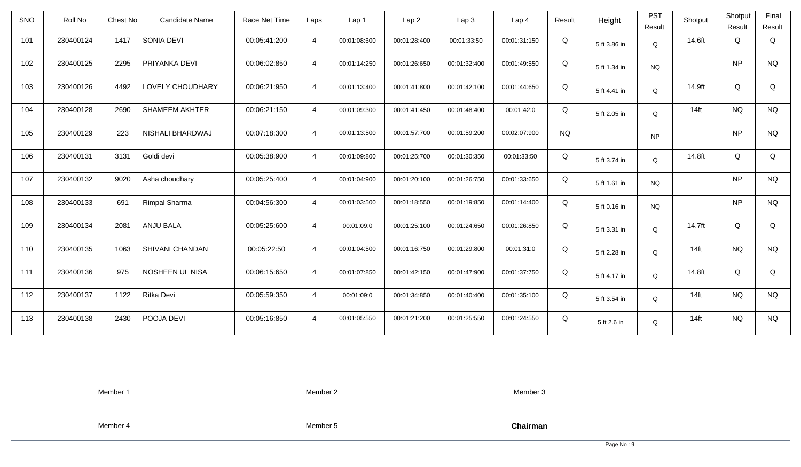| <b>SNO</b> | Roll No   | Chest No | Candidate Name        | Race Net Time | Laps           | Lap 1        | Lap <sub>2</sub> | Lap3         | Lap <sub>4</sub> | Result    | Height       | <b>PST</b><br>Result | Shotput          | Shotput<br>Result | Final<br>Result |
|------------|-----------|----------|-----------------------|---------------|----------------|--------------|------------------|--------------|------------------|-----------|--------------|----------------------|------------------|-------------------|-----------------|
| 101        | 230400124 | 1417     | SONIA DEVI            | 00:05:41:200  | $\overline{4}$ | 00:01:08:600 | 00:01:28:400     | 00:01:33:50  | 00:01:31:150     | Q         | 5 ft 3.86 in | $\mathsf Q$          | 14.6ft           | Q                 | Q               |
| 102        | 230400125 | 2295     | PRIYANKA DEVI         | 00:06:02:850  | $\overline{4}$ | 00:01:14:250 | 00:01:26:650     | 00:01:32:400 | 00:01:49:550     | Q         | 5 ft 1.34 in | <b>NQ</b>            |                  | <b>NP</b>         | <b>NQ</b>       |
| 103        | 230400126 | 4492     | LOVELY CHOUDHARY      | 00:06:21:950  | $\overline{4}$ | 00:01:13:400 | 00:01:41:800     | 00:01:42:100 | 00:01:44:650     | Q         | 5 ft 4.41 in | Q                    | 14.9ft           | Q                 | Q               |
| 104        | 230400128 | 2690     | <b>SHAMEEM AKHTER</b> | 00:06:21:150  | $\overline{4}$ | 00:01:09:300 | 00:01:41:450     | 00:01:48:400 | 00:01:42:0       | Q         | 5 ft 2.05 in | $\mathsf Q$          | $14$ ft          | <b>NQ</b>         | <b>NQ</b>       |
| 105        | 230400129 | 223      | NISHALI BHARDWAJ      | 00:07:18:300  | $\overline{4}$ | 00:01:13:500 | 00:01:57:700     | 00:01:59:200 | 00:02:07:900     | <b>NQ</b> |              | <b>NP</b>            |                  | <b>NP</b>         | <b>NQ</b>       |
| 106        | 230400131 | 3131     | Goldi devi            | 00:05:38:900  | $\overline{4}$ | 00:01:09:800 | 00:01:25:700     | 00:01:30:350 | 00:01:33:50      | Q         | 5 ft 3.74 in | $\mathsf Q$          | 14.8ft           | Q                 | Q               |
| 107        | 230400132 | 9020     | Asha choudhary        | 00:05:25:400  | $\overline{4}$ | 00:01:04:900 | 00:01:20:100     | 00:01:26:750 | 00:01:33:650     | Q         | 5 ft 1.61 in | <b>NQ</b>            |                  | <b>NP</b>         | <b>NQ</b>       |
| 108        | 230400133 | 691      | Rimpal Sharma         | 00:04:56:300  | $\overline{4}$ | 00:01:03:500 | 00:01:18:550     | 00:01:19:850 | 00:01:14:400     | Q         | 5 ft 0.16 in | <b>NQ</b>            |                  | <b>NP</b>         | <b>NQ</b>       |
| 109        | 230400134 | 2081     | ANJU BALA             | 00:05:25:600  | $\overline{4}$ | 00:01:09:0   | 00:01:25:100     | 00:01:24:650 | 00:01:26:850     | Q         | 5 ft 3.31 in | Q                    | 14.7ft           | Q                 | Q               |
| 110        | 230400135 | 1063     | SHIVANI CHANDAN       | 00:05:22:50   | $\overline{4}$ | 00:01:04:500 | 00:01:16:750     | 00:01:29:800 | 00:01:31:0       | Q         | 5 ft 2.28 in | Q                    | $14$ ft          | <b>NQ</b>         | $\rm N\rm Q$    |
| 111        | 230400136 | 975      | NOSHEEN UL NISA       | 00:06:15:650  | $\overline{4}$ | 00:01:07:850 | 00:01:42:150     | 00:01:47:900 | 00:01:37:750     | Q         | 5 ft 4.17 in | Q                    | 14.8ft           | Q                 | Q               |
| 112        | 230400137 | 1122     | Ritka Devi            | 00:05:59:350  | $\overline{4}$ | 00:01:09:0   | 00:01:34:850     | 00:01:40:400 | 00:01:35:100     | Q         | 5 ft 3.54 in | Q                    | $14$ ft          | <b>NQ</b>         | <b>NQ</b>       |
| 113        | 230400138 | 2430     | POOJA DEVI            | 00:05:16:850  | $\overline{4}$ | 00:01:05:550 | 00:01:21:200     | 00:01:25:550 | 00:01:24:550     | Q         | 5 ft 2.6 in  | Q                    | 14 <sub>ft</sub> | <b>NQ</b>         | <b>NQ</b>       |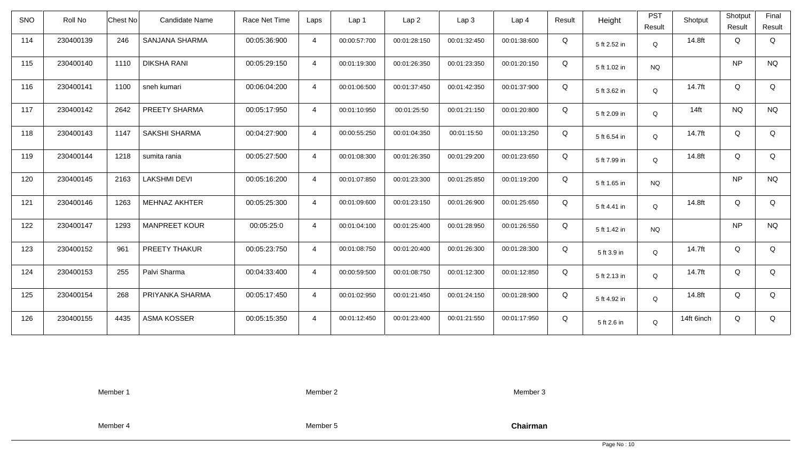| <b>SNO</b> | Roll No   | <b>Chest No</b> | <b>Candidate Name</b> | Race Net Time | Laps           | Lap 1        | Lap <sub>2</sub> | Lap3         | Lap <sub>4</sub> | Result | Height       | <b>PST</b><br>Result | Shotput    | Shotput<br>Result | Final<br>Result |
|------------|-----------|-----------------|-----------------------|---------------|----------------|--------------|------------------|--------------|------------------|--------|--------------|----------------------|------------|-------------------|-----------------|
| 114        | 230400139 | 246             | SANJANA SHARMA        | 00:05:36:900  | $\overline{4}$ | 00:00:57:700 | 00:01:28:150     | 00:01:32:450 | 00:01:38:600     | Q      | 5 ft 2.52 in | $\mathsf Q$          | 14.8ft     | Q                 | Q               |
| 115        | 230400140 | 1110            | <b>DIKSHA RANI</b>    | 00:05:29:150  | $\overline{4}$ | 00:01:19:300 | 00:01:26:350     | 00:01:23:350 | 00:01:20:150     | Q      | 5 ft 1.02 in | <b>NQ</b>            |            | <b>NP</b>         | <b>NQ</b>       |
| 116        | 230400141 | 1100            | sneh kumari           | 00:06:04:200  | $\overline{4}$ | 00:01:06:500 | 00:01:37:450     | 00:01:42:350 | 00:01:37:900     | Q      | 5 ft 3.62 in | Q                    | 14.7ft     | Q                 | Q               |
| 117        | 230400142 | 2642            | PREETY SHARMA         | 00:05:17:950  | $\overline{4}$ | 00:01:10:950 | 00:01:25:50      | 00:01:21:150 | 00:01:20:800     | Q      | 5 ft 2.09 in | Q                    | $14$ ft    | <b>NQ</b>         | <b>NQ</b>       |
| 118        | 230400143 | 1147            | SAKSHI SHARMA         | 00:04:27:900  | $\overline{4}$ | 00:00:55:250 | 00:01:04:350     | 00:01:15:50  | 00:01:13:250     | Q      | 5 ft 6.54 in | Q                    | 14.7ft     | Q                 | Q               |
| 119        | 230400144 | 1218            | sumita rania          | 00:05:27:500  | $\overline{4}$ | 00:01:08:300 | 00:01:26:350     | 00:01:29:200 | 00:01:23:650     | Q      | 5 ft 7.99 in | Q                    | 14.8ft     | Q                 | Q               |
| 120        | 230400145 | 2163            | <b>LAKSHMI DEVI</b>   | 00:05:16:200  | $\overline{4}$ | 00:01:07:850 | 00:01:23:300     | 00:01:25:850 | 00:01:19:200     | Q      | 5 ft 1.65 in | <b>NQ</b>            |            | <b>NP</b>         | <b>NQ</b>       |
| 121        | 230400146 | 1263            | MEHNAZ AKHTER         | 00:05:25:300  | $\overline{4}$ | 00:01:09:600 | 00:01:23:150     | 00:01:26:900 | 00:01:25:650     | Q      | 5 ft 4.41 in | Q                    | 14.8ft     | Q                 | Q               |
| 122        | 230400147 | 1293            | <b>MANPREET KOUR</b>  | 00:05:25:0    | $\overline{4}$ | 00:01:04:100 | 00:01:25:400     | 00:01:28:950 | 00:01:26:550     | Q      | 5 ft 1.42 in | <b>NQ</b>            |            | <b>NP</b>         | <b>NQ</b>       |
| 123        | 230400152 | 961             | PREETY THAKUR         | 00:05:23:750  | $\overline{4}$ | 00:01:08:750 | 00:01:20:400     | 00:01:26:300 | 00:01:28:300     | Q      | 5 ft 3.9 in  | Q                    | 14.7ft     | Q                 | Q               |
| 124        | 230400153 | 255             | Palvi Sharma          | 00:04:33:400  | $\overline{4}$ | 00:00:59:500 | 00:01:08:750     | 00:01:12:300 | 00:01:12:850     | Q      | 5 ft 2.13 in | Q                    | 14.7ft     | Q                 | Q               |
| 125        | 230400154 | 268             | PRIYANKA SHARMA       | 00:05:17:450  | $\overline{4}$ | 00:01:02:950 | 00:01:21:450     | 00:01:24:150 | 00:01:28:900     | Q      | 5 ft 4.92 in | Q                    | 14.8ft     | Q                 | Q               |
| 126        | 230400155 | 4435            | ASMA KOSSER           | 00:05:15:350  | $\overline{4}$ | 00:01:12:450 | 00:01:23:400     | 00:01:21:550 | 00:01:17:950     | Q      | 5 ft 2.6 in  | Q                    | 14ft 6inch | Q                 | Q               |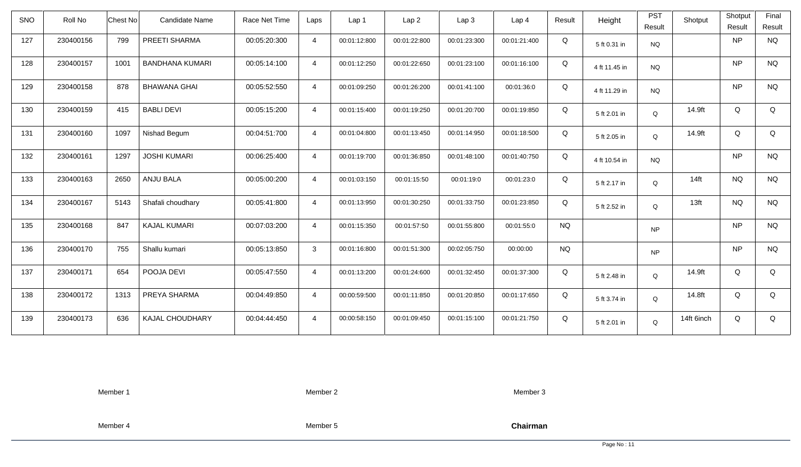| <b>SNO</b> | Roll No   | Chest No | Candidate Name         | Race Net Time | Laps           | Lap 1        | Lap <sub>2</sub> | Lap3         | Lap <sub>4</sub> | Result    | Height        | <b>PST</b><br>Result | Shotput          | Shotput<br>Result | Final<br>Result |
|------------|-----------|----------|------------------------|---------------|----------------|--------------|------------------|--------------|------------------|-----------|---------------|----------------------|------------------|-------------------|-----------------|
| 127        | 230400156 | 799      | PREETI SHARMA          | 00:05:20:300  | $\overline{4}$ | 00:01:12:800 | 00:01:22:800     | 00:01:23:300 | 00:01:21:400     | Q         | 5 ft 0.31 in  | <b>NQ</b>            |                  | <b>NP</b>         | <b>NQ</b>       |
| 128        | 230400157 | 1001     | <b>BANDHANA KUMARI</b> | 00:05:14:100  | $\overline{4}$ | 00:01:12:250 | 00:01:22:650     | 00:01:23:100 | 00:01:16:100     | Q         | 4 ft 11.45 in | <b>NQ</b>            |                  | <b>NP</b>         | <b>NQ</b>       |
| 129        | 230400158 | 878      | <b>BHAWANA GHAI</b>    | 00:05:52:550  | $\overline{4}$ | 00:01:09:250 | 00:01:26:200     | 00:01:41:100 | 00:01:36:0       | Q         | 4 ft 11.29 in | <b>NQ</b>            |                  | <b>NP</b>         | <b>NQ</b>       |
| 130        | 230400159 | 415      | <b>BABLI DEVI</b>      | 00:05:15:200  | $\overline{4}$ | 00:01:15:400 | 00:01:19:250     | 00:01:20:700 | 00:01:19:850     | Q         | 5 ft 2.01 in  | Q                    | 14.9ft           | Q                 | Q               |
| 131        | 230400160 | 1097     | Nishad Begum           | 00:04:51:700  | $\overline{4}$ | 00:01:04:800 | 00:01:13:450     | 00:01:14:950 | 00:01:18:500     | Q         | 5 ft 2.05 in  | Q                    | 14.9ft           | Q                 | Q               |
| 132        | 230400161 | 1297     | <b>JOSHI KUMARI</b>    | 00:06:25:400  | $\overline{4}$ | 00:01:19:700 | 00:01:36:850     | 00:01:48:100 | 00:01:40:750     | Q         | 4 ft 10.54 in | <b>NQ</b>            |                  | <b>NP</b>         | <b>NQ</b>       |
| 133        | 230400163 | 2650     | ANJU BALA              | 00:05:00:200  | $\overline{4}$ | 00:01:03:150 | 00:01:15:50      | 00:01:19:0   | 00:01:23:0       | Q         | 5 ft 2.17 in  | Q                    | 14 <sub>ft</sub> | <b>NQ</b>         | <b>NQ</b>       |
| 134        | 230400167 | 5143     | Shafali choudhary      | 00:05:41:800  | $\overline{4}$ | 00:01:13:950 | 00:01:30:250     | 00:01:33:750 | 00:01:23:850     | Q         | 5 ft 2.52 in  | Q                    | 13 <sub>ft</sub> | <b>NQ</b>         | <b>NQ</b>       |
| 135        | 230400168 | 847      | <b>KAJAL KUMARI</b>    | 00:07:03:200  | $\overline{4}$ | 00:01:15:350 | 00:01:57:50      | 00:01:55:800 | 00:01:55:0       | <b>NQ</b> |               | <b>NP</b>            |                  | <b>NP</b>         | <b>NQ</b>       |
| 136        | 230400170 | 755      | Shallu kumari          | 00:05:13:850  | 3              | 00:01:16:800 | 00:01:51:300     | 00:02:05:750 | 00:00:00         | <b>NQ</b> |               | <b>NP</b>            |                  | <b>NP</b>         | <b>NQ</b>       |
| 137        | 230400171 | 654      | POOJA DEVI             | 00:05:47:550  | $\overline{4}$ | 00:01:13:200 | 00:01:24:600     | 00:01:32:450 | 00:01:37:300     | Q         | 5 ft 2.48 in  | Q                    | 14.9ft           | Q                 | Q               |
| 138        | 230400172 | 1313     | PREYA SHARMA           | 00:04:49:850  | $\overline{4}$ | 00:00:59:500 | 00:01:11:850     | 00:01:20:850 | 00:01:17:650     | Q         | 5 ft 3.74 in  | $\mathsf Q$          | 14.8ft           | Q                 | Q               |
| 139        | 230400173 | 636      | KAJAL CHOUDHARY        | 00:04:44:450  | $\overline{4}$ | 00:00:58:150 | 00:01:09:450     | 00:01:15:100 | 00:01:21:750     | Q         | 5 ft 2.01 in  | Q                    | 14ft 6inch       | Q                 | Q               |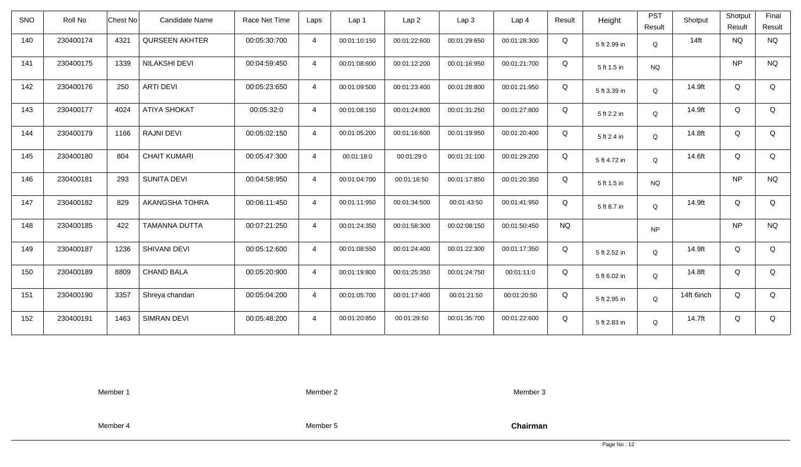| <b>SNO</b> | Roll No   | <b>Chest No</b> | Candidate Name        | Race Net Time | Laps           | Lap 1        | Lap <sub>2</sub> | Lap <sub>3</sub> | Lap <sub>4</sub> | Result    | Height       | <b>PST</b><br>Result | Shotput    | Shotput<br>Result | Final<br>Result |
|------------|-----------|-----------------|-----------------------|---------------|----------------|--------------|------------------|------------------|------------------|-----------|--------------|----------------------|------------|-------------------|-----------------|
| 140        | 230400174 | 4321            | <b>QURSEEN AKHTER</b> | 00:05:30:700  | $\overline{4}$ | 00:01:10:150 | 00:01:22:600     | 00:01:29:650     | 00:01:28:300     | Q         | 5 ft 2.99 in | Q                    | $14$ ft    | <b>NQ</b>         | <b>NQ</b>       |
| 141        | 230400175 | 1339            | NILAKSHI DEVI         | 00:04:59:450  | $\overline{4}$ | 00:01:08:600 | 00:01:12:200     | 00:01:16:950     | 00:01:21:700     | Q         | 5 ft 1.5 in  | <b>NQ</b>            |            | <b>NP</b>         | <b>NQ</b>       |
| 142        | 230400176 | 250             | <b>ARTI DEVI</b>      | 00:05:23:650  | $\overline{4}$ | 00:01:09:500 | 00:01:23:400     | 00:01:28:800     | 00:01:21:950     | Q         | 5 ft 3.39 in | Q                    | 14.9ft     | Q                 | Q               |
| 143        | 230400177 | 4024            | <b>ATIYA SHOKAT</b>   | 00:05:32:0    | $\overline{4}$ | 00:01:08:150 | 00:01:24:800     | 00:01:31:250     | 00:01:27:800     | Q         | 5 ft 2.2 in  | Q                    | 14.9ft     | Q                 | Q               |
| 144        | 230400179 | 1166            | <b>RAJNI DEVI</b>     | 00:05:02:150  | $\overline{4}$ | 00:01:05:200 | 00:01:16:600     | 00:01:19:950     | 00:01:20:400     | Q         | 5 ft 2.4 in  | Q                    | 14.8ft     | Q                 | Q               |
| 145        | 230400180 | 804             | <b>CHAIT KUMARI</b>   | 00:05:47:300  | $\overline{4}$ | 00:01:18:0   | 00:01:29:0       | 00:01:31:100     | 00:01:29:200     | Q         | 5 ft 4.72 in | Q                    | 14.6ft     | Q                 | Q               |
| 146        | 230400181 | 293             | <b>SUNITA DEVI</b>    | 00:04:58:950  | $\overline{4}$ | 00:01:04:700 | 00:01:16:50      | 00:01:17:850     | 00:01:20:350     | Q         | 5 ft 1.5 in  | <b>NQ</b>            |            | <b>NP</b>         | $\rm N\rm Q$    |
| 147        | 230400182 | 829             | AKANGSHA TOHRA        | 00:06:11:450  | $\overline{4}$ | 00:01:11:950 | 00:01:34:500     | 00:01:43:50      | 00:01:41:950     | Q         | 5 ft 8.7 in  | Q                    | 14.9ft     | Q                 | Q               |
| 148        | 230400185 | 422             | <b>TAMANNA DUTTA</b>  | 00:07:21:250  | $\overline{4}$ | 00:01:24:350 | 00:01:58:300     | 00:02:08:150     | 00:01:50:450     | <b>NQ</b> |              | <b>NP</b>            |            | <b>NP</b>         | <b>NQ</b>       |
| 149        | 230400187 | 1236            | SHIVANI DEVI          | 00:05:12:600  | $\overline{4}$ | 00:01:08:550 | 00:01:24:400     | 00:01:22:300     | 00:01:17:350     | Q         | 5 ft 2.52 in | Q                    | 14.9ft     | Q                 | Q               |
| 150        | 230400189 | 8809            | <b>CHAND BALA</b>     | 00:05:20:900  | $\overline{4}$ | 00:01:19:800 | 00:01:25:350     | 00:01:24:750     | 00:01:11:0       | Q         | 5 ft 6.02 in | Q                    | 14.8ft     | Q                 | Q               |
| 151        | 230400190 | 3357            | Shreya chandan        | 00:05:04:200  | $\overline{4}$ | 00:01:05:700 | 00:01:17:400     | 00:01:21:50      | 00:01:20:50      | Q         | 5 ft 2.95 in | Q                    | 14ft 6inch | Q                 | Q               |
| 152        | 230400191 | 1463            | <b>SIMRAN DEVI</b>    | 00:05:48:200  | $\overline{4}$ | 00:01:20:850 | 00:01:29:50      | 00:01:35:700     | 00:01:22:600     | Q         | 5 ft 2.83 in | Q                    | 14.7ft     | Q                 | Q               |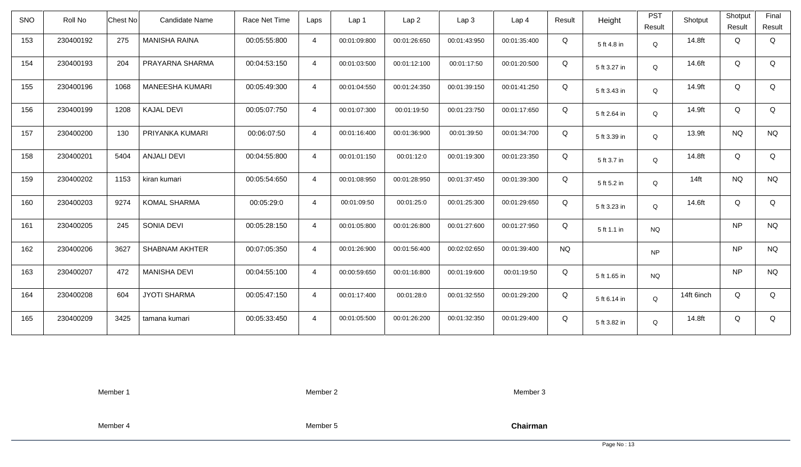| <b>SNO</b> | Roll No   | <b>Chest No</b> | Candidate Name         | Race Net Time | Laps           | Lap <sub>1</sub> | Lap <sub>2</sub> | Lap <sub>3</sub> | Lap <sub>4</sub> | Result    | Height       | <b>PST</b><br>Result | Shotput    | Shotput<br>Result | Final<br>Result |
|------------|-----------|-----------------|------------------------|---------------|----------------|------------------|------------------|------------------|------------------|-----------|--------------|----------------------|------------|-------------------|-----------------|
| 153        | 230400192 | 275             | <b>MANISHA RAINA</b>   | 00:05:55:800  | $\overline{4}$ | 00:01:09:800     | 00:01:26:650     | 00:01:43:950     | 00:01:35:400     | Q         | 5 ft 4.8 in  | Q                    | 14.8ft     | Q                 | Q               |
| 154        | 230400193 | 204             | PRAYARNA SHARMA        | 00:04:53:150  | $\overline{4}$ | 00:01:03:500     | 00:01:12:100     | 00:01:17:50      | 00:01:20:500     | Q         | 5 ft 3.27 in | Q                    | 14.6ft     | Q                 | Q               |
| 155        | 230400196 | 1068            | <b>MANEESHA KUMARI</b> | 00:05:49:300  | $\overline{4}$ | 00:01:04:550     | 00:01:24:350     | 00:01:39:150     | 00:01:41:250     | Q         | 5 ft 3.43 in | Q                    | 14.9ft     | Q                 | Q               |
| 156        | 230400199 | 1208            | <b>KAJAL DEVI</b>      | 00:05:07:750  | $\overline{4}$ | 00:01:07:300     | 00:01:19:50      | 00:01:23:750     | 00:01:17:650     | Q         | 5 ft 2.64 in | Q                    | 14.9ft     | Q                 | Q               |
| 157        | 230400200 | 130             | PRIYANKA KUMARI        | 00:06:07:50   | $\overline{4}$ | 00:01:16:400     | 00:01:36:900     | 00:01:39:50      | 00:01:34:700     | Q         | 5 ft 3.39 in | Q                    | 13.9ft     | <b>NQ</b>         | <b>NQ</b>       |
| 158        | 230400201 | 5404            | <b>ANJALI DEVI</b>     | 00:04:55:800  | $\overline{4}$ | 00:01:01:150     | 00:01:12:0       | 00:01:19:300     | 00:01:23:350     | Q         | 5 ft 3.7 in  | Q                    | 14.8ft     | Q                 | Q               |
| 159        | 230400202 | 1153            | kiran kumari           | 00:05:54:650  | $\overline{4}$ | 00:01:08:950     | 00:01:28:950     | 00:01:37:450     | 00:01:39:300     | Q         | 5 ft 5.2 in  | Q                    | $14$ ft    | <b>NQ</b>         | <b>NQ</b>       |
| 160        | 230400203 | 9274            | <b>KOMAL SHARMA</b>    | 00:05:29:0    | $\overline{4}$ | 00:01:09:50      | 00:01:25:0       | 00:01:25:300     | 00:01:29:650     | Q         | 5 ft 3.23 in | Q                    | 14.6ft     | Q                 | Q               |
| 161        | 230400205 | 245             | SONIA DEVI             | 00:05:28:150  | $\overline{a}$ | 00:01:05:800     | 00:01:26:800     | 00:01:27:600     | 00:01:27:950     | Q         | 5 ft 1.1 in  | <b>NQ</b>            |            | <b>NP</b>         | <b>NQ</b>       |
| 162        | 230400206 | 3627            | <b>SHABNAM AKHTER</b>  | 00:07:05:350  | $\overline{4}$ | 00:01:26:900     | 00:01:56:400     | 00:02:02:650     | 00:01:39:400     | <b>NQ</b> |              | <b>NP</b>            |            | <b>NP</b>         | <b>NQ</b>       |
| 163        | 230400207 | 472             | <b>MANISHA DEVI</b>    | 00:04:55:100  | $\overline{4}$ | 00:00:59:650     | 00:01:16:800     | 00:01:19:600     | 00:01:19:50      | Q         | 5 ft 1.65 in | <b>NQ</b>            |            | <b>NP</b>         | <b>NQ</b>       |
| 164        | 230400208 | 604             | <b>JYOTI SHARMA</b>    | 00:05:47:150  | $\overline{4}$ | 00:01:17:400     | 00:01:28:0       | 00:01:32:550     | 00:01:29:200     | Q         | 5 ft 6.14 in | Q                    | 14ft 6inch | Q                 | Q               |
| 165        | 230400209 | 3425            | tamana kumari          | 00:05:33:450  | $\overline{4}$ | 00:01:05:500     | 00:01:26:200     | 00:01:32:350     | 00:01:29:400     | Q         | 5 ft 3.82 in | Q                    | 14.8ft     | Q                 | Q               |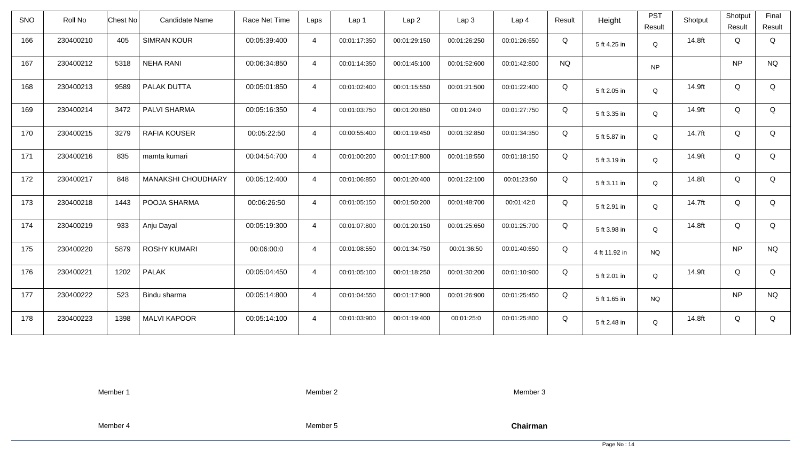| <b>SNO</b> | Roll No   | <b>Chest No</b> | Candidate Name      | Race Net Time | Laps           | Lap <sub>1</sub> | Lap <sub>2</sub> | Lap <sub>3</sub> | Lap <sub>4</sub> | Result    | Height        | <b>PST</b><br>Result | Shotput | Shotput<br>Result | Final<br>Result |
|------------|-----------|-----------------|---------------------|---------------|----------------|------------------|------------------|------------------|------------------|-----------|---------------|----------------------|---------|-------------------|-----------------|
| 166        | 230400210 | 405             | <b>SIMRAN KOUR</b>  | 00:05:39:400  | $\overline{4}$ | 00:01:17:350     | 00:01:29:150     | 00:01:26:250     | 00:01:26:650     | Q         | 5 ft 4.25 in  | Q                    | 14.8ft  | Q                 | Q               |
| 167        | 230400212 | 5318            | <b>NEHA RANI</b>    | 00:06:34:850  | $\overline{4}$ | 00:01:14:350     | 00:01:45:100     | 00:01:52:600     | 00:01:42:800     | <b>NQ</b> |               | <b>NP</b>            |         | <b>NP</b>         | <b>NQ</b>       |
| 168        | 230400213 | 9589            | PALAK DUTTA         | 00:05:01:850  | $\overline{4}$ | 00:01:02:400     | 00:01:15:550     | 00:01:21:500     | 00:01:22:400     | Q         | 5 ft 2.05 in  | Q                    | 14.9ft  | Q                 | Q               |
| 169        | 230400214 | 3472            | PALVI SHARMA        | 00:05:16:350  | $\overline{4}$ | 00:01:03:750     | 00:01:20:850     | 00:01:24:0       | 00:01:27:750     | Q         | 5 ft 3.35 in  | Q                    | 14.9ft  | Q                 | Q               |
| 170        | 230400215 | 3279            | RAFIA KOUSER        | 00:05:22:50   | $\overline{4}$ | 00:00:55:400     | 00:01:19:450     | 00:01:32:850     | 00:01:34:350     | Q         | 5 ft 5.87 in  | Q                    | 14.7ft  | Q                 | Q               |
| 171        | 230400216 | 835             | mamta kumari        | 00:04:54:700  | $\overline{4}$ | 00:01:00:200     | 00:01:17:800     | 00:01:18:550     | 00:01:18:150     | Q         | 5 ft 3.19 in  | Q                    | 14.9ft  | Q                 | Q               |
| 172        | 230400217 | 848             | MANAKSHI CHOUDHARY  | 00:05:12:400  | $\overline{4}$ | 00:01:06:850     | 00:01:20:400     | 00:01:22:100     | 00:01:23:50      | Q         | 5 ft 3.11 in  | Q                    | 14.8ft  | Q                 | Q               |
| 173        | 230400218 | 1443            | POOJA SHARMA        | 00:06:26:50   | $\overline{4}$ | 00:01:05:150     | 00:01:50:200     | 00:01:48:700     | 00:01:42:0       | Q         | 5 ft 2.91 in  | Q                    | 14.7ft  | Q                 | Q               |
| 174        | 230400219 | 933             | Anju Dayal          | 00:05:19:300  | $\overline{4}$ | 00:01:07:800     | 00:01:20:150     | 00:01:25:650     | 00:01:25:700     | Q         | 5 ft 3.98 in  | Q                    | 14.8ft  | Q                 | Q               |
| 175        | 230400220 | 5879            | <b>ROSHY KUMARI</b> | 00:06:00:0    | $\overline{4}$ | 00:01:08:550     | 00:01:34:750     | 00:01:36:50      | 00:01:40:650     | Q         | 4 ft 11.92 in | <b>NQ</b>            |         | <b>NP</b>         | <b>NQ</b>       |
| 176        | 230400221 | 1202            | <b>PALAK</b>        | 00:05:04:450  | $\overline{4}$ | 00:01:05:100     | 00:01:18:250     | 00:01:30:200     | 00:01:10:900     | Q         | 5 ft 2.01 in  | Q                    | 14.9ft  | Q                 | Q               |
| 177        | 230400222 | 523             | Bindu sharma        | 00:05:14:800  | $\overline{4}$ | 00:01:04:550     | 00:01:17:900     | 00:01:26:900     | 00:01:25:450     | Q         | 5 ft 1.65 in  | <b>NQ</b>            |         | <b>NP</b>         | <b>NQ</b>       |
| 178        | 230400223 | 1398            | <b>MALVI KAPOOR</b> | 00:05:14:100  | $\overline{4}$ | 00:01:03:900     | 00:01:19:400     | 00:01:25:0       | 00:01:25:800     | Q         | 5 ft 2.48 in  | Q                    | 14.8ft  | Q                 | Q               |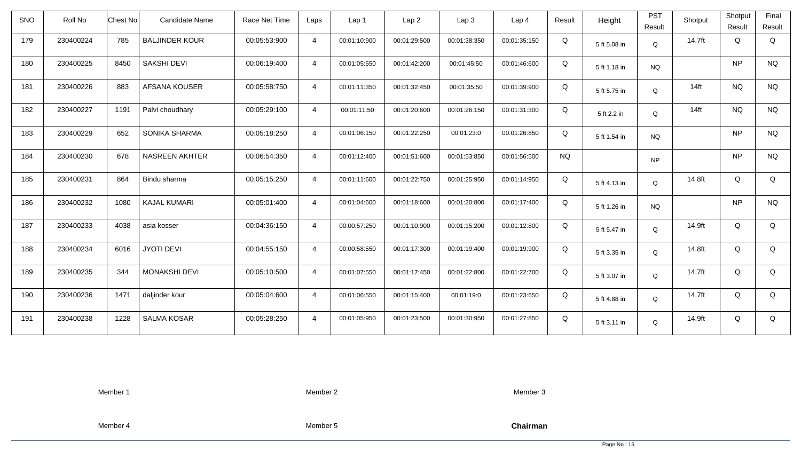| <b>SNO</b> | Roll No   | Chest No | Candidate Name        | Race Net Time | Laps           | Lap 1        | Lap <sub>2</sub> | Lap3         | Lap <sub>4</sub> | Result    | Height       | <b>PST</b><br>Result | Shotput | Shotput<br>Result | Final<br>Result |
|------------|-----------|----------|-----------------------|---------------|----------------|--------------|------------------|--------------|------------------|-----------|--------------|----------------------|---------|-------------------|-----------------|
| 179        | 230400224 | 785      | <b>BALJINDER KOUR</b> | 00:05:53:900  | $\overline{4}$ | 00:01:10:900 | 00:01:29:500     | 00:01:38:350 | 00:01:35:150     | Q         | 5 ft 5.08 in | Q                    | 14.7ft  | Q                 | Q               |
| 180        | 230400225 | 8450     | <b>SAKSHI DEVI</b>    | 00:06:19:400  | $\overline{4}$ | 00:01:05:550 | 00:01:42:200     | 00:01:45:50  | 00:01:46:600     | Q         | 5 ft 1.18 in | <b>NQ</b>            |         | <b>NP</b>         | <b>NQ</b>       |
| 181        | 230400226 | 883      | AFSANA KOUSER         | 00:05:58:750  | $\overline{4}$ | 00:01:11:350 | 00:01:32:450     | 00:01:35:50  | 00:01:39:900     | Q         | 5 ft 5.75 in | Q                    | $14$ ft | <b>NQ</b>         | <b>NQ</b>       |
| 182        | 230400227 | 1191     | Palvi choudhary       | 00:05:29:100  | $\overline{4}$ | 00:01:11:50  | 00:01:20:600     | 00:01:26:150 | 00:01:31:300     | Q         | 5 ft 2.2 in  | Q                    | $14$ ft | <b>NQ</b>         | <b>NQ</b>       |
| 183        | 230400229 | 652      | SONIKA SHARMA         | 00:05:18:250  | $\overline{4}$ | 00:01:06:150 | 00:01:22:250     | 00:01:23:0   | 00:01:26:850     | Q         | 5 ft 1.54 in | <b>NQ</b>            |         | <b>NP</b>         | <b>NQ</b>       |
| 184        | 230400230 | 678      | <b>NASREEN AKHTER</b> | 00:06:54:350  | $\overline{4}$ | 00:01:12:400 | 00:01:51:600     | 00:01:53:850 | 00:01:56:500     | <b>NQ</b> |              | <b>NP</b>            |         | <b>NP</b>         | <b>NQ</b>       |
| 185        | 230400231 | 864      | Bindu sharma          | 00:05:15:250  | $\overline{4}$ | 00:01:11:600 | 00:01:22:750     | 00:01:25:950 | 00:01:14:950     | Q         | 5 ft 4.13 in | Q                    | 14.8ft  | Q                 | Q               |
| 186        | 230400232 | 1080     | <b>KAJAL KUMARI</b>   | 00:05:01:400  | $\overline{4}$ | 00:01:04:600 | 00:01:18:600     | 00:01:20:800 | 00:01:17:400     | Q         | 5 ft 1.26 in | <b>NQ</b>            |         | <b>NP</b>         | <b>NQ</b>       |
| 187        | 230400233 | 4038     | asia kosser           | 00:04:36:150  | $\overline{4}$ | 00:00:57:250 | 00:01:10:900     | 00:01:15:200 | 00:01:12:800     | Q         | 5 ft 5.47 in | $\mathsf Q$          | 14.9ft  | Q                 | Q               |
| 188        | 230400234 | 6016     | <b>JYOTI DEVI</b>     | 00:04:55:150  | $\overline{4}$ | 00:00:58:550 | 00:01:17:300     | 00:01:19:400 | 00:01:19:900     | Q         | 5 ft 3.35 in | Q                    | 14.8ft  | Q                 | Q               |
| 189        | 230400235 | 344      | <b>MONAKSHI DEVI</b>  | 00:05:10:500  | $\overline{4}$ | 00:01:07:550 | 00:01:17:450     | 00:01:22:800 | 00:01:22:700     | Q         | 5 ft 3.07 in | Q                    | 14.7ft  | Q                 | Q               |
| 190        | 230400236 | 1471     | daljinder kour        | 00:05:04:600  | $\overline{4}$ | 00:01:06:550 | 00:01:15:400     | 00:01:19:0   | 00:01:23:650     | Q         | 5 ft 4.88 in | $\mathsf Q$          | 14.7ft  | Q                 | Q               |
| 191        | 230400238 | 1228     | <b>SALMA KOSAR</b>    | 00:05:28:250  | $\overline{4}$ | 00:01:05:950 | 00:01:23:500     | 00:01:30:950 | 00:01:27:850     | Q         | 5 ft 3.11 in | Q                    | 14.9ft  | Q                 | Q               |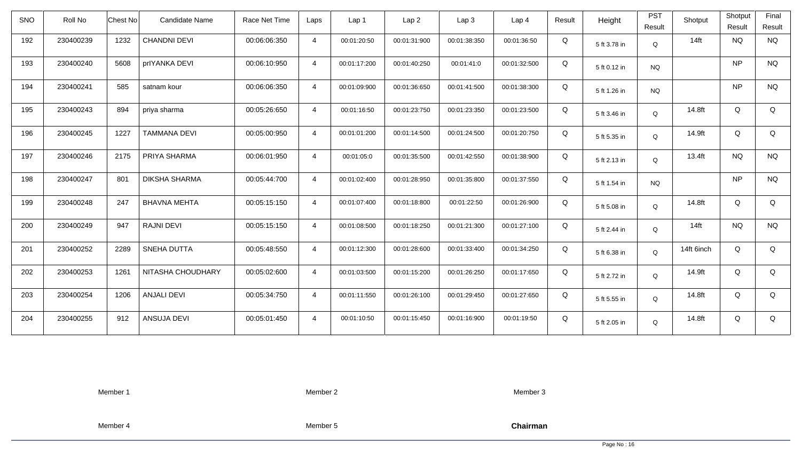| <b>SNO</b> | Roll No   | <b>Chest No</b> | Candidate Name       | Race Net Time | Laps           | Lap 1        | Lap <sub>2</sub> | Lap3         | Lap <sub>4</sub> | Result | Height       | <b>PST</b><br>Result | Shotput    | Shotput<br>Result | Final<br>Result |
|------------|-----------|-----------------|----------------------|---------------|----------------|--------------|------------------|--------------|------------------|--------|--------------|----------------------|------------|-------------------|-----------------|
| 192        | 230400239 | 1232            | <b>CHANDNI DEVI</b>  | 00:06:06:350  | $\overline{4}$ | 00:01:20:50  | 00:01:31:900     | 00:01:38:350 | 00:01:36:50      | Q      | 5 ft 3.78 in | Q                    | $14$ ft    | <b>NQ</b>         | <b>NQ</b>       |
| 193        | 230400240 | 5608            | prlYANKA DEVI        | 00:06:10:950  | $\overline{4}$ | 00:01:17:200 | 00:01:40:250     | 00:01:41:0   | 00:01:32:500     | Q      | 5 ft 0.12 in | <b>NQ</b>            |            | <b>NP</b>         | <b>NQ</b>       |
| 194        | 230400241 | 585             | satnam kour          | 00:06:06:350  | $\overline{4}$ | 00:01:09:900 | 00:01:36:650     | 00:01:41:500 | 00:01:38:300     | Q      | 5 ft 1.26 in | <b>NQ</b>            |            | <b>NP</b>         | <b>NQ</b>       |
| 195        | 230400243 | 894             | priya sharma         | 00:05:26:650  | $\overline{4}$ | 00:01:16:50  | 00:01:23:750     | 00:01:23:350 | 00:01:23:500     | Q      | 5 ft 3.46 in | Q                    | 14.8ft     | Q                 | Q               |
| 196        | 230400245 | 1227            | <b>TAMMANA DEVI</b>  | 00:05:00:950  | $\overline{4}$ | 00:01:01:200 | 00:01:14:500     | 00:01:24:500 | 00:01:20:750     | Q      | 5 ft 5.35 in | Q                    | 14.9ft     | Q                 | Q               |
| 197        | 230400246 | 2175            | PRIYA SHARMA         | 00:06:01:950  | $\overline{4}$ | 00:01:05:0   | 00:01:35:500     | 00:01:42:550 | 00:01:38:900     | Q      | 5 ft 2.13 in | Q                    | 13.4ft     | <b>NQ</b>         | <b>NQ</b>       |
| 198        | 230400247 | 801             | <b>DIKSHA SHARMA</b> | 00:05:44:700  | $\overline{4}$ | 00:01:02:400 | 00:01:28:950     | 00:01:35:800 | 00:01:37:550     | Q      | 5 ft 1.54 in | <b>NQ</b>            |            | <b>NP</b>         | $\rm N\rm Q$    |
| 199        | 230400248 | 247             | <b>BHAVNA MEHTA</b>  | 00:05:15:150  | $\overline{4}$ | 00:01:07:400 | 00:01:18:800     | 00:01:22:50  | 00:01:26:900     | Q      | 5 ft 5.08 in | Q                    | 14.8ft     | Q                 | Q               |
| 200        | 230400249 | 947             | <b>RAJNI DEVI</b>    | 00:05:15:150  | $\overline{4}$ | 00:01:08:500 | 00:01:18:250     | 00:01:21:300 | 00:01:27:100     | Q      | 5 ft 2.44 in | Q                    | $14$ ft    | <b>NQ</b>         | <b>NQ</b>       |
| 201        | 230400252 | 2289            | SNEHA DUTTA          | 00:05:48:550  | $\overline{4}$ | 00:01:12:300 | 00:01:28:600     | 00:01:33:400 | 00:01:34:250     | Q      | 5 ft 6.38 in | Q                    | 14ft 6inch | Q                 | Q               |
| 202        | 230400253 | 1261            | NITASHA CHOUDHARY    | 00:05:02:600  | $\overline{4}$ | 00:01:03:500 | 00:01:15:200     | 00:01:26:250 | 00:01:17:650     | Q      | 5 ft 2.72 in | Q                    | 14.9ft     | Q                 | Q               |
| 203        | 230400254 | 1206            | <b>ANJALI DEVI</b>   | 00:05:34:750  | $\overline{4}$ | 00:01:11:550 | 00:01:26:100     | 00:01:29:450 | 00:01:27:650     | Q      | 5 ft 5.55 in | Q                    | 14.8ft     | Q                 | Q               |
| 204        | 230400255 | 912             | ANSUJA DEVI          | 00:05:01:450  | $\overline{4}$ | 00:01:10:50  | 00:01:15:450     | 00:01:16:900 | 00:01:19:50      | Q      | 5 ft 2.05 in | Q                    | 14.8ft     | Q                 | Q               |

Member 2

Member 3

Member 4

Member 5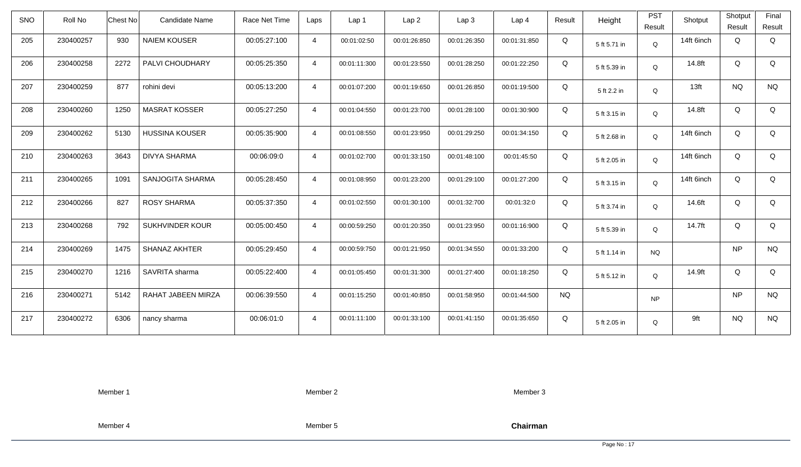| <b>SNO</b> | Roll No   | <b>Chest No</b> | Candidate Name        | Race Net Time | Laps           | Lap 1        | Lap <sub>2</sub> | Lap <sub>3</sub> | Lap <sub>4</sub> | Result    | Height       | <b>PST</b><br>Result | Shotput    | Shotput<br>Result | Final<br>Result |
|------------|-----------|-----------------|-----------------------|---------------|----------------|--------------|------------------|------------------|------------------|-----------|--------------|----------------------|------------|-------------------|-----------------|
| 205        | 230400257 | 930             | <b>NAIEM KOUSER</b>   | 00:05:27:100  | $\overline{4}$ | 00:01:02:50  | 00:01:26:850     | 00:01:26:350     | 00:01:31:850     | Q         | 5 ft 5.71 in | Q                    | 14ft 6inch | Q                 | Q               |
| 206        | 230400258 | 2272            | PALVI CHOUDHARY       | 00:05:25:350  | $\overline{4}$ | 00:01:11:300 | 00:01:23:550     | 00:01:28:250     | 00:01:22:250     | Q         | 5 ft 5.39 in | Q                    | 14.8ft     | Q                 | Q               |
| 207        | 230400259 | 877             | rohini devi           | 00:05:13:200  | $\overline{4}$ | 00:01:07:200 | 00:01:19:650     | 00:01:26:850     | 00:01:19:500     | Q         | 5 ft 2.2 in  | Q                    | 13ft       | <b>NQ</b>         | <b>NQ</b>       |
| 208        | 230400260 | 1250            | <b>MASRAT KOSSER</b>  | 00:05:27:250  | $\overline{4}$ | 00:01:04:550 | 00:01:23:700     | 00:01:28:100     | 00:01:30:900     | Q         | 5 ft 3.15 in | Q                    | 14.8ft     | Q                 | Q               |
| 209        | 230400262 | 5130            | <b>HUSSINA KOUSER</b> | 00:05:35:900  | $\overline{4}$ | 00:01:08:550 | 00:01:23:950     | 00:01:29:250     | 00:01:34:150     | Q         | 5 ft 2.68 in | Q                    | 14ft 6inch | Q                 | Q               |
| 210        | 230400263 | 3643            | <b>DIVYA SHARMA</b>   | 00:06:09:0    | $\overline{4}$ | 00:01:02:700 | 00:01:33:150     | 00:01:48:100     | 00:01:45:50      | Q         | 5 ft 2.05 in | Q                    | 14ft 6inch | Q                 | Q               |
| 211        | 230400265 | 1091            | SANJOGITA SHARMA      | 00:05:28:450  | $\overline{4}$ | 00:01:08:950 | 00:01:23:200     | 00:01:29:100     | 00:01:27:200     | Q         | 5 ft 3.15 in | Q                    | 14ft 6inch | Q                 | Q               |
| 212        | 230400266 | 827             | <b>ROSY SHARMA</b>    | 00:05:37:350  | $\overline{4}$ | 00:01:02:550 | 00:01:30:100     | 00:01:32:700     | 00:01:32:0       | Q         | 5 ft 3.74 in | Q                    | 14.6ft     | Q                 | Q               |
| 213        | 230400268 | 792             | SUKHVINDER KOUR       | 00:05:00:450  | $\overline{4}$ | 00:00:59:250 | 00:01:20:350     | 00:01:23:950     | 00:01:16:900     | Q         | 5 ft 5.39 in | Q                    | 14.7ft     | Q                 | Q               |
| 214        | 230400269 | 1475            | SHANAZ AKHTER         | 00:05:29:450  | $\overline{4}$ | 00:00:59:750 | 00:01:21:950     | 00:01:34:550     | 00:01:33:200     | Q         | 5 ft 1.14 in | <b>NQ</b>            |            | <b>NP</b>         | <b>NQ</b>       |
| 215        | 230400270 | 1216            | SAVRITA sharma        | 00:05:22:400  | $\overline{4}$ | 00:01:05:450 | 00:01:31:300     | 00:01:27:400     | 00:01:18:250     | Q         | 5 ft 5.12 in | Q                    | 14.9ft     | Q                 | Q               |
| 216        | 230400271 | 5142            | RAHAT JABEEN MIRZA    | 00:06:39:550  | $\overline{4}$ | 00:01:15:250 | 00:01:40:850     | 00:01:58:950     | 00:01:44:500     | <b>NQ</b> |              | <b>NP</b>            |            | <b>NP</b>         | <b>NQ</b>       |
| 217        | 230400272 | 6306            | nancy sharma          | 00:06:01:0    | $\overline{4}$ | 00:01:11:100 | 00:01:33:100     | 00:01:41:150     | 00:01:35:650     | Q         | 5 ft 2.05 in | Q                    | 9ft        | <b>NQ</b>         | <b>NQ</b>       |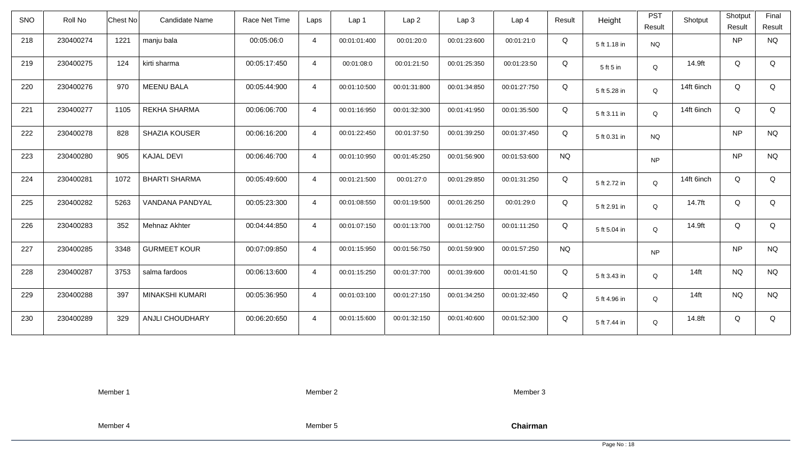| <b>SNO</b> | Roll No   | Chest No<br><b>Candidate Name</b> | Race Net Time | Laps           | Lap 1        | Lap <sub>2</sub> | Lap3         | Lap <sub>4</sub> | Result    | Height       | <b>PST</b><br>Result | Shotput    | Shotput<br>Result | Final<br>Result |
|------------|-----------|-----------------------------------|---------------|----------------|--------------|------------------|--------------|------------------|-----------|--------------|----------------------|------------|-------------------|-----------------|
| 218        | 230400274 | 1221<br>manju bala                | 00:05:06:0    | $\overline{4}$ | 00:01:01:400 | 00:01:20:0       | 00:01:23:600 | 00:01:21:0       | Q         | 5 ft 1.18 in | <b>NQ</b>            |            | <b>NP</b>         | <b>NQ</b>       |
| 219        | 230400275 | 124<br>kirti sharma               | 00:05:17:450  | $\overline{4}$ | 00:01:08:0   | 00:01:21:50      | 00:01:25:350 | 00:01:23:50      | Q         | 5 ft 5 in    | Q                    | 14.9ft     | Q                 | Q               |
| 220        | 230400276 | 970<br><b>MEENU BALA</b>          | 00:05:44:900  | $\overline{4}$ | 00:01:10:500 | 00:01:31:800     | 00:01:34:850 | 00:01:27:750     | Q         | 5 ft 5.28 in | Q                    | 14ft 6inch | Q                 | Q               |
| 221        | 230400277 | 1105<br><b>REKHA SHARMA</b>       | 00:06:06:700  | $\overline{4}$ | 00:01:16:950 | 00:01:32:300     | 00:01:41:950 | 00:01:35:500     | Q         | 5 ft 3.11 in | Q                    | 14ft 6inch | Q                 | Q               |
| 222        | 230400278 | 828<br><b>SHAZIA KOUSER</b>       | 00:06:16:200  | $\overline{4}$ | 00:01:22:450 | 00:01:37:50      | 00:01:39:250 | 00:01:37:450     | Q         | 5 ft 0.31 in | <b>NQ</b>            |            | <b>NP</b>         | <b>NQ</b>       |
| 223        | 230400280 | <b>KAJAL DEVI</b><br>905          | 00:06:46:700  | $\overline{4}$ | 00:01:10:950 | 00:01:45:250     | 00:01:56:900 | 00:01:53:600     | <b>NQ</b> |              | <b>NP</b>            |            | <b>NP</b>         | <b>NQ</b>       |
| 224        | 230400281 | 1072<br><b>BHARTI SHARMA</b>      | 00:05:49:600  | $\overline{4}$ | 00:01:21:500 | 00:01:27:0       | 00:01:29:850 | 00:01:31:250     | Q         | 5 ft 2.72 in | Q                    | 14ft 6inch | Q                 | Q               |
| 225        | 230400282 | 5263<br>VANDANA PANDYAL           | 00:05:23:300  | $\overline{4}$ | 00:01:08:550 | 00:01:19:500     | 00:01:26:250 | 00:01:29:0       | Q         | 5 ft 2.91 in | Q                    | 14.7ft     | Q                 | Q               |
| 226        | 230400283 | 352<br>Mehnaz Akhter              | 00:04:44:850  | $\overline{4}$ | 00:01:07:150 | 00:01:13:700     | 00:01:12:750 | 00:01:11:250     | Q         | 5 ft 5.04 in | Q                    | 14.9ft     | Q                 | Q               |
| 227        | 230400285 | 3348<br><b>GURMEET KOUR</b>       | 00:07:09:850  | $\overline{4}$ | 00:01:15:950 | 00:01:56:750     | 00:01:59:900 | 00:01:57:250     | <b>NQ</b> |              | <b>NP</b>            |            | <b>NP</b>         | <b>NQ</b>       |
| 228        | 230400287 | 3753<br>salma fardoos             | 00:06:13:600  | $\overline{4}$ | 00:01:15:250 | 00:01:37:700     | 00:01:39:600 | 00:01:41:50      | Q         | 5 ft 3.43 in | Q                    | $14$ ft    | <b>NQ</b>         | <b>NQ</b>       |
| 229        | 230400288 | MINAKSHI KUMARI<br>397            | 00:05:36:950  | $\overline{4}$ | 00:01:03:100 | 00:01:27:150     | 00:01:34:250 | 00:01:32:450     | Q         | 5 ft 4.96 in | Q                    | $14$ ft    | <b>NQ</b>         | <b>NQ</b>       |
| 230        | 230400289 | 329<br><b>ANJLI CHOUDHARY</b>     | 00:06:20:650  | $\overline{4}$ | 00:01:15:600 | 00:01:32:150     | 00:01:40:600 | 00:01:52:300     | Q         | 5 ft 7.44 in | Q                    | 14.8ft     | Q                 | Q               |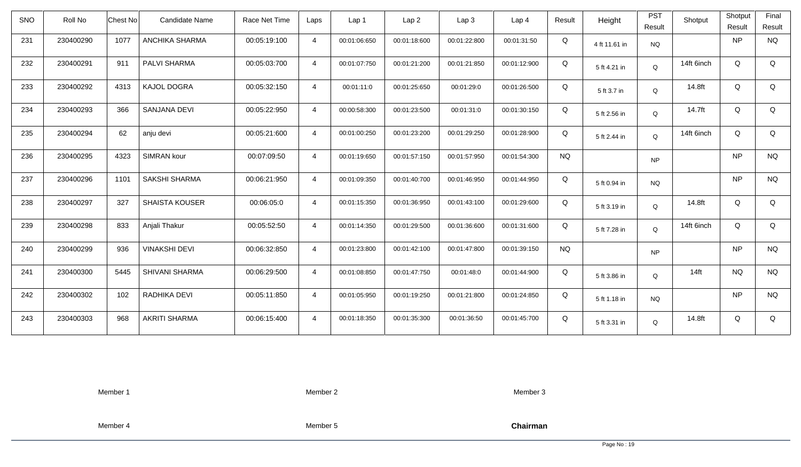| <b>SNO</b> | Roll No   | <b>Chest No</b> | Candidate Name        | Race Net Time | Laps           | Lap 1        | Lap <sub>2</sub> | Lap3         | Lap <sub>4</sub> | Result        | Height        | <b>PST</b><br>Result | Shotput          | Shotput<br>Result | Final<br>Result |
|------------|-----------|-----------------|-----------------------|---------------|----------------|--------------|------------------|--------------|------------------|---------------|---------------|----------------------|------------------|-------------------|-----------------|
| 231        | 230400290 | 1077            | ANCHIKA SHARMA        | 00:05:19:100  | $\overline{4}$ | 00:01:06:650 | 00:01:18:600     | 00:01:22:800 | 00:01:31:50      | Q             | 4 ft 11.61 in | <b>NQ</b>            |                  | <b>NP</b>         | <b>NQ</b>       |
| 232        | 230400291 | 911             | PALVI SHARMA          | 00:05:03:700  | $\overline{4}$ | 00:01:07:750 | 00:01:21:200     | 00:01:21:850 | 00:01:12:900     | Q             | 5 ft 4.21 in  | Q                    | 14ft 6inch       | Q                 | Q               |
| 233        | 230400292 | 4313            | KAJOL DOGRA           | 00:05:32:150  | $\overline{4}$ | 00:01:11:0   | 00:01:25:650     | 00:01:29:0   | 00:01:26:500     | Q             | 5 ft 3.7 in   | Q                    | 14.8ft           | Q                 | Q               |
| 234        | 230400293 | 366             | SANJANA DEVI          | 00:05:22:950  | $\overline{4}$ | 00:00:58:300 | 00:01:23:500     | 00:01:31:0   | 00:01:30:150     | Q             | 5 ft 2.56 in  | Q                    | 14.7ft           | Q                 | Q               |
| 235        | 230400294 | 62              | anju devi             | 00:05:21:600  | $\overline{4}$ | 00:01:00:250 | 00:01:23:200     | 00:01:29:250 | 00:01:28:900     | Q             | 5 ft 2.44 in  | Q                    | 14ft 6inch       | Q                 | Q               |
| 236        | 230400295 | 4323            | <b>SIMRAN kour</b>    | 00:07:09:50   | $\overline{4}$ | 00:01:19:650 | 00:01:57:150     | 00:01:57:950 | 00:01:54:300     | <b>NQ</b>     |               | <b>NP</b>            |                  | <b>NP</b>         | <b>NQ</b>       |
| 237        | 230400296 | 1101            | SAKSHI SHARMA         | 00:06:21:950  | $\overline{4}$ | 00:01:09:350 | 00:01:40:700     | 00:01:46:950 | 00:01:44:950     | Q             | 5 ft 0.94 in  | <b>NQ</b>            |                  | <b>NP</b>         | <b>NQ</b>       |
| 238        | 230400297 | 327             | <b>SHAISTA KOUSER</b> | 00:06:05:0    | $\overline{4}$ | 00:01:15:350 | 00:01:36:950     | 00:01:43:100 | 00:01:29:600     | Q             | 5 ft 3.19 in  | Q                    | 14.8ft           | Q                 | Q               |
| 239        | 230400298 | 833             | Anjali Thakur         | 00:05:52:50   | $\overline{4}$ | 00:01:14:350 | 00:01:29:500     | 00:01:36:600 | 00:01:31:600     | Q             | 5 ft 7.28 in  | Q                    | 14ft 6inch       | Q                 | Q               |
| 240        | 230400299 | 936             | <b>VINAKSHI DEVI</b>  | 00:06:32:850  | $\overline{4}$ | 00:01:23:800 | 00:01:42:100     | 00:01:47:800 | 00:01:39:150     | $N\mathrm{Q}$ |               | <b>NP</b>            |                  | <b>NP</b>         | $\rm N\rm Q$    |
| 241        | 230400300 | 5445            | SHIVANI SHARMA        | 00:06:29:500  | $\overline{4}$ | 00:01:08:850 | 00:01:47:750     | 00:01:48:0   | 00:01:44:900     | Q             | 5 ft 3.86 in  | Q                    | 14 <sub>ft</sub> | <b>NQ</b>         | <b>NQ</b>       |
| 242        | 230400302 | 102             | RADHIKA DEVI          | 00:05:11:850  | $\overline{4}$ | 00:01:05:950 | 00:01:19:250     | 00:01:21:800 | 00:01:24:850     | Q             | 5 ft 1.18 in  | NQ.                  |                  | <b>NP</b>         | <b>NQ</b>       |
| 243        | 230400303 | 968             | <b>AKRITI SHARMA</b>  | 00:06:15:400  | $\overline{4}$ | 00:01:18:350 | 00:01:35:300     | 00:01:36:50  | 00:01:45:700     | Q             | 5 ft 3.31 in  | Q                    | 14.8ft           | Q                 | Q               |

Member 2

Member 3

Member 4

Member 5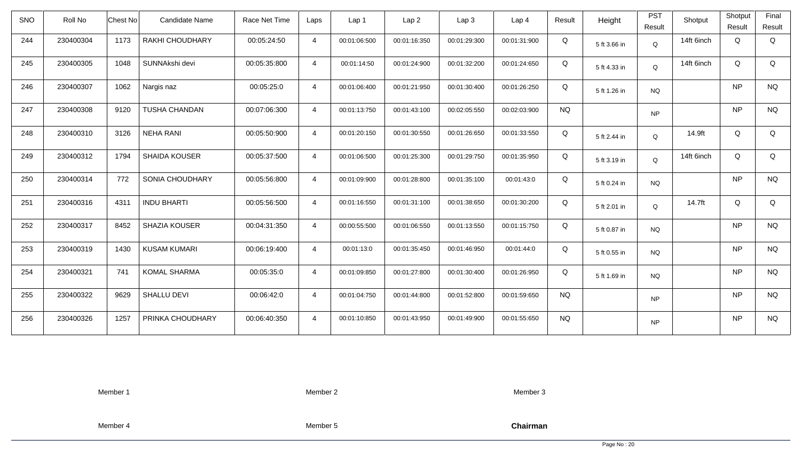| <b>SNO</b> | Roll No   | Chest No | Candidate Name       | Race Net Time | Laps           | Lap 1        | Lap <sub>2</sub> | Lap3         | Lap <sub>4</sub> | Result    | Height       | <b>PST</b><br>Result | Shotput    | Shotput<br>Result | Final<br>Result |
|------------|-----------|----------|----------------------|---------------|----------------|--------------|------------------|--------------|------------------|-----------|--------------|----------------------|------------|-------------------|-----------------|
| 244        | 230400304 | 1173     | RAKHI CHOUDHARY      | 00:05:24:50   | $\overline{4}$ | 00:01:06:500 | 00:01:16:350     | 00:01:29:300 | 00:01:31:900     | Q         | 5 ft 3.66 in | Q                    | 14ft 6inch | Q                 | Q               |
| 245        | 230400305 | 1048     | SUNNAkshi devi       | 00:05:35:800  | $\overline{4}$ | 00:01:14:50  | 00:01:24:900     | 00:01:32:200 | 00:01:24:650     | Q         | 5 ft 4.33 in | Q                    | 14ft 6inch | Q                 | Q               |
| 246        | 230400307 | 1062     | Nargis naz           | 00:05:25:0    | $\overline{4}$ | 00:01:06:400 | 00:01:21:950     | 00:01:30:400 | 00:01:26:250     | Q         | 5 ft 1.26 in | <b>NQ</b>            |            | <b>NP</b>         | <b>NQ</b>       |
| 247        | 230400308 | 9120     | <b>TUSHA CHANDAN</b> | 00:07:06:300  | $\overline{4}$ | 00:01:13:750 | 00:01:43:100     | 00:02:05:550 | 00:02:03:900     | <b>NQ</b> |              | <b>NP</b>            |            | <b>NP</b>         | <b>NQ</b>       |
| 248        | 230400310 | 3126     | <b>NEHA RANI</b>     | 00:05:50:900  | $\overline{4}$ | 00:01:20:150 | 00:01:30:550     | 00:01:26:650 | 00:01:33:550     | Q         | 5 ft 2.44 in | Q                    | 14.9ft     | Q                 | Q               |
| 249        | 230400312 | 1794     | SHAIDA KOUSER        | 00:05:37:500  | $\overline{4}$ | 00:01:06:500 | 00:01:25:300     | 00:01:29:750 | 00:01:35:950     | Q         | 5 ft 3.19 in | $\mathsf Q$          | 14ft 6inch | Q                 | Q               |
| 250        | 230400314 | 772      | SONIA CHOUDHARY      | 00:05:56:800  | $\overline{4}$ | 00:01:09:900 | 00:01:28:800     | 00:01:35:100 | 00:01:43:0       | Q         | 5 ft 0.24 in | <b>NQ</b>            |            | <b>NP</b>         | <b>NQ</b>       |
| 251        | 230400316 | 4311     | <b>INDU BHARTI</b>   | 00:05:56:500  | $\overline{4}$ | 00:01:16:550 | 00:01:31:100     | 00:01:38:650 | 00:01:30:200     | Q         | 5 ft 2.01 in | Q                    | 14.7ft     | Q                 | Q               |
| 252        | 230400317 | 8452     | <b>SHAZIA KOUSER</b> | 00:04:31:350  | $\overline{4}$ | 00:00:55:500 | 00:01:06:550     | 00:01:13:550 | 00:01:15:750     | Q         | 5 ft 0.87 in | <b>NQ</b>            |            | <b>NP</b>         | <b>NQ</b>       |
| 253        | 230400319 | 1430     | <b>KUSAM KUMARI</b>  | 00:06:19:400  | $\overline{4}$ | 00:01:13:0   | 00:01:35:450     | 00:01:46:950 | 00:01:44:0       | Q         | 5 ft 0.55 in | <b>NQ</b>            |            | <b>NP</b>         | <b>NQ</b>       |
| 254        | 230400321 | 741      | <b>KOMAL SHARMA</b>  | 00:05:35:0    | $\overline{4}$ | 00:01:09:850 | 00:01:27:800     | 00:01:30:400 | 00:01:26:950     | Q         | 5 ft 1.69 in | <b>NQ</b>            |            | <b>NP</b>         | <b>NQ</b>       |
| 255        | 230400322 | 9629     | SHALLU DEVI          | 00:06:42:0    | $\overline{4}$ | 00:01:04:750 | 00:01:44:800     | 00:01:52:800 | 00:01:59:650     | <b>NQ</b> |              | <b>NP</b>            |            | <b>NP</b>         | <b>NQ</b>       |
| 256        | 230400326 | 1257     | PRINKA CHOUDHARY     | 00:06:40:350  | $\overline{4}$ | 00:01:10:850 | 00:01:43:950     | 00:01:49:900 | 00:01:55:650     | <b>NQ</b> |              | <b>NP</b>            |            | <b>NP</b>         | <b>NQ</b>       |

Member 2

Member 3

Member 4

Member 5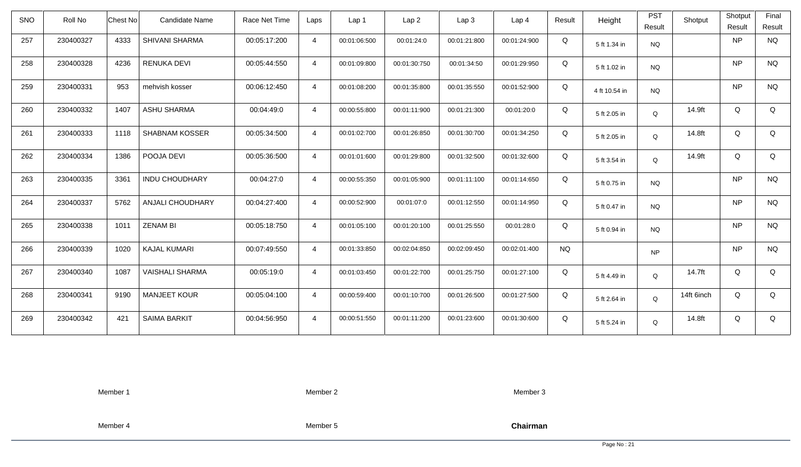| <b>SNO</b> | Roll No   | <b>Chest No</b> | Candidate Name          | Race Net Time | Laps           | Lap 1        | Lap <sub>2</sub> | Lap3         | Lap <sub>4</sub> | Result        | Height        | <b>PST</b><br>Result | Shotput    | Shotput<br>Result | Final<br>Result |
|------------|-----------|-----------------|-------------------------|---------------|----------------|--------------|------------------|--------------|------------------|---------------|---------------|----------------------|------------|-------------------|-----------------|
| 257        | 230400327 | 4333            | SHIVANI SHARMA          | 00:05:17:200  | $\overline{4}$ | 00:01:06:500 | 00:01:24:0       | 00:01:21:800 | 00:01:24:900     | Q             | 5 ft 1.34 in  | <b>NQ</b>            |            | <b>NP</b>         | <b>NQ</b>       |
| 258        | 230400328 | 4236            | <b>RENUKA DEVI</b>      | 00:05:44:550  | $\overline{4}$ | 00:01:09:800 | 00:01:30:750     | 00:01:34:50  | 00:01:29:950     | Q             | 5 ft 1.02 in  | <b>NQ</b>            |            | <b>NP</b>         | <b>NQ</b>       |
| 259        | 230400331 | 953             | mehvish kosser          | 00:06:12:450  | $\overline{4}$ | 00:01:08:200 | 00:01:35:800     | 00:01:35:550 | 00:01:52:900     | Q             | 4 ft 10.54 in | <b>NQ</b>            |            | <b>NP</b>         | <b>NQ</b>       |
| 260        | 230400332 | 1407            | <b>ASHU SHARMA</b>      | 00:04:49:0    | $\overline{4}$ | 00:00:55:800 | 00:01:11:900     | 00:01:21:300 | 00:01:20:0       | Q             | 5 ft 2.05 in  | Q                    | 14.9ft     | Q                 | Q               |
| 261        | 230400333 | 1118            | <b>SHABNAM KOSSER</b>   | 00:05:34:500  | $\overline{4}$ | 00:01:02:700 | 00:01:26:850     | 00:01:30:700 | 00:01:34:250     | Q             | 5 ft 2.05 in  | Q                    | 14.8ft     | Q                 | Q               |
| 262        | 230400334 | 1386            | POOJA DEVI              | 00:05:36:500  | $\overline{4}$ | 00:01:01:600 | 00:01:29:800     | 00:01:32:500 | 00:01:32:600     | Q             | 5 ft 3.54 in  | Q                    | 14.9ft     | Q                 | Q               |
| 263        | 230400335 | 3361            | <b>INDU CHOUDHARY</b>   | 00:04:27:0    | $\overline{4}$ | 00:00:55:350 | 00:01:05:900     | 00:01:11:100 | 00:01:14:650     | Q             | 5 ft 0.75 in  | <b>NQ</b>            |            | <b>NP</b>         | <b>NQ</b>       |
| 264        | 230400337 | 5762            | <b>ANJALI CHOUDHARY</b> | 00:04:27:400  | $\overline{4}$ | 00:00:52:900 | 00:01:07:0       | 00:01:12:550 | 00:01:14:950     | Q             | 5 ft 0.47 in  | <b>NQ</b>            |            | <b>NP</b>         | <b>NQ</b>       |
| 265        | 230400338 | 1011            | <b>ZENAM BI</b>         | 00:05:18:750  | $\overline{4}$ | 00:01:05:100 | 00:01:20:100     | 00:01:25:550 | 00:01:28:0       | Q             | 5 ft 0.94 in  | <b>NQ</b>            |            | <b>NP</b>         | <b>NQ</b>       |
| 266        | 230400339 | 1020            | <b>KAJAL KUMARI</b>     | 00:07:49:550  | $\overline{4}$ | 00:01:33:850 | 00:02:04:850     | 00:02:09:450 | 00:02:01:400     | $N\mathrm{Q}$ |               | <b>NP</b>            |            | <b>NP</b>         | $\rm N\rm Q$    |
| 267        | 230400340 | 1087            | <b>VAISHALI SHARMA</b>  | 00:05:19:0    | $\overline{4}$ | 00:01:03:450 | 00:01:22:700     | 00:01:25:750 | 00:01:27:100     | Q             | 5 ft 4.49 in  | Q                    | 14.7ft     | Q                 | Q               |
| 268        | 230400341 | 9190            | <b>MANJEET KOUR</b>     | 00:05:04:100  | $\overline{4}$ | 00:00:59:400 | 00:01:10:700     | 00:01:26:500 | 00:01:27:500     | Q             | 5 ft 2.64 in  | Q                    | 14ft 6inch | Q                 | Q               |
| 269        | 230400342 | 421             | <b>SAIMA BARKIT</b>     | 00:04:56:950  | $\overline{4}$ | 00:00:51:550 | 00:01:11:200     | 00:01:23:600 | 00:01:30:600     | Q             | 5 ft 5.24 in  | Q                    | 14.8ft     | Q                 | Q               |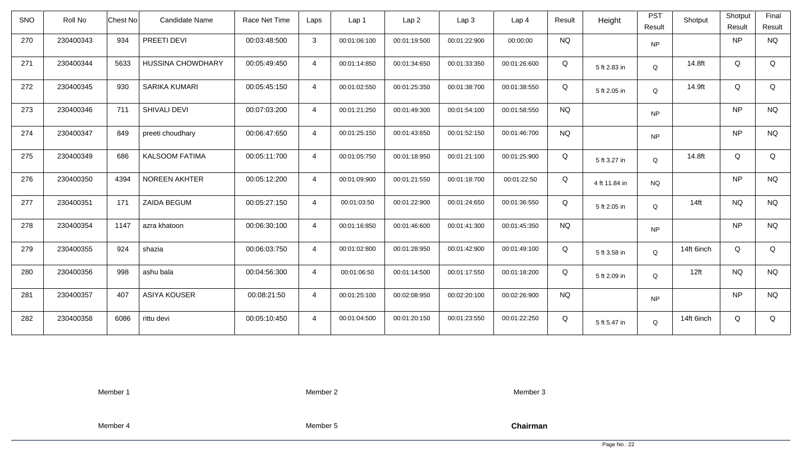| <b>SNO</b> | Roll No   | Chest No | Candidate Name           | Race Net Time | Laps           | Lap 1        | Lap <sub>2</sub> | Lap3         | Lap <sub>4</sub> | Result    | Height        | <b>PST</b><br>Result | Shotput          | Shotput<br>Result | Final<br>Result |
|------------|-----------|----------|--------------------------|---------------|----------------|--------------|------------------|--------------|------------------|-----------|---------------|----------------------|------------------|-------------------|-----------------|
| 270        | 230400343 | 934      | PREETI DEVI              | 00:03:48:500  | 3              | 00:01:06:100 | 00:01:19:500     | 00:01:22:900 | 00:00:00         | <b>NQ</b> |               | <b>NP</b>            |                  | <b>NP</b>         | <b>NQ</b>       |
| 271        | 230400344 | 5633     | <b>HUSSINA CHOWDHARY</b> | 00:05:49:450  | $\overline{4}$ | 00:01:14:850 | 00:01:34:650     | 00:01:33:350 | 00:01:26:600     | Q         | 5 ft 2.83 in  | Q                    | 14.8ft           | Q                 | Q               |
| 272        | 230400345 | 930      | SARIKA KUMARI            | 00:05:45:150  | $\overline{4}$ | 00:01:02:550 | 00:01:25:350     | 00:01:38:700 | 00:01:38:550     | Q         | 5 ft 2.05 in  | Q                    | 14.9ft           | Q                 | Q               |
| 273        | 230400346 | 711      | SHIVALI DEVI             | 00:07:03:200  | $\overline{4}$ | 00:01:21:250 | 00:01:49:300     | 00:01:54:100 | 00:01:58:550     | <b>NQ</b> |               | <b>NP</b>            |                  | <b>NP</b>         | <b>NQ</b>       |
| 274        | 230400347 | 849      | preeti choudhary         | 00:06:47:650  | $\overline{4}$ | 00:01:25:150 | 00:01:43:650     | 00:01:52:150 | 00:01:46:700     | <b>NQ</b> |               | <b>NP</b>            |                  | <b>NP</b>         | <b>NQ</b>       |
| 275        | 230400349 | 686      | <b>KALSOOM FATIMA</b>    | 00:05:11:700  | $\overline{4}$ | 00:01:05:750 | 00:01:18:950     | 00:01:21:100 | 00:01:25:900     | Q         | 5 ft 3.27 in  | $\mathsf Q$          | 14.8ft           | Q                 | Q               |
| 276        | 230400350 | 4394     | <b>NOREEN AKHTER</b>     | 00:05:12:200  | $\overline{4}$ | 00:01:09:900 | 00:01:21:550     | 00:01:18:700 | 00:01:22:50      | Q         | 4 ft 11.84 in | <b>NQ</b>            |                  | <b>NP</b>         | <b>NQ</b>       |
| 277        | 230400351 | 171      | ZAIDA BEGUM              | 00:05:27:150  | $\overline{4}$ | 00:01:03:50  | 00:01:22:900     | 00:01:24:650 | 00:01:36:550     | Q         | 5 ft 2.05 in  | Q                    | $14$ ft          | <b>NQ</b>         | <b>NQ</b>       |
| 278        | 230400354 | 1147     | azra khatoon             | 00:06:30:100  | $\overline{4}$ | 00:01:16:850 | 00:01:46:600     | 00:01:41:300 | 00:01:45:350     | <b>NQ</b> |               | <b>NP</b>            |                  | <b>NP</b>         | <b>NQ</b>       |
| 279        | 230400355 | 924      | shazia                   | 00:06:03:750  | $\overline{4}$ | 00:01:02:800 | 00:01:28:950     | 00:01:42:900 | 00:01:49:100     | Q         | 5 ft 3.58 in  | Q                    | 14ft 6inch       | Q                 | Q               |
| 280        | 230400356 | 998      | ashu bala                | 00:04:56:300  | $\overline{4}$ | 00:01:06:50  | 00:01:14:500     | 00:01:17:550 | 00:01:18:200     | Q         | 5 ft 2.09 in  | Q                    | 12 <sup>ft</sup> | <b>NQ</b>         | <b>NQ</b>       |
| 281        | 230400357 | 407      | <b>ASIYA KOUSER</b>      | 00:08:21:50   | $\overline{4}$ | 00:01:25:100 | 00:02:08:950     | 00:02:20:100 | 00:02:26:900     | <b>NQ</b> |               | <b>NP</b>            |                  | <b>NP</b>         | <b>NQ</b>       |
| 282        | 230400358 | 6086     | rittu devi               | 00:05:10:450  | $\overline{4}$ | 00:01:04:500 | 00:01:20:150     | 00:01:23:550 | 00:01:22:250     | Q         | 5 ft 5.47 in  | Q                    | 14ft 6inch       | Q                 | Q               |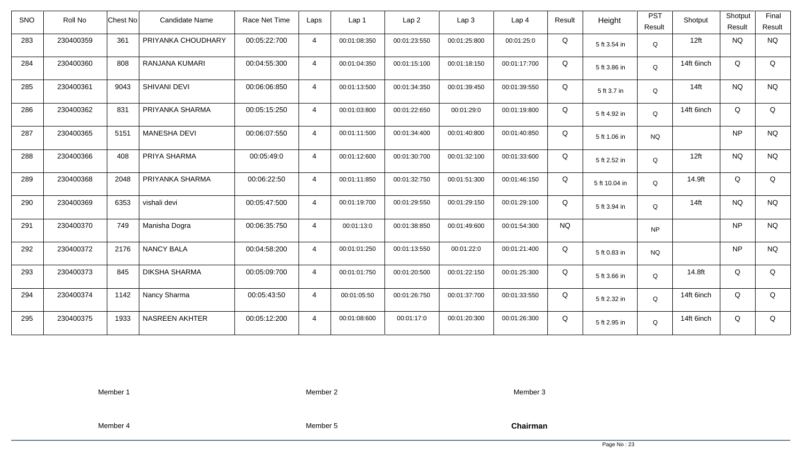| <b>SNO</b> | Roll No   | <b>Chest No</b> | Candidate Name        | Race Net Time | Laps           | Lap 1        | Lap <sub>2</sub> | Lap <sub>3</sub> | Lap <sub>4</sub> | Result    | Height        | <b>PST</b><br>Result | Shotput    | Shotput<br>Result | Final<br>Result |
|------------|-----------|-----------------|-----------------------|---------------|----------------|--------------|------------------|------------------|------------------|-----------|---------------|----------------------|------------|-------------------|-----------------|
| 283        | 230400359 | 361             | PRIYANKA CHOUDHARY    | 00:05:22:700  | $\overline{4}$ | 00:01:08:350 | 00:01:23:550     | 00:01:25:800     | 00:01:25:0       | Q         | 5 ft 3.54 in  | Q                    | 12ft       | <b>NQ</b>         | <b>NQ</b>       |
| 284        | 230400360 | 808             | RANJANA KUMARI        | 00:04:55:300  | $\overline{4}$ | 00:01:04:350 | 00:01:15:100     | 00:01:18:150     | 00:01:17:700     | Q         | 5 ft 3.86 in  | $\mathsf Q$          | 14ft 6inch | Q                 | Q               |
| 285        | 230400361 | 9043            | SHIVANI DEVI          | 00:06:06:850  | $\overline{4}$ | 00:01:13:500 | 00:01:34:350     | 00:01:39:450     | 00:01:39:550     | Q         | 5 ft 3.7 in   | Q                    | $14$ ft    | <b>NQ</b>         | <b>NQ</b>       |
| 286        | 230400362 | 831             | PRIYANKA SHARMA       | 00:05:15:250  | $\overline{4}$ | 00:01:03:800 | 00:01:22:650     | 00:01:29:0       | 00:01:19:800     | Q         | 5 ft 4.92 in  | Q                    | 14ft 6inch | Q                 | Q               |
| 287        | 230400365 | 5151            | <b>MANESHA DEVI</b>   | 00:06:07:550  | $\overline{4}$ | 00:01:11:500 | 00:01:34:400     | 00:01:40:800     | 00:01:40:850     | Q         | 5 ft 1.06 in  | <b>NQ</b>            |            | <b>NP</b>         | <b>NQ</b>       |
| 288        | 230400366 | 408             | PRIYA SHARMA          | 00:05:49:0    | $\overline{4}$ | 00:01:12:600 | 00:01:30:700     | 00:01:32:100     | 00:01:33:600     | Q         | 5 ft 2.52 in  | Q                    | 12ft       | <b>NQ</b>         | <b>NQ</b>       |
| 289        | 230400368 | 2048            | PRIYANKA SHARMA       | 00:06:22:50   | $\overline{4}$ | 00:01:11:850 | 00:01:32:750     | 00:01:51:300     | 00:01:46:150     | Q         | 5 ft 10.04 in | Q                    | 14.9ft     | Q                 | Q               |
| 290        | 230400369 | 6353            | vishali devi          | 00:05:47:500  | $\overline{4}$ | 00:01:19:700 | 00:01:29:550     | 00:01:29:150     | 00:01:29:100     | Q         | 5 ft 3.94 in  | Q                    | $14$ ft    | <b>NQ</b>         | <b>NQ</b>       |
| 291        | 230400370 | 749             | Manisha Dogra         | 00:06:35:750  | $\overline{4}$ | 00:01:13:0   | 00:01:38:850     | 00:01:49:600     | 00:01:54:300     | <b>NQ</b> |               | <b>NP</b>            |            | <b>NP</b>         | <b>NQ</b>       |
| 292        | 230400372 | 2176            | <b>NANCY BALA</b>     | 00:04:58:200  | $\overline{4}$ | 00:01:01:250 | 00:01:13:550     | 00:01:22:0       | 00:01:21:400     | Q         | 5 ft 0.83 in  | <b>NQ</b>            |            | <b>NP</b>         | <b>NQ</b>       |
| 293        | 230400373 | 845             | <b>DIKSHA SHARMA</b>  | 00:05:09:700  | $\overline{4}$ | 00:01:01:750 | 00:01:20:500     | 00:01:22:150     | 00:01:25:300     | Q         | 5 ft 3.66 in  | Q                    | 14.8ft     | Q                 | Q               |
| 294        | 230400374 | 1142            | Nancy Sharma          | 00:05:43:50   | $\overline{4}$ | 00:01:05:50  | 00:01:26:750     | 00:01:37:700     | 00:01:33:550     | Q         | 5 ft 2.32 in  | Q                    | 14ft 6inch | Q                 | Q               |
| 295        | 230400375 | 1933            | <b>NASREEN AKHTER</b> | 00:05:12:200  | $\overline{4}$ | 00:01:08:600 | 00:01:17:0       | 00:01:20:300     | 00:01:26:300     | Q         | 5 ft 2.95 in  | Q                    | 14ft 6inch | Q                 | Q               |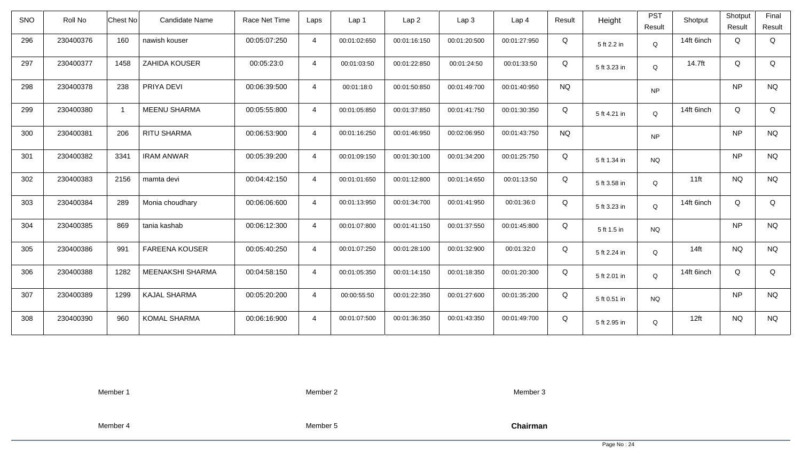| <b>SNO</b> | Roll No   | <b>Chest No</b> | <b>Candidate Name</b> | Race Net Time | Laps           | Lap <sub>1</sub> | Lap <sub>2</sub> | Lap <sub>3</sub> | Lap <sub>4</sub> | Result    | Height       | <b>PST</b><br>Result | Shotput    | Shotput<br>Result | Final<br>Result |
|------------|-----------|-----------------|-----------------------|---------------|----------------|------------------|------------------|------------------|------------------|-----------|--------------|----------------------|------------|-------------------|-----------------|
| 296        | 230400376 | 160             | nawish kouser         | 00:05:07:250  | $\overline{4}$ | 00:01:02:650     | 00:01:16:150     | 00:01:20:500     | 00:01:27:950     | Q         | 5 ft 2.2 in  | $\mathsf Q$          | 14ft 6inch | Q                 | Q               |
| 297        | 230400377 | 1458            | <b>ZAHIDA KOUSER</b>  | 00:05:23:0    | $\overline{4}$ | 00:01:03:50      | 00:01:22:850     | 00:01:24:50      | 00:01:33:50      | Q         | 5 ft 3.23 in | Q                    | 14.7ft     | Q                 | Q               |
| 298        | 230400378 | 238             | PRIYA DEVI            | 00:06:39:500  | $\overline{4}$ | 00:01:18:0       | 00:01:50:850     | 00:01:49:700     | 00:01:40:950     | <b>NQ</b> |              | <b>NP</b>            |            | <b>NP</b>         | <b>NQ</b>       |
| 299        | 230400380 |                 | <b>MEENU SHARMA</b>   | 00:05:55:800  | $\overline{4}$ | 00:01:05:850     | 00:01:37:850     | 00:01:41:750     | 00:01:30:350     | Q         | 5 ft 4.21 in | Q                    | 14ft 6inch | Q                 | Q               |
| 300        | 230400381 | 206             | <b>RITU SHARMA</b>    | 00:06:53:900  | $\overline{4}$ | 00:01:16:250     | 00:01:46:950     | 00:02:06:950     | 00:01:43:750     | <b>NQ</b> |              | <b>NP</b>            |            | <b>NP</b>         | <b>NQ</b>       |
| 301        | 230400382 | 3341            | <b>IRAM ANWAR</b>     | 00:05:39:200  | 4              | 00:01:09:150     | 00:01:30:100     | 00:01:34:200     | 00:01:25:750     | Q         | 5 ft 1.34 in | <b>NQ</b>            |            | <b>NP</b>         | <b>NQ</b>       |
| 302        | 230400383 | 2156            | mamta devi            | 00:04:42:150  | $\overline{4}$ | 00:01:01:650     | 00:01:12:800     | 00:01:14:650     | 00:01:13:50      | Q         | 5 ft 3.58 in | Q                    | $11$ ft    | <b>NQ</b>         | <b>NQ</b>       |
| 303        | 230400384 | 289             | Monia choudhary       | 00:06:06:600  | 4              | 00:01:13:950     | 00:01:34:700     | 00:01:41:950     | 00:01:36:0       | Q         | 5 ft 3.23 in | Q                    | 14ft 6inch | Q                 | Q               |
| 304        | 230400385 | 869             | tania kashab          | 00:06:12:300  | $\overline{4}$ | 00:01:07:800     | 00:01:41:150     | 00:01:37:550     | 00:01:45:800     | Q         | 5 ft 1.5 in  | <b>NQ</b>            |            | <b>NP</b>         | <b>NQ</b>       |
| 305        | 230400386 | 991             | <b>FAREENA KOUSER</b> | 00:05:40:250  | $\overline{4}$ | 00:01:07:250     | 00:01:28:100     | 00:01:32:900     | 00:01:32:0       | Q         | 5 ft 2.24 in | Q                    | $14$ ft    | <b>NQ</b>         | <b>NQ</b>       |
| 306        | 230400388 | 1282            | MEENAKSHI SHARMA      | 00:04:58:150  | $\overline{4}$ | 00:01:05:350     | 00:01:14:150     | 00:01:18:350     | 00:01:20:300     | Q         | 5 ft 2.01 in | Q                    | 14ft 6inch | Q                 | Q               |
| 307        | 230400389 | 1299            | <b>KAJAL SHARMA</b>   | 00:05:20:200  | $\overline{4}$ | 00:00:55:50      | 00:01:22:350     | 00:01:27:600     | 00:01:35:200     | Q         | 5 ft 0.51 in | <b>NQ</b>            |            | <b>NP</b>         | <b>NQ</b>       |
| 308        | 230400390 | 960             | <b>KOMAL SHARMA</b>   | 00:06:16:900  | $\overline{4}$ | 00:01:07:500     | 00:01:36:350     | 00:01:43:350     | 00:01:49:700     | Q         | 5 ft 2.95 in | Q                    | 12ft       | <b>NQ</b>         | <b>NQ</b>       |

Member 2

Member 3

Member 4

Member 5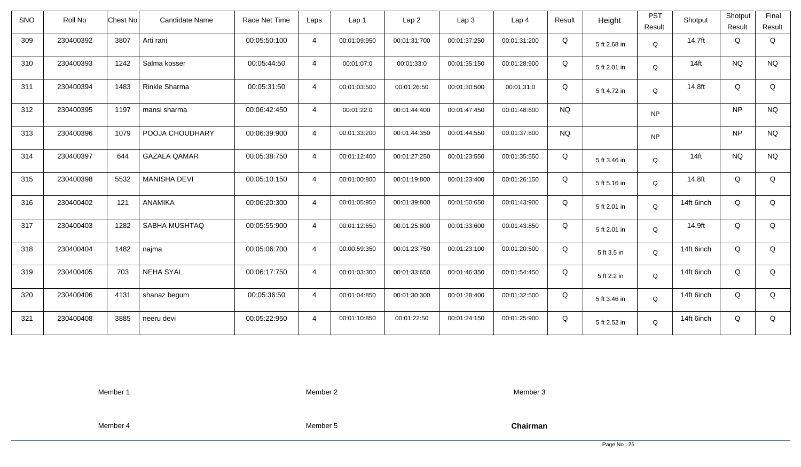| <b>SNO</b> | Roll No   | Chest No | Candidate Name      | Race Net Time | Laps           | Lap 1        | Lap <sub>2</sub> | Lap3         | Lap <sub>4</sub> | Result    | Height       | <b>PST</b><br>Result | Shotput    | Shotput<br>Result | Final<br>Result |
|------------|-----------|----------|---------------------|---------------|----------------|--------------|------------------|--------------|------------------|-----------|--------------|----------------------|------------|-------------------|-----------------|
| 309        | 230400392 | 3807     | Arti rani           | 00:05:50:100  | $\overline{4}$ | 00:01:09:950 | 00:01:31:700     | 00:01:37:250 | 00:01:31:200     | Q         | 5 ft 2.68 in | Q                    | 14.7ft     | Q                 | Q               |
| 310        | 230400393 | 1242     | Salma kosser        | 00:05:44:50   | $\overline{4}$ | 00:01:07:0   | 00:01:33:0       | 00:01:35:150 | 00:01:28:900     | Q         | 5 ft 2.01 in | Q                    | $14$ ft    | <b>NQ</b>         | <b>NQ</b>       |
| 311        | 230400394 | 1483     | Rinkle Sharma       | 00:05:31:50   | $\overline{4}$ | 00:01:03:500 | 00:01:26:50      | 00:01:30:500 | 00:01:31:0       | Q         | 5 ft 4.72 in | Q                    | 14.8ft     | Q                 | Q               |
| 312        | 230400395 | 1197     | mansi sharma        | 00:06:42:450  | $\overline{4}$ | 00:01:22:0   | 00:01:44:400     | 00:01:47:450 | 00:01:48:600     | <b>NQ</b> |              | <b>NP</b>            |            | <b>NP</b>         | <b>NQ</b>       |
| 313        | 230400396 | 1079     | POOJA CHOUDHARY     | 00:06:39:900  | $\overline{4}$ | 00:01:33:200 | 00:01:44:350     | 00:01:44:550 | 00:01:37:800     | <b>NQ</b> |              | <b>NP</b>            |            | <b>NP</b>         | <b>NQ</b>       |
| 314        | 230400397 | 644      | <b>GAZALA QAMAR</b> | 00:05:38:750  | $\overline{4}$ | 00:01:12:400 | 00:01:27:250     | 00:01:23:550 | 00:01:35:550     | Q         | 5 ft 3.46 in | $\mathsf Q$          | $14$ ft    | <b>NQ</b>         | <b>NQ</b>       |
| 315        | 230400398 | 5532     | <b>MANISHA DEVI</b> | 00:05:10:150  | $\overline{4}$ | 00:01:00:800 | 00:01:19:800     | 00:01:23:400 | 00:01:26:150     | Q         | 5 ft 5.16 in | Q                    | 14.8ft     | Q                 | Q               |
| 316        | 230400402 | 121      | <b>ANAMIKA</b>      | 00:06:20:300  | $\overline{4}$ | 00:01:05:950 | 00:01:39:800     | 00:01:50:650 | 00:01:43:900     | Q         | 5 ft 2.01 in | Q                    | 14ft 6inch | Q                 | Q               |
| 317        | 230400403 | 1282     | SABHA MUSHTAQ       | 00:05:55:900  | $\overline{4}$ | 00:01:12:650 | 00:01:25:800     | 00:01:33:600 | 00:01:43:850     | Q         | 5 ft 2.01 in | $\mathsf Q$          | 14.9ft     | Q                 | Q               |
| 318        | 230400404 | 1482     | najma               | 00:05:06:700  | $\overline{4}$ | 00:00:59:350 | 00:01:23:750     | 00:01:23:100 | 00:01:20:500     | Q         | 5 ft 3.5 in  | Q                    | 14ft 6inch | Q                 | Q               |
| 319        | 230400405 | 703      | <b>NEHA SYAL</b>    | 00:06:17:750  | $\overline{4}$ | 00:01:03:300 | 00:01:33:650     | 00:01:46:350 | 00:01:54:450     | Q         | 5 ft 2.2 in  | Q                    | 14ft 6inch | Q                 | Q               |
| 320        | 230400406 | 4131     | shanaz begum        | 00:05:36:50   | $\overline{4}$ | 00:01:04:850 | 00:01:30:300     | 00:01:28:400 | 00:01:32:500     | Q         | 5 ft 3.46 in | Q                    | 14ft 6inch | Q                 | Q               |
| 321        | 230400408 | 3885     | neeru devi          | 00:05:22:950  | $\overline{4}$ | 00:01:10:850 | 00:01:22:50      | 00:01:24:150 | 00:01:25:900     | Q         | 5 ft 2.52 in | Q                    | 14ft 6inch | Q                 | Q               |

Member 2

Member 3

Member 4

Member 5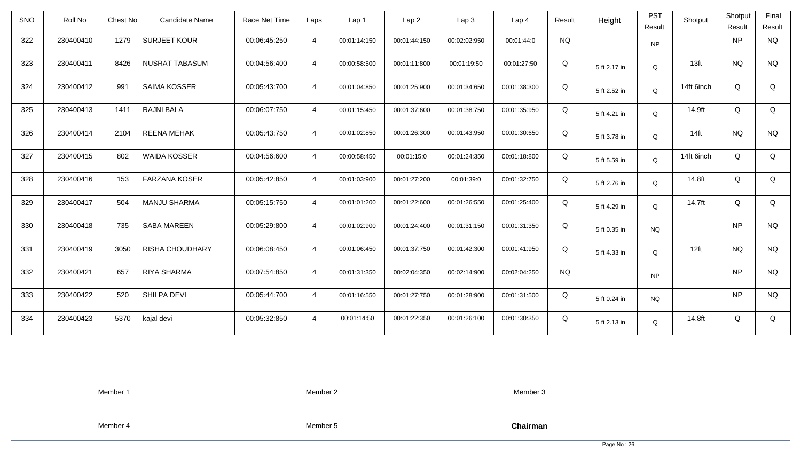| <b>SNO</b> | Roll No   | <b>Chest No</b> | Candidate Name         | Race Net Time | Laps           | Lap <sub>1</sub> | Lap <sub>2</sub> | Lap <sub>3</sub> | Lap <sub>4</sub> | Result    | Height       | <b>PST</b><br>Result | Shotput          | Shotput<br>Result | Final<br>Result |
|------------|-----------|-----------------|------------------------|---------------|----------------|------------------|------------------|------------------|------------------|-----------|--------------|----------------------|------------------|-------------------|-----------------|
| 322        | 230400410 | 1279            | <b>SURJEET KOUR</b>    | 00:06:45:250  | $\overline{4}$ | 00:01:14:150     | 00:01:44:150     | 00:02:02:950     | 00:01:44:0       | <b>NQ</b> |              | <b>NP</b>            |                  | <b>NP</b>         | <b>NQ</b>       |
| 323        | 230400411 | 8426            | <b>NUSRAT TABASUM</b>  | 00:04:56:400  | $\overline{4}$ | 00:00:58:500     | 00:01:11:800     | 00:01:19:50      | 00:01:27:50      | Q         | 5 ft 2.17 in | Q                    | 13 <sub>ft</sub> | <b>NQ</b>         | <b>NQ</b>       |
| 324        | 230400412 | 991             | SAIMA KOSSER           | 00:05:43:700  | $\overline{4}$ | 00:01:04:850     | 00:01:25:900     | 00:01:34:650     | 00:01:38:300     | Q         | 5 ft 2.52 in | Q                    | 14ft 6inch       | Q                 | Q               |
| 325        | 230400413 | 1411            | <b>RAJNI BALA</b>      | 00:06:07:750  | $\overline{4}$ | 00:01:15:450     | 00:01:37:600     | 00:01:38:750     | 00:01:35:950     | Q         | 5 ft 4.21 in | Q                    | 14.9ft           | Q                 | Q               |
| 326        | 230400414 | 2104            | <b>REENA MEHAK</b>     | 00:05:43:750  | $\overline{4}$ | 00:01:02:850     | 00:01:26:300     | 00:01:43:950     | 00:01:30:650     | Q         | 5 ft 3.78 in | Q                    | $14$ ft          | <b>NQ</b>         | <b>NQ</b>       |
| 327        | 230400415 | 802             | <b>WAIDA KOSSER</b>    | 00:04:56:600  | $\overline{4}$ | 00:00:58:450     | 00:01:15:0       | 00:01:24:350     | 00:01:18:800     | Q         | 5 ft 5.59 in | Q                    | 14ft 6inch       | Q                 | Q               |
| 328        | 230400416 | 153             | <b>FARZANA KOSER</b>   | 00:05:42:850  | $\overline{4}$ | 00:01:03:900     | 00:01:27:200     | 00:01:39:0       | 00:01:32:750     | Q         | 5 ft 2.76 in | Q                    | 14.8ft           | Q                 | Q               |
| 329        | 230400417 | 504             | <b>MANJU SHARMA</b>    | 00:05:15:750  | $\overline{4}$ | 00:01:01:200     | 00:01:22:600     | 00:01:26:550     | 00:01:25:400     | Q         | 5 ft 4.29 in | Q                    | 14.7ft           | Q                 | Q               |
| 330        | 230400418 | 735             | <b>SABA MAREEN</b>     | 00:05:29:800  | $\overline{4}$ | 00:01:02:900     | 00:01:24:400     | 00:01:31:150     | 00:01:31:350     | Q         | 5 ft 0.35 in | <b>NQ</b>            |                  | <b>NP</b>         | <b>NQ</b>       |
| 331        | 230400419 | 3050            | <b>RISHA CHOUDHARY</b> | 00:06:08:450  | $\overline{4}$ | 00:01:06:450     | 00:01:37:750     | 00:01:42:300     | 00:01:41:950     | Q         | 5 ft 4.33 in | Q                    | 12ft             | <b>NQ</b>         | <b>NQ</b>       |
| 332        | 230400421 | 657             | <b>RIYA SHARMA</b>     | 00:07:54:850  | $\overline{4}$ | 00:01:31:350     | 00:02:04:350     | 00:02:14:900     | 00:02:04:250     | <b>NQ</b> |              | <b>NP</b>            |                  | <b>NP</b>         | <b>NQ</b>       |
| 333        | 230400422 | 520             | SHILPA DEVI            | 00:05:44:700  | $\overline{4}$ | 00:01:16:550     | 00:01:27:750     | 00:01:28:900     | 00:01:31:500     | Q         | 5 ft 0.24 in | <b>NQ</b>            |                  | <b>NP</b>         | <b>NQ</b>       |
| 334        | 230400423 | 5370            | kajal devi             | 00:05:32:850  | $\overline{4}$ | 00:01:14:50      | 00:01:22:350     | 00:01:26:100     | 00:01:30:350     | Q         | 5 ft 2.13 in | Q                    | 14.8ft           | Q                 | Q               |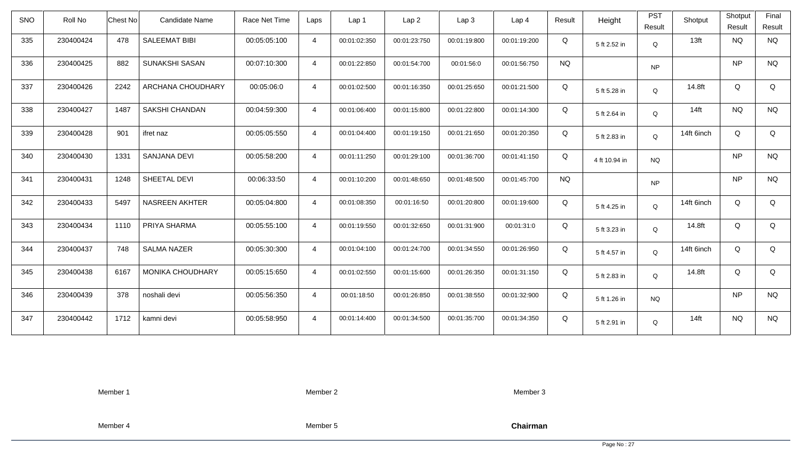| SNO | Roll No   | <b>Chest No</b> | <b>Candidate Name</b>   | Race Net Time | Laps           | Lap <sub>1</sub> | Lap <sub>2</sub> | Lap3         | Lap <sub>4</sub> | Result    | Height        | <b>PST</b><br>Result | Shotput    | Shotput<br>Result | Final<br>Result |
|-----|-----------|-----------------|-------------------------|---------------|----------------|------------------|------------------|--------------|------------------|-----------|---------------|----------------------|------------|-------------------|-----------------|
| 335 | 230400424 | 478             | <b>SALEEMAT BIBI</b>    | 00:05:05:100  | $\overline{4}$ | 00:01:02:350     | 00:01:23:750     | 00:01:19:800 | 00:01:19:200     | Q         | 5 ft 2.52 in  | Q                    | 13ft       | <b>NQ</b>         | <b>NQ</b>       |
| 336 | 230400425 | 882             | SUNAKSHI SASAN          | 00:07:10:300  | $\overline{4}$ | 00:01:22:850     | 00:01:54:700     | 00:01:56:0   | 00:01:56:750     | <b>NQ</b> |               | <b>NP</b>            |            | <b>NP</b>         | <b>NQ</b>       |
| 337 | 230400426 | 2242            | ARCHANA CHOUDHARY       | 00:05:06:0    | $\overline{4}$ | 00:01:02:500     | 00:01:16:350     | 00:01:25:650 | 00:01:21:500     | Q         | 5 ft 5.28 in  | Q                    | 14.8ft     | Q                 | Q               |
| 338 | 230400427 | 1487            | SAKSHI CHANDAN          | 00:04:59:300  | $\overline{4}$ | 00:01:06:400     | 00:01:15:800     | 00:01:22:800 | 00:01:14:300     | Q         | 5 ft 2.64 in  | Q                    | $14$ ft    | <b>NQ</b>         | <b>NQ</b>       |
| 339 | 230400428 | 901             | ifret naz               | 00:05:05:550  | $\overline{4}$ | 00:01:04:400     | 00:01:19:150     | 00:01:21:650 | 00:01:20:350     | Q         | 5 ft 2.83 in  | Q                    | 14ft 6inch | Q                 | Q               |
| 340 | 230400430 | 1331            | SANJANA DEVI            | 00:05:58:200  | $\overline{4}$ | 00:01:11:250     | 00:01:29:100     | 00:01:36:700 | 00:01:41:150     | Q         | 4 ft 10.94 in | <b>NQ</b>            |            | <b>NP</b>         | <b>NQ</b>       |
| 341 | 230400431 | 1248            | SHEETAL DEVI            | 00:06:33:50   | $\overline{4}$ | 00:01:10:200     | 00:01:48:650     | 00:01:48:500 | 00:01:45:700     | <b>NQ</b> |               | <b>NP</b>            |            | <b>NP</b>         | <b>NQ</b>       |
| 342 | 230400433 | 5497            | <b>NASREEN AKHTER</b>   | 00:05:04:800  | 4              | 00:01:08:350     | 00:01:16:50      | 00:01:20:800 | 00:01:19:600     | Q         | 5 ft 4.25 in  | Q                    | 14ft 6inch | Q                 | Q               |
| 343 | 230400434 | 1110            | PRIYA SHARMA            | 00:05:55:100  | $\overline{4}$ | 00:01:19:550     | 00:01:32:650     | 00:01:31:900 | 00:01:31:0       | Q         | 5 ft 3.23 in  | Q                    | 14.8ft     | Q                 | Q               |
| 344 | 230400437 | 748             | <b>SALMA NAZER</b>      | 00:05:30:300  | $\overline{4}$ | 00:01:04:100     | 00:01:24:700     | 00:01:34:550 | 00:01:26:950     | Q         | 5 ft 4.57 in  | Q                    | 14ft 6inch | Q                 | Q               |
| 345 | 230400438 | 6167            | <b>MONIKA CHOUDHARY</b> | 00:05:15:650  | $\overline{4}$ | 00:01:02:550     | 00:01:15:600     | 00:01:26:350 | 00:01:31:150     | Q         | 5 ft 2.83 in  | Q                    | 14.8ft     | Q                 | Q               |
| 346 | 230400439 | 378             | noshali devi            | 00:05:56:350  | $\overline{4}$ | 00:01:18:50      | 00:01:26:850     | 00:01:38:550 | 00:01:32:900     | Q         | 5 ft 1.26 in  | <b>NQ</b>            |            | <b>NP</b>         | <b>NQ</b>       |
| 347 | 230400442 | 1712            | kamni devi              | 00:05:58:950  | $\overline{4}$ | 00:01:14:400     | 00:01:34:500     | 00:01:35:700 | 00:01:34:350     | Q         | 5 ft 2.91 in  | Q                    | $14$ ft    | <b>NQ</b>         | <b>NQ</b>       |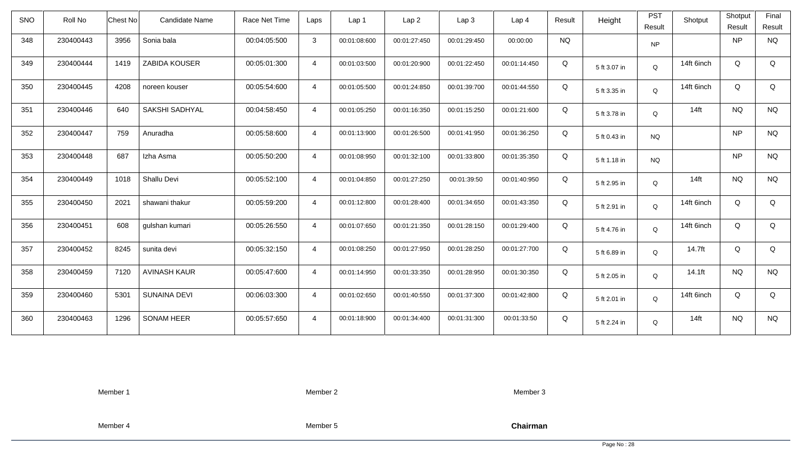| <b>SNO</b> | Roll No   | <b>Chest No</b> | <b>Candidate Name</b> | Race Net Time | Laps           | Lap 1        | Lap <sub>2</sub> | Lap3         | Lap <sub>4</sub> | Result    | Height       | <b>PST</b><br>Result | Shotput    | Shotput<br>Result | Final<br>Result |
|------------|-----------|-----------------|-----------------------|---------------|----------------|--------------|------------------|--------------|------------------|-----------|--------------|----------------------|------------|-------------------|-----------------|
| 348        | 230400443 | 3956            | Sonia bala            | 00:04:05:500  | $\mathbf{3}$   | 00:01:08:600 | 00:01:27:450     | 00:01:29:450 | 00:00:00         | <b>NQ</b> |              | <b>NP</b>            |            | <b>NP</b>         | <b>NQ</b>       |
| 349        | 230400444 | 1419            | ZABIDA KOUSER         | 00:05:01:300  | $\overline{4}$ | 00:01:03:500 | 00:01:20:900     | 00:01:22:450 | 00:01:14:450     | Q         | 5 ft 3.07 in | Q                    | 14ft 6inch | Q                 | Q               |
| 350        | 230400445 | 4208            | noreen kouser         | 00:05:54:600  | $\overline{4}$ | 00:01:05:500 | 00:01:24:850     | 00:01:39:700 | 00:01:44:550     | Q         | 5 ft 3.35 in | Q                    | 14ft 6inch | Q                 | Q               |
| 351        | 230400446 | 640             | SAKSHI SADHYAL        | 00:04:58:450  | $\overline{4}$ | 00:01:05:250 | 00:01:16:350     | 00:01:15:250 | 00:01:21:600     | Q         | 5 ft 3.78 in | Q                    | $14$ ft    | <b>NQ</b>         | <b>NQ</b>       |
| 352        | 230400447 | 759             | Anuradha              | 00:05:58:600  | $\overline{4}$ | 00:01:13:900 | 00:01:26:500     | 00:01:41:950 | 00:01:36:250     | Q         | 5 ft 0.43 in | <b>NQ</b>            |            | <b>NP</b>         | <b>NQ</b>       |
| 353        | 230400448 | 687             | Izha Asma             | 00:05:50:200  | $\overline{4}$ | 00:01:08:950 | 00:01:32:100     | 00:01:33:800 | 00:01:35:350     | Q         | 5 ft 1.18 in | <b>NQ</b>            |            | <b>NP</b>         | <b>NQ</b>       |
| 354        | 230400449 | 1018            | Shallu Devi           | 00:05:52:100  | $\overline{4}$ | 00:01:04:850 | 00:01:27:250     | 00:01:39:50  | 00:01:40:950     | Q         | 5 ft 2.95 in | Q                    | $14$ ft    | <b>NQ</b>         | <b>NQ</b>       |
| 355        | 230400450 | 2021            | shawani thakur        | 00:05:59:200  | $\overline{4}$ | 00:01:12:800 | 00:01:28:400     | 00:01:34:650 | 00:01:43:350     | Q         | 5 ft 2.91 in | Q                    | 14ft 6inch | Q                 | Q               |
| 356        | 230400451 | 608             | gulshan kumari        | 00:05:26:550  | $\overline{4}$ | 00:01:07:650 | 00:01:21:350     | 00:01:28:150 | 00:01:29:400     | Q         | 5 ft 4.76 in | Q                    | 14ft 6inch | Q                 | Q               |
| 357        | 230400452 | 8245            | sunita devi           | 00:05:32:150  | $\overline{4}$ | 00:01:08:250 | 00:01:27:950     | 00:01:28:250 | 00:01:27:700     | Q         | 5 ft 6.89 in | Q                    | 14.7ft     | Q                 | Q               |
| 358        | 230400459 | 7120            | <b>AVINASH KAUR</b>   | 00:05:47:600  | $\overline{4}$ | 00:01:14:950 | 00:01:33:350     | 00:01:28:950 | 00:01:30:350     | Q         | 5 ft 2.05 in | Q                    | $14.1$ ft  | <b>NQ</b>         | <b>NQ</b>       |
| 359        | 230400460 | 5301            | <b>SUNAINA DEVI</b>   | 00:06:03:300  | $\overline{4}$ | 00:01:02:650 | 00:01:40:550     | 00:01:37:300 | 00:01:42:800     | Q         | 5 ft 2.01 in | Q                    | 14ft 6inch | Q                 | Q               |
| 360        | 230400463 | 1296            | <b>SONAM HEER</b>     | 00:05:57:650  | $\overline{4}$ | 00:01:18:900 | 00:01:34:400     | 00:01:31:300 | 00:01:33:50      | Q         | 5 ft 2.24 in | Q                    | $14$ ft    | <b>NQ</b>         | <b>NQ</b>       |

Member 2

Member 3

Member 4

Member 5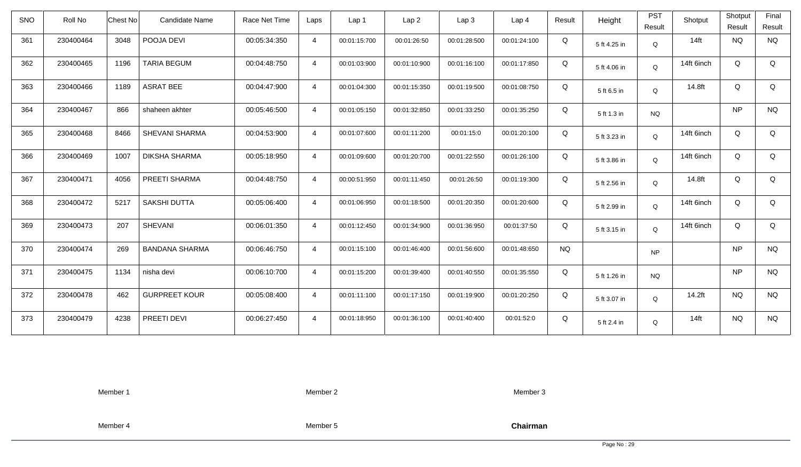| <b>SNO</b> | Roll No   | Chest No<br><b>Candidate Name</b> | Race Net Time | Laps           | Lap 1        | Lap <sub>2</sub> | Lap3         | Lap <sub>4</sub> | Result    | Height       | <b>PST</b><br>Result | Shotput    | Shotput<br>Result | Final<br>Result |
|------------|-----------|-----------------------------------|---------------|----------------|--------------|------------------|--------------|------------------|-----------|--------------|----------------------|------------|-------------------|-----------------|
| 361        | 230400464 | 3048<br>POOJA DEVI                | 00:05:34:350  | $\overline{4}$ | 00:01:15:700 | 00:01:26:50      | 00:01:28:500 | 00:01:24:100     | Q         | 5 ft 4.25 in | Q                    | $14$ ft    | <b>NQ</b>         | <b>NQ</b>       |
| 362        | 230400465 | 1196<br><b>TARIA BEGUM</b>        | 00:04:48:750  | $\overline{4}$ | 00:01:03:900 | 00:01:10:900     | 00:01:16:100 | 00:01:17:850     | Q         | 5 ft 4.06 in | Q                    | 14ft 6inch | Q                 | Q               |
| 363        | 230400466 | <b>ASRAT BEE</b><br>1189          | 00:04:47:900  | $\overline{4}$ | 00:01:04:300 | 00:01:15:350     | 00:01:19:500 | 00:01:08:750     | Q         | 5 ft 6.5 in  | Q                    | 14.8ft     | Q                 | Q               |
| 364        | 230400467 | 866<br>shaheen akhter             | 00:05:46:500  | $\overline{4}$ | 00:01:05:150 | 00:01:32:850     | 00:01:33:250 | 00:01:35:250     | Q         | 5 ft 1.3 in  | <b>NQ</b>            |            | <b>NP</b>         | <b>NQ</b>       |
| 365        | 230400468 | 8466<br>SHEVANI SHARMA            | 00:04:53:900  | $\overline{4}$ | 00:01:07:600 | 00:01:11:200     | 00:01:15:0   | 00:01:20:100     | Q         | 5 ft 3.23 in | Q                    | 14ft 6inch | Q                 | Q               |
| 366        | 230400469 | 1007<br><b>DIKSHA SHARMA</b>      | 00:05:18:950  | $\overline{4}$ | 00:01:09:600 | 00:01:20:700     | 00:01:22:550 | 00:01:26:100     | Q         | 5 ft 3.86 in | Q                    | 14ft 6inch | Q                 | Q               |
| 367        | 230400471 | 4056<br>PREETI SHARMA             | 00:04:48:750  | $\overline{4}$ | 00:00:51:950 | 00:01:11:450     | 00:01:26:50  | 00:01:19:300     | Q         | 5 ft 2.56 in | Q                    | 14.8ft     | Q                 | Q               |
| 368        | 230400472 | 5217<br><b>SAKSHI DUTTA</b>       | 00:05:06:400  | $\overline{4}$ | 00:01:06:950 | 00:01:18:500     | 00:01:20:350 | 00:01:20:600     | Q         | 5 ft 2.99 in | Q                    | 14ft 6inch | Q                 | Q               |
| 369        | 230400473 | <b>SHEVANI</b><br>207             | 00:06:01:350  | $\overline{4}$ | 00:01:12:450 | 00:01:34:900     | 00:01:36:950 | 00:01:37:50      | Q         | 5 ft 3.15 in | Q                    | 14ft 6inch | Q                 | Q               |
| 370        | 230400474 | 269<br><b>BANDANA SHARMA</b>      | 00:06:46:750  | $\overline{4}$ | 00:01:15:100 | 00:01:46:400     | 00:01:56:600 | 00:01:48:650     | <b>NQ</b> |              | <b>NP</b>            |            | <b>NP</b>         | <b>NQ</b>       |
| 371        | 230400475 | 1134<br>nisha devi                | 00:06:10:700  | $\overline{4}$ | 00:01:15:200 | 00:01:39:400     | 00:01:40:550 | 00:01:35:550     | Q         | 5 ft 1.26 in | <b>NQ</b>            |            | <b>NP</b>         | <b>NQ</b>       |
| 372        | 230400478 | <b>GURPREET KOUR</b><br>462       | 00:05:08:400  | $\overline{4}$ | 00:01:11:100 | 00:01:17:150     | 00:01:19:900 | 00:01:20:250     | Q         | 5 ft 3.07 in | Q                    | 14.2ft     | <b>NQ</b>         | <b>NQ</b>       |
| 373        | 230400479 | 4238<br>PREETI DEVI               | 00:06:27:450  | $\overline{4}$ | 00:01:18:950 | 00:01:36:100     | 00:01:40:400 | 00:01:52:0       | Q         | 5 ft 2.4 in  | Q                    | $14$ ft    | <b>NQ</b>         | <b>NQ</b>       |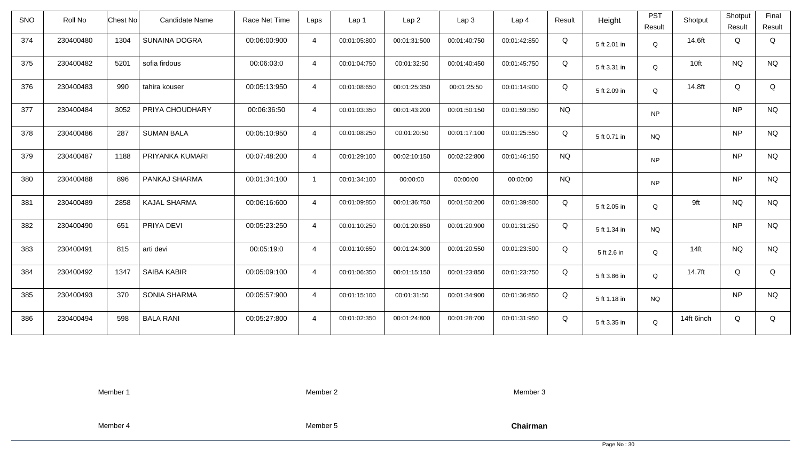| <b>SNO</b> | Roll No   | Candidate Name<br>Chest No   | Race Net Time | Laps           | Lap <sub>1</sub> | Lap2         | Lap 3        | Lap <sub>4</sub> | Result    | Height       | <b>PST</b><br>Result | Shotput    | Shotput<br>Result | Final<br>Result |
|------------|-----------|------------------------------|---------------|----------------|------------------|--------------|--------------|------------------|-----------|--------------|----------------------|------------|-------------------|-----------------|
| 374        | 230400480 | 1304<br><b>SUNAINA DOGRA</b> | 00:06:00:900  | $\overline{4}$ | 00:01:05:800     | 00:01:31:500 | 00:01:40:750 | 00:01:42:850     | Q         | 5 ft 2.01 in | Q                    | 14.6ft     | Q                 | Q               |
| 375        | 230400482 | 5201<br>sofia firdous        | 00:06:03:0    | $\overline{4}$ | 00:01:04:750     | 00:01:32:50  | 00:01:40:450 | 00:01:45:750     | Q         | 5 ft 3.31 in | Q                    | 10ft       | <b>NQ</b>         | <b>NQ</b>       |
| 376        | 230400483 | 990<br>tahira kouser         | 00:05:13:950  | $\overline{4}$ | 00:01:08:650     | 00:01:25:350 | 00:01:25:50  | 00:01:14:900     | Q         | 5 ft 2.09 in | Q                    | 14.8ft     | Q                 | Q               |
| 377        | 230400484 | 3052<br>PRIYA CHOUDHARY      | 00:06:36:50   | $\overline{4}$ | 00:01:03:350     | 00:01:43:200 | 00:01:50:150 | 00:01:59:350     | <b>NQ</b> |              | <b>NP</b>            |            | NP                | <b>NQ</b>       |
| 378        | 230400486 | 287<br><b>SUMAN BALA</b>     | 00:05:10:950  | $\overline{4}$ | 00:01:08:250     | 00:01:20:50  | 00:01:17:100 | 00:01:25:550     | Q         | 5 ft 0.71 in | <b>NQ</b>            |            | <b>NP</b>         | <b>NQ</b>       |
| 379        | 230400487 | PRIYANKA KUMARI<br>1188      | 00:07:48:200  | $\overline{4}$ | 00:01:29:100     | 00:02:10:150 | 00:02:22:800 | 00:01:46:150     | <b>NQ</b> |              | <b>NP</b>            |            | NP                | <b>NQ</b>       |
| 380        | 230400488 | 896<br>PANKAJ SHARMA         | 00:01:34:100  | $\mathbf{1}$   | 00:01:34:100     | 00:00:00     | 00:00:00     | 00:00:00         | <b>NQ</b> |              | <b>NP</b>            |            | NP                | <b>NQ</b>       |
| 381        | 230400489 | 2858<br><b>KAJAL SHARMA</b>  | 00:06:16:600  | $\overline{4}$ | 00:01:09:850     | 00:01:36:750 | 00:01:50:200 | 00:01:39:800     | Q         | 5 ft 2.05 in | Q                    | 9ft        | <b>NQ</b>         | <b>NQ</b>       |
| 382        | 230400490 | PRIYA DEVI<br>651            | 00:05:23:250  | $\overline{4}$ | 00:01:10:250     | 00:01:20:850 | 00:01:20:900 | 00:01:31:250     | Q         | 5 ft 1.34 in | <b>NQ</b>            |            | NP                | <b>NQ</b>       |
| 383        | 230400491 | 815<br>arti devi             | 00:05:19:0    | $\overline{4}$ | 00:01:10:650     | 00:01:24:300 | 00:01:20:550 | 00:01:23:500     | Q         | 5 ft 2.6 in  | Q                    | $14$ ft    | <b>NQ</b>         | <b>NQ</b>       |
| 384        | 230400492 | <b>SAIBA KABIR</b><br>1347   | 00:05:09:100  | $\overline{4}$ | 00:01:06:350     | 00:01:15:150 | 00:01:23:850 | 00:01:23:750     | Q         | 5 ft 3.86 in | Q                    | 14.7ft     | Q                 | Q               |
| 385        | 230400493 | 370<br><b>SONIA SHARMA</b>   | 00:05:57:900  | $\overline{4}$ | 00:01:15:100     | 00:01:31:50  | 00:01:34:900 | 00:01:36:850     | Q         | 5 ft 1.18 in | <b>NQ</b>            |            | NP                | <b>NQ</b>       |
| 386        | 230400494 | 598<br><b>BALA RANI</b>      | 00:05:27:800  | $\overline{4}$ | 00:01:02:350     | 00:01:24:800 | 00:01:28:700 | 00:01:31:950     | Q         | 5 ft 3.35 in | Q                    | 14ft 6inch | Q                 | Q               |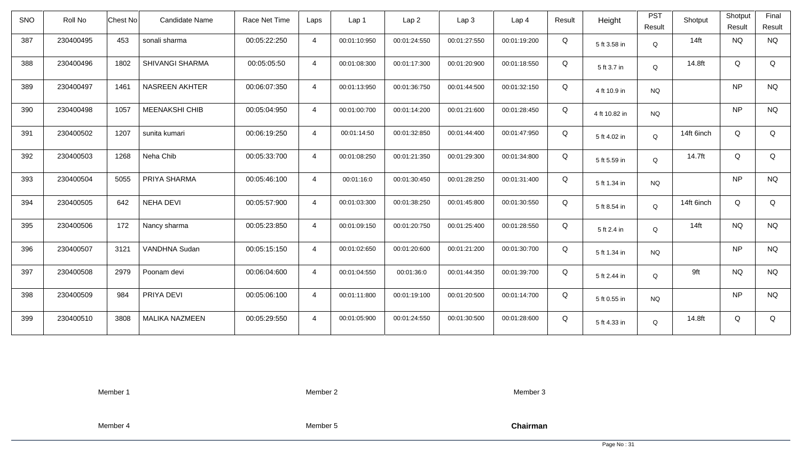| <b>SNO</b> | Roll No   | Candidate Name<br>Chest No    | Race Net Time | Laps           | Lap 1        | Lap <sub>2</sub> | Lap3         | Lap <sub>4</sub> | Result | Height        | <b>PST</b><br>Result | Shotput    | Shotput<br>Result | Final<br>Result |
|------------|-----------|-------------------------------|---------------|----------------|--------------|------------------|--------------|------------------|--------|---------------|----------------------|------------|-------------------|-----------------|
| 387        | 230400495 | 453<br>sonali sharma          | 00:05:22:250  | $\overline{4}$ | 00:01:10:950 | 00:01:24:550     | 00:01:27:550 | 00:01:19:200     | Q      | 5 ft 3.58 in  | Q                    | $14$ ft    | <b>NQ</b>         | <b>NQ</b>       |
| 388        | 230400496 | SHIVANGI SHARMA<br>1802       | 00:05:05:50   | $\overline{4}$ | 00:01:08:300 | 00:01:17:300     | 00:01:20:900 | 00:01:18:550     | Q      | 5 ft 3.7 in   | Q                    | 14.8ft     | Q                 | Q               |
| 389        | 230400497 | <b>NASREEN AKHTER</b><br>1461 | 00:06:07:350  | $\overline{4}$ | 00:01:13:950 | 00:01:36:750     | 00:01:44:500 | 00:01:32:150     | Q      | 4 ft 10.9 in  | <b>NQ</b>            |            | <b>NP</b>         | <b>NQ</b>       |
| 390        | 230400498 | 1057<br><b>MEENAKSHI CHIB</b> | 00:05:04:950  | $\overline{4}$ | 00:01:00:700 | 00:01:14:200     | 00:01:21:600 | 00:01:28:450     | Q      | 4 ft 10.82 in | <b>NQ</b>            |            | <b>NP</b>         | <b>NQ</b>       |
| 391        | 230400502 | sunita kumari<br>1207         | 00:06:19:250  | $\overline{4}$ | 00:01:14:50  | 00:01:32:850     | 00:01:44:400 | 00:01:47:950     | Q      | 5 ft 4.02 in  | Q                    | 14ft 6inch | Q                 | Q               |
| 392        | 230400503 | Neha Chib<br>1268             | 00:05:33:700  | $\overline{4}$ | 00:01:08:250 | 00:01:21:350     | 00:01:29:300 | 00:01:34:800     | Q      | 5 ft 5.59 in  | $\mathsf Q$          | 14.7ft     | Q                 | Q               |
| 393        | 230400504 | 5055<br>PRIYA SHARMA          | 00:05:46:100  | $\overline{4}$ | 00:01:16:0   | 00:01:30:450     | 00:01:28:250 | 00:01:31:400     | Q      | 5 ft 1.34 in  | <b>NQ</b>            |            | <b>NP</b>         | <b>NQ</b>       |
| 394        | 230400505 | <b>NEHA DEVI</b><br>642       | 00:05:57:900  | $\overline{4}$ | 00:01:03:300 | 00:01:38:250     | 00:01:45:800 | 00:01:30:550     | Q      | 5 ft 8.54 in  | Q                    | 14ft 6inch | Q                 | Q               |
| 395        | 230400506 | 172<br>Nancy sharma           | 00:05:23:850  | $\overline{4}$ | 00:01:09:150 | 00:01:20:750     | 00:01:25:400 | 00:01:28:550     | Q      | 5 ft 2.4 in   | $\mathsf Q$          | $14$ ft    | <b>NQ</b>         | <b>NQ</b>       |
| 396        | 230400507 | 3121<br>VANDHNA Sudan         | 00:05:15:150  | $\overline{4}$ | 00:01:02:650 | 00:01:20:600     | 00:01:21:200 | 00:01:30:700     | Q      | 5 ft 1.34 in  | <b>NQ</b>            |            | <b>NP</b>         | <b>NQ</b>       |
| 397        | 230400508 | 2979<br>Poonam devi           | 00:06:04:600  | $\overline{4}$ | 00:01:04:550 | 00:01:36:0       | 00:01:44:350 | 00:01:39:700     | Q      | 5 ft 2.44 in  | Q                    | 9ft        | <b>NQ</b>         | <b>NQ</b>       |
| 398        | 230400509 | PRIYA DEVI<br>984             | 00:05:06:100  | $\overline{4}$ | 00:01:11:800 | 00:01:19:100     | 00:01:20:500 | 00:01:14:700     | Q      | 5 ft 0.55 in  | <b>NQ</b>            |            | <b>NP</b>         | <b>NQ</b>       |
| 399        | 230400510 | 3808<br><b>MALIKA NAZMEEN</b> | 00:05:29:550  | $\overline{4}$ | 00:01:05:900 | 00:01:24:550     | 00:01:30:500 | 00:01:28:600     | Q      | 5 ft 4.33 in  | Q                    | 14.8ft     | Q                 | Q               |

Member 2

Member 3

Member 4

Member 5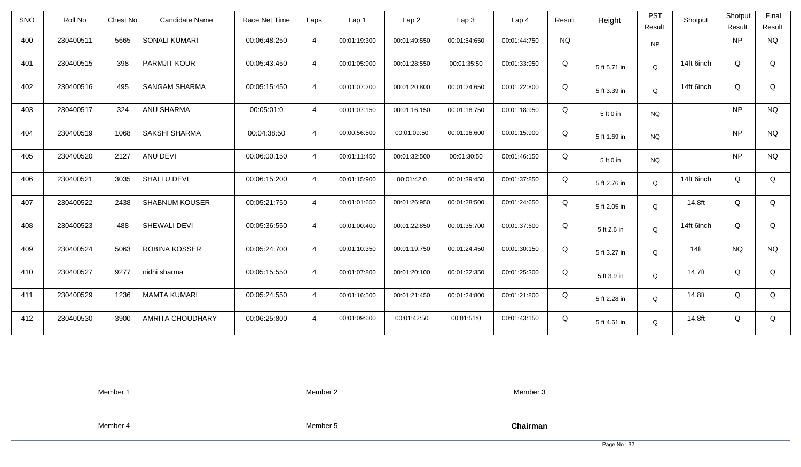| <b>SNO</b> | Roll No   | <b>Chest No</b> | <b>Candidate Name</b>   | Race Net Time | Laps           | Lap 1        | Lap <sub>2</sub> | Lap3         | Lap 4        | Result    | Height       | <b>PST</b><br>Result | Shotput    | Shotput<br>Result | Final<br>Result |
|------------|-----------|-----------------|-------------------------|---------------|----------------|--------------|------------------|--------------|--------------|-----------|--------------|----------------------|------------|-------------------|-----------------|
| 400        | 230400511 | 5665            | <b>SONALI KUMARI</b>    | 00:06:48:250  | $\overline{4}$ | 00:01:19:300 | 00:01:49:550     | 00:01:54:650 | 00:01:44:750 | <b>NQ</b> |              | <b>NP</b>            |            | <b>NP</b>         | <b>NQ</b>       |
| 401        | 230400515 | 398             | <b>PARMJIT KOUR</b>     | 00:05:43:450  | $\overline{4}$ | 00:01:05:900 | 00:01:28:550     | 00:01:35:50  | 00:01:33:950 | Q         | 5 ft 5.71 in | Q                    | 14ft 6inch | Q                 | Q               |
| 402        | 230400516 | 495             | <b>SANGAM SHARMA</b>    | 00:05:15:450  | $\overline{4}$ | 00:01:07:200 | 00:01:20:800     | 00:01:24:650 | 00:01:22:800 | Q         | 5 ft 3.39 in | Q                    | 14ft 6inch | Q                 | Q               |
| 403        | 230400517 | 324             | ANU SHARMA              | 00:05:01:0    | $\overline{4}$ | 00:01:07:150 | 00:01:16:150     | 00:01:18:750 | 00:01:18:950 | Q         | 5 ft 0 in    | <b>NQ</b>            |            | <b>NP</b>         | <b>NQ</b>       |
| 404        | 230400519 | 1068            | <b>SAKSHI SHARMA</b>    | 00:04:38:50   | $\overline{4}$ | 00:00:56:500 | 00:01:09:50      | 00:01:16:600 | 00:01:15:900 | Q         | 5 ft 1.69 in | NQ                   |            | <b>NP</b>         | <b>NQ</b>       |
| 405        | 230400520 | 2127            | ANU DEVI                | 00:06:00:150  | $\overline{4}$ | 00:01:11:450 | 00:01:32:500     | 00:01:30:50  | 00:01:46:150 | Q         | 5 ft 0 in    | NQ.                  |            | <b>NP</b>         | <b>NQ</b>       |
| 406        | 230400521 | 3035            | SHALLU DEVI             | 00:06:15:200  | $\overline{4}$ | 00:01:15:900 | 00:01:42:0       | 00:01:39:450 | 00:01:37:850 | Q         | 5 ft 2.76 in | Q                    | 14ft 6inch | Q                 | Q               |
| 407        | 230400522 | 2438            | <b>SHABNUM KOUSER</b>   | 00:05:21:750  | $\overline{4}$ | 00:01:01:650 | 00:01:26:950     | 00:01:28:500 | 00:01:24:650 | Q         | 5 ft 2.05 in | Q                    | 14.8ft     | Q                 | Q               |
| 408        | 230400523 | 488             | SHEWALI DEVI            | 00:05:36:550  | $\overline{4}$ | 00:01:00:400 | 00:01:22:850     | 00:01:35:700 | 00:01:37:600 | Q         | 5 ft 2.6 in  | $\mathsf Q$          | 14ft 6inch | Q                 | Q               |
| 409        | 230400524 | 5063            | <b>ROBINA KOSSER</b>    | 00:05:24:700  | $\overline{4}$ | 00:01:10:350 | 00:01:19:750     | 00:01:24:450 | 00:01:30:150 | Q         | 5 ft 3.27 in | Q                    | $14$ ft    | <b>NQ</b>         | <b>NQ</b>       |
| 410        | 230400527 | 9277            | nidhi sharma            | 00:05:15:550  | $\overline{4}$ | 00:01:07:800 | 00:01:20:100     | 00:01:22:350 | 00:01:25:300 | Q         | 5 ft 3.9 in  | Q                    | 14.7ft     | Q                 | Q               |
| 411        | 230400529 | 1236            | <b>MAMTA KUMARI</b>     | 00:05:24:550  | $\overline{4}$ | 00:01:16:500 | 00:01:21:450     | 00:01:24:800 | 00:01:21:800 | Q         | 5 ft 2.28 in | Q                    | 14.8ft     | Q                 | Q               |
| 412        | 230400530 | 3900            | <b>AMRITA CHOUDHARY</b> | 00:06:25:800  | $\overline{4}$ | 00:01:09:600 | 00:01:42:50      | 00:01:51:0   | 00:01:43:150 | Q         | 5 ft 4.61 in | Q                    | 14.8ft     | Q                 | Q               |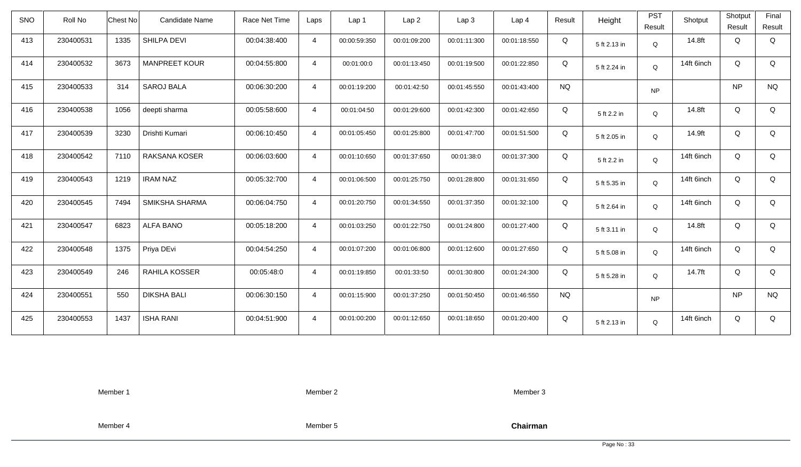| <b>SNO</b> | Roll No   | <b>Chest No</b> | Candidate Name       | Race Net Time | Laps           | Lap 1        | Lap <sub>2</sub> | Lap3         | Lap <sub>4</sub> | Result    | Height       | <b>PST</b><br>Result | Shotput    | Shotput<br>Result | Final<br>Result |
|------------|-----------|-----------------|----------------------|---------------|----------------|--------------|------------------|--------------|------------------|-----------|--------------|----------------------|------------|-------------------|-----------------|
| 413        | 230400531 | 1335            | SHILPA DEVI          | 00:04:38:400  | $\overline{4}$ | 00:00:59:350 | 00:01:09:200     | 00:01:11:300 | 00:01:18:550     | Q         | 5 ft 2.13 in | Q                    | 14.8ft     | Q                 | Q               |
| 414        | 230400532 | 3673            | <b>MANPREET KOUR</b> | 00:04:55:800  | $\overline{4}$ | 00:01:00:0   | 00:01:13:450     | 00:01:19:500 | 00:01:22:850     | Q         | 5 ft 2.24 in | Q                    | 14ft 6inch | Q                 | Q               |
| 415        | 230400533 | 314             | <b>SAROJ BALA</b>    | 00:06:30:200  | $\overline{4}$ | 00:01:19:200 | 00:01:42:50      | 00:01:45:550 | 00:01:43:400     | <b>NQ</b> |              | <b>NP</b>            |            | <b>NP</b>         | <b>NQ</b>       |
| 416        | 230400538 | 1056            | deepti sharma        | 00:05:58:600  | $\overline{4}$ | 00:01:04:50  | 00:01:29:600     | 00:01:42:300 | 00:01:42:650     | Q         | 5 ft 2.2 in  | Q                    | 14.8ft     | Q                 | Q               |
| 417        | 230400539 | 3230            | Drishti Kumari       | 00:06:10:450  | $\overline{4}$ | 00:01:05:450 | 00:01:25:800     | 00:01:47:700 | 00:01:51:500     | Q         | 5 ft 2.05 in | Q                    | 14.9ft     | Q                 | Q               |
| 418        | 230400542 | 7110            | RAKSANA KOSER        | 00:06:03:600  | $\overline{4}$ | 00:01:10:650 | 00:01:37:650     | 00:01:38:0   | 00:01:37:300     | Q         | 5 ft 2.2 in  | Q                    | 14ft 6inch | Q                 | Q               |
| 419        | 230400543 | 1219            | <b>IRAM NAZ</b>      | 00:05:32:700  | $\overline{4}$ | 00:01:06:500 | 00:01:25:750     | 00:01:28:800 | 00:01:31:650     | Q         | 5 ft 5.35 in | Q                    | 14ft 6inch | Q                 | Q               |
| 420        | 230400545 | 7494            | SMIKSHA SHARMA       | 00:06:04:750  | $\overline{4}$ | 00:01:20:750 | 00:01:34:550     | 00:01:37:350 | 00:01:32:100     | Q         | 5 ft 2.64 in | Q                    | 14ft 6inch | Q                 | Q               |
| 421        | 230400547 | 6823            | <b>ALFA BANO</b>     | 00:05:18:200  | $\overline{4}$ | 00:01:03:250 | 00:01:22:750     | 00:01:24:800 | 00:01:27:400     | Q         | 5 ft 3.11 in | Q                    | 14.8ft     | Q                 | Q               |
| 422        | 230400548 | 1375            | Priya DEvi           | 00:04:54:250  | $\overline{4}$ | 00:01:07:200 | 00:01:06:800     | 00:01:12:600 | 00:01:27:650     | Q         | 5 ft 5.08 in | Q                    | 14ft 6inch | Q                 | Q               |
| 423        | 230400549 | 246             | RAHILA KOSSER        | 00:05:48:0    | $\overline{4}$ | 00:01:19:850 | 00:01:33:50      | 00:01:30:800 | 00:01:24:300     | Q         | 5 ft 5.28 in | Q                    | 14.7ft     | Q                 | Q               |
| 424        | 230400551 | 550             | <b>DIKSHA BALI</b>   | 00:06:30:150  | $\overline{4}$ | 00:01:15:900 | 00:01:37:250     | 00:01:50:450 | 00:01:46:550     | <b>NQ</b> |              | <b>NP</b>            |            | <b>NP</b>         | <b>NQ</b>       |
| 425        | 230400553 | 1437            | <b>ISHA RANI</b>     | 00:04:51:900  | $\overline{4}$ | 00:01:00:200 | 00:01:12:650     | 00:01:18:650 | 00:01:20:400     | Q         | 5 ft 2.13 in | Q                    | 14ft 6inch | Q                 | Q               |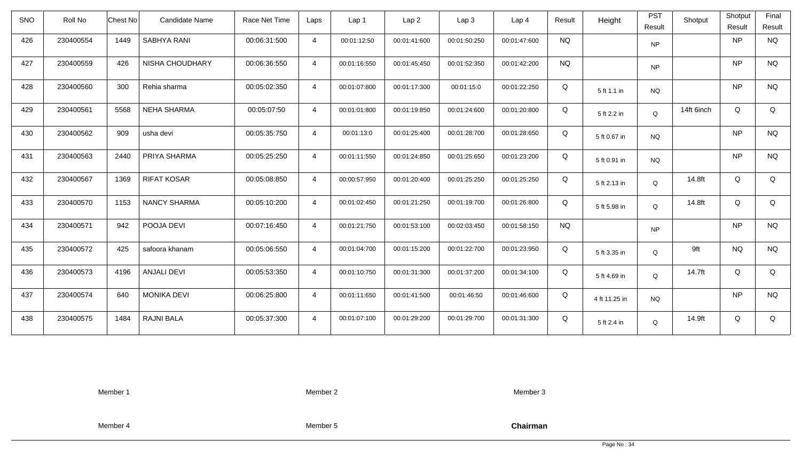| <b>SNO</b> | Roll No   | <b>Chest No</b> | Candidate Name      | Race Net Time | Laps           | Lap <sub>1</sub> | Lap <sub>2</sub> | Lap <sub>3</sub> | Lap <sub>4</sub> | Result    | Height        | <b>PST</b><br>Result | Shotput    | Shotput<br>Result | Final<br>Result |
|------------|-----------|-----------------|---------------------|---------------|----------------|------------------|------------------|------------------|------------------|-----------|---------------|----------------------|------------|-------------------|-----------------|
| 426        | 230400554 | 1449            | SABHYA RANI         | 00:06:31:500  | $\overline{4}$ | 00:01:12:50      | 00:01:41:600     | 00:01:50:250     | 00:01:47:600     | <b>NQ</b> |               | <b>NP</b>            |            | <b>NP</b>         | <b>NQ</b>       |
| 427        | 230400559 | 426             | NISHA CHOUDHARY     | 00:06:36:550  | $\overline{4}$ | 00:01:16:550     | 00:01:45:450     | 00:01:52:350     | 00:01:42:200     | <b>NQ</b> |               | <b>NP</b>            |            | <b>NP</b>         | <b>NQ</b>       |
| 428        | 230400560 | 300             | Rehia sharma        | 00:05:02:350  | $\overline{4}$ | 00:01:07:800     | 00:01:17:300     | 00:01:15:0       | 00:01:22:250     | Q         | 5 ft 1.1 in   | <b>NQ</b>            |            | <b>NP</b>         | <b>NQ</b>       |
| 429        | 230400561 | 5568            | <b>NEHA SHARMA</b>  | 00:05:07:50   | $\overline{4}$ | 00:01:01:800     | 00:01:19:850     | 00:01:24:600     | 00:01:20:800     | Q         | 5 ft 2.2 in   | Q                    | 14ft 6inch | Q                 | Q               |
| 430        | 230400562 | 909             | usha devi           | 00:05:35:750  | $\overline{4}$ | 00:01:13:0       | 00:01:25:400     | 00:01:28:700     | 00:01:28:650     | Q         | 5 ft 0.67 in  | <b>NQ</b>            |            | <b>NP</b>         | <b>NQ</b>       |
| 431        | 230400563 | 2440            | PRIYA SHARMA        | 00:05:25:250  | $\overline{4}$ | 00:01:11:550     | 00:01:24:850     | 00:01:25:650     | 00:01:23:200     | Q         | 5 ft 0.91 in  | <b>NQ</b>            |            | <b>NP</b>         | <b>NQ</b>       |
| 432        | 230400567 | 1369            | <b>RIFAT KOSAR</b>  | 00:05:08:850  | $\overline{4}$ | 00:00:57:950     | 00:01:20:400     | 00:01:25:250     | 00:01:25:250     | Q         | 5 ft 2.13 in  | Q                    | 14.8ft     | Q                 | Q               |
| 433        | 230400570 | 1153            | <b>NANCY SHARMA</b> | 00:05:10:200  | $\overline{4}$ | 00:01:02:450     | 00:01:21:250     | 00:01:19:700     | 00:01:26:800     | Q         | 5 ft 5.98 in  | Q                    | 14.8ft     | Q                 | Q               |
| 434        | 230400571 | 942             | POOJA DEVI          | 00:07:16:450  | $\overline{4}$ | 00:01:21:750     | 00:01:53:100     | 00:02:03:450     | 00:01:58:150     | <b>NQ</b> |               | <b>NP</b>            |            | <b>NP</b>         | <b>NQ</b>       |
| 435        | 230400572 | 425             | safoora khanam      | 00:05:06:550  | $\overline{4}$ | 00:01:04:700     | 00:01:15:200     | 00:01:22:700     | 00:01:23:950     | Q         | 5 ft 3.35 in  | Q                    | 9ft        | <b>NQ</b>         | <b>NQ</b>       |
| 436        | 230400573 | 4196            | <b>ANJALI DEVI</b>  | 00:05:53:350  | $\overline{4}$ | 00:01:10:750     | 00:01:31:300     | 00:01:37:200     | 00:01:34:100     | Q         | 5 ft 4.69 in  | Q                    | 14.7ft     | Q                 | Q               |
| 437        | 230400574 | 640             | <b>MONIKA DEVI</b>  | 00:06:25:800  | $\overline{4}$ | 00:01:11:650     | 00:01:41:500     | 00:01:46:50      | 00:01:46:600     | Q         | 4 ft 11.25 in | <b>NQ</b>            |            | <b>NP</b>         | <b>NQ</b>       |
| 438        | 230400575 | 1484            | RAJNI BALA          | 00:05:37:300  | $\overline{4}$ | 00:01:07:100     | 00:01:29:200     | 00:01:29:700     | 00:01:31:300     | Q         | 5 ft 2.4 in   | Q                    | 14.9ft     | Q                 | Q               |

Member 2

Member 3

Member 4

Member 5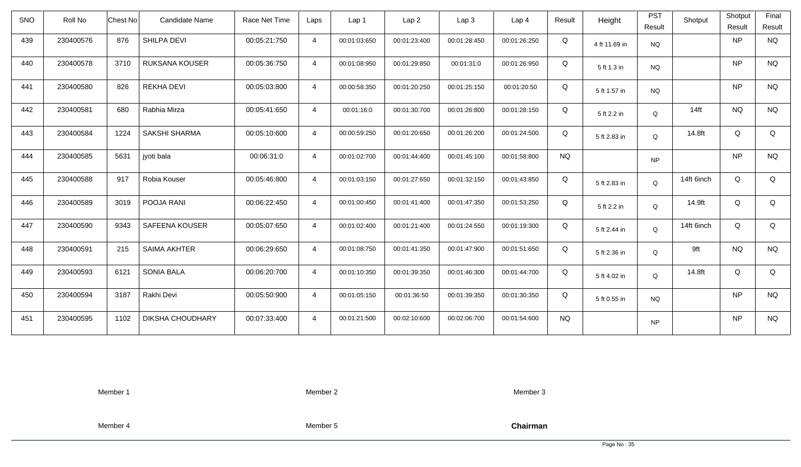| <b>SNO</b> | Roll No   | <b>Chest No</b> | Candidate Name          | Race Net Time | Laps           | Lap 1        | Lap <sub>2</sub> | Lap3         | Lap 4        | Result    | Height        | <b>PST</b><br>Result | Shotput    | Shotput<br>Result | Final<br>Result |
|------------|-----------|-----------------|-------------------------|---------------|----------------|--------------|------------------|--------------|--------------|-----------|---------------|----------------------|------------|-------------------|-----------------|
| 439        | 230400576 | 876             | SHILPA DEVI             | 00:05:21:750  | $\overline{4}$ | 00:01:03:650 | 00:01:23:400     | 00:01:28:450 | 00:01:26:250 | Q         | 4 ft 11.69 in | <b>NQ</b>            |            | <b>NP</b>         | <b>NQ</b>       |
| 440        | 230400578 | 3710            | <b>RUKSANA KOUSER</b>   | 00:05:36:750  | $\overline{4}$ | 00:01:08:950 | 00:01:29:850     | 00:01:31:0   | 00:01:26:950 | Q         | 5 ft 1.3 in   | <b>NQ</b>            |            | <b>NP</b>         | <b>NQ</b>       |
| 441        | 230400580 | 826             | <b>REKHA DEVI</b>       | 00:05:03:800  | $\overline{4}$ | 00:00:58:350 | 00:01:20:250     | 00:01:25:150 | 00:01:20:50  | Q         | 5 ft 1.57 in  | <b>NQ</b>            |            | <b>NP</b>         | <b>NQ</b>       |
| 442        | 230400581 | 680             | Rabhia Mirza            | 00:05:41:650  | $\overline{4}$ | 00:01:16:0   | 00:01:30:700     | 00:01:26:800 | 00:01:28:150 | Q         | 5 ft 2.2 in   | Q                    | $14$ ft    | <b>NQ</b>         | <b>NQ</b>       |
| 443        | 230400584 | 1224            | SAKSHI SHARMA           | 00:05:10:600  | $\overline{4}$ | 00:00:59:250 | 00:01:20:650     | 00:01:26:200 | 00:01:24:500 | Q         | 5 ft 2.83 in  | Q                    | 14.8ft     | Q                 | Q               |
| 444        | 230400585 | 5631            | jyoti bala              | 00:06:31:0    | $\overline{4}$ | 00:01:02:700 | 00:01:44:400     | 00:01:45:100 | 00:01:58:800 | <b>NQ</b> |               | <b>NP</b>            |            | <b>NP</b>         | <b>NQ</b>       |
| 445        | 230400588 | 917             | Robia Kouser            | 00:05:46:800  | $\overline{4}$ | 00:01:03:150 | 00:01:27:650     | 00:01:32:150 | 00:01:43:850 | Q         | 5 ft 2.83 in  | Q                    | 14ft 6inch | Q                 | Q               |
| 446        | 230400589 | 3019            | POOJA RANI              | 00:06:22:450  | $\overline{4}$ | 00:01:00:450 | 00:01:41:400     | 00:01:47:350 | 00:01:53:250 | Q         | 5 ft 2.2 in   | Q                    | 14.9ft     | Q                 | Q               |
| 447        | 230400590 | 9343            | SAFEENA KOUSER          | 00:05:07:650  | $\overline{4}$ | 00:01:02:400 | 00:01:21:400     | 00:01:24:550 | 00:01:19:300 | Q         | 5 ft 2.44 in  | Q                    | 14ft 6inch | Q                 | Q               |
| 448        | 230400591 | 215             | <b>SAIMA AKHTER</b>     | 00:06:29:650  | $\overline{4}$ | 00:01:08:750 | 00:01:41:350     | 00:01:47:900 | 00:01:51:650 | Q         | 5 ft 2.36 in  | Q                    | 9ft        | <b>NQ</b>         | <b>NQ</b>       |
| 449        | 230400593 | 6121            | <b>SONIA BALA</b>       | 00:06:20:700  | $\overline{4}$ | 00:01:10:350 | 00:01:39:350     | 00:01:46:300 | 00:01:44:700 | Q         | 5 ft 4.02 in  | Q                    | 14.8ft     | Q                 | Q               |
| 450        | 230400594 | 3187            | Rakhi Devi              | 00:05:50:900  | $\overline{4}$ | 00:01:05:150 | 00:01:36:50      | 00:01:39:350 | 00:01:30:350 | Q         | 5 ft 0.55 in  | <b>NQ</b>            |            | <b>NP</b>         | <b>NQ</b>       |
| 451        | 230400595 | 1102            | <b>DIKSHA CHOUDHARY</b> | 00:07:33:400  | $\overline{4}$ | 00:01:21:500 | 00:02:10:600     | 00:02:06:700 | 00:01:54:600 | <b>NQ</b> |               | <b>NP</b>            |            | <b>NP</b>         | <b>NQ</b>       |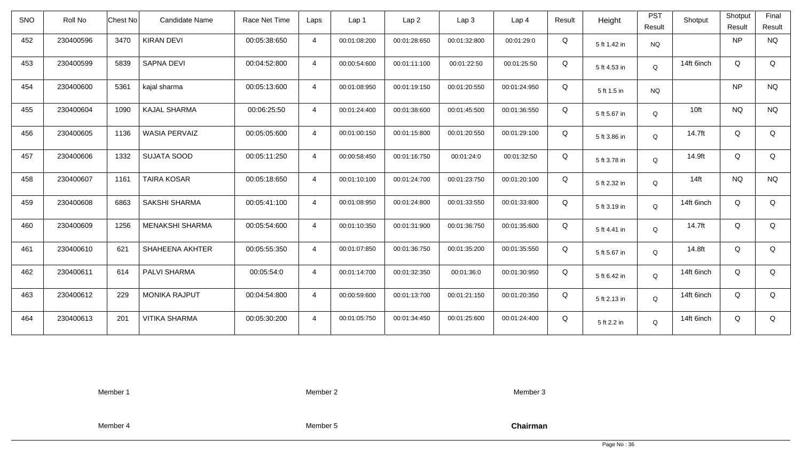| <b>SNO</b> | Roll No   | <b>Chest No</b> | <b>Candidate Name</b>  | Race Net Time | Laps           | Lap 1        | Lap <sub>2</sub> | Lap3         | Lap <sub>4</sub> | Result | Height       | <b>PST</b><br>Result | Shotput    | Shotput<br>Result | Final<br>Result |
|------------|-----------|-----------------|------------------------|---------------|----------------|--------------|------------------|--------------|------------------|--------|--------------|----------------------|------------|-------------------|-----------------|
| 452        | 230400596 | 3470            | <b>KIRAN DEVI</b>      | 00:05:38:650  | $\overline{4}$ | 00:01:08:200 | 00:01:28:650     | 00:01:32:800 | 00:01:29:0       | Q      | 5 ft 1.42 in | <b>NQ</b>            |            | <b>NP</b>         | <b>NQ</b>       |
| 453        | 230400599 | 5839            | SAPNA DEVI             | 00:04:52:800  | $\overline{4}$ | 00:00:54:600 | 00:01:11:100     | 00:01:22:50  | 00:01:25:50      | Q      | 5 ft 4.53 in | Q                    | 14ft 6inch | Q                 | Q               |
| 454        | 230400600 | 5361            | kajal sharma           | 00:05:13:600  | $\overline{4}$ | 00:01:08:950 | 00:01:19:150     | 00:01:20:550 | 00:01:24:950     | Q      | 5 ft 1.5 in  | <b>NQ</b>            |            | <b>NP</b>         | <b>NQ</b>       |
| 455        | 230400604 | 1090            | <b>KAJAL SHARMA</b>    | 00:06:25:50   | $\overline{4}$ | 00:01:24:400 | 00:01:38:600     | 00:01:45:500 | 00:01:36:550     | Q      | 5 ft 5.67 in | Q                    | 10ft       | <b>NQ</b>         | <b>NQ</b>       |
| 456        | 230400605 | 1136            | <b>WASIA PERVAIZ</b>   | 00:05:05:600  | $\overline{4}$ | 00:01:00:150 | 00:01:15:800     | 00:01:20:550 | 00:01:29:100     | Q      | 5 ft 3.86 in | Q                    | 14.7ft     | Q                 | Q               |
| 457        | 230400606 | 1332            | <b>SUJATA SOOD</b>     | 00:05:11:250  | $\overline{4}$ | 00:00:58:450 | 00:01:16:750     | 00:01:24:0   | 00:01:32:50      | Q      | 5 ft 3.78 in | $\mathsf Q$          | 14.9ft     | Q                 | Q               |
| 458        | 230400607 | 1161            | <b>TAIRA KOSAR</b>     | 00:05:18:650  | $\overline{4}$ | 00:01:10:100 | 00:01:24:700     | 00:01:23:750 | 00:01:20:100     | Q      | 5 ft 2.32 in | Q                    | $14$ ft    | <b>NQ</b>         | <b>NQ</b>       |
| 459        | 230400608 | 6863            | <b>SAKSHI SHARMA</b>   | 00:05:41:100  | $\overline{4}$ | 00:01:08:950 | 00:01:24:800     | 00:01:33:550 | 00:01:33:800     | Q      | 5 ft 3.19 in | Q                    | 14ft 6inch | Q                 | Q               |
| 460        | 230400609 | 1256            | <b>MENAKSHI SHARMA</b> | 00:05:54:600  | $\overline{4}$ | 00:01:10:350 | 00:01:31:900     | 00:01:36:750 | 00:01:35:600     | Q      | 5 ft 4.41 in | $\mathsf Q$          | 14.7ft     | Q                 | Q               |
| 461        | 230400610 | 621             | <b>SHAHEENA AKHTER</b> | 00:05:55:350  | $\overline{4}$ | 00:01:07:850 | 00:01:36:750     | 00:01:35:200 | 00:01:35:550     | Q      | 5 ft 5.67 in | Q                    | 14.8ft     | Q                 | Q               |
| 462        | 230400611 | 614             | PALVI SHARMA           | 00:05:54:0    | $\overline{4}$ | 00:01:14:700 | 00:01:32:350     | 00:01:36:0   | 00:01:30:950     | Q      | 5 ft 6.42 in | Q                    | 14ft 6inch | Q                 | Q               |
| 463        | 230400612 | 229             | <b>MONIKA RAJPUT</b>   | 00:04:54:800  | $\overline{4}$ | 00:00:59:600 | 00:01:13:700     | 00:01:21:150 | 00:01:20:350     | Q      | 5 ft 2.13 in | Q                    | 14ft 6inch | Q                 | Q               |
| 464        | 230400613 | 201             | <b>VITIKA SHARMA</b>   | 00:05:30:200  | $\overline{4}$ | 00:01:05:750 | 00:01:34:450     | 00:01:25:600 | 00:01:24:400     | Q      | 5 ft 2.2 in  | Q                    | 14ft 6inch | Q                 | Q               |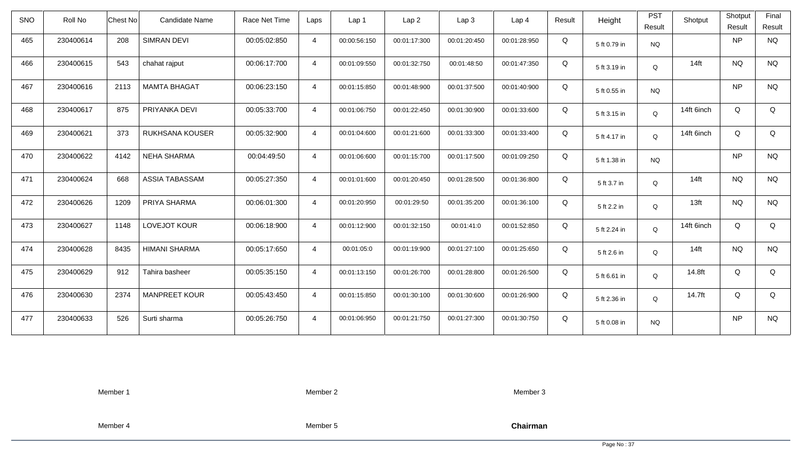| <b>SNO</b> | Roll No   | Chest No<br><b>Candidate Name</b> | Race Net Time | Laps           | Lap 1        | Lap <sub>2</sub> | Lap3         | Lap <sub>4</sub> | Result | Height       | <b>PST</b><br>Result | Shotput    | Shotput<br>Result | Final<br>Result |
|------------|-----------|-----------------------------------|---------------|----------------|--------------|------------------|--------------|------------------|--------|--------------|----------------------|------------|-------------------|-----------------|
| 465        | 230400614 | 208<br><b>SIMRAN DEVI</b>         | 00:05:02:850  | $\overline{4}$ | 00:00:56:150 | 00:01:17:300     | 00:01:20:450 | 00:01:28:950     | Q      | 5 ft 0.79 in | <b>NQ</b>            |            | NP                | <b>NQ</b>       |
| 466        | 230400615 | chahat rajput<br>543              | 00:06:17:700  | $\overline{4}$ | 00:01:09:550 | 00:01:32:750     | 00:01:48:50  | 00:01:47:350     | Q      | 5 ft 3.19 in | Q                    | $14$ ft    | <b>NQ</b>         | <b>NQ</b>       |
| 467        | 230400616 | <b>MAMTA BHAGAT</b><br>2113       | 00:06:23:150  | $\overline{4}$ | 00:01:15:850 | 00:01:48:900     | 00:01:37:500 | 00:01:40:900     | Q      | 5 ft 0.55 in | <b>NQ</b>            |            | <b>NP</b>         | <b>NQ</b>       |
| 468        | 230400617 | 875<br>PRIYANKA DEVI              | 00:05:33:700  | $\overline{4}$ | 00:01:06:750 | 00:01:22:450     | 00:01:30:900 | 00:01:33:600     | Q      | 5 ft 3.15 in | Q                    | 14ft 6inch | Q                 | Q               |
| 469        | 230400621 | 373<br>RUKHSANA KOUSER            | 00:05:32:900  | $\overline{4}$ | 00:01:04:600 | 00:01:21:600     | 00:01:33:300 | 00:01:33:400     | Q      | 5 ft 4.17 in | Q                    | 14ft 6inch | Q                 | Q               |
| 470        | 230400622 | 4142<br><b>NEHA SHARMA</b>        | 00:04:49:50   | $\overline{4}$ | 00:01:06:600 | 00:01:15:700     | 00:01:17:500 | 00:01:09:250     | Q      | 5 ft 1.38 in | <b>NQ</b>            |            | <b>NP</b>         | <b>NQ</b>       |
| 471        | 230400624 | 668<br>ASSIA TABASSAM             | 00:05:27:350  | $\overline{4}$ | 00:01:01:600 | 00:01:20:450     | 00:01:28:500 | 00:01:36:800     | Q      | 5 ft 3.7 in  | Q                    | $14$ ft    | <b>NQ</b>         | <b>NQ</b>       |
| 472        | 230400626 | 1209<br>PRIYA SHARMA              | 00:06:01:300  | $\overline{4}$ | 00:01:20:950 | 00:01:29:50      | 00:01:35:200 | 00:01:36:100     | Q      | 5 ft 2.2 in  | Q                    | 13ft       | <b>NQ</b>         | <b>NQ</b>       |
| 473        | 230400627 | 1148<br>LOVEJOT KOUR              | 00:06:18:900  | $\overline{4}$ | 00:01:12:900 | 00:01:32:150     | 00:01:41:0   | 00:01:52:850     | Q      | 5 ft 2.24 in | Q                    | 14ft 6inch | Q                 | Q               |
| 474        | 230400628 | 8435<br><b>HIMANI SHARMA</b>      | 00:05:17:650  | $\overline{4}$ | 00:01:05:0   | 00:01:19:900     | 00:01:27:100 | 00:01:25:650     | Q      | 5 ft 2.6 in  | Q                    | $14$ ft    | <b>NQ</b>         | <b>NQ</b>       |
| 475        | 230400629 | 912<br>Tahira basheer             | 00:05:35:150  | $\overline{4}$ | 00:01:13:150 | 00:01:26:700     | 00:01:28:800 | 00:01:26:500     | Q      | 5 ft 6.61 in | Q                    | 14.8ft     | Q                 | Q               |
| 476        | 230400630 | <b>MANPREET KOUR</b><br>2374      | 00:05:43:450  | $\overline{4}$ | 00:01:15:850 | 00:01:30:100     | 00:01:30:600 | 00:01:26:900     | Q      | 5 ft 2.36 in | Q                    | 14.7ft     | Q                 | Q               |
| 477        | 230400633 | 526<br>Surti sharma               | 00:05:26:750  | $\overline{4}$ | 00:01:06:950 | 00:01:21:750     | 00:01:27:300 | 00:01:30:750     | Q      | 5 ft 0.08 in | <b>NQ</b>            |            | NP                | <b>NQ</b>       |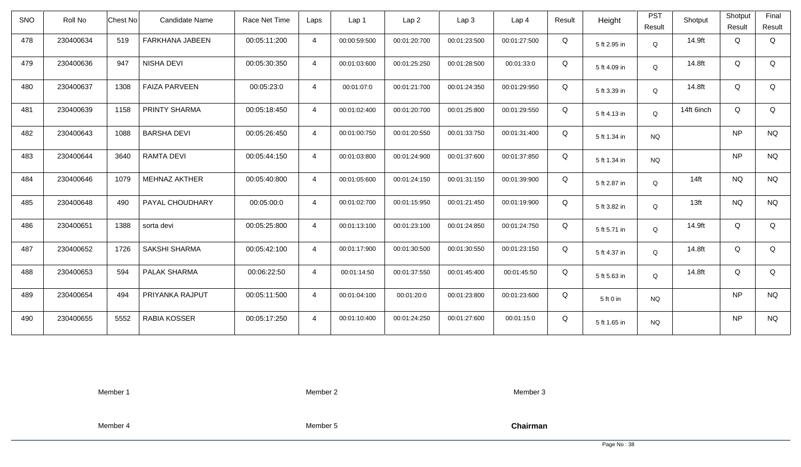| <b>SNO</b> | Roll No   | <b>Chest No</b> | <b>Candidate Name</b> | Race Net Time | Laps           | Lap <sub>1</sub> | Lap <sub>2</sub> | Lap <sub>3</sub> | Lap <sub>4</sub> | Result | Height       | <b>PST</b><br>Result | Shotput          | Shotput<br>Result | Final<br>Result |
|------------|-----------|-----------------|-----------------------|---------------|----------------|------------------|------------------|------------------|------------------|--------|--------------|----------------------|------------------|-------------------|-----------------|
| 478        | 230400634 | 519             | FARKHANA JABEEN       | 00:05:11:200  | $\overline{4}$ | 00:00:59:500     | 00:01:20:700     | 00:01:23:500     | 00:01:27:500     | Q      | 5 ft 2.95 in | Q                    | 14.9ft           | Q                 | Q               |
| 479        | 230400636 | 947             | NISHA DEVI            | 00:05:30:350  | $\overline{4}$ | 00:01:03:600     | 00:01:25:250     | 00:01:28:500     | 00:01:33:0       | Q      | 5 ft 4.09 in | Q                    | 14.8ft           | Q                 | Q               |
| 480        | 230400637 | 1308            | <b>FAIZA PARVEEN</b>  | 00:05:23:0    | $\overline{4}$ | 00:01:07:0       | 00:01:21:700     | 00:01:24:350     | 00:01:29:950     | Q      | 5 ft 3.39 in | Q                    | 14.8ft           | Q                 | Q               |
| 481        | 230400639 | 1158            | <b>PRINTY SHARMA</b>  | 00:05:18:450  | $\overline{4}$ | 00:01:02:400     | 00:01:20:700     | 00:01:25:800     | 00:01:29:550     | Q      | 5 ft 4.13 in | Q                    | 14ft 6inch       | Q                 | Q               |
| 482        | 230400643 | 1088            | <b>BARSHA DEVI</b>    | 00:05:26:450  | $\overline{4}$ | 00:01:00:750     | 00:01:20:550     | 00:01:33:750     | 00:01:31:400     | Q      | 5 ft 1.34 in | <b>NQ</b>            |                  | <b>NP</b>         | <b>NQ</b>       |
| 483        | 230400644 | 3640            | RAMTA DEVI            | 00:05:44:150  | 4              | 00:01:03:800     | 00:01:24:900     | 00:01:37:600     | 00:01:37:850     | Q      | 5 ft 1.34 in | <b>NQ</b>            |                  | <b>NP</b>         | <b>NQ</b>       |
| 484        | 230400646 | 1079            | <b>MEHNAZ AKTHER</b>  | 00:05:40:800  | $\overline{4}$ | 00:01:05:600     | 00:01:24:150     | 00:01:31:150     | 00:01:39:900     | Q      | 5 ft 2.87 in | Q                    | $14$ ft          | <b>NQ</b>         | <b>NQ</b>       |
| 485        | 230400648 | 490             | PAYAL CHOUDHARY       | 00:05:00:0    | $\overline{4}$ | 00:01:02:700     | 00:01:15:950     | 00:01:21:450     | 00:01:19:900     | Q      | 5 ft 3.82 in | Q                    | 13 <sub>ft</sub> | <b>NQ</b>         | <b>NQ</b>       |
| 486        | 230400651 | 1388            | sorta devi            | 00:05:25:800  | $\overline{4}$ | 00:01:13:100     | 00:01:23:100     | 00:01:24:850     | 00:01:24:750     | Q      | 5 ft 5.71 in | $\mathsf Q$          | 14.9ft           | Q                 | Q               |
| 487        | 230400652 | 1726            | <b>SAKSHI SHARMA</b>  | 00:05:42:100  | $\overline{4}$ | 00:01:17:900     | 00:01:30:500     | 00:01:30:550     | 00:01:23:150     | Q      | 5 ft 4.37 in | Q                    | 14.8ft           | Q                 | Q               |
| 488        | 230400653 | 594             | PALAK SHARMA          | 00:06:22:50   | 4              | 00:01:14:50      | 00:01:37:550     | 00:01:45:400     | 00:01:45:50      | Q      | 5 ft 5.63 in | Q                    | 14.8ft           | Q                 | Q               |
| 489        | 230400654 | 494             | PRIYANKA RAJPUT       | 00:05:11:500  | $\overline{4}$ | 00:01:04:100     | 00:01:20:0       | 00:01:23:800     | 00:01:23:600     | Q      | 5 ft 0 in    | <b>NQ</b>            |                  | <b>NP</b>         | <b>NQ</b>       |
| 490        | 230400655 | 5552            | RABIA KOSSER          | 00:05:17:250  | $\overline{4}$ | 00:01:10:400     | 00:01:24:250     | 00:01:27:600     | 00:01:15:0       | Q      | 5 ft 1.65 in | <b>NQ</b>            |                  | <b>NP</b>         | <b>NQ</b>       |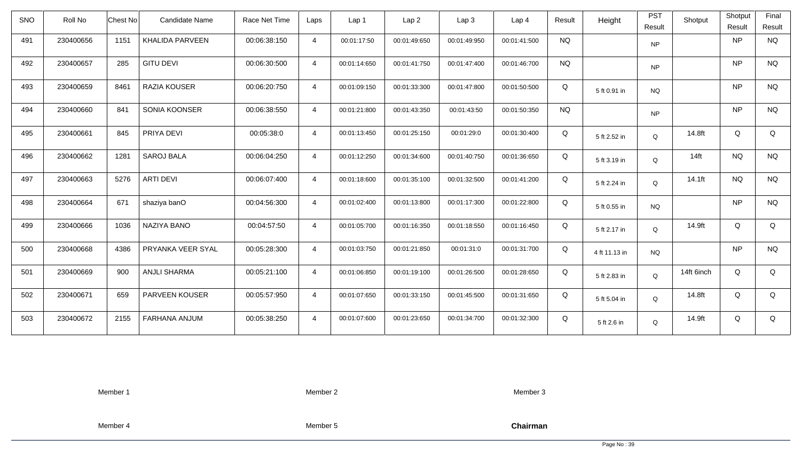| <b>SNO</b> | Roll No   | Chest No | Candidate Name      | Race Net Time | Laps           | Lap 1        | Lap <sub>2</sub> | Lap3         | Lap <sub>4</sub> | Result    | Height        | <b>PST</b><br>Result | Shotput    | Shotput<br>Result | Final<br>Result |
|------------|-----------|----------|---------------------|---------------|----------------|--------------|------------------|--------------|------------------|-----------|---------------|----------------------|------------|-------------------|-----------------|
| 491        | 230400656 | 1151     | KHALIDA PARVEEN     | 00:06:38:150  | $\overline{4}$ | 00:01:17:50  | 00:01:49:650     | 00:01:49:950 | 00:01:41:500     | <b>NQ</b> |               | <b>NP</b>            |            | <b>NP</b>         | <b>NQ</b>       |
| 492        | 230400657 | 285      | <b>GITU DEVI</b>    | 00:06:30:500  | $\overline{4}$ | 00:01:14:650 | 00:01:41:750     | 00:01:47:400 | 00:01:46:700     | <b>NQ</b> |               | <b>NP</b>            |            | <b>NP</b>         | <b>NQ</b>       |
| 493        | 230400659 | 8461     | RAZIA KOUSER        | 00:06:20:750  | $\overline{4}$ | 00:01:09:150 | 00:01:33:300     | 00:01:47:800 | 00:01:50:500     | Q         | 5 ft 0.91 in  | <b>NQ</b>            |            | <b>NP</b>         | <b>NQ</b>       |
| 494        | 230400660 | 841      | SONIA KOONSER       | 00:06:38:550  | $\overline{4}$ | 00:01:21:800 | 00:01:43:350     | 00:01:43:50  | 00:01:50:350     | <b>NQ</b> |               | <b>NP</b>            |            | <b>NP</b>         | <b>NQ</b>       |
| 495        | 230400661 | 845      | PRIYA DEVI          | 00:05:38:0    | $\overline{4}$ | 00:01:13:450 | 00:01:25:150     | 00:01:29:0   | 00:01:30:400     | Q         | 5 ft 2.52 in  | Q                    | 14.8ft     | Q                 | Q               |
| 496        | 230400662 | 1281     | <b>SAROJ BALA</b>   | 00:06:04:250  | $\overline{4}$ | 00:01:12:250 | 00:01:34:600     | 00:01:40:750 | 00:01:36:650     | Q         | 5 ft 3.19 in  | $\mathsf Q$          | $14$ ft    | <b>NQ</b>         | <b>NQ</b>       |
| 497        | 230400663 | 5276     | <b>ARTI DEVI</b>    | 00:06:07:400  | $\overline{4}$ | 00:01:18:600 | 00:01:35:100     | 00:01:32:500 | 00:01:41:200     | Q         | 5 ft 2.24 in  | Q                    | 14.1ft     | <b>NQ</b>         | <b>NQ</b>       |
| 498        | 230400664 | 671      | shaziya banO        | 00:04:56:300  | $\overline{4}$ | 00:01:02:400 | 00:01:13:800     | 00:01:17:300 | 00:01:22:800     | Q         | 5 ft 0.55 in  | <b>NQ</b>            |            | <b>NP</b>         | <b>NQ</b>       |
| 499        | 230400666 | 1036     | <b>NAZIYA BANO</b>  | 00:04:57:50   | $\overline{4}$ | 00:01:05:700 | 00:01:16:350     | 00:01:18:550 | 00:01:16:450     | Q         | 5 ft 2.17 in  | $\mathsf Q$          | 14.9ft     | Q                 | Q               |
| 500        | 230400668 | 4386     | PRYANKA VEER SYAL   | 00:05:28:300  | $\overline{4}$ | 00:01:03:750 | 00:01:21:850     | 00:01:31:0   | 00:01:31:700     | Q         | 4 ft 11.13 in | NQ.                  |            | <b>NP</b>         | <b>NQ</b>       |
| 501        | 230400669 | 900      | <b>ANJLI SHARMA</b> | 00:05:21:100  | $\overline{4}$ | 00:01:06:850 | 00:01:19:100     | 00:01:26:500 | 00:01:28:650     | Q         | 5 ft 2.83 in  | Q                    | 14ft 6inch | Q                 | Q               |
| 502        | 230400671 | 659      | PARVEEN KOUSER      | 00:05:57:950  | $\overline{4}$ | 00:01:07:650 | 00:01:33:150     | 00:01:45:500 | 00:01:31:650     | Q         | 5 ft 5.04 in  | $\mathsf Q$          | 14.8ft     | Q                 | Q               |
| 503        | 230400672 | 2155     | FARHANA ANJUM       | 00:05:38:250  | $\overline{4}$ | 00:01:07:600 | 00:01:23:650     | 00:01:34:700 | 00:01:32:300     | Q         | 5 ft 2.6 in   | Q                    | 14.9ft     | Q                 | Q               |

Member 2

Member 3

Member 4

Member 5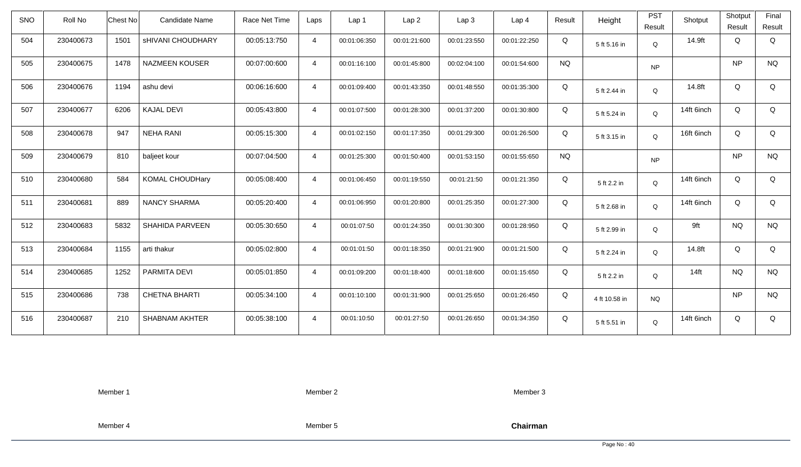| <b>SNO</b> | Roll No   | <b>Chest No</b> | Candidate Name           | Race Net Time | Laps           | Lap 1        | Lap <sub>2</sub> | Lap <sub>3</sub> | Lap <sub>4</sub> | Result    | Height        | <b>PST</b><br>Result | Shotput    | Shotput<br>Result | Final<br>Result |
|------------|-----------|-----------------|--------------------------|---------------|----------------|--------------|------------------|------------------|------------------|-----------|---------------|----------------------|------------|-------------------|-----------------|
| 504        | 230400673 | 1501            | <b>SHIVANI CHOUDHARY</b> | 00:05:13:750  | $\overline{4}$ | 00:01:06:350 | 00:01:21:600     | 00:01:23:550     | 00:01:22:250     | Q         | 5 ft 5.16 in  | Q                    | 14.9ft     | Q                 | Q               |
| 505        | 230400675 | 1478            | <b>NAZMEEN KOUSER</b>    | 00:07:00:600  | $\overline{4}$ | 00:01:16:100 | 00:01:45:800     | 00:02:04:100     | 00:01:54:600     | <b>NQ</b> |               | <b>NP</b>            |            | <b>NP</b>         | <b>NQ</b>       |
| 506        | 230400676 | 1194            | ashu devi                | 00:06:16:600  | $\overline{4}$ | 00:01:09:400 | 00:01:43:350     | 00:01:48:550     | 00:01:35:300     | Q         | 5 ft 2.44 in  | Q                    | 14.8ft     | Q                 | Q               |
| 507        | 230400677 | 6206            | <b>KAJAL DEVI</b>        | 00:05:43:800  | $\overline{4}$ | 00:01:07:500 | 00:01:28:300     | 00:01:37:200     | 00:01:30:800     | Q         | 5 ft 5.24 in  | Q                    | 14ft 6inch | Q                 | Q               |
| 508        | 230400678 | 947             | <b>NEHA RANI</b>         | 00:05:15:300  | $\overline{4}$ | 00:01:02:150 | 00:01:17:350     | 00:01:29:300     | 00:01:26:500     | Q         | 5 ft 3.15 in  | Q                    | 16ft 6inch | Q                 | Q               |
| 509        | 230400679 | 810             | baljeet kour             | 00:07:04:500  | $\overline{4}$ | 00:01:25:300 | 00:01:50:400     | 00:01:53:150     | 00:01:55:650     | <b>NQ</b> |               | <b>NP</b>            |            | <b>NP</b>         | <b>NQ</b>       |
| 510        | 230400680 | 584             | <b>KOMAL CHOUDHary</b>   | 00:05:08:400  | $\overline{4}$ | 00:01:06:450 | 00:01:19:550     | 00:01:21:50      | 00:01:21:350     | Q         | 5 ft 2.2 in   | Q                    | 14ft 6inch | Q                 | Q               |
| 511        | 230400681 | 889             | <b>NANCY SHARMA</b>      | 00:05:20:400  | $\overline{4}$ | 00:01:06:950 | 00:01:20:800     | 00:01:25:350     | 00:01:27:300     | Q         | 5 ft 2.68 in  | Q                    | 14ft 6inch | Q                 | Q               |
| 512        | 230400683 | 5832            | <b>SHAHIDA PARVEEN</b>   | 00:05:30:650  | $\overline{4}$ | 00:01:07:50  | 00:01:24:350     | 00:01:30:300     | 00:01:28:950     | Q         | 5 ft 2.99 in  | $\Omega$             | 9ft        | <b>NQ</b>         | <b>NQ</b>       |
| 513        | 230400684 | 1155            | arti thakur              | 00:05:02:800  | $\overline{4}$ | 00:01:01:50  | 00:01:18:350     | 00:01:21:900     | 00:01:21:500     | Q         | 5 ft 2.24 in  | Q                    | 14.8ft     | Q                 | Q               |
| 514        | 230400685 | 1252            | PARMITA DEVI             | 00:05:01:850  | $\overline{4}$ | 00:01:09:200 | 00:01:18:400     | 00:01:18:600     | 00:01:15:650     | Q         | 5 ft 2.2 in   | Q                    | $14$ ft    | <b>NQ</b>         | <b>NQ</b>       |
| 515        | 230400686 | 738             | <b>CHETNA BHARTI</b>     | 00:05:34:100  | $\overline{4}$ | 00:01:10:100 | 00:01:31:900     | 00:01:25:650     | 00:01:26:450     | Q         | 4 ft 10.58 in | <b>NQ</b>            |            | <b>NP</b>         | <b>NQ</b>       |
| 516        | 230400687 | 210             | <b>SHABNAM AKHTER</b>    | 00:05:38:100  | $\overline{4}$ | 00:01:10:50  | 00:01:27:50      | 00:01:26:650     | 00:01:34:350     | Q         | 5 ft 5.51 in  | Q                    | 14ft 6inch | Q                 | Q               |

Member 2

Member 3

Member 4

Member 5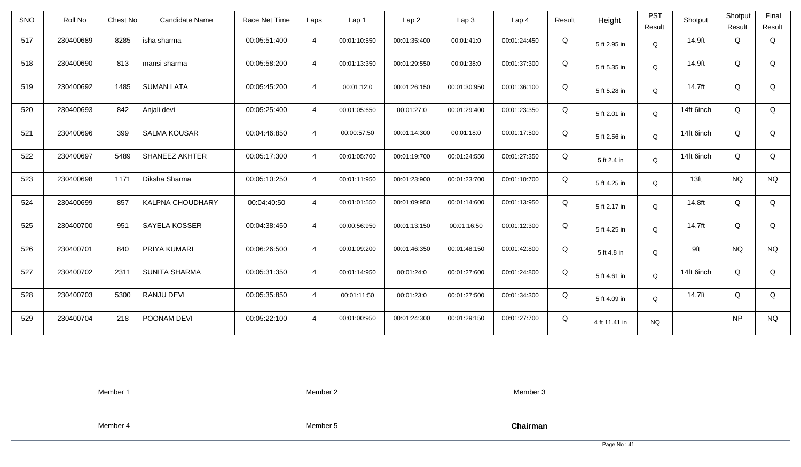| <b>SNO</b> | Roll No   | <b>Chest No</b> | Candidate Name        | Race Net Time | Laps           | Lap <sub>1</sub> | Lap <sub>2</sub> | Lap <sub>3</sub> | Lap <sub>4</sub> | Result | Height        | <b>PST</b><br>Result | Shotput          | Shotput<br>Result | Final<br>Result |
|------------|-----------|-----------------|-----------------------|---------------|----------------|------------------|------------------|------------------|------------------|--------|---------------|----------------------|------------------|-------------------|-----------------|
| 517        | 230400689 | 8285            | isha sharma           | 00:05:51:400  | $\overline{4}$ | 00:01:10:550     | 00:01:35:400     | 00:01:41:0       | 00:01:24:450     | Q      | 5 ft 2.95 in  | Q                    | 14.9ft           | Q                 | Q               |
| 518        | 230400690 | 813             | mansi sharma          | 00:05:58:200  | $\overline{4}$ | 00:01:13:350     | 00:01:29:550     | 00:01:38:0       | 00:01:37:300     | Q      | 5 ft 5.35 in  | Q                    | 14.9ft           | Q                 | Q               |
| 519        | 230400692 | 1485            | <b>SUMAN LATA</b>     | 00:05:45:200  | $\overline{4}$ | 00:01:12:0       | 00:01:26:150     | 00:01:30:950     | 00:01:36:100     | Q      | 5 ft 5.28 in  | Q                    | 14.7ft           | Q                 | Q               |
| 520        | 230400693 | 842             | Anjali devi           | 00:05:25:400  | $\overline{4}$ | 00:01:05:650     | 00:01:27:0       | 00:01:29:400     | 00:01:23:350     | Q      | 5 ft 2.01 in  | Q                    | 14ft 6inch       | Q                 | Q               |
| 521        | 230400696 | 399             | <b>SALMA KOUSAR</b>   | 00:04:46:850  | $\overline{4}$ | 00:00:57:50      | 00:01:14:300     | 00:01:18:0       | 00:01:17:500     | Q      | 5 ft 2.56 in  | Q                    | 14ft 6inch       | Q                 | Q               |
| 522        | 230400697 | 5489            | <b>SHANEEZ AKHTER</b> | 00:05:17:300  | $\overline{4}$ | 00:01:05:700     | 00:01:19:700     | 00:01:24:550     | 00:01:27:350     | Q      | 5 ft 2.4 in   | Q                    | 14ft 6inch       | Q                 | Q               |
| 523        | 230400698 | 1171            | Diksha Sharma         | 00:05:10:250  | $\overline{4}$ | 00:01:11:950     | 00:01:23:900     | 00:01:23:700     | 00:01:10:700     | Q      | 5 ft 4.25 in  | Q                    | 13 <sub>ft</sub> | <b>NQ</b>         | <b>NQ</b>       |
| 524        | 230400699 | 857             | KALPNA CHOUDHARY      | 00:04:40:50   | $\overline{4}$ | 00:01:01:550     | 00:01:09:950     | 00:01:14:600     | 00:01:13:950     | Q      | 5 ft 2.17 in  | Q                    | 14.8ft           | Q                 | Q               |
| 525        | 230400700 | 951             | SAYELA KOSSER         | 00:04:38:450  | $\overline{a}$ | 00:00:56:950     | 00:01:13:150     | 00:01:16:50      | 00:01:12:300     | Q      | 5 ft 4.25 in  | Q                    | 14.7ft           | Q                 | Q               |
| 526        | 230400701 | 840             | PRIYA KUMARI          | 00:06:26:500  | $\overline{4}$ | 00:01:09:200     | 00:01:46:350     | 00:01:48:150     | 00:01:42:800     | Q      | 5 ft 4.8 in   | Q                    | 9ft              | <b>NQ</b>         | <b>NQ</b>       |
| 527        | 230400702 | 2311            | <b>SUNITA SHARMA</b>  | 00:05:31:350  | $\overline{4}$ | 00:01:14:950     | 00:01:24:0       | 00:01:27:600     | 00:01:24:800     | Q      | 5 ft 4.61 in  | Q                    | 14ft 6inch       | Q                 | Q               |
| 528        | 230400703 | 5300            | RANJU DEVI            | 00:05:35:850  | $\overline{4}$ | 00:01:11:50      | 00:01:23:0       | 00:01:27:500     | 00:01:34:300     | Q      | 5 ft 4.09 in  | Q                    | 14.7ft           | Q                 | Q               |
| 529        | 230400704 | 218             | POONAM DEVI           | 00:05:22:100  | $\overline{4}$ | 00:01:00:950     | 00:01:24:300     | 00:01:29:150     | 00:01:27:700     | Q      | 4 ft 11.41 in | <b>NQ</b>            |                  | NP                | <b>NQ</b>       |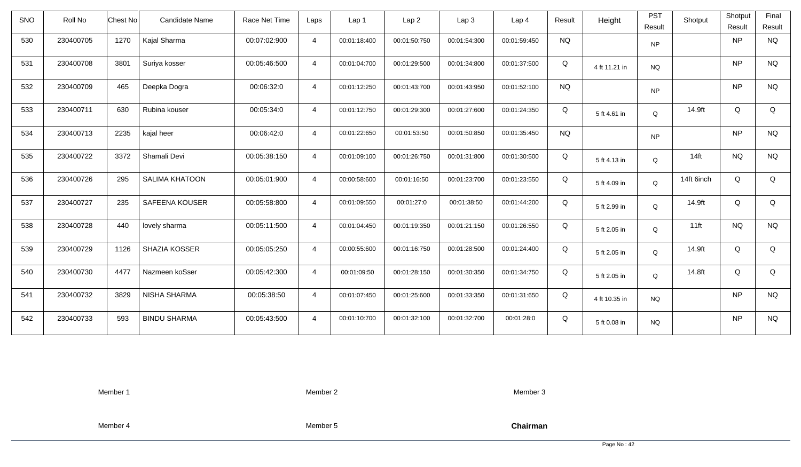| <b>SNO</b> | Roll No   | <b>Chest No</b> | Candidate Name        | Race Net Time | Laps           | Lap 1        | Lap <sub>2</sub> | Lap <sub>3</sub> | Lap <sub>4</sub> | Result    | Height        | <b>PST</b><br>Result | Shotput    | Shotput<br>Result | Final<br>Result |
|------------|-----------|-----------------|-----------------------|---------------|----------------|--------------|------------------|------------------|------------------|-----------|---------------|----------------------|------------|-------------------|-----------------|
| 530        | 230400705 | 1270            | Kajal Sharma          | 00:07:02:900  | $\overline{4}$ | 00:01:18:400 | 00:01:50:750     | 00:01:54:300     | 00:01:59:450     | <b>NQ</b> |               | <b>NP</b>            |            | <b>NP</b>         | <b>NQ</b>       |
| 531        | 230400708 | 3801            | Suriya kosser         | 00:05:46:500  | $\overline{4}$ | 00:01:04:700 | 00:01:29:500     | 00:01:34:800     | 00:01:37:500     | Q         | 4 ft 11.21 in | <b>NQ</b>            |            | <b>NP</b>         | <b>NQ</b>       |
| 532        | 230400709 | 465             | Deepka Dogra          | 00:06:32:0    | $\overline{4}$ | 00:01:12:250 | 00:01:43:700     | 00:01:43:950     | 00:01:52:100     | <b>NQ</b> |               | <b>NP</b>            |            | <b>NP</b>         | <b>NQ</b>       |
| 533        | 230400711 | 630             | Rubina kouser         | 00:05:34:0    | $\overline{4}$ | 00:01:12:750 | 00:01:29:300     | 00:01:27:600     | 00:01:24:350     | Q         | 5 ft 4.61 in  | $\Omega$             | 14.9ft     | Q                 | Q               |
| 534        | 230400713 | 2235            | kajal heer            | 00:06:42:0    | $\overline{4}$ | 00:01:22:650 | 00:01:53:50      | 00:01:50:850     | 00:01:35:450     | <b>NQ</b> |               | NP                   |            | <b>NP</b>         | <b>NQ</b>       |
| 535        | 230400722 | 3372            | Shamali Devi          | 00:05:38:150  | $\overline{4}$ | 00:01:09:100 | 00:01:26:750     | 00:01:31:800     | 00:01:30:500     | Q         | 5 ft 4.13 in  | Q                    | $14$ ft    | <b>NQ</b>         | <b>NQ</b>       |
| 536        | 230400726 | 295             | <b>SALIMA KHATOON</b> | 00:05:01:900  | $\overline{4}$ | 00:00:58:600 | 00:01:16:50      | 00:01:23:700     | 00:01:23:550     | Q         | 5 ft 4.09 in  | Q                    | 14ft 6inch | Q                 | Q               |
| 537        | 230400727 | 235             | SAFEENA KOUSER        | 00:05:58:800  | $\overline{4}$ | 00:01:09:550 | 00:01:27:0       | 00:01:38:50      | 00:01:44:200     | Q         | 5 ft 2.99 in  | Q                    | 14.9ft     | Q                 | Q               |
| 538        | 230400728 | 440             | lovely sharma         | 00:05:11:500  | $\overline{4}$ | 00:01:04:450 | 00:01:19:350     | 00:01:21:150     | 00:01:26:550     | Q         | 5 ft 2.05 in  | Q                    | $11$ ft    | <b>NQ</b>         | <b>NQ</b>       |
| 539        | 230400729 | 1126            | SHAZIA KOSSER         | 00:05:05:250  | $\overline{4}$ | 00:00:55:600 | 00:01:16:750     | 00:01:28:500     | 00:01:24:400     | Q         | 5 ft 2.05 in  | Q                    | 14.9ft     | Q                 | Q               |
| 540        | 230400730 | 4477            | Nazmeen koSser        | 00:05:42:300  | $\overline{4}$ | 00:01:09:50  | 00:01:28:150     | 00:01:30:350     | 00:01:34:750     | Q         | 5 ft 2.05 in  | Q                    | 14.8ft     | Q                 | Q               |
| 541        | 230400732 | 3829            | <b>NISHA SHARMA</b>   | 00:05:38:50   | $\overline{4}$ | 00:01:07:450 | 00:01:25:600     | 00:01:33:350     | 00:01:31:650     | Q         | 4 ft 10.35 in | <b>NQ</b>            |            | <b>NP</b>         | <b>NQ</b>       |
| 542        | 230400733 | 593             | <b>BINDU SHARMA</b>   | 00:05:43:500  | $\overline{4}$ | 00:01:10:700 | 00:01:32:100     | 00:01:32:700     | 00:01:28:0       | Q         | 5 ft 0.08 in  | <b>NQ</b>            |            | <b>NP</b>         | <b>NQ</b>       |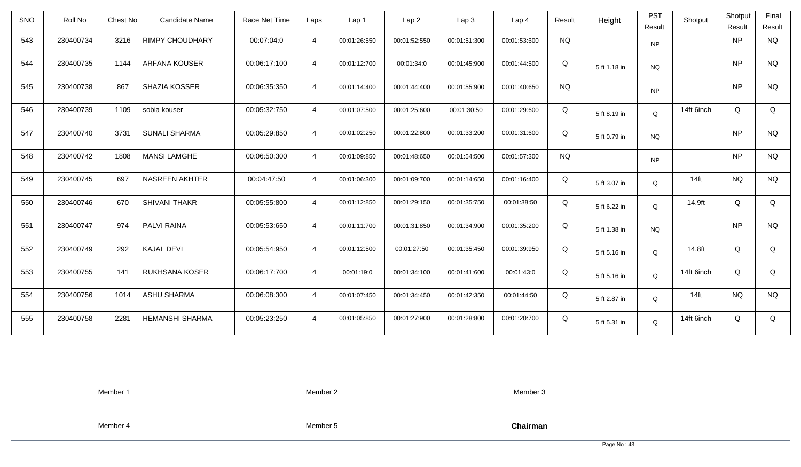| <b>SNO</b> | Roll No   | <b>Chest No</b> | <b>Candidate Name</b>  | Race Net Time | Laps           | Lap 1        | Lap <sub>2</sub> | Lap3         | Lap 4        | Result    | Height       | <b>PST</b><br>Result | Shotput          | Shotput<br>Result | Final<br>Result |
|------------|-----------|-----------------|------------------------|---------------|----------------|--------------|------------------|--------------|--------------|-----------|--------------|----------------------|------------------|-------------------|-----------------|
| 543        | 230400734 | 3216            | <b>RIMPY CHOUDHARY</b> | 00:07:04:0    | $\overline{4}$ | 00:01:26:550 | 00:01:52:550     | 00:01:51:300 | 00:01:53:600 | <b>NQ</b> |              | <b>NP</b>            |                  | <b>NP</b>         | <b>NQ</b>       |
| 544        | 230400735 | 1144            | <b>ARFANA KOUSER</b>   | 00:06:17:100  | $\overline{4}$ | 00:01:12:700 | 00:01:34:0       | 00:01:45:900 | 00:01:44:500 | Q         | 5 ft 1.18 in | <b>NQ</b>            |                  | <b>NP</b>         | <b>NQ</b>       |
| 545        | 230400738 | 867             | <b>SHAZIA KOSSER</b>   | 00:06:35:350  | $\overline{4}$ | 00:01:14:400 | 00:01:44:400     | 00:01:55:900 | 00:01:40:650 | <b>NQ</b> |              | <b>NP</b>            |                  | <b>NP</b>         | <b>NQ</b>       |
| 546        | 230400739 | 1109            | sobia kouser           | 00:05:32:750  | $\overline{4}$ | 00:01:07:500 | 00:01:25:600     | 00:01:30:50  | 00:01:29:600 | Q         | 5 ft 8.19 in | Q                    | 14ft 6inch       | Q                 | Q               |
| 547        | 230400740 | 3731            | <b>SUNALI SHARMA</b>   | 00:05:29:850  | $\overline{4}$ | 00:01:02:250 | 00:01:22:800     | 00:01:33:200 | 00:01:31:600 | Q         | 5 ft 0.79 in | NQ                   |                  | <b>NP</b>         | <b>NQ</b>       |
| 548        | 230400742 | 1808            | <b>MANSI LAMGHE</b>    | 00:06:50:300  | $\overline{4}$ | 00:01:09:850 | 00:01:48:650     | 00:01:54:500 | 00:01:57:300 | <b>NQ</b> |              | <b>NP</b>            |                  | <b>NP</b>         | <b>NQ</b>       |
| 549        | 230400745 | 697             | <b>NASREEN AKHTER</b>  | 00:04:47:50   | $\overline{4}$ | 00:01:06:300 | 00:01:09:700     | 00:01:14:650 | 00:01:16:400 | Q         | 5 ft 3.07 in | Q                    | 14 <sub>ft</sub> | <b>NQ</b>         | <b>NQ</b>       |
| 550        | 230400746 | 670             | <b>SHIVANI THAKR</b>   | 00:05:55:800  | $\overline{4}$ | 00:01:12:850 | 00:01:29:150     | 00:01:35:750 | 00:01:38:50  | Q         | 5 ft 6.22 in | Q                    | 14.9ft           | Q                 | Q               |
| 551        | 230400747 | 974             | <b>PALVI RAINA</b>     | 00:05:53:650  | $\overline{4}$ | 00:01:11:700 | 00:01:31:850     | 00:01:34:900 | 00:01:35:200 | Q         | 5 ft 1.38 in | <b>NQ</b>            |                  | <b>NP</b>         | <b>NQ</b>       |
| 552        | 230400749 | 292             | <b>KAJAL DEVI</b>      | 00:05:54:950  | $\overline{4}$ | 00:01:12:500 | 00:01:27:50      | 00:01:35:450 | 00:01:39:950 | Q         | 5 ft 5.16 in | Q                    | 14.8ft           | Q                 | Q               |
| 553        | 230400755 | 141             | RUKHSANA KOSER         | 00:06:17:700  | $\overline{4}$ | 00:01:19:0   | 00:01:34:100     | 00:01:41:600 | 00:01:43:0   | Q         | 5 ft 5.16 in | Q                    | 14ft 6inch       | Q                 | Q               |
| 554        | 230400756 | 1014            | <b>ASHU SHARMA</b>     | 00:06:08:300  | $\overline{4}$ | 00:01:07:450 | 00:01:34:450     | 00:01:42:350 | 00:01:44:50  | Q         | 5 ft 2.87 in | Q                    | $14$ ft          | <b>NQ</b>         | <b>NQ</b>       |
| 555        | 230400758 | 2281            | <b>HEMANSHI SHARMA</b> | 00:05:23:250  | $\overline{4}$ | 00:01:05:850 | 00:01:27:900     | 00:01:28:800 | 00:01:20:700 | Q         | 5 ft 5.31 in | Q                    | 14ft 6inch       | Q                 | Q               |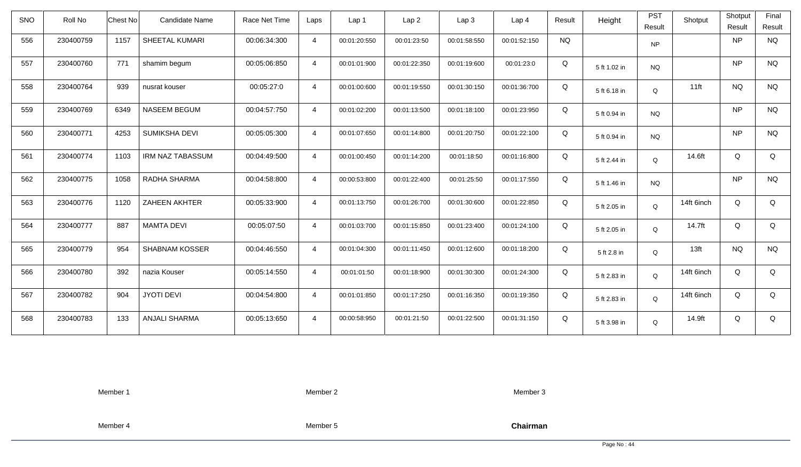| SNO | Roll No   | <b>Chest No</b> | <b>Candidate Name</b>   | Race Net Time | Laps           | Lap 1        | Lap <sub>2</sub> | Lap3         | Lap <sub>4</sub> | Result    | Height       | <b>PST</b><br>Result | Shotput          | Shotput<br>Result | Final<br>Result |
|-----|-----------|-----------------|-------------------------|---------------|----------------|--------------|------------------|--------------|------------------|-----------|--------------|----------------------|------------------|-------------------|-----------------|
| 556 | 230400759 | 1157            | SHEETAL KUMARI          | 00:06:34:300  | $\overline{4}$ | 00:01:20:550 | 00:01:23:50      | 00:01:58:550 | 00:01:52:150     | <b>NQ</b> |              | NP                   |                  | <b>NP</b>         | <b>NQ</b>       |
| 557 | 230400760 | 771             | shamim begum            | 00:05:06:850  | $\overline{4}$ | 00:01:01:900 | 00:01:22:350     | 00:01:19:600 | 00:01:23:0       | Q         | 5 ft 1.02 in | <b>NQ</b>            |                  | <b>NP</b>         | <b>NQ</b>       |
| 558 | 230400764 | 939             | nusrat kouser           | 00:05:27:0    | $\overline{4}$ | 00:01:00:600 | 00:01:19:550     | 00:01:30:150 | 00:01:36:700     | Q         | 5 ft 6.18 in | Q                    | $11$ ft          | <b>NQ</b>         | <b>NQ</b>       |
| 559 | 230400769 | 6349            | NASEEM BEGUM            | 00:04:57:750  | $\overline{4}$ | 00:01:02:200 | 00:01:13:500     | 00:01:18:100 | 00:01:23:950     | Q         | 5 ft 0.94 in | <b>NQ</b>            |                  | <b>NP</b>         | <b>NQ</b>       |
| 560 | 230400771 | 4253            | SUMIKSHA DEVI           | 00:05:05:300  | $\overline{4}$ | 00:01:07:650 | 00:01:14:800     | 00:01:20:750 | 00:01:22:100     | Q         | 5 ft 0.94 in | <b>NQ</b>            |                  | <b>NP</b>         | <b>NQ</b>       |
| 561 | 230400774 | 1103            | <b>IRM NAZ TABASSUM</b> | 00:04:49:500  | $\overline{4}$ | 00:01:00:450 | 00:01:14:200     | 00:01:18:50  | 00:01:16:800     | Q         | 5 ft 2.44 in | Q                    | 14.6ft           | Q                 | Q               |
| 562 | 230400775 | 1058            | RADHA SHARMA            | 00:04:58:800  | $\overline{4}$ | 00:00:53:800 | 00:01:22:400     | 00:01:25:50  | 00:01:17:550     | Q         | 5 ft 1.46 in | <b>NQ</b>            |                  | <b>NP</b>         | <b>NQ</b>       |
| 563 | 230400776 | 1120            | ZAHEEN AKHTER           | 00:05:33:900  | $\overline{4}$ | 00:01:13:750 | 00:01:26:700     | 00:01:30:600 | 00:01:22:850     | Q         | 5 ft 2.05 in | Q                    | 14ft 6inch       | Q                 | Q               |
| 564 | 230400777 | 887             | <b>MAMTA DEVI</b>       | 00:05:07:50   | $\overline{4}$ | 00:01:03:700 | 00:01:15:850     | 00:01:23:400 | 00:01:24:100     | Q         | 5 ft 2.05 in | $\mathsf Q$          | 14.7ft           | Q                 | Q               |
| 565 | 230400779 | 954             | <b>SHABNAM KOSSER</b>   | 00:04:46:550  | $\overline{4}$ | 00:01:04:300 | 00:01:11:450     | 00:01:12:600 | 00:01:18:200     | Q         | 5 ft 2.8 in  | Q                    | 13 <sub>ft</sub> | <b>NQ</b>         | <b>NQ</b>       |
| 566 | 230400780 | 392             | nazia Kouser            | 00:05:14:550  | $\overline{4}$ | 00:01:01:50  | 00:01:18:900     | 00:01:30:300 | 00:01:24:300     | Q         | 5 ft 2.83 in | Q                    | 14ft 6inch       | Q                 | Q               |
| 567 | 230400782 | 904             | <b>JYOTI DEVI</b>       | 00:04:54:800  | $\overline{4}$ | 00:01:01:850 | 00:01:17:250     | 00:01:16:350 | 00:01:19:350     | Q         | 5 ft 2.83 in | $\mathsf Q$          | 14ft 6inch       | Q                 | Q               |
| 568 | 230400783 | 133             | <b>ANJALI SHARMA</b>    | 00:05:13:650  | $\overline{4}$ | 00:00:58:950 | 00:01:21:50      | 00:01:22:500 | 00:01:31:150     | Q         | 5 ft 3.98 in | Q                    | 14.9ft           | Q                 | Q               |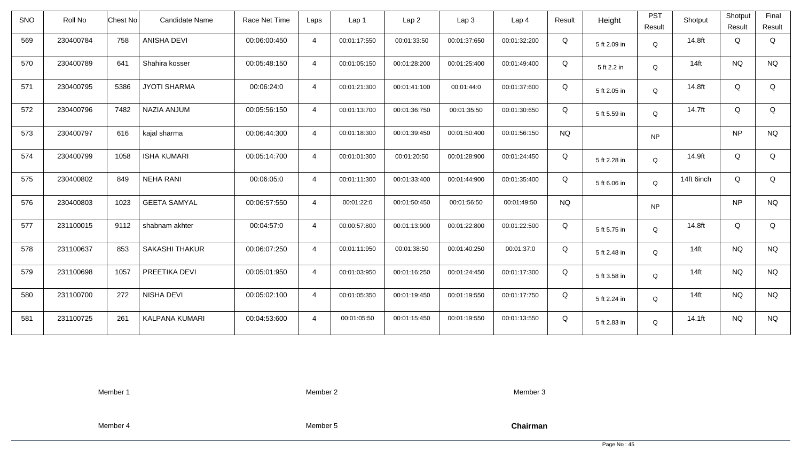| Roll No   |      | Candidate Name        | Race Net Time   | Laps           | Lap 1        | Lap <sub>2</sub> | Lap <sub>3</sub> | Lap <sub>4</sub> | Result    | Height       | <b>PST</b><br>Result | Shotput    | Shotput<br>Result | Final<br>Result |
|-----------|------|-----------------------|-----------------|----------------|--------------|------------------|------------------|------------------|-----------|--------------|----------------------|------------|-------------------|-----------------|
| 230400784 | 758  | <b>ANISHA DEVI</b>    | 00:06:00:450    | $\overline{4}$ | 00:01:17:550 | 00:01:33:50      | 00:01:37:650     | 00:01:32:200     | Q         | 5 ft 2.09 in | Q                    | 14.8ft     | Q                 | Q               |
| 230400789 | 641  | Shahira kosser        | 00:05:48:150    | $\overline{4}$ | 00:01:05:150 | 00:01:28:200     | 00:01:25:400     | 00:01:49:400     | Q         | 5 ft 2.2 in  | Q                    | $14$ ft    | <b>NQ</b>         | <b>NQ</b>       |
| 230400795 | 5386 | <b>JYOTI SHARMA</b>   | 00:06:24:0      | $\overline{4}$ | 00:01:21:300 | 00:01:41:100     | 00:01:44:0       | 00:01:37:600     | Q         | 5 ft 2.05 in | Q                    | 14.8ft     | Q                 | Q               |
| 230400796 | 7482 | NAZIA ANJUM           | 00:05:56:150    | $\overline{4}$ | 00:01:13:700 | 00:01:36:750     | 00:01:35:50      | 00:01:30:650     | Q         | 5 ft 5.59 in | Q                    | 14.7ft     | Q                 | Q               |
| 230400797 | 616  | kajal sharma          | 00:06:44:300    | $\overline{4}$ | 00:01:18:300 | 00:01:39:450     | 00:01:50:400     | 00:01:56:150     | <b>NQ</b> |              | <b>NP</b>            |            | <b>NP</b>         | <b>NQ</b>       |
| 230400799 | 1058 | <b>ISHA KUMARI</b>    | 00:05:14:700    | $\overline{4}$ | 00:01:01:300 | 00:01:20:50      | 00:01:28:900     | 00:01:24:450     | Q         | 5 ft 2.28 in | Q                    | 14.9ft     | Q                 | Q               |
| 230400802 | 849  | <b>NEHA RANI</b>      | 00:06:05:0      | $\overline{4}$ | 00:01:11:300 | 00:01:33:400     | 00:01:44:900     | 00:01:35:400     | Q         | 5 ft 6.06 in | Q                    | 14ft 6inch | Q                 | Q               |
| 230400803 | 1023 | <b>GEETA SAMYAL</b>   | 00:06:57:550    | 4              | 00:01:22:0   | 00:01:50:450     | 00:01:56:50      | 00:01:49:50      | <b>NQ</b> |              | <b>NP</b>            |            | <b>NP</b>         | <b>NQ</b>       |
| 231100015 | 9112 | shabnam akhter        | 00:04:57:0      | $\overline{4}$ | 00:00:57:800 | 00:01:13:900     | 00:01:22:800     | 00:01:22:500     | Q         | 5 ft 5.75 in | $\mathsf Q$          | 14.8ft     | Q                 | Q               |
| 231100637 | 853  | <b>SAKASHI THAKUR</b> | 00:06:07:250    | $\overline{4}$ | 00:01:11:950 | 00:01:38:50      | 00:01:40:250     | 00:01:37:0       | Q         | 5 ft 2.48 in | Q                    | $14$ ft    | <b>NQ</b>         | <b>NQ</b>       |
| 231100698 | 1057 | PREETIKA DEVI         | 00:05:01:950    | $\overline{4}$ | 00:01:03:950 | 00:01:16:250     | 00:01:24:450     | 00:01:17:300     | Q         | 5 ft 3.58 in | Q                    | $14$ ft    | <b>NQ</b>         | <b>NQ</b>       |
| 231100700 | 272  | NISHA DEVI            | 00:05:02:100    | $\overline{4}$ | 00:01:05:350 | 00:01:19:450     | 00:01:19:550     | 00:01:17:750     | Q         | 5 ft 2.24 in | Q                    | $14$ ft    | <b>NQ</b>         | <b>NQ</b>       |
| 231100725 | 261  | KALPANA KUMARI        | 00:04:53:600    | $\overline{4}$ | 00:01:05:50  | 00:01:15:450     | 00:01:19:550     | 00:01:13:550     | Q         | 5 ft 2.83 in | Q                    | 14.1ft     | <b>NQ</b>         | <b>NQ</b>       |
|           |      |                       | <b>Chest No</b> |                |              |                  |                  |                  |           |              |                      |            |                   |                 |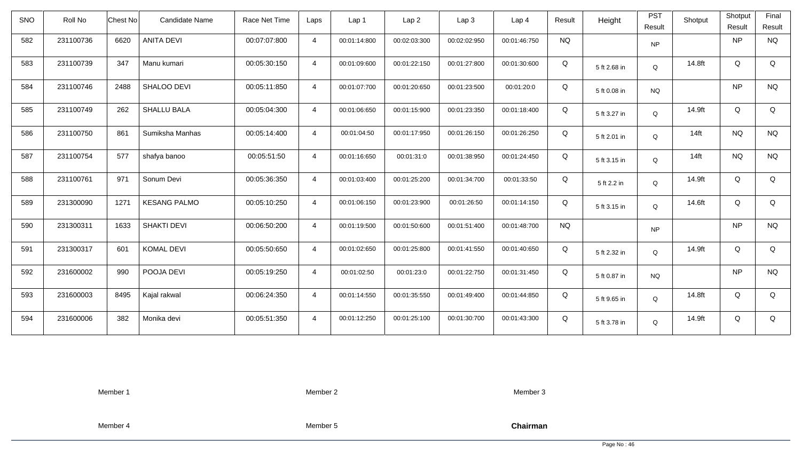| <b>SNO</b> | Roll No   | Chest No | Candidate Name      | Race Net Time | Laps           | Lap 1        | Lap <sub>2</sub> | Lap3         | Lap <sub>4</sub> | Result    | Height       | <b>PST</b><br>Result | Shotput | Shotput<br>Result | Final<br>Result |
|------------|-----------|----------|---------------------|---------------|----------------|--------------|------------------|--------------|------------------|-----------|--------------|----------------------|---------|-------------------|-----------------|
| 582        | 231100736 | 6620     | <b>ANITA DEVI</b>   | 00:07:07:800  | $\overline{4}$ | 00:01:14:800 | 00:02:03:300     | 00:02:02:950 | 00:01:46:750     | <b>NQ</b> |              | <b>NP</b>            |         | <b>NP</b>         | <b>NQ</b>       |
| 583        | 231100739 | 347      | Manu kumari         | 00:05:30:150  | $\overline{4}$ | 00:01:09:600 | 00:01:22:150     | 00:01:27:800 | 00:01:30:600     | Q         | 5 ft 2.68 in | Q                    | 14.8ft  | Q                 | Q               |
| 584        | 231100746 | 2488     | SHALOO DEVI         | 00:05:11:850  | $\overline{4}$ | 00:01:07:700 | 00:01:20:650     | 00:01:23:500 | 00:01:20:0       | Q         | 5 ft 0.08 in | <b>NQ</b>            |         | <b>NP</b>         | <b>NQ</b>       |
| 585        | 231100749 | 262      | <b>SHALLU BALA</b>  | 00:05:04:300  | $\overline{4}$ | 00:01:06:650 | 00:01:15:900     | 00:01:23:350 | 00:01:18:400     | Q         | 5 ft 3.27 in | Q                    | 14.9ft  | Q                 | Q               |
| 586        | 231100750 | 861      | Sumiksha Manhas     | 00:05:14:400  | $\overline{4}$ | 00:01:04:50  | 00:01:17:950     | 00:01:26:150 | 00:01:26:250     | Q         | 5 ft 2.01 in | Q                    | $14$ ft | <b>NQ</b>         | <b>NQ</b>       |
| 587        | 231100754 | 577      | shafya banoo        | 00:05:51:50   | $\overline{4}$ | 00:01:16:650 | 00:01:31:0       | 00:01:38:950 | 00:01:24:450     | Q         | 5 ft 3.15 in | $\mathsf Q$          | $14$ ft | <b>NQ</b>         | <b>NQ</b>       |
| 588        | 231100761 | 971      | Sonum Devi          | 00:05:36:350  | $\overline{4}$ | 00:01:03:400 | 00:01:25:200     | 00:01:34:700 | 00:01:33:50      | Q         | 5 ft 2.2 in  | Q                    | 14.9ft  | Q                 | Q               |
| 589        | 231300090 | 1271     | <b>KESANG PALMO</b> | 00:05:10:250  | $\overline{4}$ | 00:01:06:150 | 00:01:23:900     | 00:01:26:50  | 00:01:14:150     | Q         | 5 ft 3.15 in | Q                    | 14.6ft  | Q                 | Q               |
| 590        | 231300311 | 1633     | <b>SHAKTI DEVI</b>  | 00:06:50:200  | $\overline{4}$ | 00:01:19:500 | 00:01:50:600     | 00:01:51:400 | 00:01:48:700     | <b>NQ</b> |              | <b>NP</b>            |         | <b>NP</b>         | <b>NQ</b>       |
| 591        | 231300317 | 601      | <b>KOMAL DEVI</b>   | 00:05:50:650  | $\overline{4}$ | 00:01:02:650 | 00:01:25:800     | 00:01:41:550 | 00:01:40:650     | Q         | 5 ft 2.32 in | Q                    | 14.9ft  | Q                 | Q               |
| 592        | 231600002 | 990      | POOJA DEVI          | 00:05:19:250  | $\overline{4}$ | 00:01:02:50  | 00:01:23:0       | 00:01:22:750 | 00:01:31:450     | Q         | 5 ft 0.87 in | <b>NQ</b>            |         | <b>NP</b>         | <b>NQ</b>       |
| 593        | 231600003 | 8495     | Kajal rakwal        | 00:06:24:350  | $\overline{4}$ | 00:01:14:550 | 00:01:35:550     | 00:01:49:400 | 00:01:44:850     | Q         | 5 ft 9.65 in | Q                    | 14.8ft  | Q                 | Q               |
| 594        | 231600006 | 382      | Monika devi         | 00:05:51:350  | $\overline{4}$ | 00:01:12:250 | 00:01:25:100     | 00:01:30:700 | 00:01:43:300     | Q         | 5 ft 3.78 in | Q                    | 14.9ft  | Q                 | Q               |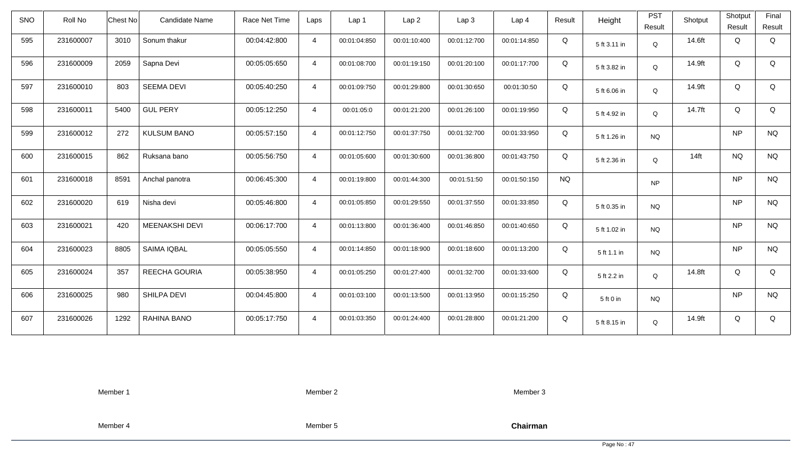| SNO | Roll No   | <b>Chest No</b> | <b>Candidate Name</b> | Race Net Time | Laps           | Lap 1        | Lap <sub>2</sub> | Lap3         | Lap <sub>4</sub> | Result    | Height       | <b>PST</b><br>Result | Shotput | Shotput<br>Result | Final<br>Result |
|-----|-----------|-----------------|-----------------------|---------------|----------------|--------------|------------------|--------------|------------------|-----------|--------------|----------------------|---------|-------------------|-----------------|
| 595 | 231600007 | 3010            | Sonum thakur          | 00:04:42:800  | $\overline{4}$ | 00:01:04:850 | 00:01:10:400     | 00:01:12:700 | 00:01:14:850     | Q         | 5 ft 3.11 in | Q                    | 14.6ft  | Q                 | Q               |
| 596 | 231600009 | 2059            | Sapna Devi            | 00:05:05:650  | $\overline{4}$ | 00:01:08:700 | 00:01:19:150     | 00:01:20:100 | 00:01:17:700     | Q         | 5 ft 3.82 in | Q                    | 14.9ft  | Q                 | Q               |
| 597 | 231600010 | 803             | <b>SEEMA DEVI</b>     | 00:05:40:250  | $\overline{4}$ | 00:01:09:750 | 00:01:29:800     | 00:01:30:650 | 00:01:30:50      | Q         | 5 ft 6.06 in | Q                    | 14.9ft  | Q                 | Q               |
| 598 | 231600011 | 5400            | <b>GUL PERY</b>       | 00:05:12:250  | $\overline{4}$ | 00:01:05:0   | 00:01:21:200     | 00:01:26:100 | 00:01:19:950     | Q         | 5 ft 4.92 in | Q                    | 14.7ft  | Q                 | Q               |
| 599 | 231600012 | 272             | <b>KULSUM BANO</b>    | 00:05:57:150  | $\overline{4}$ | 00:01:12:750 | 00:01:37:750     | 00:01:32:700 | 00:01:33:950     | Q         | 5 ft 1.26 in | <b>NQ</b>            |         | <b>NP</b>         | <b>NQ</b>       |
| 600 | 231600015 | 862             | Ruksana bano          | 00:05:56:750  | $\overline{4}$ | 00:01:05:600 | 00:01:30:600     | 00:01:36:800 | 00:01:43:750     | Q         | 5 ft 2.36 in | Q                    | $14$ ft | <b>NQ</b>         | <b>NQ</b>       |
| 601 | 231600018 | 8591            | Anchal panotra        | 00:06:45:300  | $\overline{4}$ | 00:01:19:800 | 00:01:44:300     | 00:01:51:50  | 00:01:50:150     | <b>NQ</b> |              | <b>NP</b>            |         | <b>NP</b>         | <b>NQ</b>       |
| 602 | 231600020 | 619             | Nisha devi            | 00:05:46:800  | $\overline{4}$ | 00:01:05:850 | 00:01:29:550     | 00:01:37:550 | 00:01:33:850     | Q         | 5 ft 0.35 in | <b>NQ</b>            |         | <b>NP</b>         | <b>NQ</b>       |
| 603 | 231600021 | 420             | <b>MEENAKSHI DEVI</b> | 00:06:17:700  | $\overline{4}$ | 00:01:13:800 | 00:01:36:400     | 00:01:46:850 | 00:01:40:650     | Q         | 5 ft 1.02 in | NQ                   |         | <b>NP</b>         | <b>NQ</b>       |
| 604 | 231600023 | 8805            | SAIMA IQBAL           | 00:05:05:550  | $\overline{4}$ | 00:01:14:850 | 00:01:18:900     | 00:01:18:600 | 00:01:13:200     | Q         | 5 ft 1.1 in  | <b>NQ</b>            |         | <b>NP</b>         | <b>NQ</b>       |
| 605 | 231600024 | 357             | REECHA GOURIA         | 00:05:38:950  | $\overline{4}$ | 00:01:05:250 | 00:01:27:400     | 00:01:32:700 | 00:01:33:600     | Q         | 5 ft 2.2 in  | Q                    | 14.8ft  | Q                 | Q               |
| 606 | 231600025 | 980             | SHILPA DEVI           | 00:04:45:800  | $\overline{4}$ | 00:01:03:100 | 00:01:13:500     | 00:01:13:950 | 00:01:15:250     | Q         | 5 ft 0 in    | <b>NQ</b>            |         | <b>NP</b>         | <b>NQ</b>       |
| 607 | 231600026 | 1292            | RAHINA BANO           | 00:05:17:750  | $\overline{4}$ | 00:01:03:350 | 00:01:24:400     | 00:01:28:800 | 00:01:21:200     | Q         | 5 ft 8.15 in | Q                    | 14.9ft  | Q                 | Q               |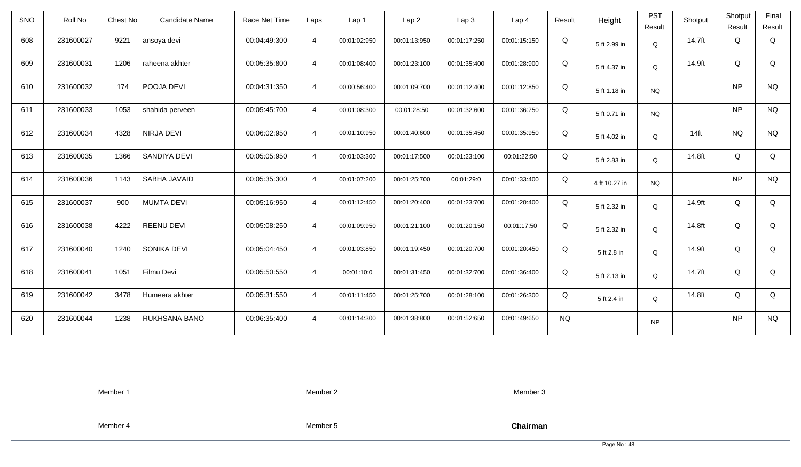| <b>SNO</b> | Roll No   | Candidate Name<br>Chest No | Race Net Time | Laps           | Lap 1        | Lap <sub>2</sub> | Lap3         | Lap <sub>4</sub> | Result    | Height        | <b>PST</b><br>Result | Shotput | Shotput<br>Result | Final<br>Result |
|------------|-----------|----------------------------|---------------|----------------|--------------|------------------|--------------|------------------|-----------|---------------|----------------------|---------|-------------------|-----------------|
| 608        | 231600027 | 9221<br>ansoya devi        | 00:04:49:300  | $\overline{4}$ | 00:01:02:950 | 00:01:13:950     | 00:01:17:250 | 00:01:15:150     | Q         | 5 ft 2.99 in  | $\mathsf Q$          | 14.7ft  | Q                 | Q               |
| 609        | 231600031 | 1206<br>raheena akhter     | 00:05:35:800  | $\overline{4}$ | 00:01:08:400 | 00:01:23:100     | 00:01:35:400 | 00:01:28:900     | Q         | 5 ft 4.37 in  | Q                    | 14.9ft  | Q                 | Q               |
| 610        | 231600032 | 174<br>POOJA DEVI          | 00:04:31:350  | $\overline{4}$ | 00:00:56:400 | 00:01:09:700     | 00:01:12:400 | 00:01:12:850     | Q         | 5 ft 1.18 in  | <b>NQ</b>            |         | <b>NP</b>         | <b>NQ</b>       |
| 611        | 231600033 | 1053<br>shahida perveen    | 00:05:45:700  | $\overline{4}$ | 00:01:08:300 | 00:01:28:50      | 00:01:32:600 | 00:01:36:750     | Q         | 5 ft 0.71 in  | <b>NQ</b>            |         | <b>NP</b>         | <b>NQ</b>       |
| 612        | 231600034 | NIRJA DEVI<br>4328         | 00:06:02:950  | $\overline{4}$ | 00:01:10:950 | 00:01:40:600     | 00:01:35:450 | 00:01:35:950     | Q         | 5 ft 4.02 in  | Q                    | $14$ ft | NQ                | <b>NQ</b>       |
| 613        | 231600035 | SANDIYA DEVI<br>1366       | 00:05:05:950  | $\overline{4}$ | 00:01:03:300 | 00:01:17:500     | 00:01:23:100 | 00:01:22:50      | Q         | 5 ft 2.83 in  | Q                    | 14.8ft  | Q                 | Q               |
| 614        | 231600036 | 1143<br>SABHA JAVAID       | 00:05:35:300  | $\overline{4}$ | 00:01:07:200 | 00:01:25:700     | 00:01:29:0   | 00:01:33:400     | Q         | 4 ft 10.27 in | <b>NQ</b>            |         | <b>NP</b>         | <b>NQ</b>       |
| 615        | 231600037 | 900<br><b>MUMTA DEVI</b>   | 00:05:16:950  | $\overline{4}$ | 00:01:12:450 | 00:01:20:400     | 00:01:23:700 | 00:01:20:400     | Q         | 5 ft 2.32 in  | Q                    | 14.9ft  | Q                 | Q               |
| 616        | 231600038 | 4222<br><b>REENU DEVI</b>  | 00:05:08:250  | $\overline{4}$ | 00:01:09:950 | 00:01:21:100     | 00:01:20:150 | 00:01:17:50      | Q         | 5 ft 2.32 in  | Q                    | 14.8ft  | Q                 | Q               |
| 617        | 231600040 | 1240<br>SONIKA DEVI        | 00:05:04:450  | $\overline{4}$ | 00:01:03:850 | 00:01:19:450     | 00:01:20:700 | 00:01:20:450     | Q         | 5 ft 2.8 in   | Q                    | 14.9ft  | Q                 | Q               |
| 618        | 231600041 | Filmu Devi<br>1051         | 00:05:50:550  | $\overline{4}$ | 00:01:10:0   | 00:01:31:450     | 00:01:32:700 | 00:01:36:400     | Q         | 5 ft 2.13 in  | Q                    | 14.7ft  | Q                 | Q               |
| 619        | 231600042 | 3478<br>Humeera akhter     | 00:05:31:550  | $\overline{4}$ | 00:01:11:450 | 00:01:25:700     | 00:01:28:100 | 00:01:26:300     | Q         | 5 ft 2.4 in   | Q                    | 14.8ft  | Q                 | Q               |
| 620        | 231600044 | 1238<br>RUKHSANA BANO      | 00:06:35:400  | $\overline{4}$ | 00:01:14:300 | 00:01:38:800     | 00:01:52:650 | 00:01:49:650     | <b>NQ</b> |               | <b>NP</b>            |         | <b>NP</b>         | <b>NQ</b>       |

Member 2

Member 3

Member 4

Member 5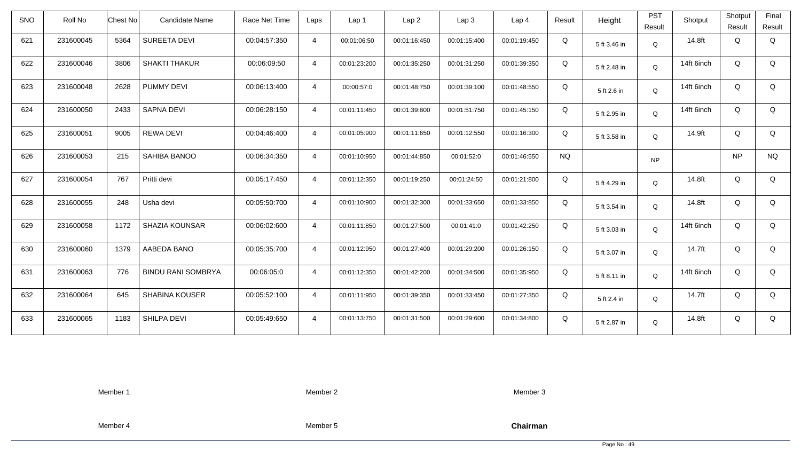| SNO | Roll No   | <b>Chest No</b> | <b>Candidate Name</b>     | Race Net Time | Laps           | Lap <sub>1</sub> | Lap2         | Lap3         | Lap <sub>4</sub> | Result    | Height       | <b>PST</b> | Shotput    | Shotput   | Final     |
|-----|-----------|-----------------|---------------------------|---------------|----------------|------------------|--------------|--------------|------------------|-----------|--------------|------------|------------|-----------|-----------|
|     |           |                 |                           |               |                |                  |              |              |                  |           |              | Result     |            | Result    | Result    |
| 621 | 231600045 | 5364            | <b>SUREETA DEVI</b>       | 00:04:57:350  | $\overline{4}$ | 00:01:06:50      | 00:01:16:450 | 00:01:15:400 | 00:01:19:450     | Q         | 5 ft 3.46 in | Q          | 14.8ft     | Q         | Q         |
| 622 | 231600046 | 3806            | <b>SHAKTI THAKUR</b>      | 00:06:09:50   | $\overline{4}$ | 00:01:23:200     | 00:01:35:250 | 00:01:31:250 | 00:01:39:350     | Q         | 5 ft 2.48 in | Q          | 14ft 6inch | Q         | Q         |
| 623 | 231600048 | 2628            | PUMMY DEVI                | 00:06:13:400  | $\overline{4}$ | 00:00:57:0       | 00:01:48:750 | 00:01:39:100 | 00:01:48:550     | Q         | 5 ft 2.6 in  | Q          | 14ft 6inch | Q         | Q         |
| 624 | 231600050 | 2433            | <b>SAPNA DEVI</b>         | 00:06:28:150  | $\overline{4}$ | 00:01:11:450     | 00:01:39:800 | 00:01:51:750 | 00:01:45:150     | Q         | 5 ft 2.95 in | Q          | 14ft 6inch | Q         | Q         |
| 625 | 231600051 | 9005            | <b>REWA DEVI</b>          | 00:04:46:400  | $\overline{4}$ | 00:01:05:900     | 00:01:11:650 | 00:01:12:550 | 00:01:16:300     | Q         | 5 ft 3.58 in | Q          | 14.9ft     | Q         | Q         |
| 626 | 231600053 | 215             | SAHIBA BANOO              | 00:06:34:350  | $\overline{4}$ | 00:01:10:950     | 00:01:44:850 | 00:01:52:0   | 00:01:46:550     | <b>NQ</b> |              | <b>NP</b>  |            | <b>NP</b> | <b>NQ</b> |
| 627 | 231600054 | 767             | Pritti devi               | 00:05:17:450  | $\overline{4}$ | 00:01:12:350     | 00:01:19:250 | 00:01:24:50  | 00:01:21:800     | Q         | 5 ft 4.29 in | Q          | 14.8ft     | Q         | Q         |
| 628 | 231600055 | 248             | Usha devi                 | 00:05:50:700  | 4              | 00:01:10:900     | 00:01:32:300 | 00:01:33:650 | 00:01:33:850     | Q         | 5 ft 3.54 in | Q          | 14.8ft     | Q         | Q         |
| 629 | 231600058 | 1172            | <b>SHAZIA KOUNSAR</b>     | 00:06:02:600  | $\overline{4}$ | 00:01:11:850     | 00:01:27:500 | 00:01:41:0   | 00:01:42:250     | Q         | 5 ft 3.03 in | Q          | 14ft 6inch | Q         | Q         |
| 630 | 231600060 | 1379            | AABEDA BANO               | 00:05:35:700  | $\overline{4}$ | 00:01:12:950     | 00:01:27:400 | 00:01:29:200 | 00:01:26:150     | Q         | 5 ft 3.07 in | Q          | 14.7ft     | Q         | Q         |
| 631 | 231600063 | 776             | <b>BINDU RANI SOMBRYA</b> | 00:06:05:0    | $\overline{4}$ | 00:01:12:350     | 00:01:42:200 | 00:01:34:500 | 00:01:35:950     | Q         | 5 ft 8.11 in | Q          | 14ft 6inch | Q         | Q         |
| 632 | 231600064 | 645             | SHABINA KOUSER            | 00:05:52:100  | $\overline{4}$ | 00:01:11:950     | 00:01:39:350 | 00:01:33:450 | 00:01:27:350     | Q         | 5 ft 2.4 in  | Q          | 14.7ft     | Q         | Q         |
| 633 | 231600065 | 1183            | SHILPA DEVI               | 00:05:49:650  | $\overline{4}$ | 00:01:13:750     | 00:01:31:500 | 00:01:29:600 | 00:01:34:800     | Q         | 5 ft 2.87 in | Q          | 14.8ft     | Q         | Q         |

Member 2

Member 3

Member 4

Member 5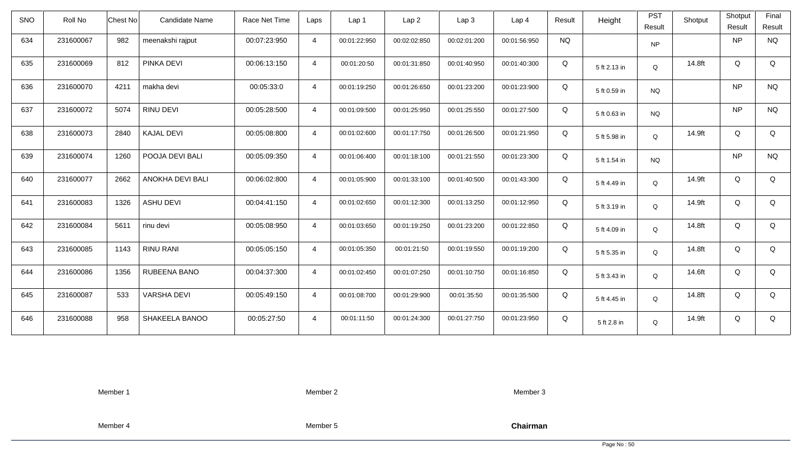| <b>SNO</b> | Roll No   | Candidate Name<br>Chest No | Race Net Time | Laps           | Lap <sub>1</sub> | Lap2         | Lap 3        | Lap <sub>4</sub> | Result    | Height       | <b>PST</b><br>Result | Shotput | Shotput<br>Result | Final<br>Result |
|------------|-----------|----------------------------|---------------|----------------|------------------|--------------|--------------|------------------|-----------|--------------|----------------------|---------|-------------------|-----------------|
|            |           |                            |               |                |                  |              |              |                  |           |              |                      |         |                   |                 |
| 634        | 231600067 | 982<br>meenakshi rajput    | 00:07:23:950  | $\overline{4}$ | 00:01:22:950     | 00:02:02:850 | 00:02:01:200 | 00:01:56:950     | <b>NQ</b> |              | <b>NP</b>            |         | NP                | <b>NQ</b>       |
| 635        | 231600069 | PINKA DEVI<br>812          | 00:06:13:150  | $\overline{4}$ | 00:01:20:50      | 00:01:31:850 | 00:01:40:950 | 00:01:40:300     | Q         | 5 ft 2.13 in | Q                    | 14.8ft  | Q                 | Q               |
| 636        | 231600070 | makha devi<br>4211         | 00:05:33:0    | $\overline{4}$ | 00:01:19:250     | 00:01:26:650 | 00:01:23:200 | 00:01:23:900     | Q         | 5 ft 0.59 in | <b>NQ</b>            |         | <b>NP</b>         | <b>NQ</b>       |
| 637        | 231600072 | 5074<br>RINU DEVI          | 00:05:28:500  | $\overline{4}$ | 00:01:09:500     | 00:01:25:950 | 00:01:25:550 | 00:01:27:500     | Q         | 5 ft 0.63 in | <b>NQ</b>            |         | <b>NP</b>         | <b>NQ</b>       |
| 638        | 231600073 | <b>KAJAL DEVI</b><br>2840  | 00:05:08:800  | $\overline{4}$ | 00:01:02:600     | 00:01:17:750 | 00:01:26:500 | 00:01:21:950     | Q         | 5 ft 5.98 in | Q                    | 14.9ft  | Q                 | Q               |
| 639        | 231600074 | 1260<br>POOJA DEVI BALI    | 00:05:09:350  | $\overline{4}$ | 00:01:06:400     | 00:01:18:100 | 00:01:21:550 | 00:01:23:300     | Q         | 5 ft 1.54 in | <b>NQ</b>            |         | <b>NP</b>         | <b>NQ</b>       |
| 640        | 231600077 | 2662<br>ANOKHA DEVI BALI   | 00:06:02:800  | $\overline{4}$ | 00:01:05:900     | 00:01:33:100 | 00:01:40:500 | 00:01:43:300     | Q         | 5 ft 4.49 in | Q                    | 14.9ft  | Q                 | Q               |
| 641        | 231600083 | <b>ASHU DEVI</b><br>1326   | 00:04:41:150  | $\overline{4}$ | 00:01:02:650     | 00:01:12:300 | 00:01:13:250 | 00:01:12:950     | Q         | 5 ft 3.19 in | Q                    | 14.9ft  | Q                 | Q               |
| 642        | 231600084 | rinu devi<br>5611          | 00:05:08:950  | $\overline{4}$ | 00:01:03:650     | 00:01:19:250 | 00:01:23:200 | 00:01:22:850     | Q         | 5 ft 4.09 in | Q                    | 14.8ft  | Q                 | Q               |
| 643        | 231600085 | 1143<br><b>RINU RANI</b>   | 00:05:05:150  | $\overline{4}$ | 00:01:05:350     | 00:01:21:50  | 00:01:19:550 | 00:01:19:200     | Q         | 5 ft 5.35 in | Q                    | 14.8ft  | Q                 | Q               |
| 644        | 231600086 | 1356<br>RUBEENA BANO       | 00:04:37:300  | $\overline{4}$ | 00:01:02:450     | 00:01:07:250 | 00:01:10:750 | 00:01:16:850     | Q         | 5 ft 3.43 in | Q                    | 14.6ft  | Q                 | Q               |
| 645        | 231600087 | <b>VARSHA DEVI</b><br>533  | 00:05:49:150  | $\overline{4}$ | 00:01:08:700     | 00:01:29:900 | 00:01:35:50  | 00:01:35:500     | Q         | 5 ft 4.45 in | Q                    | 14.8ft  | Q                 | Q               |
| 646        | 231600088 | 958<br>SHAKEELA BANOO      | 00:05:27:50   | $\overline{4}$ | 00:01:11:50      | 00:01:24:300 | 00:01:27:750 | 00:01:23:950     | Q         | 5 ft 2.8 in  | Q                    | 14.9ft  | Q                 | Q               |

Member 2

Member 3

Member 4

Member 5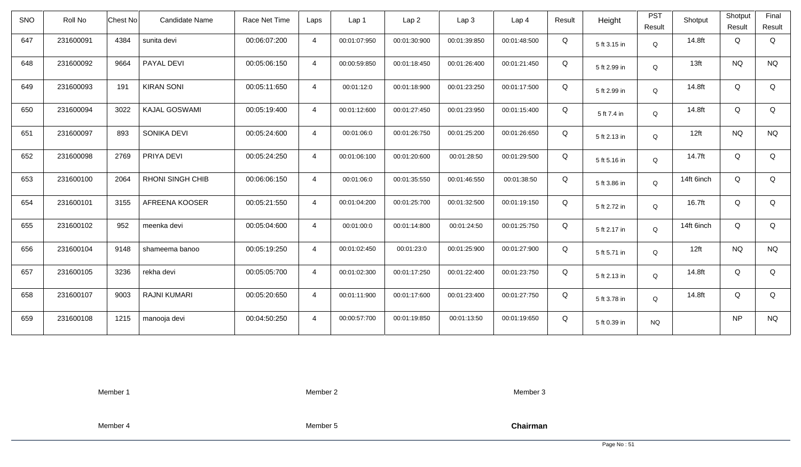| <b>SNO</b> | Roll No   | <b>Chest No</b> | Candidate Name          | Race Net Time | Laps           | Lap 1        | Lap <sub>2</sub> | Lap <sub>3</sub> | Lap <sub>4</sub> | Result | Height       | <b>PST</b><br>Result | Shotput          | Shotput<br>Result | Final<br>Result |
|------------|-----------|-----------------|-------------------------|---------------|----------------|--------------|------------------|------------------|------------------|--------|--------------|----------------------|------------------|-------------------|-----------------|
| 647        | 231600091 | 4384            | sunita devi             | 00:06:07:200  | $\overline{4}$ | 00:01:07:950 | 00:01:30:900     | 00:01:39:850     | 00:01:48:500     | Q      | 5 ft 3.15 in | Q                    | 14.8ft           | Q                 | Q               |
| 648        | 231600092 | 9664            | PAYAL DEVI              | 00:05:06:150  | $\overline{4}$ | 00:00:59:850 | 00:01:18:450     | 00:01:26:400     | 00:01:21:450     | Q      | 5 ft 2.99 in | Q                    | 13 <sub>ft</sub> | <b>NQ</b>         | <b>NQ</b>       |
| 649        | 231600093 | 191             | <b>KIRAN SONI</b>       | 00:05:11:650  | $\overline{4}$ | 00:01:12:0   | 00:01:18:900     | 00:01:23:250     | 00:01:17:500     | Q      | 5 ft 2.99 in | Q                    | 14.8ft           | Q                 | Q               |
| 650        | 231600094 | 3022            | <b>KAJAL GOSWAMI</b>    | 00:05:19:400  | $\overline{4}$ | 00:01:12:600 | 00:01:27:450     | 00:01:23:950     | 00:01:15:400     | Q      | 5 ft 7.4 in  | Q                    | 14.8ft           | Q                 | Q               |
| 651        | 231600097 | 893             | SONIKA DEVI             | 00:05:24:600  | $\overline{4}$ | 00:01:06:0   | 00:01:26:750     | 00:01:25:200     | 00:01:26:650     | Q      | 5 ft 2.13 in | Q                    | 12ft             | <b>NQ</b>         | <b>NQ</b>       |
| 652        | 231600098 | 2769            | PRIYA DEVI              | 00:05:24:250  | $\overline{4}$ | 00:01:06:100 | 00:01:20:600     | 00:01:28:50      | 00:01:29:500     | Q      | 5 ft 5.16 in | Q                    | 14.7ft           | Q                 | Q               |
| 653        | 231600100 | 2064            | <b>RHONI SINGH CHIB</b> | 00:06:06:150  | $\overline{4}$ | 00:01:06:0   | 00:01:35:550     | 00:01:46:550     | 00:01:38:50      | Q      | 5 ft 3.86 in | Q                    | 14ft 6inch       | Q                 | Q               |
| 654        | 231600101 | 3155            | AFREENA KOOSER          | 00:05:21:550  | $\overline{4}$ | 00:01:04:200 | 00:01:25:700     | 00:01:32:500     | 00:01:19:150     | Q      | 5 ft 2.72 in | Q                    | 16.7ft           | Q                 | Q               |
| 655        | 231600102 | 952             | meenka devi             | 00:05:04:600  | $\overline{4}$ | 00:01:00:0   | 00:01:14:800     | 00:01:24:50      | 00:01:25:750     | Q      | 5 ft 2.17 in | Q                    | 14ft 6inch       | Q                 | Q               |
| 656        | 231600104 | 9148            | shameema banoo          | 00:05:19:250  | $\overline{4}$ | 00:01:02:450 | 00:01:23:0       | 00:01:25:900     | 00:01:27:900     | Q      | 5 ft 5.71 in | Q                    | 12ft             | <b>NQ</b>         | <b>NQ</b>       |
| 657        | 231600105 | 3236            | rekha devi              | 00:05:05:700  | $\overline{4}$ | 00:01:02:300 | 00:01:17:250     | 00:01:22:400     | 00:01:23:750     | Q      | 5 ft 2.13 in | Q                    | 14.8ft           | Q                 | Q               |
| 658        | 231600107 | 9003            | <b>RAJNI KUMARI</b>     | 00:05:20:650  | $\overline{4}$ | 00:01:11:900 | 00:01:17:600     | 00:01:23:400     | 00:01:27:750     | Q      | 5 ft 3.78 in | Q                    | 14.8ft           | Q                 | Q               |
| 659        | 231600108 | 1215            | manooja devi            | 00:04:50:250  | $\overline{4}$ | 00:00:57:700 | 00:01:19:850     | 00:01:13:50      | 00:01:19:650     | Q      | 5 ft 0.39 in | <b>NQ</b>            |                  | <b>NP</b>         | <b>NQ</b>       |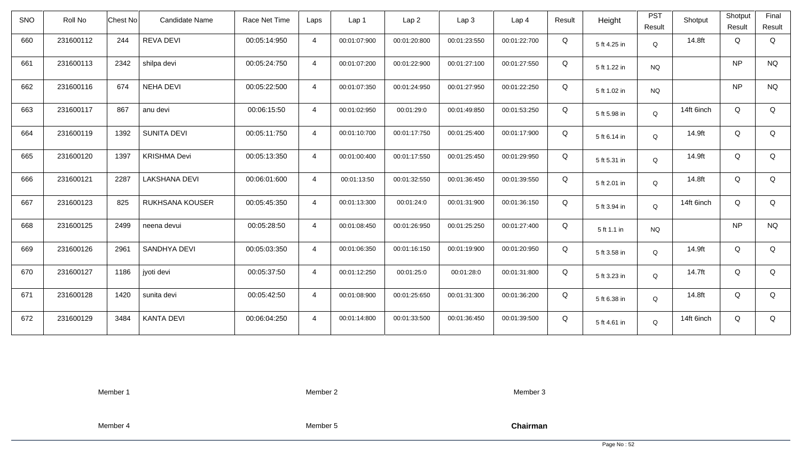| <b>SNO</b> | Roll No   | <b>Chest No</b> | Candidate Name       | Race Net Time | Laps           | Lap <sub>1</sub> | Lap <sub>2</sub> | Lap <sub>3</sub> | Lap <sub>4</sub> | Result | Height       | <b>PST</b><br>Result | Shotput    | Shotput<br>Result | Final<br>Result |
|------------|-----------|-----------------|----------------------|---------------|----------------|------------------|------------------|------------------|------------------|--------|--------------|----------------------|------------|-------------------|-----------------|
| 660        | 231600112 | 244             | <b>REVA DEVI</b>     | 00:05:14:950  | $\overline{4}$ | 00:01:07:900     | 00:01:20:800     | 00:01:23:550     | 00:01:22:700     | Q      | 5 ft 4.25 in | Q                    | 14.8ft     | Q                 | Q               |
| 661        | 231600113 | 2342            | shilpa devi          | 00:05:24:750  | $\overline{4}$ | 00:01:07:200     | 00:01:22:900     | 00:01:27:100     | 00:01:27:550     | Q      | 5 ft 1.22 in | <b>NQ</b>            |            | <b>NP</b>         | <b>NQ</b>       |
| 662        | 231600116 | 674             | <b>NEHA DEVI</b>     | 00:05:22:500  | $\overline{4}$ | 00:01:07:350     | 00:01:24:950     | 00:01:27:950     | 00:01:22:250     | Q      | 5 ft 1.02 in | <b>NQ</b>            |            | <b>NP</b>         | <b>NQ</b>       |
| 663        | 231600117 | 867             | anu devi             | 00:06:15:50   | $\overline{4}$ | 00:01:02:950     | 00:01:29:0       | 00:01:49:850     | 00:01:53:250     | Q      | 5 ft 5.98 in | Q                    | 14ft 6inch | Q                 | Q               |
| 664        | 231600119 | 1392            | <b>SUNITA DEVI</b>   | 00:05:11:750  | $\overline{4}$ | 00:01:10:700     | 00:01:17:750     | 00:01:25:400     | 00:01:17:900     | Q      | 5 ft 6.14 in | Q                    | 14.9ft     | Q                 | Q               |
| 665        | 231600120 | 1397            | <b>KRISHMA Devi</b>  | 00:05:13:350  | $\overline{4}$ | 00:01:00:400     | 00:01:17:550     | 00:01:25:450     | 00:01:29:950     | Q      | 5 ft 5.31 in | Q                    | 14.9ft     | Q                 | Q               |
| 666        | 231600121 | 2287            | <b>LAKSHANA DEVI</b> | 00:06:01:600  | $\overline{4}$ | 00:01:13:50      | 00:01:32:550     | 00:01:36:450     | 00:01:39:550     | Q      | 5 ft 2.01 in | Q                    | 14.8ft     | Q                 | Q               |
| 667        | 231600123 | 825             | RUKHSANA KOUSER      | 00:05:45:350  | $\overline{4}$ | 00:01:13:300     | 00:01:24:0       | 00:01:31:900     | 00:01:36:150     | Q      | 5 ft 3.94 in | Q                    | 14ft 6inch | Q                 | Q               |
| 668        | 231600125 | 2499            | neena devui          | 00:05:28:50   | $\overline{a}$ | 00:01:08:450     | 00:01:26:950     | 00:01:25:250     | 00:01:27:400     | Q      | 5 ft 1.1 in  | <b>NQ</b>            |            | <b>NP</b>         | <b>NQ</b>       |
| 669        | 231600126 | 2961            | SANDHYA DEVI         | 00:05:03:350  | $\overline{4}$ | 00:01:06:350     | 00:01:16:150     | 00:01:19:900     | 00:01:20:950     | Q      | 5 ft 3.58 in | Q                    | 14.9ft     | Q                 | Q               |
| 670        | 231600127 | 1186            | jyoti devi           | 00:05:37:50   | $\overline{4}$ | 00:01:12:250     | 00:01:25:0       | 00:01:28:0       | 00:01:31:800     | Q      | 5 ft 3.23 in | Q                    | 14.7ft     | Q                 | Q               |
| 671        | 231600128 | 1420            | sunita devi          | 00:05:42:50   | $\overline{4}$ | 00:01:08:900     | 00:01:25:650     | 00:01:31:300     | 00:01:36:200     | Q      | 5 ft 6.38 in | Q                    | 14.8ft     | Q                 | Q               |
| 672        | 231600129 | 3484            | <b>KANTA DEVI</b>    | 00:06:04:250  | $\overline{4}$ | 00:01:14:800     | 00:01:33:500     | 00:01:36:450     | 00:01:39:500     | Q      | 5 ft 4.61 in | Q                    | 14ft 6inch | Q                 | Q               |

Member 2

Member 3

Member 4

Member 5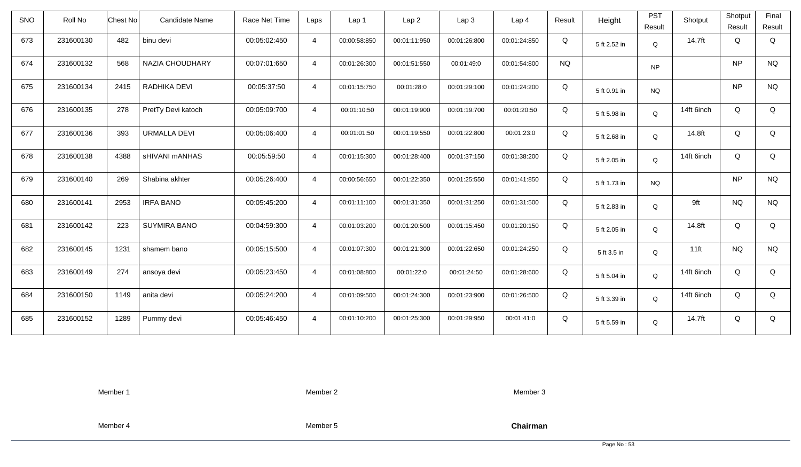| <b>SNO</b> | Roll No   | <b>Chest No</b> | Candidate Name      | Race Net Time | Laps           | Lap 1        | Lap <sub>2</sub> | Lap <sub>3</sub> | Lap <sub>4</sub> | Result    | Height       | <b>PST</b><br>Result | Shotput    | Shotput<br>Result | Final<br>Result |
|------------|-----------|-----------------|---------------------|---------------|----------------|--------------|------------------|------------------|------------------|-----------|--------------|----------------------|------------|-------------------|-----------------|
| 673        | 231600130 | 482             | binu devi           | 00:05:02:450  | $\overline{4}$ | 00:00:58:850 | 00:01:11:950     | 00:01:26:800     | 00:01:24:850     | Q         | 5 ft 2.52 in | Q                    | 14.7ft     | Q                 | Q               |
| 674        | 231600132 | 568             | NAZIA CHOUDHARY     | 00:07:01:650  | $\overline{4}$ | 00:01:26:300 | 00:01:51:550     | 00:01:49:0       | 00:01:54:800     | <b>NQ</b> |              | <b>NP</b>            |            | <b>NP</b>         | <b>NQ</b>       |
| 675        | 231600134 | 2415            | RADHIKA DEVI        | 00:05:37:50   | $\overline{4}$ | 00:01:15:750 | 00:01:28:0       | 00:01:29:100     | 00:01:24:200     | Q         | 5 ft 0.91 in | <b>NQ</b>            |            | <b>NP</b>         | <b>NQ</b>       |
| 676        | 231600135 | 278             | PretTy Devi katoch  | 00:05:09:700  | $\overline{4}$ | 00:01:10:50  | 00:01:19:900     | 00:01:19:700     | 00:01:20:50      | Q         | 5 ft 5.98 in | Q                    | 14ft 6inch | Q                 | Q               |
| 677        | 231600136 | 393             | <b>URMALLA DEVI</b> | 00:05:06:400  | $\overline{4}$ | 00:01:01:50  | 00:01:19:550     | 00:01:22:800     | 00:01:23:0       | Q         | 5 ft 2.68 in | Q                    | 14.8ft     | Q                 | Q               |
| 678        | 231600138 | 4388            | sHIVANI mANHAS      | 00:05:59:50   | $\overline{4}$ | 00:01:15:300 | 00:01:28:400     | 00:01:37:150     | 00:01:38:200     | Q         | 5 ft 2.05 in | Q                    | 14ft 6inch | Q                 | Q               |
| 679        | 231600140 | 269             | Shabina akhter      | 00:05:26:400  | $\overline{4}$ | 00:00:56:650 | 00:01:22:350     | 00:01:25:550     | 00:01:41:850     | Q         | 5 ft 1.73 in | <b>NQ</b>            |            | <b>NP</b>         | $\rm N\rm Q$    |
| 680        | 231600141 | 2953            | <b>IRFA BANO</b>    | 00:05:45:200  | $\overline{4}$ | 00:01:11:100 | 00:01:31:350     | 00:01:31:250     | 00:01:31:500     | Q         | 5 ft 2.83 in | Q                    | 9ft        | <b>NQ</b>         | <b>NQ</b>       |
| 681        | 231600142 | 223             | <b>SUYMIRA BANO</b> | 00:04:59:300  | $\overline{4}$ | 00:01:03:200 | 00:01:20:500     | 00:01:15:450     | 00:01:20:150     | Q         | 5 ft 2.05 in | Q                    | 14.8ft     | Q                 | Q               |
| 682        | 231600145 | 1231            | shamem bano         | 00:05:15:500  | $\overline{4}$ | 00:01:07:300 | 00:01:21:300     | 00:01:22:650     | 00:01:24:250     | Q         | 5 ft 3.5 in  | Q                    | $11$ ft    | <b>NQ</b>         | <b>NQ</b>       |
| 683        | 231600149 | 274             | ansoya devi         | 00:05:23:450  | $\overline{4}$ | 00:01:08:800 | 00:01:22:0       | 00:01:24:50      | 00:01:28:600     | Q         | 5 ft 5.04 in | Q                    | 14ft 6inch | Q                 | Q               |
| 684        | 231600150 | 1149            | anita devi          | 00:05:24:200  | $\overline{4}$ | 00:01:09:500 | 00:01:24:300     | 00:01:23:900     | 00:01:26:500     | Q         | 5 ft 3.39 in | Q                    | 14ft 6inch | Q                 | Q               |
| 685        | 231600152 | 1289            | Pummy devi          | 00:05:46:450  | $\overline{4}$ | 00:01:10:200 | 00:01:25:300     | 00:01:29:950     | 00:01:41:0       | Q         | 5 ft 5.59 in | Q                    | 14.7ft     | Q                 | Q               |

Member 2

Member 3

Member 4

Member 5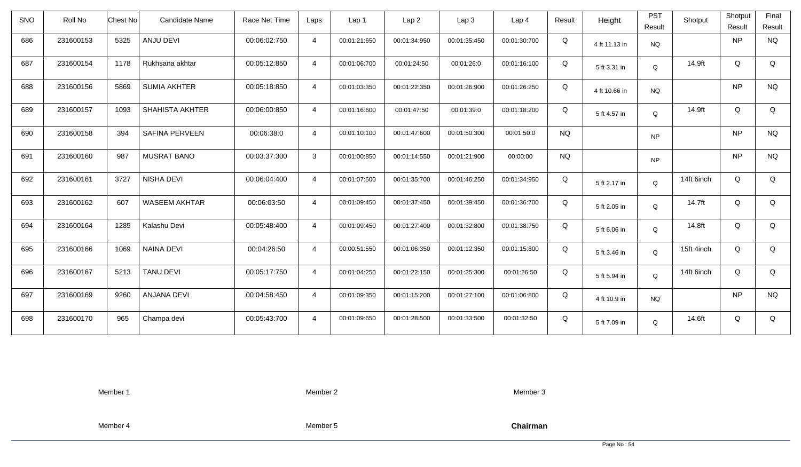| <b>SNO</b> | Roll No   | Chest No | Candidate Name       | Race Net Time | Laps           | Lap 1        | Lap <sub>2</sub> | Lap3         | Lap <sub>4</sub> | Result    | Height        | <b>PST</b><br>Result | Shotput    | Shotput<br>Result | Final<br>Result |
|------------|-----------|----------|----------------------|---------------|----------------|--------------|------------------|--------------|------------------|-----------|---------------|----------------------|------------|-------------------|-----------------|
| 686        | 231600153 | 5325     | ANJU DEVI            | 00:06:02:750  | $\overline{4}$ | 00:01:21:650 | 00:01:34:950     | 00:01:35:450 | 00:01:30:700     | Q         | 4 ft 11.13 in | <b>NQ</b>            |            | <b>NP</b>         | <b>NQ</b>       |
| 687        | 231600154 | 1178     | Rukhsana akhtar      | 00:05:12:850  | $\overline{4}$ | 00:01:06:700 | 00:01:24:50      | 00:01:26:0   | 00:01:16:100     | Q         | 5 ft 3.31 in  | Q                    | 14.9ft     | Q                 | Q               |
| 688        | 231600156 | 5869     | <b>SUMIA AKHTER</b>  | 00:05:18:850  | $\overline{4}$ | 00:01:03:350 | 00:01:22:350     | 00:01:26:900 | 00:01:26:250     | Q         | 4 ft 10.66 in | <b>NQ</b>            |            | <b>NP</b>         | <b>NQ</b>       |
| 689        | 231600157 | 1093     | SHAHISTA AKHTER      | 00:06:00:850  | $\overline{4}$ | 00:01:16:600 | 00:01:47:50      | 00:01:39:0   | 00:01:18:200     | Q         | 5 ft 4.57 in  | $\mathsf Q$          | 14.9ft     | Q                 | Q               |
| 690        | 231600158 | 394      | SAFINA PERVEEN       | 00:06:38:0    | $\overline{4}$ | 00:01:10:100 | 00:01:47:600     | 00:01:50:300 | 00:01:50:0       | <b>NQ</b> |               | <b>NP</b>            |            | <b>NP</b>         | <b>NQ</b>       |
| 691        | 231600160 | 987      | <b>MUSRAT BANO</b>   | 00:03:37:300  | $\mathbf{3}$   | 00:01:00:850 | 00:01:14:550     | 00:01:21:900 | 00:00:00         | <b>NQ</b> |               | <b>NP</b>            |            | <b>NP</b>         | <b>NQ</b>       |
| 692        | 231600161 | 3727     | NISHA DEVI           | 00:06:04:400  | $\overline{4}$ | 00:01:07:500 | 00:01:35:700     | 00:01:46:250 | 00:01:34:950     | Q         | 5 ft 2.17 in  | Q                    | 14ft 6inch | Q                 | Q               |
| 693        | 231600162 | 607      | <b>WASEEM AKHTAR</b> | 00:06:03:50   | $\overline{4}$ | 00:01:09:450 | 00:01:37:450     | 00:01:39:450 | 00:01:36:700     | Q         | 5 ft 2.05 in  | Q                    | 14.7ft     | Q                 | Q               |
| 694        | 231600164 | 1285     | Kalashu Devi         | 00:05:48:400  | $\overline{4}$ | 00:01:09:450 | 00:01:27:400     | 00:01:32:800 | 00:01:38:750     | Q         | 5 ft 6.06 in  | Q                    | 14.8ft     | Q                 | Q               |
| 695        | 231600166 | 1069     | <b>NAINA DEVI</b>    | 00:04:26:50   | $\overline{4}$ | 00:00:51:550 | 00:01:06:350     | 00:01:12:350 | 00:01:15:800     | Q         | 5 ft 3.46 in  | Q                    | 15ft 4inch | Q                 | Q               |
| 696        | 231600167 | 5213     | <b>TANU DEVI</b>     | 00:05:17:750  | $\overline{4}$ | 00:01:04:250 | 00:01:22:150     | 00:01:25:300 | 00:01:26:50      | Q         | 5 ft 5.94 in  | Q                    | 14ft 6inch | Q                 | Q               |
| 697        | 231600169 | 9260     | <b>ANJANA DEVI</b>   | 00:04:58:450  | $\overline{4}$ | 00:01:09:350 | 00:01:15:200     | 00:01:27:100 | 00:01:06:800     | Q         | 4 ft 10.9 in  | <b>NQ</b>            |            | <b>NP</b>         | <b>NQ</b>       |
| 698        | 231600170 | 965      | Champa devi          | 00:05:43:700  | $\overline{4}$ | 00:01:09:650 | 00:01:28:500     | 00:01:33:500 | 00:01:32:50      | Q         | 5 ft 7.09 in  | Q                    | 14.6ft     | Q                 | Q               |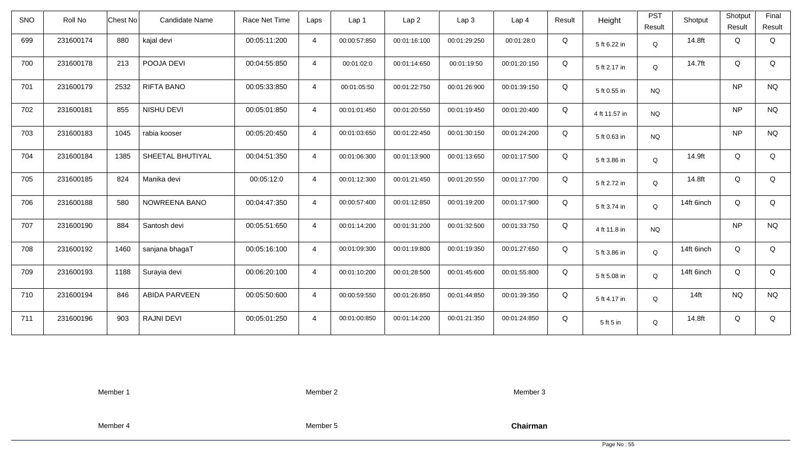| <b>SNO</b> | Roll No   | Chest No | Candidate Name       | Race Net Time | Laps           | Lap 1        | Lap <sub>2</sub> | Lap3         | Lap <sub>4</sub> | Result | Height        | <b>PST</b><br>Result | Shotput    | Shotput<br>Result | Final<br>Result |
|------------|-----------|----------|----------------------|---------------|----------------|--------------|------------------|--------------|------------------|--------|---------------|----------------------|------------|-------------------|-----------------|
| 699        | 231600174 | 880      | kajal devi           | 00:05:11:200  | $\overline{4}$ | 00:00:57:850 | 00:01:16:100     | 00:01:29:250 | 00:01:28:0       | Q      | 5 ft 6.22 in  | $\mathsf Q$          | 14.8ft     | Q                 | Q               |
| 700        | 231600178 | 213      | POOJA DEVI           | 00:04:55:850  | $\overline{4}$ | 00:01:02:0   | 00:01:14:650     | 00:01:19:50  | 00:01:20:150     | Q      | 5 ft 2.17 in  | Q                    | 14.7ft     | Q                 | Q               |
| 701        | 231600179 | 2532     | <b>RIFTA BANO</b>    | 00:05:33:850  | $\overline{4}$ | 00:01:05:50  | 00:01:22:750     | 00:01:26:900 | 00:01:39:150     | Q      | 5 ft 0.55 in  | <b>NQ</b>            |            | <b>NP</b>         | <b>NQ</b>       |
| 702        | 231600181 | 855      | NISHU DEVI           | 00:05:01:850  | $\overline{4}$ | 00:01:01:450 | 00:01:20:550     | 00:01:19:450 | 00:01:20:400     | Q      | 4 ft 11.57 in | <b>NQ</b>            |            | <b>NP</b>         | <b>NQ</b>       |
| 703        | 231600183 | 1045     | rabia kooser         | 00:05:20:450  | $\overline{4}$ | 00:01:03:650 | 00:01:22:450     | 00:01:30:150 | 00:01:24:200     | Q      | 5 ft 0.63 in  | <b>NQ</b>            |            | <b>NP</b>         | <b>NQ</b>       |
| 704        | 231600184 | 1385     | SHEETAL BHUTIYAL     | 00:04:51:350  | $\overline{4}$ | 00:01:06:300 | 00:01:13:900     | 00:01:13:650 | 00:01:17:500     | Q      | 5 ft 3.86 in  | Q                    | 14.9ft     | Q                 | Q               |
| 705        | 231600185 | 824      | Manika devi          | 00:05:12:0    | $\overline{4}$ | 00:01:12:300 | 00:01:21:450     | 00:01:20:550 | 00:01:17:700     | Q      | 5 ft 2.72 in  | Q                    | 14.8ft     | Q                 | Q               |
| 706        | 231600188 | 580      | NOWREENA BANO        | 00:04:47:350  | $\overline{4}$ | 00:00:57:400 | 00:01:12:850     | 00:01:19:200 | 00:01:17:900     | Q      | 5 ft 3.74 in  | Q                    | 14ft 6inch | Q                 | Q               |
| 707        | 231600190 | 884      | Santosh devi         | 00:05:51:650  | $\overline{4}$ | 00:01:14:200 | 00:01:31:200     | 00:01:32:500 | 00:01:33:750     | Q      | 4 ft 11.8 in  | <b>NQ</b>            |            | <b>NP</b>         | <b>NQ</b>       |
| 708        | 231600192 | 1460     | sanjana bhagaT       | 00:05:16:100  | $\overline{4}$ | 00:01:09:300 | 00:01:19:800     | 00:01:19:350 | 00:01:27:650     | Q      | 5 ft 3.86 in  | Q                    | 14ft 6inch | Q                 | Q               |
| 709        | 231600193 | 1188     | Surayia devi         | 00:06:20:100  | $\overline{4}$ | 00:01:10:200 | 00:01:28:500     | 00:01:45:600 | 00:01:55:800     | Q      | 5 ft 5.08 in  | Q                    | 14ft 6inch | Q                 | Q               |
| 710        | 231600194 | 846      | <b>ABIDA PARVEEN</b> | 00:05:50:600  | $\overline{4}$ | 00:00:59:550 | 00:01:26:850     | 00:01:44:850 | 00:01:39:350     | Q      | 5 ft 4.17 in  | Q                    | $14$ ft    | <b>NQ</b>         | <b>NQ</b>       |
| 711        | 231600196 | 903      | <b>RAJNI DEVI</b>    | 00:05:01:250  | $\overline{4}$ | 00:01:00:850 | 00:01:14:200     | 00:01:21:350 | 00:01:24:850     | Q      | 5 ft 5 in     | Q                    | 14.8ft     | Q                 | Q               |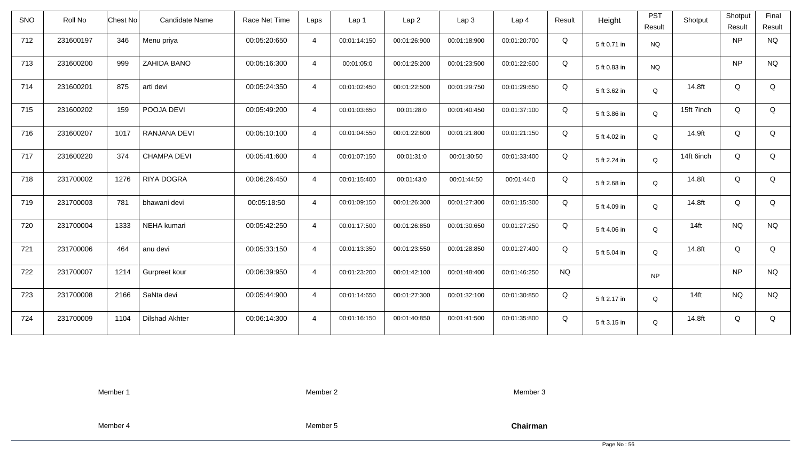| <b>SNO</b> | Roll No   | <b>Chest No</b> | Candidate Name        | Race Net Time | Laps           | Lap 1        | Lap <sub>2</sub> | Lap <sub>3</sub> | Lap <sub>4</sub> | Result    | Height       | <b>PST</b><br>Result | Shotput    | Shotput<br>Result | Final<br>Result |
|------------|-----------|-----------------|-----------------------|---------------|----------------|--------------|------------------|------------------|------------------|-----------|--------------|----------------------|------------|-------------------|-----------------|
| 712        | 231600197 | 346             | Menu priya            | 00:05:20:650  | $\overline{4}$ | 00:01:14:150 | 00:01:26:900     | 00:01:18:900     | 00:01:20:700     | Q         | 5 ft 0.71 in | <b>NQ</b>            |            | <b>NP</b>         | <b>NQ</b>       |
| 713        | 231600200 | 999             | ZAHIDA BANO           | 00:05:16:300  | $\overline{4}$ | 00:01:05:0   | 00:01:25:200     | 00:01:23:500     | 00:01:22:600     | Q         | 5 ft 0.83 in | <b>NQ</b>            |            | <b>NP</b>         | <b>NQ</b>       |
| 714        | 231600201 | 875             | arti devi             | 00:05:24:350  | $\overline{4}$ | 00:01:02:450 | 00:01:22:500     | 00:01:29:750     | 00:01:29:650     | Q         | 5 ft 3.62 in | Q                    | 14.8ft     | Q                 | Q               |
| 715        | 231600202 | 159             | POOJA DEVI            | 00:05:49:200  | $\overline{4}$ | 00:01:03:650 | 00:01:28:0       | 00:01:40:450     | 00:01:37:100     | Q         | 5 ft 3.86 in | Q                    | 15ft 7inch | Q                 | Q               |
| 716        | 231600207 | 1017            | RANJANA DEVI          | 00:05:10:100  | $\overline{4}$ | 00:01:04:550 | 00:01:22:600     | 00:01:21:800     | 00:01:21:150     | Q         | 5 ft 4.02 in | Q                    | 14.9ft     | Q                 | Q               |
| 717        | 231600220 | 374             | <b>CHAMPA DEVI</b>    | 00:05:41:600  | $\overline{4}$ | 00:01:07:150 | 00:01:31:0       | 00:01:30:50      | 00:01:33:400     | Q         | 5 ft 2.24 in | Q                    | 14ft 6inch | Q                 | Q               |
| 718        | 231700002 | 1276            | <b>RIYA DOGRA</b>     | 00:06:26:450  | $\overline{4}$ | 00:01:15:400 | 00:01:43:0       | 00:01:44:50      | 00:01:44:0       | Q         | 5 ft 2.68 in | Q                    | 14.8ft     | Q                 | Q               |
| 719        | 231700003 | 781             | bhawani devi          | 00:05:18:50   | $\overline{4}$ | 00:01:09:150 | 00:01:26:300     | 00:01:27:300     | 00:01:15:300     | Q         | 5 ft 4.09 in | Q                    | 14.8ft     | Q                 | Q               |
| 720        | 231700004 | 1333            | NEHA kumari           | 00:05:42:250  | $\overline{4}$ | 00:01:17:500 | 00:01:26:850     | 00:01:30:650     | 00:01:27:250     | Q         | 5 ft 4.06 in | Q                    | $14$ ft    | <b>NQ</b>         | <b>NQ</b>       |
| 721        | 231700006 | 464             | anu devi              | 00:05:33:150  | $\overline{4}$ | 00:01:13:350 | 00:01:23:550     | 00:01:28:850     | 00:01:27:400     | Q         | 5 ft 5.04 in | Q                    | 14.8ft     | Q                 | Q               |
| 722        | 231700007 | 1214            | Gurpreet kour         | 00:06:39:950  | $\overline{4}$ | 00:01:23:200 | 00:01:42:100     | 00:01:48:400     | 00:01:46:250     | <b>NQ</b> |              | NP                   |            | <b>NP</b>         | <b>NQ</b>       |
| 723        | 231700008 | 2166            | SaNta devi            | 00:05:44:900  | $\overline{4}$ | 00:01:14:650 | 00:01:27:300     | 00:01:32:100     | 00:01:30:850     | Q         | 5 ft 2.17 in | Q                    | $14$ ft    | <b>NQ</b>         | <b>NQ</b>       |
| 724        | 231700009 | 1104            | <b>Dilshad Akhter</b> | 00:06:14:300  | $\overline{4}$ | 00:01:16:150 | 00:01:40:850     | 00:01:41:500     | 00:01:35:800     | Q         | 5 ft 3.15 in | Q                    | 14.8ft     | Q                 | Q               |

Member 2

Member 3

Member 4

Member 5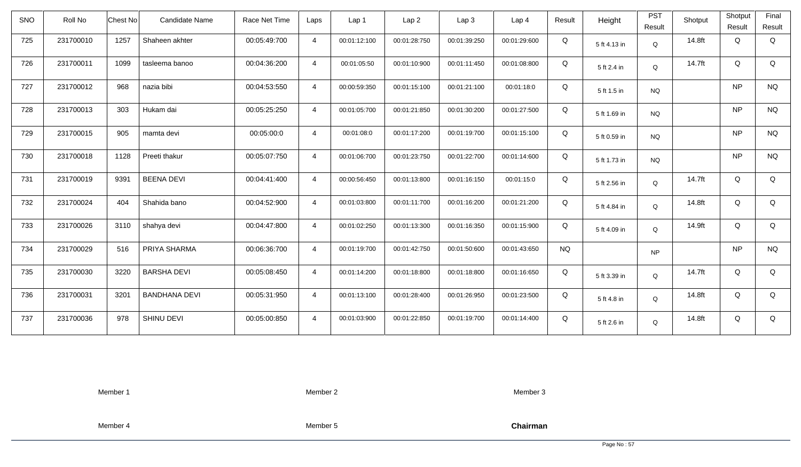| <b>SNO</b> | Roll No   | Candidate Name<br>Chest No   | Race Net Time | Laps           | Lap <sub>1</sub> | Lap2         | Lap 3        | Lap <sub>4</sub> | Result    | Height       | <b>PST</b> | Shotput | Shotput   | Final     |
|------------|-----------|------------------------------|---------------|----------------|------------------|--------------|--------------|------------------|-----------|--------------|------------|---------|-----------|-----------|
|            |           |                              |               |                |                  |              |              |                  |           |              | Result     |         | Result    | Result    |
| 725        | 231700010 | 1257<br>Shaheen akhter       | 00:05:49:700  | $\overline{4}$ | 00:01:12:100     | 00:01:28:750 | 00:01:39:250 | 00:01:29:600     | Q         | 5 ft 4.13 in | Q          | 14.8ft  | Q         | Q         |
| 726        | 231700011 | 1099<br>tasleema banoo       | 00:04:36:200  | $\overline{4}$ | 00:01:05:50      | 00:01:10:900 | 00:01:11:450 | 00:01:08:800     | Q         | 5 ft 2.4 in  | Q          | 14.7ft  | Q         | Q         |
| 727        | 231700012 | 968<br>nazia bibi            | 00:04:53:550  | $\overline{4}$ | 00:00:59:350     | 00:01:15:100 | 00:01:21:100 | 00:01:18:0       | Q         | 5 ft 1.5 in  | <b>NQ</b>  |         | <b>NP</b> | <b>NQ</b> |
| 728        | 231700013 | 303<br>Hukam dai             | 00:05:25:250  | $\overline{4}$ | 00:01:05:700     | 00:01:21:850 | 00:01:30:200 | 00:01:27:500     | Q         | 5 ft 1.69 in | <b>NQ</b>  |         | <b>NP</b> | <b>NQ</b> |
| 729        | 231700015 | 905<br>mamta devi            | 00:05:00:0    | $\overline{4}$ | 00:01:08:0       | 00:01:17:200 | 00:01:19:700 | 00:01:15:100     | Q         | 5 ft 0.59 in | <b>NQ</b>  |         | <b>NP</b> | <b>NQ</b> |
| 730        | 231700018 | 1128<br>Preeti thakur        | 00:05:07:750  | $\overline{4}$ | 00:01:06:700     | 00:01:23:750 | 00:01:22:700 | 00:01:14:600     | Q         | 5 ft 1.73 in | <b>NQ</b>  |         | <b>NP</b> | <b>NQ</b> |
| 731        | 231700019 | 9391<br><b>BEENA DEVI</b>    | 00:04:41:400  | $\overline{4}$ | 00:00:56:450     | 00:01:13:800 | 00:01:16:150 | 00:01:15:0       | Q         | 5 ft 2.56 in | Q          | 14.7ft  | Q         | Q         |
| 732        | 231700024 | Shahida bano<br>404          | 00:04:52:900  | $\overline{4}$ | 00:01:03:800     | 00:01:11:700 | 00:01:16:200 | 00:01:21:200     | Q         | 5 ft 4.84 in | Q          | 14.8ft  | Q         | Q         |
| 733        | 231700026 | shahya devi<br>3110          | 00:04:47:800  | $\overline{4}$ | 00:01:02:250     | 00:01:13:300 | 00:01:16:350 | 00:01:15:900     | Q         | 5 ft 4.09 in | Q          | 14.9ft  | Q         | Q         |
| 734        | 231700029 | 516<br>PRIYA SHARMA          | 00:06:36:700  | $\overline{4}$ | 00:01:19:700     | 00:01:42:750 | 00:01:50:600 | 00:01:43:650     | <b>NQ</b> |              | <b>NP</b>  |         | <b>NP</b> | <b>NQ</b> |
| 735        | 231700030 | 3220<br><b>BARSHA DEVI</b>   | 00:05:08:450  | $\overline{4}$ | 00:01:14:200     | 00:01:18:800 | 00:01:18:800 | 00:01:16:650     | Q         | 5 ft 3.39 in | Q          | 14.7ft  | Q         | Q         |
| 736        | 231700031 | 3201<br><b>BANDHANA DEVI</b> | 00:05:31:950  | $\overline{4}$ | 00:01:13:100     | 00:01:28:400 | 00:01:26:950 | 00:01:23:500     | Q         | 5 ft 4.8 in  | Q          | 14.8ft  | Q         | Q         |
| 737        | 231700036 | 978<br>SHINU DEVI            | 00:05:00:850  | $\overline{4}$ | 00:01:03:900     | 00:01:22:850 | 00:01:19:700 | 00:01:14:400     | Q         | 5 ft 2.6 in  | Q          | 14.8ft  | Q         | Q         |

Member 2

Member 3

Member 4

Member 5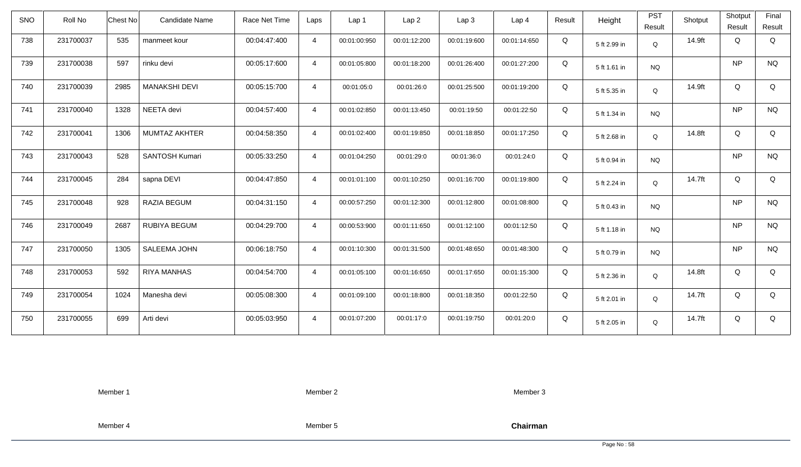| SNO | Roll No   | Chest No | <b>Candidate Name</b> | Race Net Time | Laps           | Lap 1        | Lap2         | Lap3         | Lap <sub>4</sub> | Result | Height       | <b>PST</b><br>Result | Shotput | Shotput<br>Result | Final<br>Result |
|-----|-----------|----------|-----------------------|---------------|----------------|--------------|--------------|--------------|------------------|--------|--------------|----------------------|---------|-------------------|-----------------|
| 738 | 231700037 | 535      | manmeet kour          | 00:04:47:400  | $\overline{4}$ | 00:01:00:950 | 00:01:12:200 | 00:01:19:600 | 00:01:14:650     | Q      | 5 ft 2.99 in | Q                    | 14.9ft  | Q                 | Q               |
| 739 | 231700038 | 597      | rinku devi            | 00:05:17:600  | $\overline{4}$ | 00:01:05:800 | 00:01:18:200 | 00:01:26:400 | 00:01:27:200     | Q      | 5 ft 1.61 in | <b>NQ</b>            |         | <b>NP</b>         | <b>NQ</b>       |
| 740 | 231700039 | 2985     | <b>MANAKSHI DEVI</b>  | 00:05:15:700  | $\overline{4}$ | 00:01:05:0   | 00:01:26:0   | 00:01:25:500 | 00:01:19:200     | Q      | 5 ft 5.35 in | Q                    | 14.9ft  | Q                 | Q               |
| 741 | 231700040 | 1328     | NEETA devi            | 00:04:57:400  | $\overline{4}$ | 00:01:02:850 | 00:01:13:450 | 00:01:19:50  | 00:01:22:50      | Q      | 5 ft 1.34 in | <b>NQ</b>            |         | <b>NP</b>         | <b>NQ</b>       |
| 742 | 231700041 | 1306     | <b>MUMTAZ AKHTER</b>  | 00:04:58:350  | $\overline{4}$ | 00:01:02:400 | 00:01:19:850 | 00:01:18:850 | 00:01:17:250     | Q      | 5 ft 2.68 in | Q                    | 14.8ft  | Q                 | Q               |
| 743 | 231700043 | 528      | <b>SANTOSH Kumari</b> | 00:05:33:250  | $\overline{4}$ | 00:01:04:250 | 00:01:29:0   | 00:01:36:0   | 00:01:24:0       | Q      | 5 ft 0.94 in | <b>NQ</b>            |         | <b>NP</b>         | <b>NQ</b>       |
| 744 | 231700045 | 284      | sapna DEVI            | 00:04:47:850  | $\overline{4}$ | 00:01:01:100 | 00:01:10:250 | 00:01:16:700 | 00:01:19:800     | Q      | 5 ft 2.24 in | Q                    | 14.7ft  | Q                 | Q               |
| 745 | 231700048 | 928      | RAZIA BEGUM           | 00:04:31:150  | $\overline{4}$ | 00:00:57:250 | 00:01:12:300 | 00:01:12:800 | 00:01:08:800     | Q      | 5 ft 0.43 in | <b>NQ</b>            |         | <b>NP</b>         | <b>NQ</b>       |
| 746 | 231700049 | 2687     | <b>RUBIYA BEGUM</b>   | 00:04:29:700  | $\overline{4}$ | 00:00:53:900 | 00:01:11:650 | 00:01:12:100 | 00:01:12:50      | Q      | 5 ft 1.18 in | NQ.                  |         | <b>NP</b>         | <b>NQ</b>       |
| 747 | 231700050 | 1305     | SALEEMA JOHN          | 00:06:18:750  | $\overline{4}$ | 00:01:10:300 | 00:01:31:500 | 00:01:48:650 | 00:01:48:300     | Q      | 5 ft 0.79 in | NQ                   |         | <b>NP</b>         | <b>NQ</b>       |
| 748 | 231700053 | 592      | <b>RIYA MANHAS</b>    | 00:04:54:700  | $\overline{4}$ | 00:01:05:100 | 00:01:16:650 | 00:01:17:650 | 00:01:15:300     | Q      | 5 ft 2.36 in | Q                    | 14.8ft  | Q                 | Q               |
| 749 | 231700054 | 1024     | Manesha devi          | 00:05:08:300  | $\overline{4}$ | 00:01:09:100 | 00:01:18:800 | 00:01:18:350 | 00:01:22:50      | Q      | 5 ft 2.01 in | $\mathsf Q$          | 14.7ft  | Q                 | Q               |
| 750 | 231700055 | 699      | Arti devi             | 00:05:03:950  | $\overline{4}$ | 00:01:07:200 | 00:01:17:0   | 00:01:19:750 | 00:01:20:0       | Q      | 5 ft 2.05 in | Q                    | 14.7ft  | Q                 | Q               |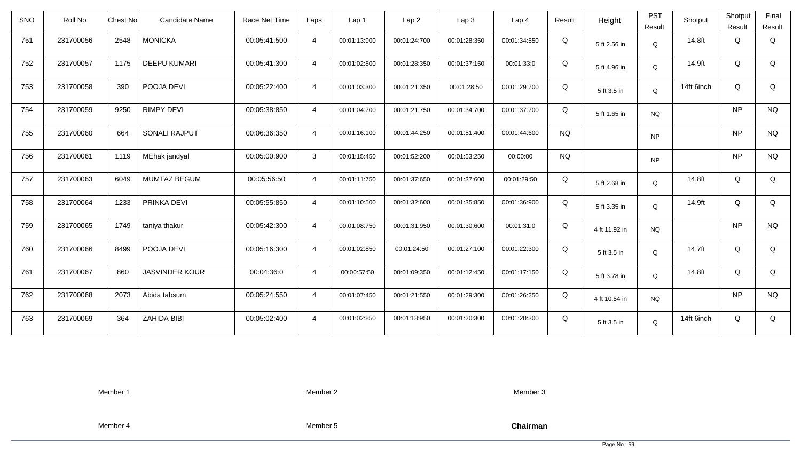| SNO | Roll No   | Chest No | <b>Candidate Name</b> | Race Net Time | Laps           | Lap <sub>1</sub> | Lap <sub>2</sub> | Lap 3        | Lap <sub>4</sub> | Result    | Height        | <b>PST</b><br>Result | Shotput    | Shotput<br>Result | Final<br>Result |
|-----|-----------|----------|-----------------------|---------------|----------------|------------------|------------------|--------------|------------------|-----------|---------------|----------------------|------------|-------------------|-----------------|
| 751 | 231700056 | 2548     | <b>MONICKA</b>        | 00:05:41:500  | $\overline{4}$ | 00:01:13:900     | 00:01:24:700     | 00:01:28:350 | 00:01:34:550     | Q         | 5 ft 2.56 in  | Q                    | 14.8ft     | Q                 | Q               |
| 752 | 231700057 | 1175     | <b>DEEPU KUMARI</b>   | 00:05:41:300  | $\overline{4}$ | 00:01:02:800     | 00:01:28:350     | 00:01:37:150 | 00:01:33:0       | Q         | 5 ft 4.96 in  | Q                    | 14.9ft     | Q                 | Q               |
| 753 | 231700058 | 390      | POOJA DEVI            | 00:05:22:400  | $\overline{4}$ | 00:01:03:300     | 00:01:21:350     | 00:01:28:50  | 00:01:29:700     | Q         | 5 ft 3.5 in   | Q                    | 14ft 6inch | Q                 | Q               |
| 754 | 231700059 | 9250     | <b>RIMPY DEVI</b>     | 00:05:38:850  | $\overline{4}$ | 00:01:04:700     | 00:01:21:750     | 00:01:34:700 | 00:01:37:700     | Q         | 5 ft 1.65 in  | <b>NQ</b>            |            | <b>NP</b>         | <b>NQ</b>       |
| 755 | 231700060 | 664      | <b>SONALI RAJPUT</b>  | 00:06:36:350  | $\overline{4}$ | 00:01:16:100     | 00:01:44:250     | 00:01:51:400 | 00:01:44:600     | <b>NQ</b> |               | <b>NP</b>            |            | <b>NP</b>         | <b>NQ</b>       |
| 756 | 231700061 | 1119     | MEhak jandyal         | 00:05:00:900  | 3              | 00:01:15:450     | 00:01:52:200     | 00:01:53:250 | 00:00:00         | <b>NQ</b> |               | <b>NP</b>            |            | <b>NP</b>         | <b>NQ</b>       |
| 757 | 231700063 | 6049     | MUMTAZ BEGUM          | 00:05:56:50   | $\overline{4}$ | 00:01:11:750     | 00:01:37:650     | 00:01:37:600 | 00:01:29:50      | Q         | 5 ft 2.68 in  | Q                    | 14.8ft     | Q                 | Q               |
| 758 | 231700064 | 1233     | PRINKA DEVI           | 00:05:55:850  | $\overline{4}$ | 00:01:10:500     | 00:01:32:600     | 00:01:35:850 | 00:01:36:900     | Q         | 5 ft 3.35 in  | Q                    | 14.9ft     | Q                 | Q               |
| 759 | 231700065 | 1749     | taniya thakur         | 00:05:42:300  | $\overline{4}$ | 00:01:08:750     | 00:01:31:950     | 00:01:30:600 | 00:01:31:0       | Q         | 4 ft 11.92 in | <b>NQ</b>            |            | <b>NP</b>         | <b>NQ</b>       |
| 760 | 231700066 | 8499     | POOJA DEVI            | 00:05:16:300  | $\overline{4}$ | 00:01:02:850     | 00:01:24:50      | 00:01:27:100 | 00:01:22:300     | Q         | 5 ft 3.5 in   | Q                    | 14.7ft     | Q                 | Q               |
| 761 | 231700067 | 860      | <b>JASVINDER KOUR</b> | 00:04:36:0    | $\overline{4}$ | 00:00:57:50      | 00:01:09:350     | 00:01:12:450 | 00:01:17:150     | Q         | 5 ft 3.78 in  | Q                    | 14.8ft     | Q                 | Q               |
| 762 | 231700068 | 2073     | Abida tabsum          | 00:05:24:550  | $\overline{4}$ | 00:01:07:450     | 00:01:21:550     | 00:01:29:300 | 00:01:26:250     | Q         | 4 ft 10.54 in | <b>NQ</b>            |            | <b>NP</b>         | <b>NQ</b>       |
| 763 | 231700069 | 364      | ZAHIDA BIBI           | 00:05:02:400  | $\overline{4}$ | 00:01:02:850     | 00:01:18:950     | 00:01:20:300 | 00:01:20:300     | Q         | 5 ft 3.5 in   | Q                    | 14ft 6inch | Q                 | Q               |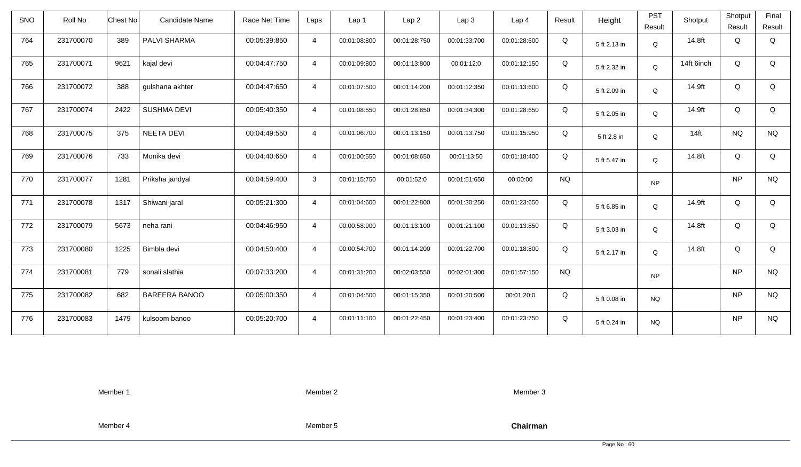| SNO | Roll No   | <b>Chest No</b> | Candidate Name       | Race Net Time | Laps           | Lap 1        | Lap <sub>2</sub> | Lap <sub>3</sub> | Lap <sub>4</sub> | Result    | Height       | <b>PST</b><br>Result | Shotput    | Shotput<br>Result | Final<br>Result |
|-----|-----------|-----------------|----------------------|---------------|----------------|--------------|------------------|------------------|------------------|-----------|--------------|----------------------|------------|-------------------|-----------------|
| 764 | 231700070 | 389             | PALVI SHARMA         | 00:05:39:850  | $\overline{4}$ | 00:01:08:800 | 00:01:28:750     | 00:01:33:700     | 00:01:28:600     | Q         | 5 ft 2.13 in | Q                    | 14.8ft     | Q                 | Q               |
| 765 | 231700071 | 9621            | kajal devi           | 00:04:47:750  | $\overline{4}$ | 00:01:09:800 | 00:01:13:800     | 00:01:12:0       | 00:01:12:150     | Q         | 5 ft 2.32 in | Q                    | 14ft 6inch | Q                 | Q               |
| 766 | 231700072 | 388             | gulshana akhter      | 00:04:47:650  | $\overline{4}$ | 00:01:07:500 | 00:01:14:200     | 00:01:12:350     | 00:01:13:600     | Q         | 5 ft 2.09 in | Q                    | 14.9ft     | Q                 | Q               |
| 767 | 231700074 | 2422            | <b>SUSHMA DEVI</b>   | 00:05:40:350  | $\overline{4}$ | 00:01:08:550 | 00:01:28:850     | 00:01:34:300     | 00:01:28:650     | Q         | 5 ft 2.05 in | Q                    | 14.9ft     | Q                 | Q               |
| 768 | 231700075 | 375             | NEETA DEVI           | 00:04:49:550  | $\overline{4}$ | 00:01:06:700 | 00:01:13:150     | 00:01:13:750     | 00:01:15:950     | Q         | 5 ft 2.8 in  | Q                    | $14$ ft    | <b>NQ</b>         | <b>NQ</b>       |
| 769 | 231700076 | 733             | Monika devi          | 00:04:40:650  | $\overline{4}$ | 00:01:00:550 | 00:01:08:650     | 00:01:13:50      | 00:01:18:400     | Q         | 5 ft 5.47 in | Q                    | 14.8ft     | Q                 | Q               |
| 770 | 231700077 | 1281            | Priksha jandyal      | 00:04:59:400  | $\mathbf{3}$   | 00:01:15:750 | 00:01:52:0       | 00:01:51:650     | 00:00:00         | <b>NQ</b> |              | <b>NP</b>            |            | NP                | <b>NQ</b>       |
| 771 | 231700078 | 1317            | Shiwani jaral        | 00:05:21:300  | $\overline{4}$ | 00:01:04:600 | 00:01:22:800     | 00:01:30:250     | 00:01:23:650     | Q         | 5 ft 6.85 in | Q                    | 14.9ft     | Q                 | Q               |
| 772 | 231700079 | 5673            | neha rani            | 00:04:46:950  | $\overline{4}$ | 00:00:58:900 | 00:01:13:100     | 00:01:21:100     | 00:01:13:850     | Q         | 5 ft 3.03 in | Q                    | 14.8ft     | Q                 | Q               |
| 773 | 231700080 | 1225            | Bimbla devi          | 00:04:50:400  | $\overline{4}$ | 00:00:54:700 | 00:01:14:200     | 00:01:22:700     | 00:01:18:800     | Q         | 5 ft 2.17 in | Q                    | 14.8ft     | Q                 | Q               |
| 774 | 231700081 | 779             | sonali slathia       | 00:07:33:200  | $\overline{4}$ | 00:01:31:200 | 00:02:03:550     | 00:02:01:300     | 00:01:57:150     | <b>NQ</b> |              | <b>NP</b>            |            | <b>NP</b>         | <b>NQ</b>       |
| 775 | 231700082 | 682             | <b>BAREERA BANOO</b> | 00:05:00:350  | $\overline{4}$ | 00:01:04:500 | 00:01:15:350     | 00:01:20:500     | 00:01:20:0       | Q         | 5 ft 0.08 in | <b>NQ</b>            |            | <b>NP</b>         | <b>NQ</b>       |
| 776 | 231700083 | 1479            | kulsoom banoo        | 00:05:20:700  | $\overline{4}$ | 00:01:11:100 | 00:01:22:450     | 00:01:23:400     | 00:01:23:750     | Q         | 5 ft 0.24 in | <b>NQ</b>            |            | NP                | <b>NQ</b>       |

Member 2

Member 3

Member 4

Member 5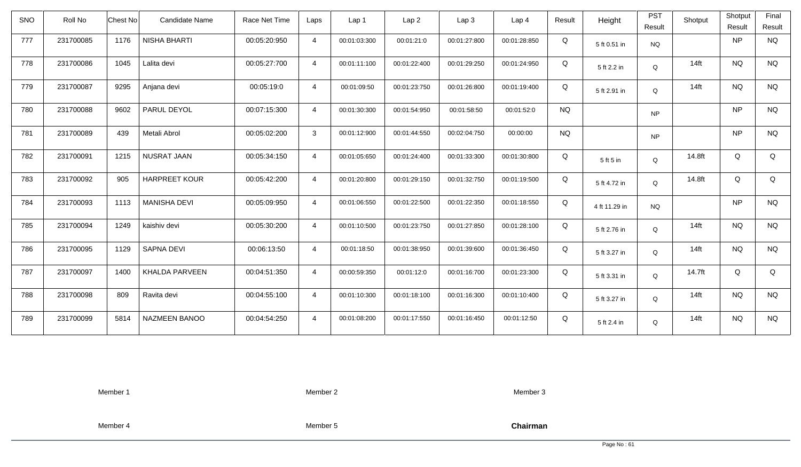| <b>SNO</b> | Roll No   | Chest No | Candidate Name       | Race Net Time | Laps           | Lap 1        | Lap <sub>2</sub> | Lap3         | Lap 4        | Result    | Height        | <b>PST</b><br>Result | Shotput | Shotput<br>Result | Final<br>Result |
|------------|-----------|----------|----------------------|---------------|----------------|--------------|------------------|--------------|--------------|-----------|---------------|----------------------|---------|-------------------|-----------------|
| 777        | 231700085 | 1176     | <b>NISHA BHARTI</b>  | 00:05:20:950  | $\overline{4}$ | 00:01:03:300 | 00:01:21:0       | 00:01:27:800 | 00:01:28:850 | Q         | 5 ft 0.51 in  | <b>NQ</b>            |         | <b>NP</b>         | <b>NQ</b>       |
| 778        | 231700086 | 1045     | Lalita devi          | 00:05:27:700  | $\overline{4}$ | 00:01:11:100 | 00:01:22:400     | 00:01:29:250 | 00:01:24:950 | Q         | 5 ft 2.2 in   | Q                    | $14$ ft | <b>NQ</b>         | <b>NQ</b>       |
| 779        | 231700087 | 9295     | Anjana devi          | 00:05:19:0    | $\overline{4}$ | 00:01:09:50  | 00:01:23:750     | 00:01:26:800 | 00:01:19:400 | Q         | 5 ft 2.91 in  | Q                    | $14$ ft | <b>NQ</b>         | <b>NQ</b>       |
| 780        | 231700088 | 9602     | PARUL DEYOL          | 00:07:15:300  | $\overline{4}$ | 00:01:30:300 | 00:01:54:950     | 00:01:58:50  | 00:01:52:0   | <b>NQ</b> |               | <b>NP</b>            |         | <b>NP</b>         | <b>NQ</b>       |
| 781        | 231700089 | 439      | Metali Abrol         | 00:05:02:200  | 3              | 00:01:12:900 | 00:01:44:550     | 00:02:04:750 | 00:00:00     | <b>NQ</b> |               | <b>NP</b>            |         | <b>NP</b>         | <b>NQ</b>       |
| 782        | 231700091 | 1215     | <b>NUSRAT JAAN</b>   | 00:05:34:150  | $\overline{4}$ | 00:01:05:650 | 00:01:24:400     | 00:01:33:300 | 00:01:30:800 | Q         | 5 ft 5 in     | $\mathsf Q$          | 14.8ft  | Q                 | Q               |
| 783        | 231700092 | 905      | <b>HARPREET KOUR</b> | 00:05:42:200  | $\overline{4}$ | 00:01:20:800 | 00:01:29:150     | 00:01:32:750 | 00:01:19:500 | Q         | 5 ft 4.72 in  | Q                    | 14.8ft  | Q                 | Q               |
| 784        | 231700093 | 1113     | <b>MANISHA DEVI</b>  | 00:05:09:950  | $\overline{4}$ | 00:01:06:550 | 00:01:22:500     | 00:01:22:350 | 00:01:18:550 | Q         | 4 ft 11.29 in | <b>NQ</b>            |         | <b>NP</b>         | <b>NQ</b>       |
| 785        | 231700094 | 1249     | kaishiv devi         | 00:05:30:200  | $\overline{4}$ | 00:01:10:500 | 00:01:23:750     | 00:01:27:850 | 00:01:28:100 | Q         | 5 ft 2.76 in  | $\mathsf Q$          | $14$ ft | <b>NQ</b>         | <b>NQ</b>       |
| 786        | 231700095 | 1129     | <b>SAPNA DEVI</b>    | 00:06:13:50   | $\overline{4}$ | 00:01:18:50  | 00:01:38:950     | 00:01:39:600 | 00:01:36:450 | Q         | 5 ft 3.27 in  | Q                    | $14$ ft | <b>NQ</b>         | <b>NQ</b>       |
| 787        | 231700097 | 1400     | KHALDA PARVEEN       | 00:04:51:350  | $\overline{4}$ | 00:00:59:350 | 00:01:12:0       | 00:01:16:700 | 00:01:23:300 | Q         | 5 ft 3.31 in  | Q                    | 14.7ft  | Q                 | Q               |
| 788        | 231700098 | 809      | Ravita devi          | 00:04:55:100  | $\overline{4}$ | 00:01:10:300 | 00:01:18:100     | 00:01:16:300 | 00:01:10:400 | Q         | 5 ft 3.27 in  | Q                    | $14$ ft | <b>NQ</b>         | <b>NQ</b>       |
| 789        | 231700099 | 5814     | NAZMEEN BANOO        | 00:04:54:250  | $\overline{4}$ | 00:01:08:200 | 00:01:17:550     | 00:01:16:450 | 00:01:12:50  | Q         | 5 ft 2.4 in   | Q                    | $14$ ft | <b>NQ</b>         | <b>NQ</b>       |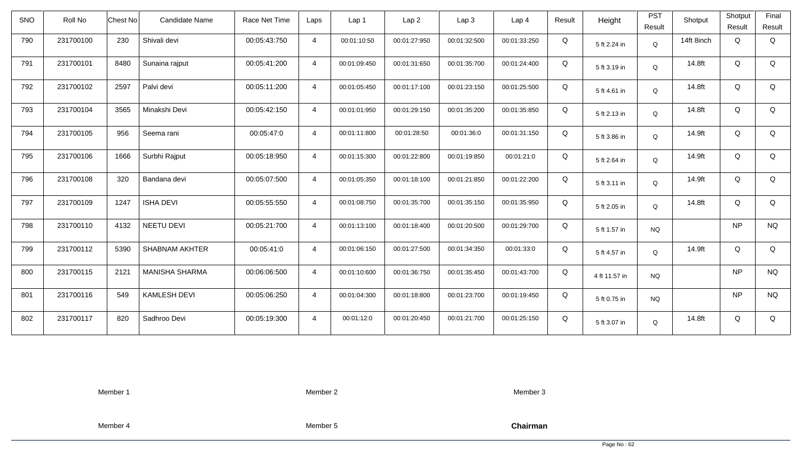| <b>SNO</b> | Roll No   | <b>Chest No</b> | Candidate Name        | Race Net Time | Laps           | Lap 1        | Lap <sub>2</sub> | Lap3         | Lap <sub>4</sub> | Result | Height        | <b>PST</b><br>Result | Shotput    | Shotput<br>Result | Final<br>Result |
|------------|-----------|-----------------|-----------------------|---------------|----------------|--------------|------------------|--------------|------------------|--------|---------------|----------------------|------------|-------------------|-----------------|
| 790        | 231700100 | 230             | Shivali devi          | 00:05:43:750  | $\overline{4}$ | 00:01:10:50  | 00:01:27:950     | 00:01:32:500 | 00:01:33:250     | Q      | 5 ft 2.24 in  | $\mathsf Q$          | 14ft 8inch | Q                 | Q               |
| 791        | 231700101 | 8480            | Sunaina rajput        | 00:05:41:200  | $\overline{4}$ | 00:01:09:450 | 00:01:31:650     | 00:01:35:700 | 00:01:24:400     | Q      | 5 ft 3.19 in  | Q                    | 14.8ft     | Q                 | Q               |
| 792        | 231700102 | 2597            | Palvi devi            | 00:05:11:200  | $\overline{4}$ | 00:01:05:450 | 00:01:17:100     | 00:01:23:150 | 00:01:25:500     | Q      | 5 ft 4.61 in  | Q                    | 14.8ft     | Q                 | Q               |
| 793        | 231700104 | 3565            | Minakshi Devi         | 00:05:42:150  | $\overline{4}$ | 00:01:01:950 | 00:01:29:150     | 00:01:35:200 | 00:01:35:850     | Q      | 5 ft 2.13 in  | Q                    | 14.8ft     | Q                 | Q               |
| 794        | 231700105 | 956             | Seema rani            | 00:05:47:0    | $\overline{4}$ | 00:01:11:800 | 00:01:28:50      | 00:01:36:0   | 00:01:31:150     | Q      | 5 ft 3.86 in  | Q                    | 14.9ft     | Q                 | Q               |
| 795        | 231700106 | 1666            | Surbhi Rajput         | 00:05:18:950  | $\overline{4}$ | 00:01:15:300 | 00:01:22:800     | 00:01:19:850 | 00:01:21:0       | Q      | 5 ft 2.64 in  | Q                    | 14.9ft     | Q                 | Q               |
| 796        | 231700108 | 320             | Bandana devi          | 00:05:07:500  | $\overline{4}$ | 00:01:05:350 | 00:01:18:100     | 00:01:21:850 | 00:01:22:200     | Q      | 5 ft 3.11 in  | Q                    | 14.9ft     | Q                 | Q               |
| 797        | 231700109 | 1247            | <b>ISHA DEVI</b>      | 00:05:55:550  | $\overline{4}$ | 00:01:08:750 | 00:01:35:700     | 00:01:35:150 | 00:01:35:950     | Q      | 5 ft 2.05 in  | Q                    | 14.8ft     | Q                 | Q               |
| 798        | 231700110 | 4132            | NEETU DEVI            | 00:05:21:700  | $\overline{4}$ | 00:01:13:100 | 00:01:18:400     | 00:01:20:500 | 00:01:29:700     | Q      | 5 ft 1.57 in  | <b>NQ</b>            |            | <b>NP</b>         | <b>NQ</b>       |
| 799        | 231700112 | 5390            | SHABNAM AKHTER        | 00:05:41:0    | $\overline{4}$ | 00:01:06:150 | 00:01:27:500     | 00:01:34:350 | 00:01:33:0       | Q      | 5 ft 4.57 in  | Q                    | 14.9ft     | Q                 | Q               |
| 800        | 231700115 | 2121            | <b>MANISHA SHARMA</b> | 00:06:06:500  | $\overline{4}$ | 00:01:10:600 | 00:01:36:750     | 00:01:35:450 | 00:01:43:700     | Q      | 4 ft 11.57 in | <b>NQ</b>            |            | <b>NP</b>         | <b>NQ</b>       |
| 801        | 231700116 | 549             | <b>KAMLESH DEVI</b>   | 00:05:06:250  | $\overline{4}$ | 00:01:04:300 | 00:01:18:800     | 00:01:23:700 | 00:01:19:450     | Q      | 5 ft 0.75 in  | <b>NQ</b>            |            | <b>NP</b>         | <b>NQ</b>       |
| 802        | 231700117 | 820             | Sadhroo Devi          | 00:05:19:300  | $\overline{4}$ | 00:01:12:0   | 00:01:20:450     | 00:01:21:700 | 00:01:25:150     | Q      | 5 ft 3.07 in  | Q                    | 14.8ft     | Q                 | Q               |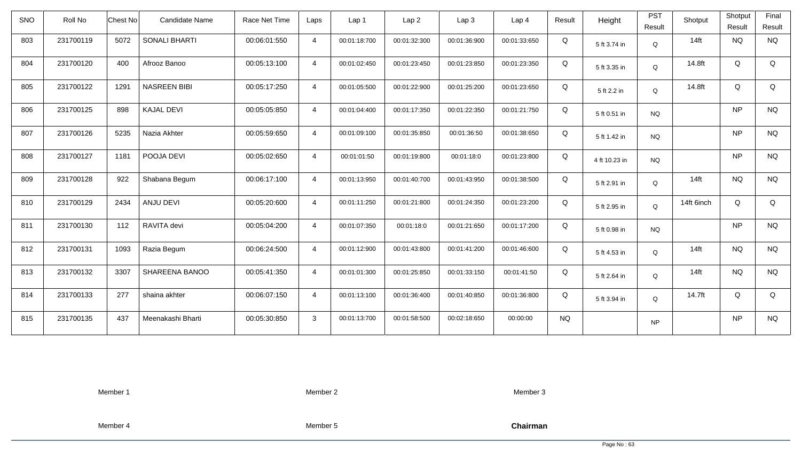| <b>SNO</b> | Roll No   | Chest No | Candidate Name       | Race Net Time | Laps           | Lap 1        | Lap <sub>2</sub> | Lap3         | Lap <sub>4</sub> | Result    | Height        | <b>PST</b><br>Result | Shotput    | Shotput<br>Result | Final<br>Result |
|------------|-----------|----------|----------------------|---------------|----------------|--------------|------------------|--------------|------------------|-----------|---------------|----------------------|------------|-------------------|-----------------|
| 803        | 231700119 | 5072     | <b>SONALI BHARTI</b> | 00:06:01:550  | $\overline{4}$ | 00:01:18:700 | 00:01:32:300     | 00:01:36:900 | 00:01:33:650     | Q         | 5 ft 3.74 in  | Q                    | $14$ ft    | <b>NQ</b>         | <b>NQ</b>       |
| 804        | 231700120 | 400      | Afrooz Banoo         | 00:05:13:100  | $\overline{4}$ | 00:01:02:450 | 00:01:23:450     | 00:01:23:850 | 00:01:23:350     | Q         | 5 ft 3.35 in  | Q                    | 14.8ft     | Q                 | Q               |
| 805        | 231700122 | 1291     | <b>NASREEN BIBI</b>  | 00:05:17:250  | $\overline{4}$ | 00:01:05:500 | 00:01:22:900     | 00:01:25:200 | 00:01:23:650     | Q         | 5 ft 2.2 in   | Q                    | 14.8ft     | Q                 | Q               |
| 806        | 231700125 | 898      | <b>KAJAL DEVI</b>    | 00:05:05:850  | $\overline{4}$ | 00:01:04:400 | 00:01:17:350     | 00:01:22:350 | 00:01:21:750     | Q         | 5 ft 0.51 in  | <b>NQ</b>            |            | <b>NP</b>         | <b>NQ</b>       |
| 807        | 231700126 | 5235     | Nazia Akhter         | 00:05:59:650  | $\overline{4}$ | 00:01:09:100 | 00:01:35:850     | 00:01:36:50  | 00:01:38:650     | Q         | 5 ft 1.42 in  | <b>NQ</b>            |            | <b>NP</b>         | <b>NQ</b>       |
| 808        | 231700127 | 1181     | POOJA DEVI           | 00:05:02:650  | $\overline{4}$ | 00:01:01:50  | 00:01:19:800     | 00:01:18:0   | 00:01:23:800     | Q         | 4 ft 10.23 in | <b>NQ</b>            |            | <b>NP</b>         | <b>NQ</b>       |
| 809        | 231700128 | 922      | Shabana Begum        | 00:06:17:100  | $\overline{4}$ | 00:01:13:950 | 00:01:40:700     | 00:01:43:950 | 00:01:38:500     | Q         | 5 ft 2.91 in  | Q                    | $14$ ft    | <b>NQ</b>         | <b>NQ</b>       |
| 810        | 231700129 | 2434     | ANJU DEVI            | 00:05:20:600  | $\overline{4}$ | 00:01:11:250 | 00:01:21:800     | 00:01:24:350 | 00:01:23:200     | Q         | 5 ft 2.95 in  | Q                    | 14ft 6inch | Q                 | Q               |
| 811        | 231700130 | 112      | RAVITA devi          | 00:05:04:200  | $\overline{4}$ | 00:01:07:350 | 00:01:18:0       | 00:01:21:650 | 00:01:17:200     | Q         | 5 ft 0.98 in  | <b>NQ</b>            |            | <b>NP</b>         | <b>NQ</b>       |
| 812        | 231700131 | 1093     | Razia Begum          | 00:06:24:500  | $\overline{4}$ | 00:01:12:900 | 00:01:43:800     | 00:01:41:200 | 00:01:46:600     | Q         | 5 ft 4.53 in  | Q                    | $14$ ft    | <b>NQ</b>         | <b>NQ</b>       |
| 813        | 231700132 | 3307     | SHAREENA BANOO       | 00:05:41:350  | $\overline{4}$ | 00:01:01:300 | 00:01:25:850     | 00:01:33:150 | 00:01:41:50      | Q         | 5 ft 2.64 in  | Q                    | $14$ ft    | <b>NQ</b>         | <b>NQ</b>       |
| 814        | 231700133 | 277      | shaina akhter        | 00:06:07:150  | $\overline{4}$ | 00:01:13:100 | 00:01:36:400     | 00:01:40:850 | 00:01:36:800     | Q         | 5 ft 3.94 in  | Q                    | 14.7ft     | Q                 | Q               |
| 815        | 231700135 | 437      | Meenakashi Bharti    | 00:05:30:850  | $\mathbf{3}$   | 00:01:13:700 | 00:01:58:500     | 00:02:18:650 | 00:00:00         | <b>NQ</b> |               | <b>NP</b>            |            | <b>NP</b>         | <b>NQ</b>       |

Member 2

Member 3

Member 4

Member 5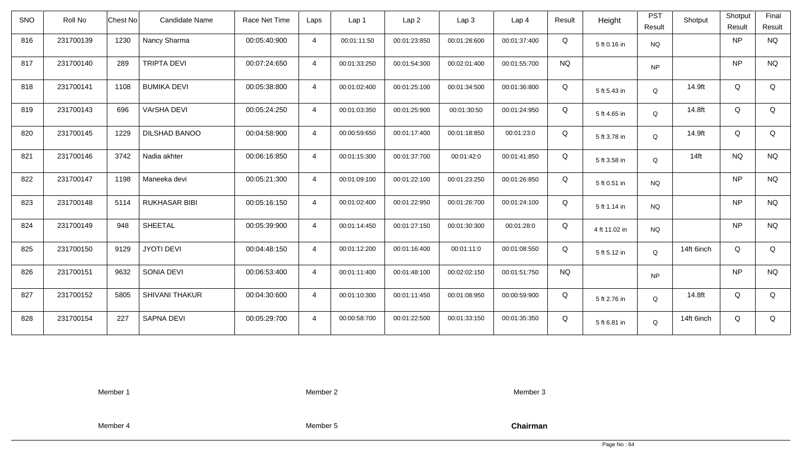| <b>SNO</b> | Roll No   | <b>Chest No</b> | Candidate Name        | Race Net Time | Laps           | Lap 1        | Lap <sub>2</sub> | Lap <sub>3</sub> | Lap <sub>4</sub> | Result    | Height        | <b>PST</b><br>Result | Shotput    | Shotput<br>Result | Final<br>Result |
|------------|-----------|-----------------|-----------------------|---------------|----------------|--------------|------------------|------------------|------------------|-----------|---------------|----------------------|------------|-------------------|-----------------|
| 816        | 231700139 | 1230            | Nancy Sharma          | 00:05:40:900  | $\overline{4}$ | 00:01:11:50  | 00:01:23:850     | 00:01:28:600     | 00:01:37:400     | Q         | 5 ft 0.16 in  | <b>NQ</b>            |            | <b>NP</b>         | <b>NQ</b>       |
| 817        | 231700140 | 289             | <b>TRIPTA DEVI</b>    | 00:07:24:650  | $\overline{4}$ | 00:01:33:250 | 00:01:54:300     | 00:02:01:400     | 00:01:55:700     | <b>NQ</b> |               | <b>NP</b>            |            | <b>NP</b>         | <b>NQ</b>       |
| 818        | 231700141 | 1108            | <b>BUMIKA DEVI</b>    | 00:05:38:800  | $\overline{4}$ | 00:01:02:400 | 00:01:25:100     | 00:01:34:500     | 00:01:36:800     | Q         | 5 ft 5.43 in  | Q                    | 14.9ft     | Q                 | Q               |
| 819        | 231700143 | 696             | <b>VArSHA DEVI</b>    | 00:05:24:250  | $\overline{4}$ | 00:01:03:350 | 00:01:25:900     | 00:01:30:50      | 00:01:24:950     | Q         | 5 ft 4.65 in  | Q                    | 14.8ft     | Q                 | Q               |
| 820        | 231700145 | 1229            | DILSHAD BANOO         | 00:04:58:900  | $\overline{4}$ | 00:00:59:650 | 00:01:17:400     | 00:01:18:850     | 00:01:23:0       | Q         | 5 ft 3.78 in  | Q                    | 14.9ft     | Q                 | Q               |
| 821        | 231700146 | 3742            | Nadia akhter          | 00:06:16:850  | $\overline{4}$ | 00:01:15:300 | 00:01:37:700     | 00:01:42:0       | 00:01:41:850     | Q         | 5 ft 3.58 in  | Q                    | $14$ ft    | <b>NQ</b>         | <b>NQ</b>       |
| 822        | 231700147 | 1198            | Maneeka devi          | 00:05:21:300  | $\overline{4}$ | 00:01:09:100 | 00:01:22:100     | 00:01:23:250     | 00:01:26:850     | Q         | 5 ft 0.51 in  | <b>NQ</b>            |            | <b>NP</b>         | <b>NQ</b>       |
| 823        | 231700148 | 5114            | <b>RUKHASAR BIBI</b>  | 00:05:16:150  | $\overline{4}$ | 00:01:02:400 | 00:01:22:950     | 00:01:26:700     | 00:01:24:100     | Q         | 5 ft 1.14 in  | <b>NQ</b>            |            | <b>NP</b>         | <b>NQ</b>       |
| 824        | 231700149 | 948             | SHEETAL               | 00:05:39:900  | $\overline{4}$ | 00:01:14:450 | 00:01:27:150     | 00:01:30:300     | 00:01:28:0       | Q         | 4 ft 11.02 in | <b>NQ</b>            |            | <b>NP</b>         | <b>NQ</b>       |
| 825        | 231700150 | 9129            | <b>JYOTI DEVI</b>     | 00:04:48:150  | $\overline{4}$ | 00:01:12:200 | 00:01:16:400     | 00:01:11:0       | 00:01:08:550     | Q         | 5 ft 5.12 in  | Q                    | 14ft 6inch | Q                 | Q               |
| 826        | 231700151 | 9632            | SONIA DEVI            | 00:06:53:400  | $\overline{4}$ | 00:01:11:400 | 00:01:48:100     | 00:02:02:150     | 00:01:51:750     | <b>NQ</b> |               | <b>NP</b>            |            | <b>NP</b>         | <b>NQ</b>       |
| 827        | 231700152 | 5805            | <b>SHIVANI THAKUR</b> | 00:04:30:600  | $\overline{4}$ | 00:01:10:300 | 00:01:11:450     | 00:01:08:950     | 00:00:59:900     | Q         | 5 ft 2.76 in  | Q                    | 14.8ft     | Q                 | Q               |
| 828        | 231700154 | 227             | SAPNA DEVI            | 00:05:29:700  | $\overline{4}$ | 00:00:58:700 | 00:01:22:500     | 00:01:33:150     | 00:01:35:350     | Q         | 5 ft 6.81 in  | Q                    | 14ft 6inch | Q                 | Q               |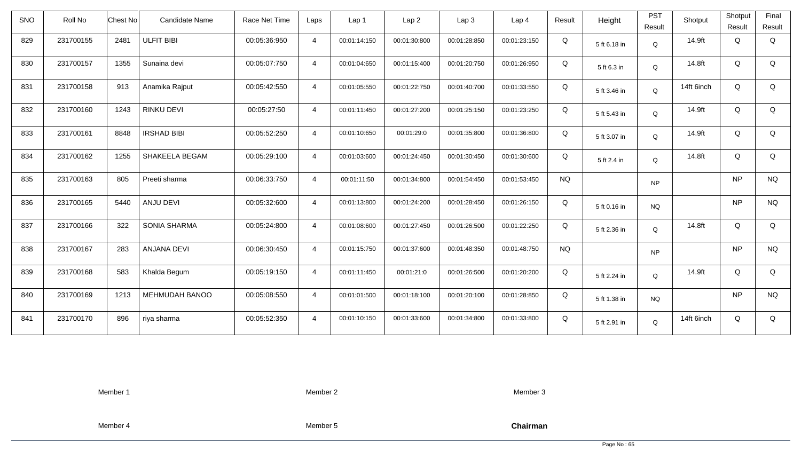| <b>SNO</b> | Roll No   | <b>Chest No</b> | Candidate Name      | Race Net Time | Laps           | Lap 1        | Lap <sub>2</sub> | Lap <sub>3</sub> | Lap <sub>4</sub> | Result    | Height       | <b>PST</b><br>Result | Shotput    | Shotput<br>Result | Final<br>Result |
|------------|-----------|-----------------|---------------------|---------------|----------------|--------------|------------------|------------------|------------------|-----------|--------------|----------------------|------------|-------------------|-----------------|
| 829        | 231700155 | 2481            | <b>ULFIT BIBI</b>   | 00:05:36:950  | $\overline{4}$ | 00:01:14:150 | 00:01:30:800     | 00:01:28:850     | 00:01:23:150     | Q         | 5 ft 6.18 in | Q                    | 14.9ft     | Q                 | Q               |
| 830        | 231700157 | 1355            | Sunaina devi        | 00:05:07:750  | $\overline{4}$ | 00:01:04:650 | 00:01:15:400     | 00:01:20:750     | 00:01:26:950     | Q         | 5 ft 6.3 in  | Q                    | 14.8ft     | Q                 | Q               |
| 831        | 231700158 | 913             | Anamika Rajput      | 00:05:42:550  | $\overline{4}$ | 00:01:05:550 | 00:01:22:750     | 00:01:40:700     | 00:01:33:550     | Q         | 5 ft 3.46 in | Q                    | 14ft 6inch | Q                 | Q               |
| 832        | 231700160 | 1243            | <b>RINKU DEVI</b>   | 00:05:27:50   | $\overline{4}$ | 00:01:11:450 | 00:01:27:200     | 00:01:25:150     | 00:01:23:250     | Q         | 5 ft 5.43 in | Q                    | 14.9ft     | Q                 | Q               |
| 833        | 231700161 | 8848            | <b>IRSHAD BIBI</b>  | 00:05:52:250  | $\overline{4}$ | 00:01:10:650 | 00:01:29:0       | 00:01:35:800     | 00:01:36:800     | Q         | 5 ft 3.07 in | Q                    | 14.9ft     | Q                 | Q               |
| 834        | 231700162 | 1255            | SHAKEELA BEGAM      | 00:05:29:100  | $\overline{4}$ | 00:01:03:600 | 00:01:24:450     | 00:01:30:450     | 00:01:30:600     | Q         | 5 ft 2.4 in  | Q                    | 14.8ft     | Q                 | Q               |
| 835        | 231700163 | 805             | Preeti sharma       | 00:06:33:750  | $\overline{4}$ | 00:01:11:50  | 00:01:34:800     | 00:01:54:450     | 00:01:53:450     | <b>NQ</b> |              | <b>NP</b>            |            | <b>NP</b>         | <b>NQ</b>       |
| 836        | 231700165 | 5440            | ANJU DEVI           | 00:05:32:600  | $\overline{4}$ | 00:01:13:800 | 00:01:24:200     | 00:01:28:450     | 00:01:26:150     | Q         | 5 ft 0.16 in | <b>NQ</b>            |            | <b>NP</b>         | <b>NQ</b>       |
| 837        | 231700166 | 322             | <b>SONIA SHARMA</b> | 00:05:24:800  | $\overline{4}$ | 00:01:08:600 | 00:01:27:450     | 00:01:26:500     | 00:01:22:250     | Q         | 5 ft 2.36 in | Q                    | 14.8ft     | Q                 | Q               |
| 838        | 231700167 | 283             | <b>ANJANA DEVI</b>  | 00:06:30:450  | $\overline{4}$ | 00:01:15:750 | 00:01:37:600     | 00:01:48:350     | 00:01:48:750     | <b>NQ</b> |              | <b>NP</b>            |            | <b>NP</b>         | <b>NQ</b>       |
| 839        | 231700168 | 583             | Khalda Begum        | 00:05:19:150  | $\overline{4}$ | 00:01:11:450 | 00:01:21:0       | 00:01:26:500     | 00:01:20:200     | Q         | 5 ft 2.24 in | Q                    | 14.9ft     | Q                 | Q               |
| 840        | 231700169 | 1213            | MEHMUDAH BANOO      | 00:05:08:550  | $\overline{4}$ | 00:01:01:500 | 00:01:18:100     | 00:01:20:100     | 00:01:28:850     | Q         | 5 ft 1.38 in | <b>NQ</b>            |            | <b>NP</b>         | <b>NQ</b>       |
| 841        | 231700170 | 896             | riya sharma         | 00:05:52:350  | $\overline{4}$ | 00:01:10:150 | 00:01:33:600     | 00:01:34:800     | 00:01:33:800     | Q         | 5 ft 2.91 in | Q                    | 14ft 6inch | Q                 | Q               |

Member 2

Member 3

Member 4

Member 5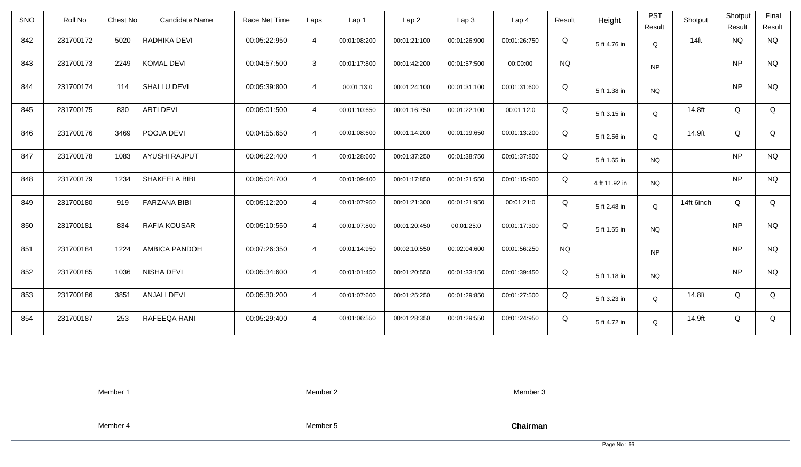| <b>SNO</b> | Roll No   | Chest No | Candidate Name       | Race Net Time | Laps           | Lap 1        | Lap <sub>2</sub> | Lap3         | Lap 4        | Result    | Height        | <b>PST</b><br>Result | Shotput    | Shotput<br>Result | Final<br>Result |
|------------|-----------|----------|----------------------|---------------|----------------|--------------|------------------|--------------|--------------|-----------|---------------|----------------------|------------|-------------------|-----------------|
| 842        | 231700172 | 5020     | RADHIKA DEVI         | 00:05:22:950  | $\overline{4}$ | 00:01:08:200 | 00:01:21:100     | 00:01:26:900 | 00:01:26:750 | Q         | 5 ft 4.76 in  | Q                    | $14$ ft    | <b>NQ</b>         | <b>NQ</b>       |
| 843        | 231700173 | 2249     | KOMAL DEVI           | 00:04:57:500  | 3              | 00:01:17:800 | 00:01:42:200     | 00:01:57:500 | 00:00:00     | <b>NQ</b> |               | <b>NP</b>            |            | <b>NP</b>         | <b>NQ</b>       |
| 844        | 231700174 | 114      | SHALLU DEVI          | 00:05:39:800  | $\overline{4}$ | 00:01:13:0   | 00:01:24:100     | 00:01:31:100 | 00:01:31:600 | Q         | 5 ft 1.38 in  | <b>NQ</b>            |            | <b>NP</b>         | <b>NQ</b>       |
| 845        | 231700175 | 830      | <b>ARTI DEVI</b>     | 00:05:01:500  | $\overline{4}$ | 00:01:10:650 | 00:01:16:750     | 00:01:22:100 | 00:01:12:0   | Q         | 5 ft 3.15 in  | Q                    | 14.8ft     | Q                 | Q               |
| 846        | 231700176 | 3469     | POOJA DEVI           | 00:04:55:650  | $\overline{4}$ | 00:01:08:600 | 00:01:14:200     | 00:01:19:650 | 00:01:13:200 | Q         | 5 ft 2.56 in  | Q                    | 14.9ft     | Q                 | Q               |
| 847        | 231700178 | 1083     | <b>AYUSHI RAJPUT</b> | 00:06:22:400  | $\overline{4}$ | 00:01:28:600 | 00:01:37:250     | 00:01:38:750 | 00:01:37:800 | Q         | 5 ft 1.65 in  | <b>NQ</b>            |            | <b>NP</b>         | <b>NQ</b>       |
| 848        | 231700179 | 1234     | SHAKEELA BIBI        | 00:05:04:700  | $\overline{4}$ | 00:01:09:400 | 00:01:17:850     | 00:01:21:550 | 00:01:15:900 | Q         | 4 ft 11.92 in | <b>NQ</b>            |            | <b>NP</b>         | <b>NQ</b>       |
| 849        | 231700180 | 919      | <b>FARZANA BIBI</b>  | 00:05:12:200  | $\overline{4}$ | 00:01:07:950 | 00:01:21:300     | 00:01:21:950 | 00:01:21:0   | Q         | 5 ft 2.48 in  | Q                    | 14ft 6inch | Q                 | Q               |
| 850        | 231700181 | 834      | RAFIA KOUSAR         | 00:05:10:550  | $\overline{4}$ | 00:01:07:800 | 00:01:20:450     | 00:01:25:0   | 00:01:17:300 | Q         | 5 ft 1.65 in  | <b>NQ</b>            |            | <b>NP</b>         | <b>NQ</b>       |
| 851        | 231700184 | 1224     | AMBICA PANDOH        | 00:07:26:350  | $\overline{4}$ | 00:01:14:950 | 00:02:10:550     | 00:02:04:600 | 00:01:56:250 | <b>NQ</b> |               | <b>NP</b>            |            | <b>NP</b>         | <b>NQ</b>       |
| 852        | 231700185 | 1036     | NISHA DEVI           | 00:05:34:600  | $\overline{4}$ | 00:01:01:450 | 00:01:20:550     | 00:01:33:150 | 00:01:39:450 | Q         | 5 ft 1.18 in  | <b>NQ</b>            |            | <b>NP</b>         | <b>NQ</b>       |
| 853        | 231700186 | 3851     | <b>ANJALI DEVI</b>   | 00:05:30:200  | $\overline{4}$ | 00:01:07:600 | 00:01:25:250     | 00:01:29:850 | 00:01:27:500 | Q         | 5 ft 3.23 in  | Q                    | 14.8ft     | Q                 | Q               |
| 854        | 231700187 | 253      | RAFEEQA RANI         | 00:05:29:400  | $\overline{4}$ | 00:01:06:550 | 00:01:28:350     | 00:01:29:550 | 00:01:24:950 | Q         | 5 ft 4.72 in  | Q                    | 14.9ft     | Q                 | Q               |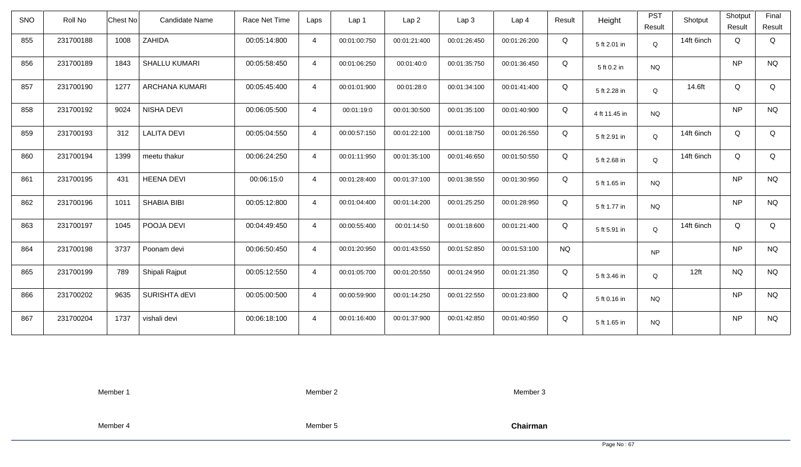| <b>SNO</b> | Roll No   | <b>Chest No</b> | Candidate Name       | Race Net Time | Laps           | Lap <sub>1</sub> | Lap <sub>2</sub> | Lap <sub>3</sub> | Lap <sub>4</sub> | Result    | Height        | <b>PST</b><br>Result | Shotput    | Shotput<br>Result | Final<br>Result |
|------------|-----------|-----------------|----------------------|---------------|----------------|------------------|------------------|------------------|------------------|-----------|---------------|----------------------|------------|-------------------|-----------------|
| 855        | 231700188 | 1008            | ZAHIDA               | 00:05:14:800  | $\overline{4}$ | 00:01:00:750     | 00:01:21:400     | 00:01:26:450     | 00:01:26:200     | Q         | 5 ft 2.01 in  | Q                    | 14ft 6inch | Q                 | Q               |
| 856        | 231700189 | 1843            | <b>SHALLU KUMARI</b> | 00:05:58:450  | $\overline{4}$ | 00:01:06:250     | 00:01:40:0       | 00:01:35:750     | 00:01:36:450     | Q         | 5 ft 0.2 in   | <b>NQ</b>            |            | <b>NP</b>         | <b>NQ</b>       |
| 857        | 231700190 | 1277            | ARCHANA KUMARI       | 00:05:45:400  | $\overline{4}$ | 00:01:01:900     | 00:01:28:0       | 00:01:34:100     | 00:01:41:400     | Q         | 5 ft 2.28 in  | Q                    | 14.6ft     | Q                 | Q               |
| 858        | 231700192 | 9024            | NISHA DEVI           | 00:06:05:500  | $\overline{4}$ | 00:01:19:0       | 00:01:30:500     | 00:01:35:100     | 00:01:40:900     | Q         | 4 ft 11.45 in | <b>NQ</b>            |            | <b>NP</b>         | <b>NQ</b>       |
| 859        | 231700193 | 312             | <b>LALITA DEVI</b>   | 00:05:04:550  | $\overline{4}$ | 00:00:57:150     | 00:01:22:100     | 00:01:18:750     | 00:01:26:550     | Q         | 5 ft 2.91 in  | Q                    | 14ft 6inch | Q                 | Q               |
| 860        | 231700194 | 1399            | meetu thakur         | 00:06:24:250  | $\overline{4}$ | 00:01:11:950     | 00:01:35:100     | 00:01:46:650     | 00:01:50:550     | Q         | 5 ft 2.68 in  | Q                    | 14ft 6inch | Q                 | Q               |
| 861        | 231700195 | 431             | <b>HEENA DEVI</b>    | 00:06:15:0    | $\overline{4}$ | 00:01:28:400     | 00:01:37:100     | 00:01:38:550     | 00:01:30:950     | Q         | 5 ft 1.65 in  | <b>NQ</b>            |            | <b>NP</b>         | <b>NQ</b>       |
| 862        | 231700196 | 1011            | SHABIA BIBI          | 00:05:12:800  | $\overline{4}$ | 00:01:04:400     | 00:01:14:200     | 00:01:25:250     | 00:01:28:950     | Q         | 5 ft 1.77 in  | <b>NQ</b>            |            | <b>NP</b>         | <b>NQ</b>       |
| 863        | 231700197 | 1045            | POOJA DEVI           | 00:04:49:450  | $\overline{4}$ | 00:00:55:400     | 00:01:14:50      | 00:01:18:600     | 00:01:21:400     | Q         | 5 ft 5.91 in  | Q                    | 14ft 6inch | Q                 | Q               |
| 864        | 231700198 | 3737            | Poonam devi          | 00:06:50:450  | $\overline{4}$ | 00:01:20:950     | 00:01:43:550     | 00:01:52:850     | 00:01:53:100     | <b>NQ</b> |               | <b>NP</b>            |            | NP                | <b>NQ</b>       |
| 865        | 231700199 | 789             | Shipali Rajput       | 00:05:12:550  | $\overline{4}$ | 00:01:05:700     | 00:01:20:550     | 00:01:24:950     | 00:01:21:350     | Q         | 5 ft 3.46 in  | Q                    | 12ft       | <b>NQ</b>         | <b>NQ</b>       |
| 866        | 231700202 | 9635            | SURISHTA dEVI        | 00:05:00:500  | $\overline{4}$ | 00:00:59:900     | 00:01:14:250     | 00:01:22:550     | 00:01:23:800     | Q         | 5 ft 0.16 in  | <b>NQ</b>            |            | <b>NP</b>         | <b>NQ</b>       |
| 867        | 231700204 | 1737            | vishali devi         | 00:06:18:100  | $\overline{4}$ | 00:01:16:400     | 00:01:37:900     | 00:01:42:850     | 00:01:40:950     | Q         | 5 ft 1.65 in  | <b>NQ</b>            |            | NP                | <b>NQ</b>       |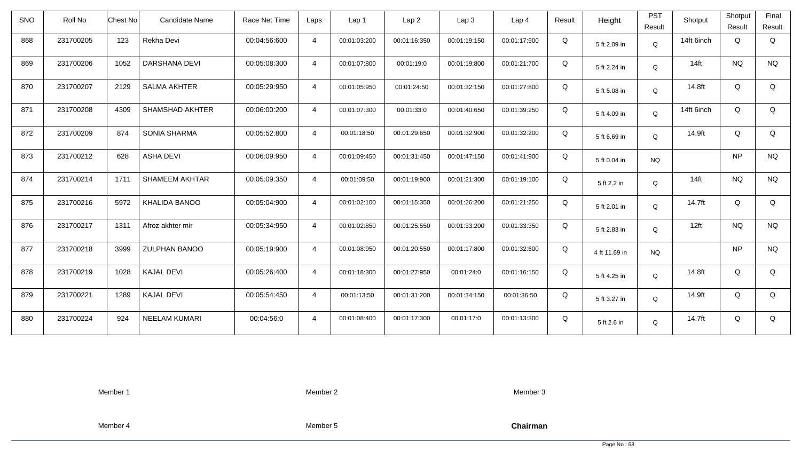| <b>SNO</b> | Roll No   | <b>Chest No</b> | <b>Candidate Name</b>  | Race Net Time | Laps           | Lap <sub>1</sub> | Lap <sub>2</sub> | Lap <sub>3</sub> | Lap <sub>4</sub> | Result | Height        | <b>PST</b><br>Result | Shotput    | Shotput<br>Result | Final<br>Result |
|------------|-----------|-----------------|------------------------|---------------|----------------|------------------|------------------|------------------|------------------|--------|---------------|----------------------|------------|-------------------|-----------------|
| 868        | 231700205 | 123             | Rekha Devi             | 00:04:56:600  | $\overline{4}$ | 00:01:03:200     | 00:01:16:350     | 00:01:19:150     | 00:01:17:900     | Q      | 5 ft 2.09 in  | $\mathsf Q$          | 14ft 6inch | Q                 | Q               |
| 869        | 231700206 | 1052            | DARSHANA DEVI          | 00:05:08:300  | $\overline{4}$ | 00:01:07:800     | 00:01:19:0       | 00:01:19:800     | 00:01:21:700     | Q      | 5 ft 2.24 in  | Q                    | $14$ ft    | <b>NQ</b>         | <b>NQ</b>       |
| 870        | 231700207 | 2129            | <b>SALMA AKHTER</b>    | 00:05:29:950  | $\overline{4}$ | 00:01:05:950     | 00:01:24:50      | 00:01:32:150     | 00:01:27:800     | Q      | 5 ft 5.08 in  | Q                    | 14.8ft     | Q                 | Q               |
| 871        | 231700208 | 4309            | <b>SHAMSHAD AKHTER</b> | 00:06:00:200  | $\overline{4}$ | 00:01:07:300     | 00:01:33:0       | 00:01:40:650     | 00:01:39:250     | Q      | 5 ft 4.09 in  | Q                    | 14ft 6inch | Q                 | Q               |
| 872        | 231700209 | 874             | SONIA SHARMA           | 00:05:52:800  | $\overline{4}$ | 00:01:18:50      | 00:01:29:650     | 00:01:32:900     | 00:01:32:200     | Q      | 5 ft 6.69 in  | Q                    | 14.9ft     | Q                 | Q               |
| 873        | 231700212 | 628             | <b>ASHA DEVI</b>       | 00:06:09:950  | $\overline{4}$ | 00:01:09:450     | 00:01:31:450     | 00:01:47:150     | 00:01:41:900     | Q      | 5 ft 0.04 in  | <b>NQ</b>            |            | <b>NP</b>         | <b>NQ</b>       |
| 874        | 231700214 | 1711            | <b>SHAMEEM AKHTAR</b>  | 00:05:09:350  | $\overline{4}$ | 00:01:09:50      | 00:01:19:900     | 00:01:21:300     | 00:01:19:100     | Q      | 5 ft 2.2 in   | Q                    | $14$ ft    | <b>NQ</b>         | <b>NQ</b>       |
| 875        | 231700216 | 5972            | KHALIDA BANOO          | 00:05:04:900  | $\overline{4}$ | 00:01:02:100     | 00:01:15:350     | 00:01:26:200     | 00:01:21:250     | Q      | 5 ft 2.01 in  | Q                    | 14.7ft     | Q                 | Q               |
| 876        | 231700217 | 1311            | Afroz akhter mir       | 00:05:34:950  | $\overline{4}$ | 00:01:02:850     | 00:01:25:550     | 00:01:33:200     | 00:01:33:350     | Q      | 5 ft 2.83 in  | Q                    | 12ft       | <b>NQ</b>         | <b>NQ</b>       |
| 877        | 231700218 | 3999            | <b>ZULPHAN BANOO</b>   | 00:05:19:900  | $\overline{4}$ | 00:01:08:950     | 00:01:20:550     | 00:01:17:800     | 00:01:32:600     | Q      | 4 ft 11.69 in | <b>NQ</b>            |            | <b>NP</b>         | <b>NQ</b>       |
| 878        | 231700219 | 1028            | <b>KAJAL DEVI</b>      | 00:05:26:400  | 4              | 00:01:18:300     | 00:01:27:950     | 00:01:24:0       | 00:01:16:150     | Q      | 5 ft 4.25 in  | Q                    | 14.8ft     | Q                 | Q               |
| 879        | 231700221 | 1289            | <b>KAJAL DEVI</b>      | 00:05:54:450  | $\overline{4}$ | 00:01:13:50      | 00:01:31:200     | 00:01:34:150     | 00:01:36:50      | Q      | 5 ft 3.27 in  | Q                    | 14.9ft     | Q                 | Q               |
| 880        | 231700224 | 924             | <b>NEELAM KUMARI</b>   | 00:04:56:0    | $\overline{4}$ | 00:01:08:400     | 00:01:17:300     | 00:01:17:0       | 00:01:13:300     | Q      | 5 ft 2.6 in   | Q                    | 14.7ft     | Q                 | Q               |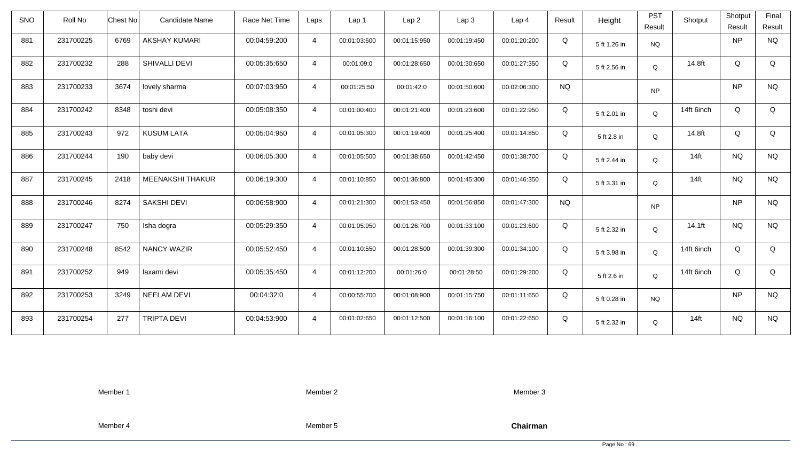| <b>SNO</b> | Roll No   | Chest No | Candidate Name          | Race Net Time | Laps           | Lap 1        | Lap <sub>2</sub> | Lap <sub>3</sub> | Lap <sub>4</sub> | Result    | Height       | <b>PST</b><br>Result | Shotput    | Shotput<br>Result | Final<br>Result |
|------------|-----------|----------|-------------------------|---------------|----------------|--------------|------------------|------------------|------------------|-----------|--------------|----------------------|------------|-------------------|-----------------|
| 881        | 231700225 | 6769     | <b>AKSHAY KUMARI</b>    | 00:04:59:200  | $\overline{4}$ | 00:01:03:600 | 00:01:15:950     | 00:01:19:450     | 00:01:20:200     | Q         | 5 ft 1.26 in | <b>NQ</b>            |            | <b>NP</b>         | <b>NQ</b>       |
| 882        | 231700232 | 288      | SHIVALLI DEVI           | 00:05:35:650  | $\overline{4}$ | 00:01:09:0   | 00:01:28:650     | 00:01:30:650     | 00:01:27:350     | Q         | 5 ft 2.56 in | Q                    | 14.8ft     | Q                 | Q               |
| 883        | 231700233 | 3674     | lovely sharma           | 00:07:03:950  | $\overline{4}$ | 00:01:25:50  | 00:01:42:0       | 00:01:50:600     | 00:02:06:300     | <b>NQ</b> |              | <b>NP</b>            |            | <b>NP</b>         | <b>NQ</b>       |
| 884        | 231700242 | 8348     | toshi devi              | 00:05:08:350  | $\overline{4}$ | 00:01:00:400 | 00:01:21:400     | 00:01:23:600     | 00:01:22:950     | Q         | 5 ft 2.01 in | Q                    | 14ft 6inch | Q                 | Q               |
| 885        | 231700243 | 972      | <b>KUSUM LATA</b>       | 00:05:04:950  | $\overline{4}$ | 00:01:05:300 | 00:01:19:400     | 00:01:25:400     | 00:01:14:850     | Q         | 5 ft 2.8 in  | Q                    | 14.8ft     | Q                 | Q               |
| 886        | 231700244 | 190      | baby devi               | 00:06:05:300  | $\overline{4}$ | 00:01:05:500 | 00:01:38:650     | 00:01:42:450     | 00:01:38:700     | Q         | 5 ft 2.44 in | Q                    | $14$ ft    | <b>NQ</b>         | <b>NQ</b>       |
| 887        | 231700245 | 2418     | <b>MEENAKSHI THAKUR</b> | 00:06:19:300  | $\overline{4}$ | 00:01:10:850 | 00:01:36:800     | 00:01:45:300     | 00:01:46:350     | Q         | 5 ft 3.31 in | Q                    | $14$ ft    | <b>NQ</b>         | <b>NQ</b>       |
| 888        | 231700246 | 8274     | <b>SAKSHI DEVI</b>      | 00:06:58:900  | $\overline{4}$ | 00:01:21:300 | 00:01:53:450     | 00:01:56:850     | 00:01:47:300     | <b>NQ</b> |              | <b>NP</b>            |            | <b>NP</b>         | <b>NQ</b>       |
| 889        | 231700247 | 750      | Isha dogra              | 00:05:29:350  | $\overline{4}$ | 00:01:05:950 | 00:01:26:700     | 00:01:33:100     | 00:01:23:600     | Q         | 5 ft 2.32 in | Q                    | 14.1ft     | <b>NQ</b>         | <b>NQ</b>       |
| 890        | 231700248 | 8542     | <b>NANCY WAZIR</b>      | 00:05:52:450  | $\overline{4}$ | 00:01:10:550 | 00:01:28:500     | 00:01:39:300     | 00:01:34:100     | Q         | 5 ft 3.98 in | Q                    | 14ft 6inch | Q                 | Q               |
| 891        | 231700252 | 949      | laxami devi             | 00:05:35:450  | $\overline{4}$ | 00:01:12:200 | 00:01:26:0       | 00:01:28:50      | 00:01:29:200     | Q         | 5 ft 2.6 in  | Q                    | 14ft 6inch | Q                 | Q               |
| 892        | 231700253 | 3249     | <b>NEELAM DEVI</b>      | 00:04:32:0    | $\overline{4}$ | 00:00:55:700 | 00:01:08:900     | 00:01:15:750     | 00:01:11:650     | Q         | 5 ft 0.28 in | <b>NQ</b>            |            | <b>NP</b>         | <b>NQ</b>       |
| 893        | 231700254 | 277      | <b>TRIPTA DEVI</b>      | 00:04:53:900  | $\overline{4}$ | 00:01:02:650 | 00:01:12:500     | 00:01:16:100     | 00:01:22:650     | Q         | 5 ft 2.32 in | Q                    | $14$ ft    | <b>NQ</b>         | <b>NQ</b>       |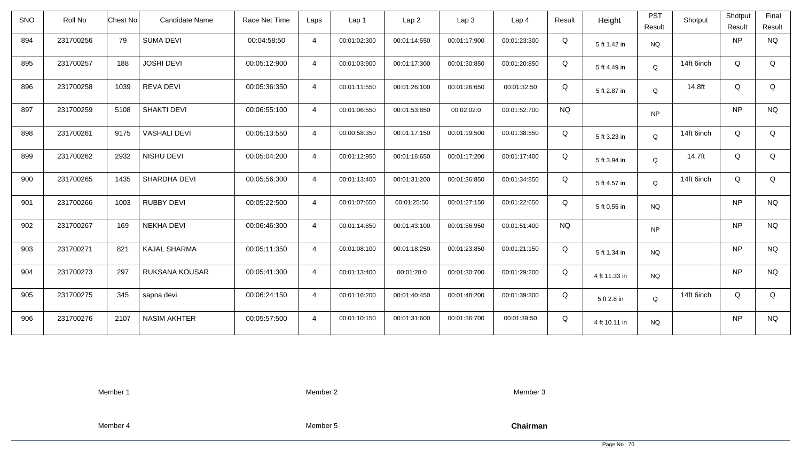| <b>SNO</b> | Roll No   | Chest No | Candidate Name      | Race Net Time | Laps           | Lap 1        | Lap <sub>2</sub> | Lap <sub>3</sub> | Lap <sub>4</sub> | Result    | Height        | <b>PST</b><br>Result | Shotput    | Shotput<br>Result | Final<br>Result |
|------------|-----------|----------|---------------------|---------------|----------------|--------------|------------------|------------------|------------------|-----------|---------------|----------------------|------------|-------------------|-----------------|
| 894        | 231700256 | 79       | <b>SUMA DEVI</b>    | 00:04:58:50   | $\overline{4}$ | 00:01:02:300 | 00:01:14:550     | 00:01:17:900     | 00:01:23:300     | Q         | 5 ft 1.42 in  | <b>NQ</b>            |            | <b>NP</b>         | <b>NQ</b>       |
| 895        | 231700257 | 188      | <b>JOSHI DEVI</b>   | 00:05:12:900  | $\overline{4}$ | 00:01:03:900 | 00:01:17:300     | 00:01:30:850     | 00:01:20:850     | Q         | 5 ft 4.49 in  | $\mathsf Q$          | 14ft 6inch | Q                 | Q               |
| 896        | 231700258 | 1039     | <b>REVA DEVI</b>    | 00:05:36:350  | $\overline{4}$ | 00:01:11:550 | 00:01:26:100     | 00:01:26:650     | 00:01:32:50      | Q         | 5 ft 2.87 in  | Q                    | 14.8ft     | Q                 | Q               |
| 897        | 231700259 | 5108     | <b>SHAKTI DEVI</b>  | 00:06:55:100  | $\overline{4}$ | 00:01:06:550 | 00:01:53:850     | 00:02:02:0       | 00:01:52:700     | <b>NQ</b> |               | <b>NP</b>            |            | <b>NP</b>         | <b>NQ</b>       |
| 898        | 231700261 | 9175     | <b>VASHALI DEVI</b> | 00:05:13:550  | $\overline{4}$ | 00:00:58:350 | 00:01:17:150     | 00:01:19:500     | 00:01:38:550     | Q         | 5 ft 3.23 in  | Q                    | 14ft 6inch | Q                 | Q               |
| 899        | 231700262 | 2932     | NISHU DEVI          | 00:05:04:200  | $\overline{4}$ | 00:01:12:950 | 00:01:16:650     | 00:01:17:200     | 00:01:17:400     | Q         | 5 ft 3.94 in  | Q                    | 14.7ft     | Q                 | Q               |
| 900        | 231700265 | 1435     | SHARDHA DEVI        | 00:05:56:300  | $\overline{4}$ | 00:01:13:400 | 00:01:31:200     | 00:01:36:850     | 00:01:34:850     | Q         | 5 ft 4.57 in  | Q                    | 14ft 6inch | Q                 | Q               |
| 901        | 231700266 | 1003     | <b>RUBBY DEVI</b>   | 00:05:22:500  | $\overline{4}$ | 00:01:07:650 | 00:01:25:50      | 00:01:27:150     | 00:01:22:650     | Q         | 5 ft 0.55 in  | <b>NQ</b>            |            | <b>NP</b>         | <b>NQ</b>       |
| 902        | 231700267 | 169      | <b>NEKHA DEVI</b>   | 00:06:46:300  | $\overline{4}$ | 00:01:14:850 | 00:01:43:100     | 00:01:56:950     | 00:01:51:400     | <b>NQ</b> |               | <b>NP</b>            |            | <b>NP</b>         | <b>NQ</b>       |
| 903        | 231700271 | 821      | <b>KAJAL SHARMA</b> | 00:05:11:350  | $\overline{4}$ | 00:01:08:100 | 00:01:18:250     | 00:01:23:850     | 00:01:21:150     | Q         | 5 ft 1.34 in  | <b>NQ</b>            |            | <b>NP</b>         | <b>NQ</b>       |
| 904        | 231700273 | 297      | RUKSANA KOUSAR      | 00:05:41:300  | $\overline{4}$ | 00:01:13:400 | 00:01:28:0       | 00:01:30:700     | 00:01:29:200     | Q         | 4 ft 11.33 in | <b>NQ</b>            |            | <b>NP</b>         | <b>NQ</b>       |
| 905        | 231700275 | 345      | sapna devi          | 00:06:24:150  | $\overline{4}$ | 00:01:16:200 | 00:01:40:450     | 00:01:48:200     | 00:01:39:300     | Q         | 5 ft 2.8 in   | Q                    | 14ft 6inch | Q                 | Q               |
| 906        | 231700276 | 2107     | <b>NASIM AKHTER</b> | 00:05:57:500  | $\overline{4}$ | 00:01:10:150 | 00:01:31:600     | 00:01:36:700     | 00:01:39:50      | Q         | 4 ft 10.11 in | <b>NQ</b>            |            | <b>NP</b>         | <b>NQ</b>       |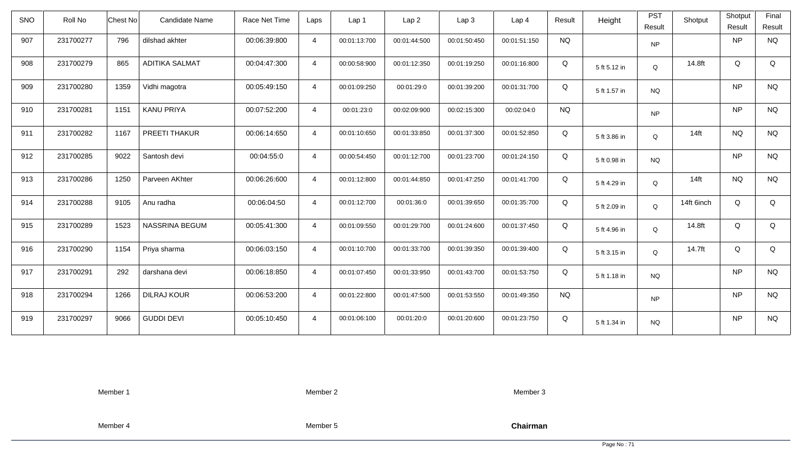| SNO | Roll No   | Candidate Name<br>Chest No   | Race Net Time | Laps           | Lap <sub>1</sub> | Lap2         | Lap 3        | Lap <sub>4</sub> | Result    | Height       | <b>PST</b><br>Result | Shotput    | Shotput<br>Result | Final<br>Result |
|-----|-----------|------------------------------|---------------|----------------|------------------|--------------|--------------|------------------|-----------|--------------|----------------------|------------|-------------------|-----------------|
| 907 | 231700277 | 796<br>dilshad akhter        | 00:06:39:800  | $\overline{4}$ | 00:01:13:700     | 00:01:44:500 | 00:01:50:450 | 00:01:51:150     | <b>NQ</b> |              | <b>NP</b>            |            | NP                | <b>NQ</b>       |
| 908 | 231700279 | <b>ADITIKA SALMAT</b><br>865 | 00:04:47:300  | $\overline{4}$ | 00:00:58:900     | 00:01:12:350 | 00:01:19:250 | 00:01:16:800     | Q         | 5 ft 5.12 in | Q                    | 14.8ft     | Q                 | Q               |
| 909 | 231700280 | 1359<br>Vidhi magotra        | 00:05:49:150  | $\overline{4}$ | 00:01:09:250     | 00:01:29:0   | 00:01:39:200 | 00:01:31:700     | Q         | 5 ft 1.57 in | <b>NQ</b>            |            | NP                | <b>NQ</b>       |
| 910 | 231700281 | 1151<br><b>KANU PRIYA</b>    | 00:07:52:200  | $\overline{4}$ | 00:01:23:0       | 00:02:09:900 | 00:02:15:300 | 00:02:04:0       | <b>NQ</b> |              | <b>NP</b>            |            | NP                | <b>NQ</b>       |
| 911 | 231700282 | PREETI THAKUR<br>1167        | 00:06:14:650  | $\overline{4}$ | 00:01:10:650     | 00:01:33:850 | 00:01:37:300 | 00:01:52:850     | Q         | 5 ft 3.86 in | Q                    | $14$ ft    | <b>NQ</b>         | <b>NQ</b>       |
| 912 | 231700285 | 9022<br>Santosh devi         | 00:04:55:0    | $\overline{4}$ | 00:00:54:450     | 00:01:12:700 | 00:01:23:700 | 00:01:24:150     | Q         | 5 ft 0.98 in | <b>NQ</b>            |            | NP                | <b>NQ</b>       |
| 913 | 231700286 | 1250<br>Parveen AKhter       | 00:06:26:600  | $\overline{4}$ | 00:01:12:800     | 00:01:44:850 | 00:01:47:250 | 00:01:41:700     | Q         | 5 ft 4.29 in | Q                    | $14$ ft    | <b>NQ</b>         | <b>NQ</b>       |
| 914 | 231700288 | 9105<br>Anu radha            | 00:06:04:50   | $\overline{4}$ | 00:01:12:700     | 00:01:36:0   | 00:01:39:650 | 00:01:35:700     | Q         | 5 ft 2.09 in | Q                    | 14ft 6inch | Q                 | Q               |
| 915 | 231700289 | 1523<br>NASSRINA BEGUM       | 00:05:41:300  | $\overline{4}$ | 00:01:09:550     | 00:01:29:700 | 00:01:24:600 | 00:01:37:450     | Q         | 5 ft 4.96 in | Q                    | 14.8ft     | Q                 | Q               |
| 916 | 231700290 | 1154<br>Priya sharma         | 00:06:03:150  | $\overline{4}$ | 00:01:10:700     | 00:01:33:700 | 00:01:39:350 | 00:01:39:400     | Q         | 5 ft 3.15 in | Q                    | 14.7ft     | Q                 | Q               |
| 917 | 231700291 | 292<br>darshana devi         | 00:06:18:850  | $\overline{4}$ | 00:01:07:450     | 00:01:33:950 | 00:01:43:700 | 00:01:53:750     | Q         | 5 ft 1.18 in | <b>NQ</b>            |            | NP                | <b>NQ</b>       |
| 918 | 231700294 | <b>DILRAJ KOUR</b><br>1266   | 00:06:53:200  | $\overline{4}$ | 00:01:22:800     | 00:01:47:500 | 00:01:53:550 | 00:01:49:350     | <b>NQ</b> |              | <b>NP</b>            |            | <b>NP</b>         | <b>NQ</b>       |
| 919 | 231700297 | 9066<br><b>GUDDI DEVI</b>    | 00:05:10:450  | $\overline{4}$ | 00:01:06:100     | 00:01:20:0   | 00:01:20:600 | 00:01:23:750     | Q         | 5 ft 1.34 in | <b>NQ</b>            |            | NP                | <b>NQ</b>       |

Member 2

Member 3

Member 4

Member 5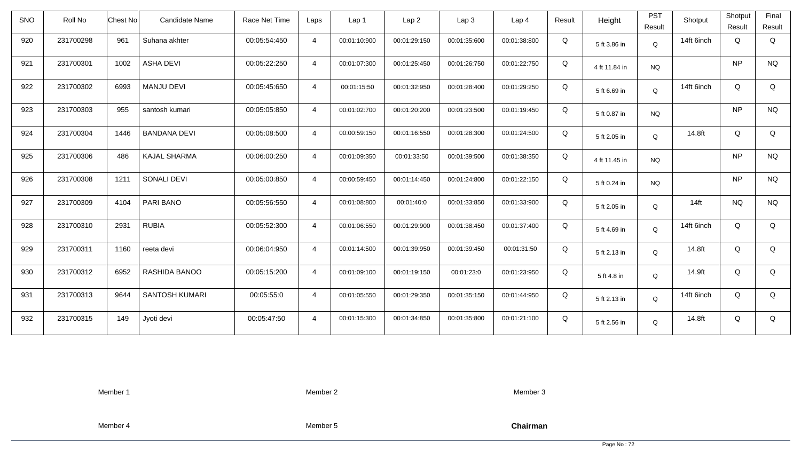| <b>SNO</b> | Roll No   | <b>Chest No</b> | Candidate Name        | Race Net Time | Laps           | Lap <sub>1</sub> | Lap <sub>2</sub> | Lap <sub>3</sub> | Lap <sub>4</sub> | Result | Height        | <b>PST</b><br>Result | Shotput    | Shotput<br>Result | Final<br>Result |
|------------|-----------|-----------------|-----------------------|---------------|----------------|------------------|------------------|------------------|------------------|--------|---------------|----------------------|------------|-------------------|-----------------|
| 920        | 231700298 | 961             | Suhana akhter         | 00:05:54:450  | $\overline{4}$ | 00:01:10:900     | 00:01:29:150     | 00:01:35:600     | 00:01:38:800     | Q      | 5 ft 3.86 in  | Q                    | 14ft 6inch | Q                 | Q               |
| 921        | 231700301 | 1002            | <b>ASHA DEVI</b>      | 00:05:22:250  | $\overline{4}$ | 00:01:07:300     | 00:01:25:450     | 00:01:26:750     | 00:01:22:750     | Q      | 4 ft 11.84 in | <b>NQ</b>            |            | <b>NP</b>         | <b>NQ</b>       |
| 922        | 231700302 | 6993            | <b>MANJU DEVI</b>     | 00:05:45:650  | $\overline{4}$ | 00:01:15:50      | 00:01:32:950     | 00:01:28:400     | 00:01:29:250     | Q      | 5 ft 6.69 in  | Q                    | 14ft 6inch | Q                 | Q               |
| 923        | 231700303 | 955             | santosh kumari        | 00:05:05:850  | $\overline{4}$ | 00:01:02:700     | 00:01:20:200     | 00:01:23:500     | 00:01:19:450     | Q      | 5 ft 0.87 in  | <b>NQ</b>            |            | <b>NP</b>         | <b>NQ</b>       |
| 924        | 231700304 | 1446            | <b>BANDANA DEVI</b>   | 00:05:08:500  | $\overline{4}$ | 00:00:59:150     | 00:01:16:550     | 00:01:28:300     | 00:01:24:500     | Q      | 5 ft 2.05 in  | Q                    | 14.8ft     | Q                 | Q               |
| 925        | 231700306 | 486             | <b>KAJAL SHARMA</b>   | 00:06:00:250  | $\overline{4}$ | 00:01:09:350     | 00:01:33:50      | 00:01:39:500     | 00:01:38:350     | Q      | 4 ft 11.45 in | <b>NQ</b>            |            | <b>NP</b>         | <b>NQ</b>       |
| 926        | 231700308 | 1211            | <b>SONALI DEVI</b>    | 00:05:00:850  | $\overline{4}$ | 00:00:59:450     | 00:01:14:450     | 00:01:24:800     | 00:01:22:150     | Q      | 5 ft 0.24 in  | <b>NQ</b>            |            | <b>NP</b>         | <b>NQ</b>       |
| 927        | 231700309 | 4104            | PARI BANO             | 00:05:56:550  | $\overline{4}$ | 00:01:08:800     | 00:01:40:0       | 00:01:33:850     | 00:01:33:900     | Q      | 5 ft 2.05 in  | Q                    | $14$ ft    | <b>NQ</b>         | <b>NQ</b>       |
| 928        | 231700310 | 2931            | <b>RUBIA</b>          | 00:05:52:300  | $\overline{4}$ | 00:01:06:550     | 00:01:29:900     | 00:01:38:450     | 00:01:37:400     | Q      | 5 ft 4.69 in  | Q                    | 14ft 6inch | Q                 | Q               |
| 929        | 231700311 | 1160            | reeta devi            | 00:06:04:950  | $\overline{4}$ | 00:01:14:500     | 00:01:39:950     | 00:01:39:450     | 00:01:31:50      | Q      | 5 ft 2.13 in  | Q                    | 14.8ft     | Q                 | Q               |
| 930        | 231700312 | 6952            | RASHIDA BANOO         | 00:05:15:200  | $\overline{4}$ | 00:01:09:100     | 00:01:19:150     | 00:01:23:0       | 00:01:23:950     | Q      | 5 ft 4.8 in   | Q                    | 14.9ft     | Q                 | Q               |
| 931        | 231700313 | 9644            | <b>SANTOSH KUMARI</b> | 00:05:55:0    | $\overline{4}$ | 00:01:05:550     | 00:01:29:350     | 00:01:35:150     | 00:01:44:950     | Q      | 5 ft 2.13 in  | Q                    | 14ft 6inch | Q                 | Q               |
| 932        | 231700315 | 149             | Jyoti devi            | 00:05:47:50   | $\overline{4}$ | 00:01:15:300     | 00:01:34:850     | 00:01:35:800     | 00:01:21:100     | Q      | 5 ft 2.56 in  | Q                    | 14.8ft     | Q                 | Q               |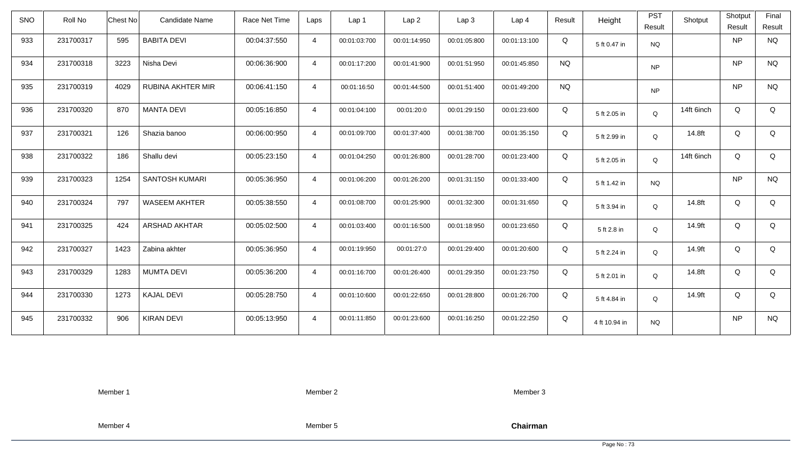| <b>SNO</b> | Roll No   | <b>Chest No</b> | Candidate Name       | Race Net Time | Laps           | Lap <sub>1</sub> | Lap <sub>2</sub> | Lap <sub>3</sub> | Lap <sub>4</sub> | Result    | Height        | <b>PST</b><br>Result | Shotput    | Shotput<br>Result | Final<br>Result |
|------------|-----------|-----------------|----------------------|---------------|----------------|------------------|------------------|------------------|------------------|-----------|---------------|----------------------|------------|-------------------|-----------------|
| 933        | 231700317 | 595             | <b>BABITA DEVI</b>   | 00:04:37:550  | $\overline{4}$ | 00:01:03:700     | 00:01:14:950     | 00:01:05:800     | 00:01:13:100     | Q         | 5 ft 0.47 in  | <b>NQ</b>            |            | <b>NP</b>         | <b>NQ</b>       |
| 934        | 231700318 | 3223            | Nisha Devi           | 00:06:36:900  | $\overline{4}$ | 00:01:17:200     | 00:01:41:900     | 00:01:51:950     | 00:01:45:850     | <b>NQ</b> |               | <b>NP</b>            |            | <b>NP</b>         | <b>NQ</b>       |
| 935        | 231700319 | 4029            | RUBINA AKHTER MIR    | 00:06:41:150  | $\overline{4}$ | 00:01:16:50      | 00:01:44:500     | 00:01:51:400     | 00:01:49:200     | <b>NQ</b> |               | <b>NP</b>            |            | <b>NP</b>         | <b>NQ</b>       |
| 936        | 231700320 | 870             | <b>MANTA DEVI</b>    | 00:05:16:850  | $\overline{4}$ | 00:01:04:100     | 00:01:20:0       | 00:01:29:150     | 00:01:23:600     | Q         | 5 ft 2.05 in  | Q                    | 14ft 6inch | Q                 | Q               |
| 937        | 231700321 | 126             | Shazia banoo         | 00:06:00:950  | $\overline{4}$ | 00:01:09:700     | 00:01:37:400     | 00:01:38:700     | 00:01:35:150     | Q         | 5 ft 2.99 in  | Q                    | 14.8ft     | Q                 | Q               |
| 938        | 231700322 | 186             | Shallu devi          | 00:05:23:150  | $\overline{4}$ | 00:01:04:250     | 00:01:26:800     | 00:01:28:700     | 00:01:23:400     | Q         | 5 ft 2.05 in  | Q                    | 14ft 6inch | Q                 | Q               |
| 939        | 231700323 | 1254            | SANTOSH KUMARI       | 00:05:36:950  | $\overline{4}$ | 00:01:06:200     | 00:01:26:200     | 00:01:31:150     | 00:01:33:400     | Q         | 5 ft 1.42 in  | <b>NQ</b>            |            | <b>NP</b>         | <b>NQ</b>       |
| 940        | 231700324 | 797             | <b>WASEEM AKHTER</b> | 00:05:38:550  | $\overline{4}$ | 00:01:08:700     | 00:01:25:900     | 00:01:32:300     | 00:01:31:650     | Q         | 5 ft 3.94 in  | Q                    | 14.8ft     | Q                 | Q               |
| 941        | 231700325 | 424             | ARSHAD AKHTAR        | 00:05:02:500  | $\overline{4}$ | 00:01:03:400     | 00:01:16:500     | 00:01:18:950     | 00:01:23:650     | Q         | 5 ft 2.8 in   | Q                    | 14.9ft     | Q                 | Q               |
| 942        | 231700327 | 1423            | Zabina akhter        | 00:05:36:950  | $\overline{4}$ | 00:01:19:950     | 00:01:27:0       | 00:01:29:400     | 00:01:20:600     | Q         | 5 ft 2.24 in  | Q                    | 14.9ft     | Q                 | Q               |
| 943        | 231700329 | 1283            | <b>MUMTA DEVI</b>    | 00:05:36:200  | $\overline{4}$ | 00:01:16:700     | 00:01:26:400     | 00:01:29:350     | 00:01:23:750     | Q         | 5 ft 2.01 in  | Q                    | 14.8ft     | Q                 | Q               |
| 944        | 231700330 | 1273            | <b>KAJAL DEVI</b>    | 00:05:28:750  | $\overline{4}$ | 00:01:10:600     | 00:01:22:650     | 00:01:28:800     | 00:01:26:700     | Q         | 5 ft 4.84 in  | Q                    | 14.9ft     | Q                 | Q               |
| 945        | 231700332 | 906             | <b>KIRAN DEVI</b>    | 00:05:13:950  | $\overline{4}$ | 00:01:11:850     | 00:01:23:600     | 00:01:16:250     | 00:01:22:250     | Q         | 4 ft 10.94 in | <b>NQ</b>            |            | <b>NP</b>         | <b>NQ</b>       |

Member 2

Member 3

Member 4

Member 5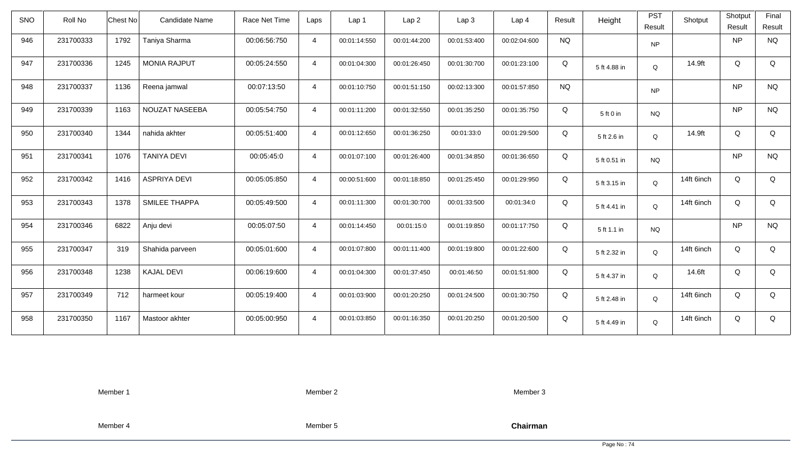| <b>SNO</b> | Roll No   | Chest No                     | Candidate Name | Race Net Time | Laps           | Lap 1        | Lap <sub>2</sub> | Lap3         | Lap <sub>4</sub> | Result    | Height       | <b>PST</b><br>Result | Shotput    | Shotput<br>Result | Final<br>Result |
|------------|-----------|------------------------------|----------------|---------------|----------------|--------------|------------------|--------------|------------------|-----------|--------------|----------------------|------------|-------------------|-----------------|
| 946        | 231700333 | 1792<br>Taniya Sharma        |                | 00:06:56:750  | $\overline{4}$ | 00:01:14:550 | 00:01:44:200     | 00:01:53:400 | 00:02:04:600     | <b>NQ</b> |              | <b>NP</b>            |            | <b>NP</b>         | <b>NQ</b>       |
| 947        | 231700336 | 1245<br><b>MONIA RAJPUT</b>  |                | 00:05:24:550  | $\overline{4}$ | 00:01:04:300 | 00:01:26:450     | 00:01:30:700 | 00:01:23:100     | Q         | 5 ft 4.88 in | Q                    | 14.9ft     | Q                 | Q               |
| 948        | 231700337 | 1136<br>Reena jamwal         |                | 00:07:13:50   | $\overline{4}$ | 00:01:10:750 | 00:01:51:150     | 00:02:13:300 | 00:01:57:850     | <b>NQ</b> |              | <b>NP</b>            |            | <b>NP</b>         | <b>NQ</b>       |
| 949        | 231700339 | 1163<br>NOUZAT NASEEBA       |                | 00:05:54:750  | $\overline{4}$ | 00:01:11:200 | 00:01:32:550     | 00:01:35:250 | 00:01:35:750     | Q         | 5 ft 0 in    | $N\mathrm{Q}$        |            | <b>NP</b>         | <b>NQ</b>       |
| 950        | 231700340 | 1344<br>nahida akhter        |                | 00:05:51:400  | $\overline{4}$ | 00:01:12:650 | 00:01:36:250     | 00:01:33:0   | 00:01:29:500     | Q         | 5 ft 2.6 in  | Q                    | 14.9ft     | Q                 | Q               |
| 951        | 231700341 | <b>TANIYA DEVI</b><br>1076   |                | 00:05:45:0    | $\overline{4}$ | 00:01:07:100 | 00:01:26:400     | 00:01:34:850 | 00:01:36:650     | Q         | 5 ft 0.51 in | <b>NQ</b>            |            | <b>NP</b>         | <b>NQ</b>       |
| 952        | 231700342 | 1416<br><b>ASPRIYA DEVI</b>  |                | 00:05:05:850  | $\overline{4}$ | 00:00:51:600 | 00:01:18:850     | 00:01:25:450 | 00:01:29:950     | Q         | 5 ft 3.15 in | Q                    | 14ft 6inch | Q                 | Q               |
| 953        | 231700343 | <b>SMILEE THAPPA</b><br>1378 |                | 00:05:49:500  | $\overline{4}$ | 00:01:11:300 | 00:01:30:700     | 00:01:33:500 | 00:01:34:0       | Q         | 5 ft 4.41 in | Q                    | 14ft 6inch | Q                 | Q               |
| 954        | 231700346 | Anju devi<br>6822            |                | 00:05:07:50   | $\overline{4}$ | 00:01:14:450 | 00:01:15:0       | 00:01:19:850 | 00:01:17:750     | Q         | 5 ft 1.1 in  | <b>NQ</b>            |            | <b>NP</b>         | <b>NQ</b>       |
| 955        | 231700347 | 319<br>Shahida parveen       |                | 00:05:01:600  | $\overline{4}$ | 00:01:07:800 | 00:01:11:400     | 00:01:19:800 | 00:01:22:600     | Q         | 5 ft 2.32 in | Q                    | 14ft 6inch | Q                 | Q               |
| 956        | 231700348 | 1238<br><b>KAJAL DEVI</b>    |                | 00:06:19:600  | $\overline{4}$ | 00:01:04:300 | 00:01:37:450     | 00:01:46:50  | 00:01:51:800     | Q         | 5 ft 4.37 in | Q                    | 14.6ft     | Q                 | Q               |
| 957        | 231700349 | 712<br>harmeet kour          |                | 00:05:19:400  | $\overline{4}$ | 00:01:03:900 | 00:01:20:250     | 00:01:24:500 | 00:01:30:750     | Q         | 5 ft 2.48 in | Q                    | 14ft 6inch | Q                 | Q               |
| 958        | 231700350 | 1167<br>Mastoor akhter       |                | 00:05:00:950  | $\overline{4}$ | 00:01:03:850 | 00:01:16:350     | 00:01:20:250 | 00:01:20:500     | Q         | 5 ft 4.49 in | Q                    | 14ft 6inch | Q                 | Q               |

Member 2

Member 3

Member 4

Member 5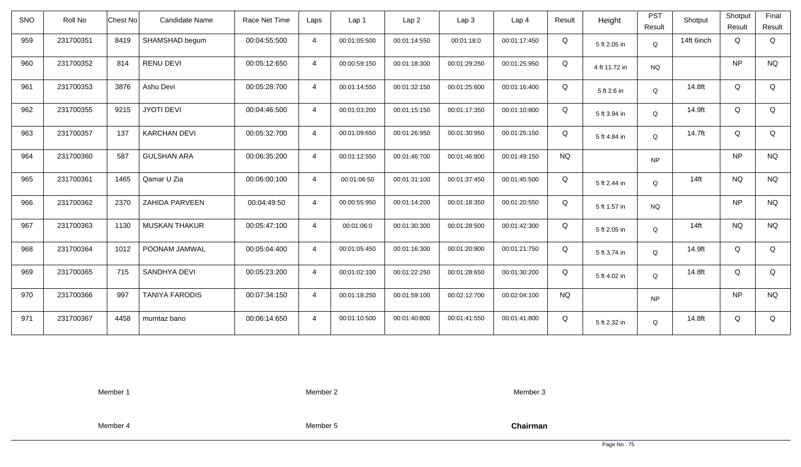| <b>SNO</b> | Roll No   | <b>Chest No</b> | Candidate Name        | Race Net Time | Laps           | Lap 1        | Lap <sub>2</sub> | Lap <sub>3</sub> | Lap <sub>4</sub> | Result    | Height        | <b>PST</b><br>Result | Shotput    | Shotput<br>Result | Final<br>Result |
|------------|-----------|-----------------|-----------------------|---------------|----------------|--------------|------------------|------------------|------------------|-----------|---------------|----------------------|------------|-------------------|-----------------|
| 959        | 231700351 | 8419            | SHAMSHAD begum        | 00:04:55:500  | $\overline{4}$ | 00:01:05:500 | 00:01:14:550     | 00:01:18:0       | 00:01:17:450     | Q         | 5 ft 2.05 in  | Q                    | 14ft 6inch | Q                 | Q               |
| 960        | 231700352 | 814             | <b>RENU DEVI</b>      | 00:05:12:650  | $\overline{4}$ | 00:00:59:150 | 00:01:18:300     | 00:01:29:250     | 00:01:25:950     | Q         | 4 ft 11.72 in | <b>NQ</b>            |            | <b>NP</b>         | <b>NQ</b>       |
| 961        | 231700353 | 3876            | Ashu Devi             | 00:05:28:700  | $\overline{4}$ | 00:01:14:550 | 00:01:32:150     | 00:01:25:600     | 00:01:16:400     | Q         | 5 ft 2.6 in   | Q                    | 14.8ft     | Q                 | Q               |
| 962        | 231700355 | 9215            | <b>JYOTI DEVI</b>     | 00:04:46:500  | $\overline{4}$ | 00:01:03:200 | 00:01:15:150     | 00:01:17:350     | 00:01:10:800     | Q         | 5 ft 3.94 in  | Q                    | 14.9ft     | Q                 | Q               |
| 963        | 231700357 | 137             | <b>KARCHAN DEVI</b>   | 00:05:32:700  | $\overline{4}$ | 00:01:09:650 | 00:01:26:950     | 00:01:30:950     | 00:01:25:150     | Q         | 5 ft 4.84 in  | Q                    | 14.7ft     | Q                 | Q               |
| 964        | 231700360 | 587             | <b>GULSHAN ARA</b>    | 00:06:35:200  | $\overline{4}$ | 00:01:12:550 | 00:01:46:700     | 00:01:46:800     | 00:01:49:150     | <b>NQ</b> |               | <b>NP</b>            |            | <b>NP</b>         | <b>NQ</b>       |
| 965        | 231700361 | 1465            | Qamar U Zia           | 00:06:00:100  | $\overline{4}$ | 00:01:06:50  | 00:01:31:100     | 00:01:37:450     | 00:01:45:500     | Q         | 5 ft 2.44 in  | Q                    | $14$ ft    | <b>NQ</b>         | <b>NQ</b>       |
| 966        | 231700362 | 2370            | ZAHIDA PARVEEN        | 00:04:49:50   | $\overline{4}$ | 00:00:55:950 | 00:01:14:200     | 00:01:18:350     | 00:01:20:550     | Q         | 5 ft 1.57 in  | <b>NQ</b>            |            | <b>NP</b>         | <b>NQ</b>       |
| 967        | 231700363 | 1130            | <b>MUSKAN THAKUR</b>  | 00:05:47:100  | $\overline{4}$ | 00:01:06:0   | 00:01:30:300     | 00:01:28:500     | 00:01:42:300     | Q         | 5 ft 2.05 in  | Q                    | $14$ ft    | <b>NQ</b>         | <b>NQ</b>       |
| 968        | 231700364 | 1012            | POONAM JAMWAL         | 00:05:04:400  | $\overline{4}$ | 00:01:05:450 | 00:01:16:300     | 00:01:20:900     | 00:01:21:750     | Q         | 5 ft 3.74 in  | Q                    | 14.9ft     | Q                 | Q               |
| 969        | 231700365 | 715             | SANDHYA DEVI          | 00:05:23:200  | $\overline{4}$ | 00:01:02:100 | 00:01:22:250     | 00:01:28:650     | 00:01:30:200     | Q         | 5 ft 4.02 in  | Q                    | 14.8ft     | Q                 | Q               |
| 970        | 231700366 | 997             | <b>TANIYA FARODIS</b> | 00:07:34:150  | $\overline{4}$ | 00:01:18:250 | 00:01:59:100     | 00:02:12:700     | 00:02:04:100     | <b>NQ</b> |               | <b>NP</b>            |            | <b>NP</b>         | <b>NQ</b>       |
| 971        | 231700367 | 4458            | mumtaz bano           | 00:06:14:650  | $\overline{4}$ | 00:01:10:500 | 00:01:40:800     | 00:01:41:550     | 00:01:41:800     | Q         | 5 ft 2.32 in  | Q                    | 14.8ft     | Q                 | Q               |

Member 2

Member 3

Member 4

Member 5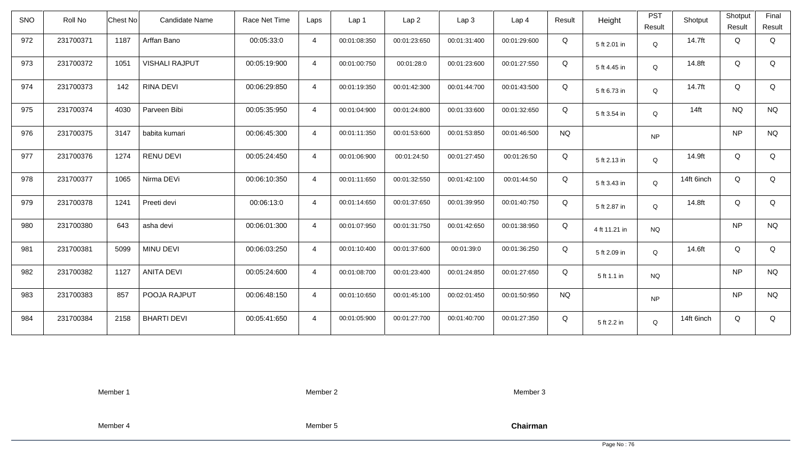| <b>SNO</b> | Roll No   | <b>Chest No</b>            | Candidate Name        | Race Net Time | Laps           | Lap 1        | Lap <sub>2</sub> | Lap3         | Lap 4        | Result    | Height        | <b>PST</b><br>Result | Shotput    | Shotput<br>Result | Final<br>Result |
|------------|-----------|----------------------------|-----------------------|---------------|----------------|--------------|------------------|--------------|--------------|-----------|---------------|----------------------|------------|-------------------|-----------------|
| 972        | 231700371 | 1187<br>Arffan Bano        |                       | 00:05:33:0    | $\overline{4}$ | 00:01:08:350 | 00:01:23:650     | 00:01:31:400 | 00:01:29:600 | Q         | 5 ft 2.01 in  | Q                    | 14.7ft     | Q                 | Q               |
| 973        | 231700372 | 1051                       | <b>VISHALI RAJPUT</b> | 00:05:19:900  | $\overline{4}$ | 00:01:00:750 | 00:01:28:0       | 00:01:23:600 | 00:01:27:550 | Q         | 5 ft 4.45 in  | Q                    | 14.8ft     | Q                 | Q               |
| 974        | 231700373 | 142<br><b>RINA DEVI</b>    |                       | 00:06:29:850  | $\overline{4}$ | 00:01:19:350 | 00:01:42:300     | 00:01:44:700 | 00:01:43:500 | Q         | 5 ft 6.73 in  | Q                    | 14.7ft     | Q                 | Q               |
| 975        | 231700374 | 4030<br>Parveen Bibi       |                       | 00:05:35:950  | $\overline{4}$ | 00:01:04:900 | 00:01:24:800     | 00:01:33:600 | 00:01:32:650 | Q         | 5 ft 3.54 in  | Q                    | $14$ ft    | <b>NQ</b>         | <b>NQ</b>       |
| 976        | 231700375 | babita kumari<br>3147      |                       | 00:06:45:300  | $\overline{4}$ | 00:01:11:350 | 00:01:53:600     | 00:01:53:850 | 00:01:46:500 | <b>NQ</b> |               | <b>NP</b>            |            | <b>NP</b>         | <b>NQ</b>       |
| 977        | 231700376 | 1274<br><b>RENU DEVI</b>   |                       | 00:05:24:450  | $\overline{4}$ | 00:01:06:900 | 00:01:24:50      | 00:01:27:450 | 00:01:26:50  | Q         | 5 ft 2.13 in  | Q                    | 14.9ft     | Q                 | Q               |
| 978        | 231700377 | 1065<br>Nirma DEVi         |                       | 00:06:10:350  | $\overline{4}$ | 00:01:11:650 | 00:01:32:550     | 00:01:42:100 | 00:01:44:50  | Q         | 5 ft 3.43 in  | Q                    | 14ft 6inch | Q                 | Q               |
| 979        | 231700378 | Preeti devi<br>1241        |                       | 00:06:13:0    | $\overline{4}$ | 00:01:14:650 | 00:01:37:650     | 00:01:39:950 | 00:01:40:750 | Q         | 5 ft 2.87 in  | Q                    | 14.8ft     | Q                 | Q               |
| 980        | 231700380 | 643<br>asha devi           |                       | 00:06:01:300  | $\overline{4}$ | 00:01:07:950 | 00:01:31:750     | 00:01:42:650 | 00:01:38:950 | Q         | 4 ft 11.21 in | <b>NQ</b>            |            | <b>NP</b>         | <b>NQ</b>       |
| 981        | 231700381 | 5099<br>MINU DEVI          |                       | 00:06:03:250  | $\overline{4}$ | 00:01:10:400 | 00:01:37:600     | 00:01:39:0   | 00:01:36:250 | Q         | 5 ft 2.09 in  | Q                    | 14.6ft     | Q                 | Q               |
| 982        | 231700382 | 1127<br><b>ANITA DEVI</b>  |                       | 00:05:24:600  | $\overline{4}$ | 00:01:08:700 | 00:01:23:400     | 00:01:24:850 | 00:01:27:650 | Q         | 5 ft 1.1 in   | <b>NQ</b>            |            | <b>NP</b>         | <b>NQ</b>       |
| 983        | 231700383 | 857                        | POOJA RAJPUT          | 00:06:48:150  | $\overline{4}$ | 00:01:10:650 | 00:01:45:100     | 00:02:01:450 | 00:01:50:950 | <b>NQ</b> |               | <b>NP</b>            |            | <b>NP</b>         | <b>NQ</b>       |
| 984        | 231700384 | <b>BHARTI DEVI</b><br>2158 |                       | 00:05:41:650  | $\overline{4}$ | 00:01:05:900 | 00:01:27:700     | 00:01:40:700 | 00:01:27:350 | Q         | 5 ft 2.2 in   | Q                    | 14ft 6inch | Q                 | Q               |

Member 2

Member 3

Member 4

Member 5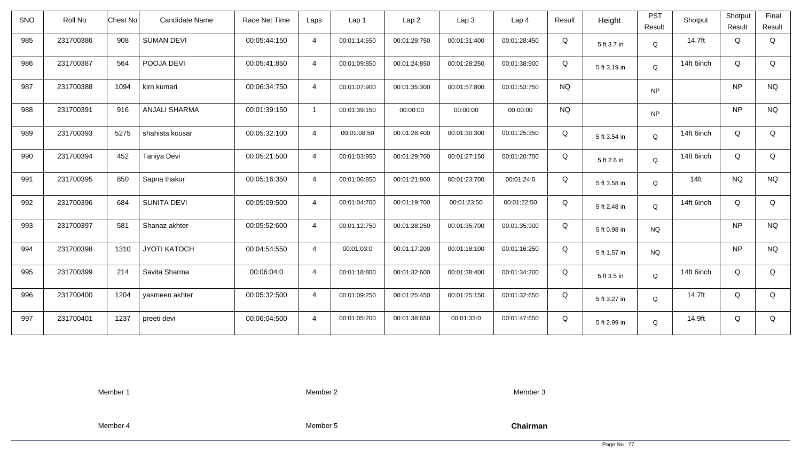| <b>SNO</b> | Roll No   | Candidate Name<br>Chest No  | Race Net Time | Laps           | Lap 1        | Lap <sub>2</sub> | Lap3         | Lap <sub>4</sub> | Result    | Height       | <b>PST</b><br>Result | Shotput    | Shotput<br>Result | Final<br>Result |
|------------|-----------|-----------------------------|---------------|----------------|--------------|------------------|--------------|------------------|-----------|--------------|----------------------|------------|-------------------|-----------------|
| 985        | 231700386 | 908<br><b>SUMAN DEVI</b>    | 00:05:44:150  | $\overline{4}$ | 00:01:14:550 | 00:01:29:750     | 00:01:31:400 | 00:01:28:450     | Q         | 5 ft 3.7 in  | $\mathsf Q$          | 14.7ft     | Q                 | Q               |
| 986        | 231700387 | POOJA DEVI<br>564           | 00:05:41:850  | $\overline{4}$ | 00:01:09:850 | 00:01:24:850     | 00:01:28:250 | 00:01:38:900     | Q         | 5 ft 3.19 in | Q                    | 14ft 6inch | Q                 | Q               |
| 987        | 231700388 | 1094<br>kirn kumari         | 00:06:34:750  | $\overline{4}$ | 00:01:07:900 | 00:01:35:300     | 00:01:57:800 | 00:01:53:750     | <b>NQ</b> |              | <b>NP</b>            |            | <b>NP</b>         | <b>NQ</b>       |
| 988        | 231700391 | 916<br><b>ANJALI SHARMA</b> | 00:01:39:150  | $\mathbf{1}$   | 00:01:39:150 | 00:00:00         | 00:00:00     | 00:00:00         | <b>NQ</b> |              | <b>NP</b>            |            | <b>NP</b>         | <b>NQ</b>       |
| 989        | 231700393 | 5275<br>shahista kousar     | 00:05:32:100  | $\overline{4}$ | 00:01:08:50  | 00:01:28:400     | 00:01:30:300 | 00:01:25:350     | Q         | 5 ft 3.54 in | Q                    | 14ft 6inch | Q                 | Q               |
| 990        | 231700394 | 452<br>Taniya Devi          | 00:05:21:500  | $\overline{4}$ | 00:01:03:950 | 00:01:29:700     | 00:01:27:150 | 00:01:20:700     | Q         | 5 ft 2.6 in  | Q                    | 14ft 6inch | Q                 | Q               |
| 991        | 231700395 | 850<br>Sapna thakur         | 00:05:16:350  | $\overline{4}$ | 00:01:06:850 | 00:01:21:800     | 00:01:23:700 | 00:01:24:0       | Q         | 5 ft 3.58 in | Q                    | $14$ ft    | <b>NQ</b>         | <b>NQ</b>       |
| 992        | 231700396 | <b>SUNITA DEVI</b><br>684   | 00:05:09:500  | $\overline{4}$ | 00:01:04:700 | 00:01:19:700     | 00:01:23:50  | 00:01:22:50      | Q         | 5 ft 2.48 in | Q                    | 14ft 6inch | Q                 | Q               |
| 993        | 231700397 | 581<br>Shanaz akhter        | 00:05:52:600  | $\overline{4}$ | 00:01:12:750 | 00:01:28:250     | 00:01:35:700 | 00:01:35:900     | Q         | 5 ft 0.98 in | <b>NQ</b>            |            | <b>NP</b>         | <b>NQ</b>       |
| 994        | 231700398 | 1310<br><b>JYOTI KATOCH</b> | 00:04:54:550  | $\overline{4}$ | 00:01:03:0   | 00:01:17:200     | 00:01:18:100 | 00:01:16:250     | Q         | 5 ft 1.57 in | <b>NQ</b>            |            | <b>NP</b>         | $\rm N\rm Q$    |
| 995        | 231700399 | Savita Sharma<br>214        | 00:06:04:0    | $\overline{4}$ | 00:01:18:800 | 00:01:32:600     | 00:01:38:400 | 00:01:34:200     | Q         | 5 ft 3.5 in  | Q                    | 14ft 6inch | Q                 | Q               |
| 996        | 231700400 | 1204<br>yasmeen akhter      | 00:05:32:500  | $\overline{4}$ | 00:01:09:250 | 00:01:25:450     | 00:01:25:150 | 00:01:32:650     | Q         | 5 ft 3.27 in | Q                    | 14.7ft     | Q                 | Q               |
| 997        | 231700401 | 1237<br>preeti devi         | 00:06:04:500  | $\overline{4}$ | 00:01:05:200 | 00:01:38:650     | 00:01:33:0   | 00:01:47:650     | Q         | 5 ft 2.99 in | Q                    | 14.9ft     | Q                 | Q               |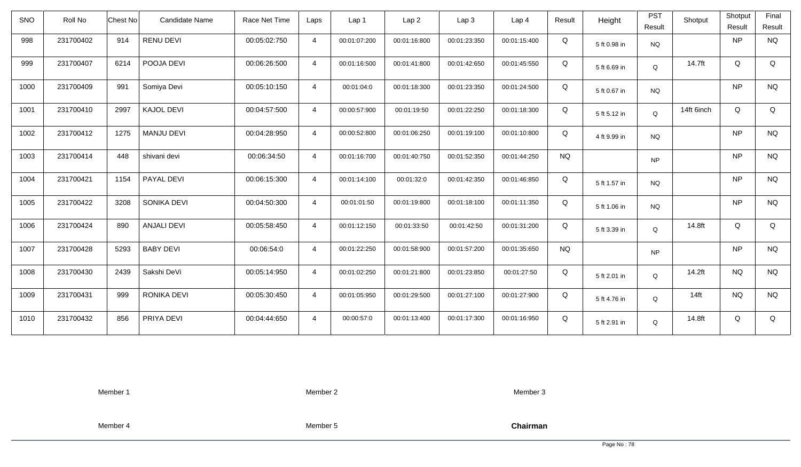| <b>SNO</b> | Roll No   | Chest No | Candidate Name     | Race Net Time | Laps           | Lap 1        | Lap <sub>2</sub> | Lap3         | Lap <sub>4</sub> | Result    | Height       | <b>PST</b><br>Result | Shotput    | Shotput<br>Result | Final<br>Result |
|------------|-----------|----------|--------------------|---------------|----------------|--------------|------------------|--------------|------------------|-----------|--------------|----------------------|------------|-------------------|-----------------|
| 998        | 231700402 | 914      | <b>RENU DEVI</b>   | 00:05:02:750  | $\overline{4}$ | 00:01:07:200 | 00:01:16:800     | 00:01:23:350 | 00:01:15:400     | Q         | 5 ft 0.98 in | <b>NQ</b>            |            | <b>NP</b>         | <b>NQ</b>       |
| 999        | 231700407 | 6214     | POOJA DEVI         | 00:06:26:500  | $\overline{4}$ | 00:01:16:500 | 00:01:41:800     | 00:01:42:650 | 00:01:45:550     | Q         | 5 ft 6.69 in | Q                    | 14.7ft     | Q                 | Q               |
| 1000       | 231700409 | 991      | Somiya Devi        | 00:05:10:150  | $\overline{4}$ | 00:01:04:0   | 00:01:18:300     | 00:01:23:350 | 00:01:24:500     | Q         | 5 ft 0.67 in | <b>NQ</b>            |            | <b>NP</b>         | <b>NQ</b>       |
| 1001       | 231700410 | 2997     | <b>KAJOL DEVI</b>  | 00:04:57:500  | $\overline{4}$ | 00:00:57:900 | 00:01:19:50      | 00:01:22:250 | 00:01:18:300     | Q         | 5 ft 5.12 in | Q                    | 14ft 6inch | Q                 | Q               |
| 1002       | 231700412 | 1275     | <b>MANJU DEVI</b>  | 00:04:28:950  | $\overline{4}$ | 00:00:52:800 | 00:01:06:250     | 00:01:19:100 | 00:01:10:800     | Q         | 4 ft 9.99 in | <b>NQ</b>            |            | <b>NP</b>         | <b>NQ</b>       |
| 1003       | 231700414 | 448      | shivani devi       | 00:06:34:50   | $\overline{4}$ | 00:01:16:700 | 00:01:40:750     | 00:01:52:350 | 00:01:44:250     | <b>NQ</b> |              | <b>NP</b>            |            | <b>NP</b>         | <b>NQ</b>       |
| 1004       | 231700421 | 1154     | PAYAL DEVI         | 00:06:15:300  | $\overline{4}$ | 00:01:14:100 | 00:01:32:0       | 00:01:42:350 | 00:01:46:850     | Q         | 5 ft 1.57 in | <b>NQ</b>            |            | <b>NP</b>         | <b>NQ</b>       |
| 1005       | 231700422 | 3208     | SONIKA DEVI        | 00:04:50:300  | $\overline{4}$ | 00:01:01:50  | 00:01:19:800     | 00:01:18:100 | 00:01:11:350     | Q         | 5 ft 1.06 in | <b>NQ</b>            |            | <b>NP</b>         | <b>NQ</b>       |
| 1006       | 231700424 | 890      | <b>ANJALI DEVI</b> | 00:05:58:450  | $\overline{4}$ | 00:01:12:150 | 00:01:33:50      | 00:01:42:50  | 00:01:31:200     | Q         | 5 ft 3.39 in | Q                    | 14.8ft     | Q                 | Q               |
| 1007       | 231700428 | 5293     | <b>BABY DEVI</b>   | 00:06:54:0    | $\overline{4}$ | 00:01:22:250 | 00:01:58:900     | 00:01:57:200 | 00:01:35:650     | <b>NQ</b> |              | <b>NP</b>            |            | <b>NP</b>         | $\rm N\rm Q$    |
| 1008       | 231700430 | 2439     | Sakshi DeVi        | 00:05:14:950  | $\overline{4}$ | 00:01:02:250 | 00:01:21:800     | 00:01:23:850 | 00:01:27:50      | Q         | 5 ft 2.01 in | Q                    | 14.2ft     | <b>NQ</b>         | <b>NQ</b>       |
| 1009       | 231700431 | 999      | RONIKA DEVI        | 00:05:30:450  | $\overline{4}$ | 00:01:05:950 | 00:01:29:500     | 00:01:27:100 | 00:01:27:900     | Q         | 5 ft 4.76 in | Q                    | $14$ ft    | <b>NQ</b>         | <b>NQ</b>       |
| 1010       | 231700432 | 856      | PRIYA DEVI         | 00:04:44:650  | $\overline{4}$ | 00:00:57:0   | 00:01:13:400     | 00:01:17:300 | 00:01:16:950     | Q         | 5 ft 2.91 in | Q                    | 14.8ft     | Q                 | Q               |

Member 2

Member 3

Member 4

Member 5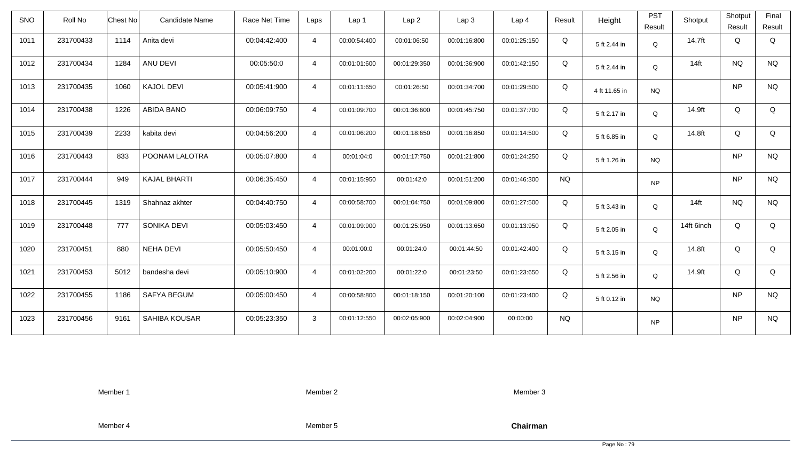| <b>SNO</b> | Roll No   | <b>Chest No</b> | <b>Candidate Name</b> | Race Net Time | Laps           | Lap 1        | Lap <sub>2</sub> | Lap3         | Lap 4        | Result    | Height        | <b>PST</b><br>Result | Shotput    | Shotput<br>Result | Final<br>Result |
|------------|-----------|-----------------|-----------------------|---------------|----------------|--------------|------------------|--------------|--------------|-----------|---------------|----------------------|------------|-------------------|-----------------|
| 1011       | 231700433 | 1114            | Anita devi            | 00:04:42:400  | $\overline{4}$ | 00:00:54:400 | 00:01:06:50      | 00:01:16:800 | 00:01:25:150 | Q         | 5 ft 2.44 in  | Q                    | 14.7ft     | Q                 | Q               |
| 1012       | 231700434 | 1284            | ANU DEVI              | 00:05:50:0    | $\overline{4}$ | 00:01:01:600 | 00:01:29:350     | 00:01:36:900 | 00:01:42:150 | Q         | 5 ft 2.44 in  | Q                    | $14$ ft    | <b>NQ</b>         | <b>NQ</b>       |
| 1013       | 231700435 | 1060            | <b>KAJOL DEVI</b>     | 00:05:41:900  | $\overline{4}$ | 00:01:11:650 | 00:01:26:50      | 00:01:34:700 | 00:01:29:500 | Q         | 4 ft 11.65 in | <b>NQ</b>            |            | <b>NP</b>         | <b>NQ</b>       |
| 1014       | 231700438 | 1226            | <b>ABIDA BANO</b>     | 00:06:09:750  | $\overline{4}$ | 00:01:09:700 | 00:01:36:600     | 00:01:45:750 | 00:01:37:700 | Q         | 5 ft 2.17 in  | Q                    | 14.9ft     | Q                 | Q               |
| 1015       | 231700439 | 2233            | kabita devi           | 00:04:56:200  | $\overline{4}$ | 00:01:06:200 | 00:01:18:650     | 00:01:16:850 | 00:01:14:500 | Q         | 5 ft 6.85 in  | Q                    | 14.8ft     | Q                 | Q               |
| 1016       | 231700443 | 833             | POONAM LALOTRA        | 00:05:07:800  | $\overline{4}$ | 00:01:04:0   | 00:01:17:750     | 00:01:21:800 | 00:01:24:250 | Q         | 5 ft 1.26 in  | <b>NQ</b>            |            | <b>NP</b>         | <b>NQ</b>       |
| 1017       | 231700444 | 949             | <b>KAJAL BHARTI</b>   | 00:06:35:450  | $\overline{4}$ | 00:01:15:950 | 00:01:42:0       | 00:01:51:200 | 00:01:46:300 | <b>NQ</b> |               | <b>NP</b>            |            | <b>NP</b>         | <b>NQ</b>       |
| 1018       | 231700445 | 1319            | Shahnaz akhter        | 00:04:40:750  | $\overline{4}$ | 00:00:58:700 | 00:01:04:750     | 00:01:09:800 | 00:01:27:500 | Q         | 5 ft 3.43 in  | Q                    | $14$ ft    | <b>NQ</b>         | <b>NQ</b>       |
| 1019       | 231700448 | 777             | SONIKA DEVI           | 00:05:03:450  | $\overline{4}$ | 00:01:09:900 | 00:01:25:950     | 00:01:13:650 | 00:01:13:950 | Q         | 5 ft 2.05 in  | $\mathsf Q$          | 14ft 6inch | Q                 | Q               |
| 1020       | 231700451 | 880             | <b>NEHA DEVI</b>      | 00:05:50:450  | $\overline{4}$ | 00:01:00:0   | 00:01:24:0       | 00:01:44:50  | 00:01:42:400 | Q         | 5 ft 3.15 in  | Q                    | 14.8ft     | Q                 | Q               |
| 1021       | 231700453 | 5012            | bandesha devi         | 00:05:10:900  | $\overline{4}$ | 00:01:02:200 | 00:01:22:0       | 00:01:23:50  | 00:01:23:650 | Q         | 5 ft 2.56 in  | Q                    | 14.9ft     | Q                 | Q               |
| 1022       | 231700455 | 1186            | <b>SAFYA BEGUM</b>    | 00:05:00:450  | $\overline{4}$ | 00:00:58:800 | 00:01:18:150     | 00:01:20:100 | 00:01:23:400 | Q         | 5 ft 0.12 in  | <b>NQ</b>            |            | <b>NP</b>         | <b>NQ</b>       |
| 1023       | 231700456 | 9161            | SAHIBA KOUSAR         | 00:05:23:350  | $\mathbf{3}$   | 00:01:12:550 | 00:02:05:900     | 00:02:04:900 | 00:00:00     | <b>NQ</b> |               | <b>NP</b>            |            | <b>NP</b>         | <b>NQ</b>       |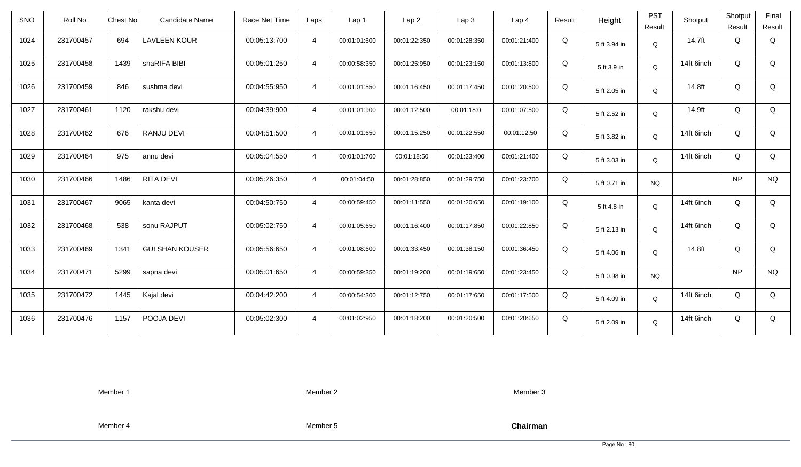| <b>SNO</b> | Roll No   | <b>Chest No</b> | <b>Candidate Name</b> | Race Net Time | Laps           | Lap <sub>1</sub> | Lap <sub>2</sub> | Lap <sub>3</sub> | Lap <sub>4</sub> | Result | Height       | <b>PST</b><br>Result | Shotput    | Shotput<br>Result | Final<br>Result |
|------------|-----------|-----------------|-----------------------|---------------|----------------|------------------|------------------|------------------|------------------|--------|--------------|----------------------|------------|-------------------|-----------------|
| 1024       | 231700457 | 694             | <b>LAVLEEN KOUR</b>   | 00:05:13:700  | $\overline{4}$ | 00:01:01:600     | 00:01:22:350     | 00:01:28:350     | 00:01:21:400     | Q      | 5 ft 3.94 in | Q                    | 14.7ft     | Q                 | Q               |
| 1025       | 231700458 | 1439            | shaRIFA BIBI          | 00:05:01:250  | $\overline{4}$ | 00:00:58:350     | 00:01:25:950     | 00:01:23:150     | 00:01:13:800     | Q      | 5 ft 3.9 in  | Q                    | 14ft 6inch | Q                 | Q               |
| 1026       | 231700459 | 846             | sushma devi           | 00:04:55:950  | $\overline{4}$ | 00:01:01:550     | 00:01:16:450     | 00:01:17:450     | 00:01:20:500     | Q      | 5 ft 2.05 in | Q                    | 14.8ft     | Q                 | Q               |
| 1027       | 231700461 | 1120            | rakshu devi           | 00:04:39:900  | $\overline{4}$ | 00:01:01:900     | 00:01:12:500     | 00:01:18:0       | 00:01:07:500     | Q      | 5 ft 2.52 in | Q                    | 14.9ft     | Q                 | Q               |
| 1028       | 231700462 | 676             | <b>RANJU DEVI</b>     | 00:04:51:500  | $\overline{4}$ | 00:01:01:650     | 00:01:15:250     | 00:01:22:550     | 00:01:12:50      | Q      | 5 ft 3.82 in | Q                    | 14ft 6inch | Q                 | Q               |
| 1029       | 231700464 | 975             | annu devi             | 00:05:04:550  | 4              | 00:01:01:700     | 00:01:18:50      | 00:01:23:400     | 00:01:21:400     | Q      | 5 ft 3.03 in | Q                    | 14ft 6inch | Q                 | Q               |
| 1030       | 231700466 | 1486            | <b>RITA DEVI</b>      | 00:05:26:350  | $\overline{4}$ | 00:01:04:50      | 00:01:28:850     | 00:01:29:750     | 00:01:23:700     | Q      | 5 ft 0.71 in | <b>NQ</b>            |            | <b>NP</b>         | <b>NQ</b>       |
| 1031       | 231700467 | 9065            | kanta devi            | 00:04:50:750  | 4              | 00:00:59:450     | 00:01:11:550     | 00:01:20:650     | 00:01:19:100     | Q      | 5 ft 4.8 in  | Q                    | 14ft 6inch | Q                 | Q               |
| 1032       | 231700468 | 538             | sonu RAJPUT           | 00:05:02:750  | $\overline{4}$ | 00:01:05:650     | 00:01:16:400     | 00:01:17:850     | 00:01:22:850     | Q      | 5 ft 2.13 in | Q                    | 14ft 6inch | Q                 | Q               |
| 1033       | 231700469 | 1341            | <b>GULSHAN KOUSER</b> | 00:05:56:650  | $\overline{4}$ | 00:01:08:600     | 00:01:33:450     | 00:01:38:150     | 00:01:36:450     | Q      | 5 ft 4.06 in | Q                    | 14.8ft     | Q                 | Q               |
| 1034       | 231700471 | 5299            | sapna devi            | 00:05:01:650  | $\overline{4}$ | 00:00:59:350     | 00:01:19:200     | 00:01:19:650     | 00:01:23:450     | Q      | 5 ft 0.98 in | <b>NQ</b>            |            | <b>NP</b>         | <b>NQ</b>       |
| 1035       | 231700472 | 1445            | Kajal devi            | 00:04:42:200  | $\overline{4}$ | 00:00:54:300     | 00:01:12:750     | 00:01:17:650     | 00:01:17:500     | Q      | 5 ft 4.09 in | Q                    | 14ft 6inch | Q                 | Q               |
| 1036       | 231700476 | 1157            | POOJA DEVI            | 00:05:02:300  | $\overline{4}$ | 00:01:02:950     | 00:01:18:200     | 00:01:20:500     | 00:01:20:650     | Q      | 5 ft 2.09 in | Q                    | 14ft 6inch | Q                 | Q               |

Member 2

Member 3

Member 4

Member 5